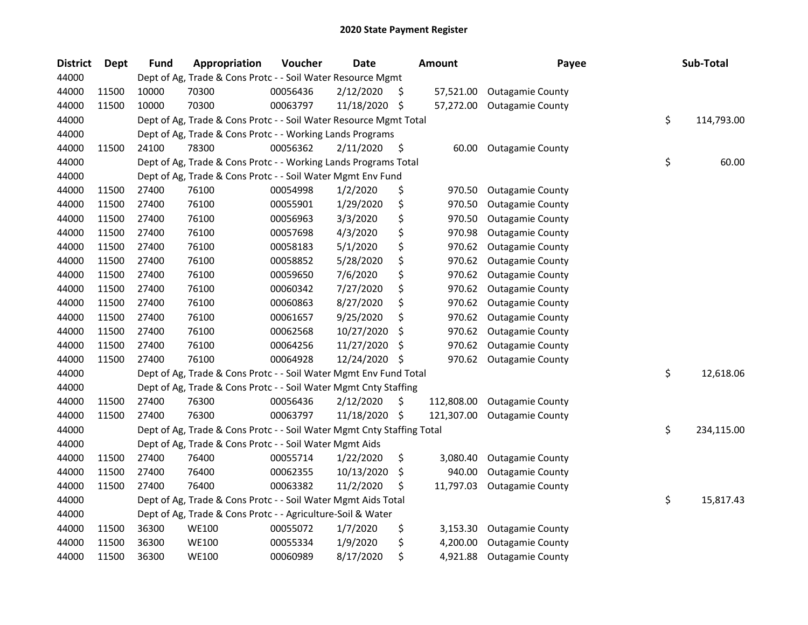| <b>District</b> | Dept  | <b>Fund</b> | Appropriation                                                          | Voucher  | <b>Date</b> |     | <b>Amount</b> | Payee                   | Sub-Total        |
|-----------------|-------|-------------|------------------------------------------------------------------------|----------|-------------|-----|---------------|-------------------------|------------------|
| 44000           |       |             | Dept of Ag, Trade & Cons Protc - - Soil Water Resource Mgmt            |          |             |     |               |                         |                  |
| 44000           | 11500 | 10000       | 70300                                                                  | 00056436 | 2/12/2020   | -S  | 57,521.00     | <b>Outagamie County</b> |                  |
| 44000           | 11500 | 10000       | 70300                                                                  | 00063797 | 11/18/2020  | -\$ | 57,272.00     | <b>Outagamie County</b> |                  |
| 44000           |       |             | Dept of Ag, Trade & Cons Protc - - Soil Water Resource Mgmt Total      |          |             |     |               |                         | \$<br>114,793.00 |
| 44000           |       |             | Dept of Ag, Trade & Cons Protc - - Working Lands Programs              |          |             |     |               |                         |                  |
| 44000           | 11500 | 24100       | 78300                                                                  | 00056362 | 2/11/2020   | \$  | 60.00         | <b>Outagamie County</b> |                  |
| 44000           |       |             | Dept of Ag, Trade & Cons Protc - - Working Lands Programs Total        |          |             |     |               |                         | \$<br>60.00      |
| 44000           |       |             | Dept of Ag, Trade & Cons Protc - - Soil Water Mgmt Env Fund            |          |             |     |               |                         |                  |
| 44000           | 11500 | 27400       | 76100                                                                  | 00054998 | 1/2/2020    | \$  | 970.50        | <b>Outagamie County</b> |                  |
| 44000           | 11500 | 27400       | 76100                                                                  | 00055901 | 1/29/2020   | \$  | 970.50        | <b>Outagamie County</b> |                  |
| 44000           | 11500 | 27400       | 76100                                                                  | 00056963 | 3/3/2020    | \$  | 970.50        | <b>Outagamie County</b> |                  |
| 44000           | 11500 | 27400       | 76100                                                                  | 00057698 | 4/3/2020    | \$  | 970.98        | <b>Outagamie County</b> |                  |
| 44000           | 11500 | 27400       | 76100                                                                  | 00058183 | 5/1/2020    | \$  | 970.62        | <b>Outagamie County</b> |                  |
| 44000           | 11500 | 27400       | 76100                                                                  | 00058852 | 5/28/2020   | \$  | 970.62        | <b>Outagamie County</b> |                  |
| 44000           | 11500 | 27400       | 76100                                                                  | 00059650 | 7/6/2020    | \$  | 970.62        | <b>Outagamie County</b> |                  |
| 44000           | 11500 | 27400       | 76100                                                                  | 00060342 | 7/27/2020   | \$  | 970.62        | <b>Outagamie County</b> |                  |
| 44000           | 11500 | 27400       | 76100                                                                  | 00060863 | 8/27/2020   | \$  | 970.62        | <b>Outagamie County</b> |                  |
| 44000           | 11500 | 27400       | 76100                                                                  | 00061657 | 9/25/2020   | \$  | 970.62        | <b>Outagamie County</b> |                  |
| 44000           | 11500 | 27400       | 76100                                                                  | 00062568 | 10/27/2020  | \$  | 970.62        | <b>Outagamie County</b> |                  |
| 44000           | 11500 | 27400       | 76100                                                                  | 00064256 | 11/27/2020  | \$  | 970.62        | <b>Outagamie County</b> |                  |
| 44000           | 11500 | 27400       | 76100                                                                  | 00064928 | 12/24/2020  | \$  | 970.62        | <b>Outagamie County</b> |                  |
| 44000           |       |             | Dept of Ag, Trade & Cons Protc - - Soil Water Mgmt Env Fund Total      |          |             |     |               |                         | \$<br>12,618.06  |
| 44000           |       |             | Dept of Ag, Trade & Cons Protc - - Soil Water Mgmt Cnty Staffing       |          |             |     |               |                         |                  |
| 44000           | 11500 | 27400       | 76300                                                                  | 00056436 | 2/12/2020   | \$  | 112,808.00    | <b>Outagamie County</b> |                  |
| 44000           | 11500 | 27400       | 76300                                                                  | 00063797 | 11/18/2020  | \$  | 121,307.00    | <b>Outagamie County</b> |                  |
| 44000           |       |             | Dept of Ag, Trade & Cons Protc - - Soil Water Mgmt Cnty Staffing Total |          |             |     |               |                         | \$<br>234,115.00 |
| 44000           |       |             | Dept of Ag, Trade & Cons Protc - - Soil Water Mgmt Aids                |          |             |     |               |                         |                  |
| 44000           | 11500 | 27400       | 76400                                                                  | 00055714 | 1/22/2020   | \$  | 3,080.40      | <b>Outagamie County</b> |                  |
| 44000           | 11500 | 27400       | 76400                                                                  | 00062355 | 10/13/2020  | \$  | 940.00        | <b>Outagamie County</b> |                  |
| 44000           | 11500 | 27400       | 76400                                                                  | 00063382 | 11/2/2020   | \$  | 11,797.03     | <b>Outagamie County</b> |                  |
| 44000           |       |             | Dept of Ag, Trade & Cons Protc - - Soil Water Mgmt Aids Total          |          |             |     |               |                         | \$<br>15,817.43  |
| 44000           |       |             | Dept of Ag, Trade & Cons Protc - - Agriculture-Soil & Water            |          |             |     |               |                         |                  |
| 44000           | 11500 | 36300       | <b>WE100</b>                                                           | 00055072 | 1/7/2020    | \$  | 3,153.30      | <b>Outagamie County</b> |                  |
| 44000           | 11500 | 36300       | <b>WE100</b>                                                           | 00055334 | 1/9/2020    | \$  | 4,200.00      | <b>Outagamie County</b> |                  |
| 44000           | 11500 | 36300       | <b>WE100</b>                                                           | 00060989 | 8/17/2020   | \$  | 4,921.88      | <b>Outagamie County</b> |                  |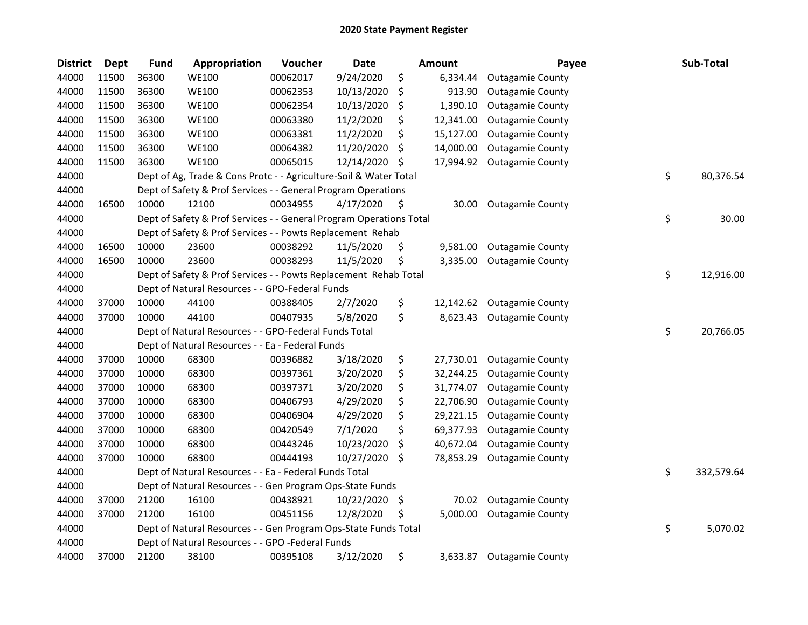| <b>District</b> | Dept  | <b>Fund</b> | Appropriation                                                       | Voucher  | Date       |     | <b>Amount</b> | Payee                   | Sub-Total        |
|-----------------|-------|-------------|---------------------------------------------------------------------|----------|------------|-----|---------------|-------------------------|------------------|
| 44000           | 11500 | 36300       | <b>WE100</b>                                                        | 00062017 | 9/24/2020  | \$  | 6,334.44      | <b>Outagamie County</b> |                  |
| 44000           | 11500 | 36300       | <b>WE100</b>                                                        | 00062353 | 10/13/2020 | \$  | 913.90        | <b>Outagamie County</b> |                  |
| 44000           | 11500 | 36300       | <b>WE100</b>                                                        | 00062354 | 10/13/2020 | \$  | 1,390.10      | <b>Outagamie County</b> |                  |
| 44000           | 11500 | 36300       | <b>WE100</b>                                                        | 00063380 | 11/2/2020  | \$  | 12,341.00     | <b>Outagamie County</b> |                  |
| 44000           | 11500 | 36300       | <b>WE100</b>                                                        | 00063381 | 11/2/2020  | \$  | 15,127.00     | <b>Outagamie County</b> |                  |
| 44000           | 11500 | 36300       | <b>WE100</b>                                                        | 00064382 | 11/20/2020 | \$  | 14,000.00     | <b>Outagamie County</b> |                  |
| 44000           | 11500 | 36300       | <b>WE100</b>                                                        | 00065015 | 12/14/2020 | \$, | 17,994.92     | <b>Outagamie County</b> |                  |
| 44000           |       |             | Dept of Ag, Trade & Cons Protc - - Agriculture-Soil & Water Total   |          |            |     |               |                         | \$<br>80,376.54  |
| 44000           |       |             | Dept of Safety & Prof Services - - General Program Operations       |          |            |     |               |                         |                  |
| 44000           | 16500 | 10000       | 12100                                                               | 00034955 | 4/17/2020  | \$  | 30.00         | <b>Outagamie County</b> |                  |
| 44000           |       |             | Dept of Safety & Prof Services - - General Program Operations Total |          |            |     |               |                         | \$<br>30.00      |
| 44000           |       |             | Dept of Safety & Prof Services - - Powts Replacement Rehab          |          |            |     |               |                         |                  |
| 44000           | 16500 | 10000       | 23600                                                               | 00038292 | 11/5/2020  | \$  | 9,581.00      | <b>Outagamie County</b> |                  |
| 44000           | 16500 | 10000       | 23600                                                               | 00038293 | 11/5/2020  | \$  | 3,335.00      | <b>Outagamie County</b> |                  |
| 44000           |       |             | Dept of Safety & Prof Services - - Powts Replacement Rehab Total    |          |            |     |               |                         | \$<br>12,916.00  |
| 44000           |       |             | Dept of Natural Resources - - GPO-Federal Funds                     |          |            |     |               |                         |                  |
| 44000           | 37000 | 10000       | 44100                                                               | 00388405 | 2/7/2020   | \$  | 12,142.62     | <b>Outagamie County</b> |                  |
| 44000           | 37000 | 10000       | 44100                                                               | 00407935 | 5/8/2020   | \$  | 8,623.43      | <b>Outagamie County</b> |                  |
| 44000           |       |             | Dept of Natural Resources - - GPO-Federal Funds Total               |          |            |     |               |                         | \$<br>20,766.05  |
| 44000           |       |             | Dept of Natural Resources - - Ea - Federal Funds                    |          |            |     |               |                         |                  |
| 44000           | 37000 | 10000       | 68300                                                               | 00396882 | 3/18/2020  | \$  | 27,730.01     | <b>Outagamie County</b> |                  |
| 44000           | 37000 | 10000       | 68300                                                               | 00397361 | 3/20/2020  | \$  | 32,244.25     | <b>Outagamie County</b> |                  |
| 44000           | 37000 | 10000       | 68300                                                               | 00397371 | 3/20/2020  | \$  | 31,774.07     | <b>Outagamie County</b> |                  |
| 44000           | 37000 | 10000       | 68300                                                               | 00406793 | 4/29/2020  | \$  | 22,706.90     | <b>Outagamie County</b> |                  |
| 44000           | 37000 | 10000       | 68300                                                               | 00406904 | 4/29/2020  | \$  | 29,221.15     | <b>Outagamie County</b> |                  |
| 44000           | 37000 | 10000       | 68300                                                               | 00420549 | 7/1/2020   | \$  | 69,377.93     | <b>Outagamie County</b> |                  |
| 44000           | 37000 | 10000       | 68300                                                               | 00443246 | 10/23/2020 | S   | 40,672.04     | <b>Outagamie County</b> |                  |
| 44000           | 37000 | 10000       | 68300                                                               | 00444193 | 10/27/2020 | \$  | 78,853.29     | <b>Outagamie County</b> |                  |
| 44000           |       |             | Dept of Natural Resources - - Ea - Federal Funds Total              |          |            |     |               |                         | \$<br>332,579.64 |
| 44000           |       |             | Dept of Natural Resources - - Gen Program Ops-State Funds           |          |            |     |               |                         |                  |
| 44000           | 37000 | 21200       | 16100                                                               | 00438921 | 10/22/2020 | \$  | 70.02         | <b>Outagamie County</b> |                  |
| 44000           | 37000 | 21200       | 16100                                                               | 00451156 | 12/8/2020  | \$  | 5,000.00      | <b>Outagamie County</b> |                  |
| 44000           |       |             | Dept of Natural Resources - - Gen Program Ops-State Funds Total     |          |            |     |               |                         | \$<br>5,070.02   |
| 44000           |       |             | Dept of Natural Resources - - GPO -Federal Funds                    |          |            |     |               |                         |                  |
| 44000           | 37000 | 21200       | 38100                                                               | 00395108 | 3/12/2020  | \$  | 3,633.87      | <b>Outagamie County</b> |                  |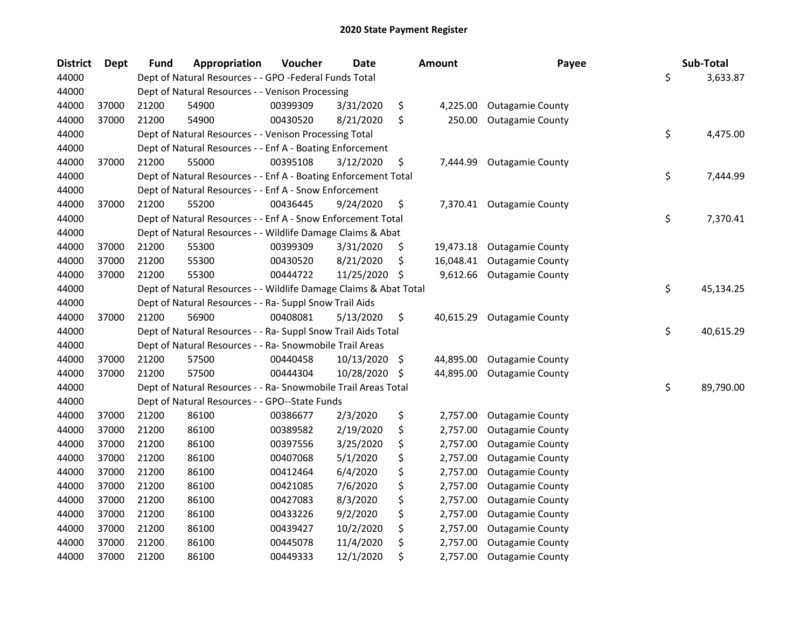| <b>District</b> | <b>Dept</b> | <b>Fund</b> | Appropriation                                                     | Voucher  | <b>Date</b> | <b>Amount</b>   | Payee                     | Sub-Total       |
|-----------------|-------------|-------------|-------------------------------------------------------------------|----------|-------------|-----------------|---------------------------|-----------------|
| 44000           |             |             | Dept of Natural Resources - - GPO -Federal Funds Total            |          |             |                 |                           | \$<br>3,633.87  |
| 44000           |             |             | Dept of Natural Resources - - Venison Processing                  |          |             |                 |                           |                 |
| 44000           | 37000       | 21200       | 54900                                                             | 00399309 | 3/31/2020   | \$<br>4,225.00  | <b>Outagamie County</b>   |                 |
| 44000           | 37000       | 21200       | 54900                                                             | 00430520 | 8/21/2020   | \$<br>250.00    | <b>Outagamie County</b>   |                 |
| 44000           |             |             | Dept of Natural Resources - - Venison Processing Total            |          |             |                 |                           | \$<br>4,475.00  |
| 44000           |             |             | Dept of Natural Resources - - Enf A - Boating Enforcement         |          |             |                 |                           |                 |
| 44000           | 37000       | 21200       | 55000                                                             | 00395108 | 3/12/2020   | \$<br>7,444.99  | <b>Outagamie County</b>   |                 |
| 44000           |             |             | Dept of Natural Resources - - Enf A - Boating Enforcement Total   |          |             |                 |                           | \$<br>7,444.99  |
| 44000           |             |             | Dept of Natural Resources - - Enf A - Snow Enforcement            |          |             |                 |                           |                 |
| 44000           | 37000       | 21200       | 55200                                                             | 00436445 | 9/24/2020   | \$              | 7,370.41 Outagamie County |                 |
| 44000           |             |             | Dept of Natural Resources - - Enf A - Snow Enforcement Total      |          |             |                 |                           | \$<br>7,370.41  |
| 44000           |             |             | Dept of Natural Resources - - Wildlife Damage Claims & Abat       |          |             |                 |                           |                 |
| 44000           | 37000       | 21200       | 55300                                                             | 00399309 | 3/31/2020   | \$<br>19,473.18 | <b>Outagamie County</b>   |                 |
| 44000           | 37000       | 21200       | 55300                                                             | 00430520 | 8/21/2020   | \$<br>16,048.41 | <b>Outagamie County</b>   |                 |
| 44000           | 37000       | 21200       | 55300                                                             | 00444722 | 11/25/2020  | \$<br>9,612.66  | <b>Outagamie County</b>   |                 |
| 44000           |             |             | Dept of Natural Resources - - Wildlife Damage Claims & Abat Total |          |             |                 |                           | \$<br>45,134.25 |
| 44000           |             |             | Dept of Natural Resources - - Ra- Suppl Snow Trail Aids           |          |             |                 |                           |                 |
| 44000           | 37000       | 21200       | 56900                                                             | 00408081 | 5/13/2020   | \$<br>40,615.29 | <b>Outagamie County</b>   |                 |
| 44000           |             |             | Dept of Natural Resources - - Ra- Suppl Snow Trail Aids Total     |          |             |                 |                           | \$<br>40,615.29 |
| 44000           |             |             | Dept of Natural Resources - - Ra- Snowmobile Trail Areas          |          |             |                 |                           |                 |
| 44000           | 37000       | 21200       | 57500                                                             | 00440458 | 10/13/2020  | \$<br>44,895.00 | <b>Outagamie County</b>   |                 |
| 44000           | 37000       | 21200       | 57500                                                             | 00444304 | 10/28/2020  | \$<br>44,895.00 | <b>Outagamie County</b>   |                 |
| 44000           |             |             | Dept of Natural Resources - - Ra- Snowmobile Trail Areas Total    |          |             |                 |                           | \$<br>89,790.00 |
| 44000           |             |             | Dept of Natural Resources - - GPO--State Funds                    |          |             |                 |                           |                 |
| 44000           | 37000       | 21200       | 86100                                                             | 00386677 | 2/3/2020    | \$<br>2,757.00  | <b>Outagamie County</b>   |                 |
| 44000           | 37000       | 21200       | 86100                                                             | 00389582 | 2/19/2020   | \$<br>2,757.00  | <b>Outagamie County</b>   |                 |
| 44000           | 37000       | 21200       | 86100                                                             | 00397556 | 3/25/2020   | \$<br>2,757.00  | <b>Outagamie County</b>   |                 |
| 44000           | 37000       | 21200       | 86100                                                             | 00407068 | 5/1/2020    | \$<br>2,757.00  | <b>Outagamie County</b>   |                 |
| 44000           | 37000       | 21200       | 86100                                                             | 00412464 | 6/4/2020    | \$<br>2,757.00  | <b>Outagamie County</b>   |                 |
| 44000           | 37000       | 21200       | 86100                                                             | 00421085 | 7/6/2020    | \$<br>2,757.00  | <b>Outagamie County</b>   |                 |
| 44000           | 37000       | 21200       | 86100                                                             | 00427083 | 8/3/2020    | \$<br>2,757.00  | <b>Outagamie County</b>   |                 |
| 44000           | 37000       | 21200       | 86100                                                             | 00433226 | 9/2/2020    | \$<br>2,757.00  | <b>Outagamie County</b>   |                 |
| 44000           | 37000       | 21200       | 86100                                                             | 00439427 | 10/2/2020   | \$<br>2,757.00  | <b>Outagamie County</b>   |                 |
| 44000           | 37000       | 21200       | 86100                                                             | 00445078 | 11/4/2020   | \$<br>2,757.00  | <b>Outagamie County</b>   |                 |
| 44000           | 37000       | 21200       | 86100                                                             | 00449333 | 12/1/2020   | \$<br>2,757.00  | <b>Outagamie County</b>   |                 |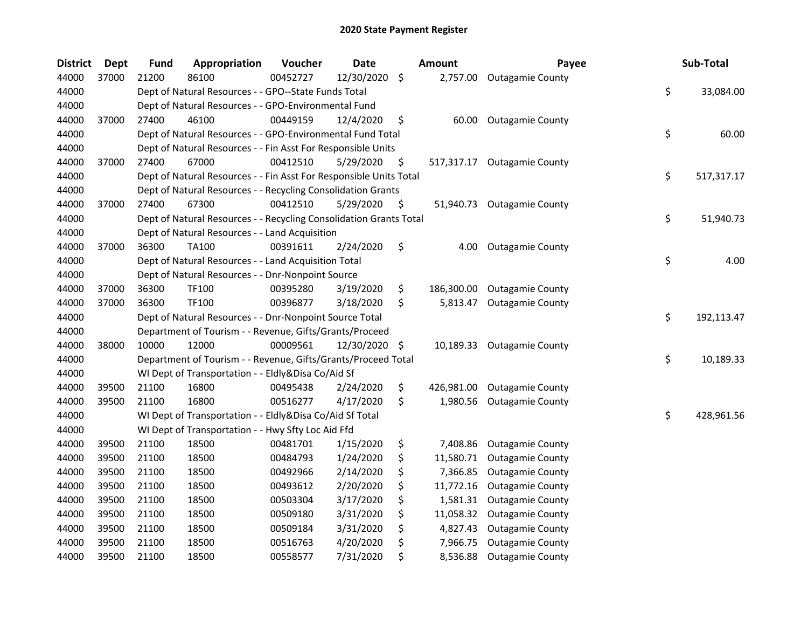| <b>District</b> | <b>Dept</b> | <b>Fund</b> | Appropriation                                                      | Voucher  | <b>Date</b> | Amount           | Payee                      | Sub-Total        |
|-----------------|-------------|-------------|--------------------------------------------------------------------|----------|-------------|------------------|----------------------------|------------------|
| 44000           | 37000       | 21200       | 86100                                                              | 00452727 | 12/30/2020  | \$<br>2,757.00   | <b>Outagamie County</b>    |                  |
| 44000           |             |             | Dept of Natural Resources - - GPO--State Funds Total               |          |             |                  |                            | \$<br>33,084.00  |
| 44000           |             |             | Dept of Natural Resources - - GPO-Environmental Fund               |          |             |                  |                            |                  |
| 44000           | 37000       | 27400       | 46100                                                              | 00449159 | 12/4/2020   | \$<br>60.00      | <b>Outagamie County</b>    |                  |
| 44000           |             |             | Dept of Natural Resources - - GPO-Environmental Fund Total         |          |             |                  |                            | \$<br>60.00      |
| 44000           |             |             | Dept of Natural Resources - - Fin Asst For Responsible Units       |          |             |                  |                            |                  |
| 44000           | 37000       | 27400       | 67000                                                              | 00412510 | 5/29/2020   | \$<br>517,317.17 | <b>Outagamie County</b>    |                  |
| 44000           |             |             | Dept of Natural Resources - - Fin Asst For Responsible Units Total |          |             |                  |                            | \$<br>517,317.17 |
| 44000           |             |             | Dept of Natural Resources - - Recycling Consolidation Grants       |          |             |                  |                            |                  |
| 44000           | 37000       | 27400       | 67300                                                              | 00412510 | 5/29/2020   | \$               | 51,940.73 Outagamie County |                  |
| 44000           |             |             | Dept of Natural Resources - - Recycling Consolidation Grants Total |          |             |                  |                            | \$<br>51,940.73  |
| 44000           |             |             | Dept of Natural Resources - - Land Acquisition                     |          |             |                  |                            |                  |
| 44000           | 37000       | 36300       | <b>TA100</b>                                                       | 00391611 | 2/24/2020   | \$<br>4.00       | <b>Outagamie County</b>    |                  |
| 44000           |             |             | Dept of Natural Resources - - Land Acquisition Total               |          |             |                  |                            | \$<br>4.00       |
| 44000           |             |             | Dept of Natural Resources - - Dnr-Nonpoint Source                  |          |             |                  |                            |                  |
| 44000           | 37000       | 36300       | TF100                                                              | 00395280 | 3/19/2020   | \$<br>186,300.00 | <b>Outagamie County</b>    |                  |
| 44000           | 37000       | 36300       | TF100                                                              | 00396877 | 3/18/2020   | \$<br>5,813.47   | <b>Outagamie County</b>    |                  |
| 44000           |             |             | Dept of Natural Resources - - Dnr-Nonpoint Source Total            |          |             |                  |                            | \$<br>192,113.47 |
| 44000           |             |             | Department of Tourism - - Revenue, Gifts/Grants/Proceed            |          |             |                  |                            |                  |
| 44000           | 38000       | 10000       | 12000                                                              | 00009561 | 12/30/2020  | \$<br>10,189.33  | <b>Outagamie County</b>    |                  |
| 44000           |             |             | Department of Tourism - - Revenue, Gifts/Grants/Proceed Total      |          |             |                  |                            | \$<br>10,189.33  |
| 44000           |             |             | WI Dept of Transportation - - Eldly&Disa Co/Aid Sf                 |          |             |                  |                            |                  |
| 44000           | 39500       | 21100       | 16800                                                              | 00495438 | 2/24/2020   | \$<br>426,981.00 | <b>Outagamie County</b>    |                  |
| 44000           | 39500       | 21100       | 16800                                                              | 00516277 | 4/17/2020   | \$<br>1,980.56   | <b>Outagamie County</b>    |                  |
| 44000           |             |             | WI Dept of Transportation - - Eldly&Disa Co/Aid Sf Total           |          |             |                  |                            | \$<br>428,961.56 |
| 44000           |             |             | WI Dept of Transportation - - Hwy Sfty Loc Aid Ffd                 |          |             |                  |                            |                  |
| 44000           | 39500       | 21100       | 18500                                                              | 00481701 | 1/15/2020   | \$<br>7,408.86   | <b>Outagamie County</b>    |                  |
| 44000           | 39500       | 21100       | 18500                                                              | 00484793 | 1/24/2020   | \$<br>11,580.71  | <b>Outagamie County</b>    |                  |
| 44000           | 39500       | 21100       | 18500                                                              | 00492966 | 2/14/2020   | \$<br>7,366.85   | <b>Outagamie County</b>    |                  |
| 44000           | 39500       | 21100       | 18500                                                              | 00493612 | 2/20/2020   | \$<br>11,772.16  | <b>Outagamie County</b>    |                  |
| 44000           | 39500       | 21100       | 18500                                                              | 00503304 | 3/17/2020   | \$<br>1,581.31   | <b>Outagamie County</b>    |                  |
| 44000           | 39500       | 21100       | 18500                                                              | 00509180 | 3/31/2020   | \$<br>11,058.32  | <b>Outagamie County</b>    |                  |
| 44000           | 39500       | 21100       | 18500                                                              | 00509184 | 3/31/2020   | \$<br>4,827.43   | <b>Outagamie County</b>    |                  |
| 44000           | 39500       | 21100       | 18500                                                              | 00516763 | 4/20/2020   | \$<br>7,966.75   | <b>Outagamie County</b>    |                  |
| 44000           | 39500       | 21100       | 18500                                                              | 00558577 | 7/31/2020   | \$<br>8,536.88   | <b>Outagamie County</b>    |                  |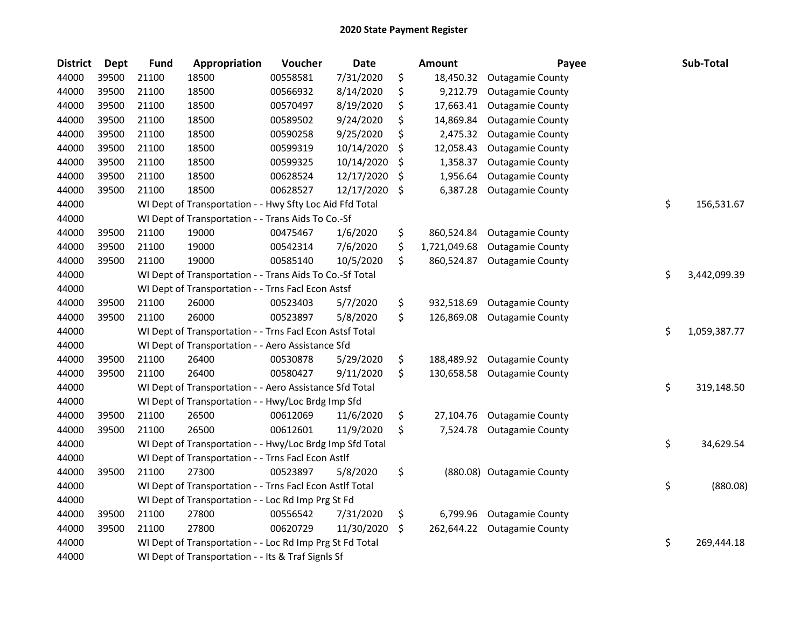| <b>District</b> | <b>Dept</b> | <b>Fund</b> | Appropriation                                            | Voucher  | <b>Date</b> | <b>Amount</b>      | Payee                     | Sub-Total          |
|-----------------|-------------|-------------|----------------------------------------------------------|----------|-------------|--------------------|---------------------------|--------------------|
| 44000           | 39500       | 21100       | 18500                                                    | 00558581 | 7/31/2020   | \$<br>18,450.32    | <b>Outagamie County</b>   |                    |
| 44000           | 39500       | 21100       | 18500                                                    | 00566932 | 8/14/2020   | \$<br>9,212.79     | <b>Outagamie County</b>   |                    |
| 44000           | 39500       | 21100       | 18500                                                    | 00570497 | 8/19/2020   | \$<br>17,663.41    | <b>Outagamie County</b>   |                    |
| 44000           | 39500       | 21100       | 18500                                                    | 00589502 | 9/24/2020   | \$<br>14,869.84    | <b>Outagamie County</b>   |                    |
| 44000           | 39500       | 21100       | 18500                                                    | 00590258 | 9/25/2020   | \$<br>2,475.32     | <b>Outagamie County</b>   |                    |
| 44000           | 39500       | 21100       | 18500                                                    | 00599319 | 10/14/2020  | \$<br>12,058.43    | <b>Outagamie County</b>   |                    |
| 44000           | 39500       | 21100       | 18500                                                    | 00599325 | 10/14/2020  | \$<br>1,358.37     | <b>Outagamie County</b>   |                    |
| 44000           | 39500       | 21100       | 18500                                                    | 00628524 | 12/17/2020  | \$<br>1,956.64     | <b>Outagamie County</b>   |                    |
| 44000           | 39500       | 21100       | 18500                                                    | 00628527 | 12/17/2020  | \$<br>6,387.28     | <b>Outagamie County</b>   |                    |
| 44000           |             |             | WI Dept of Transportation - - Hwy Sfty Loc Aid Ffd Total |          |             |                    |                           | \$<br>156,531.67   |
| 44000           |             |             | WI Dept of Transportation - - Trans Aids To Co.-Sf       |          |             |                    |                           |                    |
| 44000           | 39500       | 21100       | 19000                                                    | 00475467 | 1/6/2020    | \$<br>860,524.84   | <b>Outagamie County</b>   |                    |
| 44000           | 39500       | 21100       | 19000                                                    | 00542314 | 7/6/2020    | \$<br>1,721,049.68 | <b>Outagamie County</b>   |                    |
| 44000           | 39500       | 21100       | 19000                                                    | 00585140 | 10/5/2020   | \$<br>860,524.87   | <b>Outagamie County</b>   |                    |
| 44000           |             |             | WI Dept of Transportation - - Trans Aids To Co.-Sf Total |          |             |                    |                           | \$<br>3,442,099.39 |
| 44000           |             |             | WI Dept of Transportation - - Trns Facl Econ Astsf       |          |             |                    |                           |                    |
| 44000           | 39500       | 21100       | 26000                                                    | 00523403 | 5/7/2020    | \$<br>932,518.69   | <b>Outagamie County</b>   |                    |
| 44000           | 39500       | 21100       | 26000                                                    | 00523897 | 5/8/2020    | \$<br>126,869.08   | <b>Outagamie County</b>   |                    |
| 44000           |             |             | WI Dept of Transportation - - Trns Facl Econ Astsf Total |          |             |                    |                           | \$<br>1,059,387.77 |
| 44000           |             |             | WI Dept of Transportation - - Aero Assistance Sfd        |          |             |                    |                           |                    |
| 44000           | 39500       | 21100       | 26400                                                    | 00530878 | 5/29/2020   | \$<br>188,489.92   | <b>Outagamie County</b>   |                    |
| 44000           | 39500       | 21100       | 26400                                                    | 00580427 | 9/11/2020   | \$<br>130,658.58   | <b>Outagamie County</b>   |                    |
| 44000           |             |             | WI Dept of Transportation - - Aero Assistance Sfd Total  |          |             |                    |                           | \$<br>319,148.50   |
| 44000           |             |             | WI Dept of Transportation - - Hwy/Loc Brdg Imp Sfd       |          |             |                    |                           |                    |
| 44000           | 39500       | 21100       | 26500                                                    | 00612069 | 11/6/2020   | \$<br>27,104.76    | <b>Outagamie County</b>   |                    |
| 44000           | 39500       | 21100       | 26500                                                    | 00612601 | 11/9/2020   | \$<br>7,524.78     | <b>Outagamie County</b>   |                    |
| 44000           |             |             | WI Dept of Transportation - - Hwy/Loc Brdg Imp Sfd Total |          |             |                    |                           | \$<br>34,629.54    |
| 44000           |             |             | WI Dept of Transportation - - Trns Facl Econ Astlf       |          |             |                    |                           |                    |
| 44000           | 39500       | 21100       | 27300                                                    | 00523897 | 5/8/2020    | \$                 | (880.08) Outagamie County |                    |
| 44000           |             |             | WI Dept of Transportation - - Trns Facl Econ Astlf Total |          |             |                    |                           | \$<br>(880.08)     |
| 44000           |             |             | WI Dept of Transportation - - Loc Rd Imp Prg St Fd       |          |             |                    |                           |                    |
| 44000           | 39500       | 21100       | 27800                                                    | 00556542 | 7/31/2020   | \$<br>6,799.96     | <b>Outagamie County</b>   |                    |
| 44000           | 39500       | 21100       | 27800                                                    | 00620729 | 11/30/2020  | \$<br>262,644.22   | <b>Outagamie County</b>   |                    |
| 44000           |             |             | WI Dept of Transportation - - Loc Rd Imp Prg St Fd Total |          |             |                    |                           | \$<br>269,444.18   |
| 44000           |             |             | WI Dept of Transportation - - Its & Traf Signls Sf       |          |             |                    |                           |                    |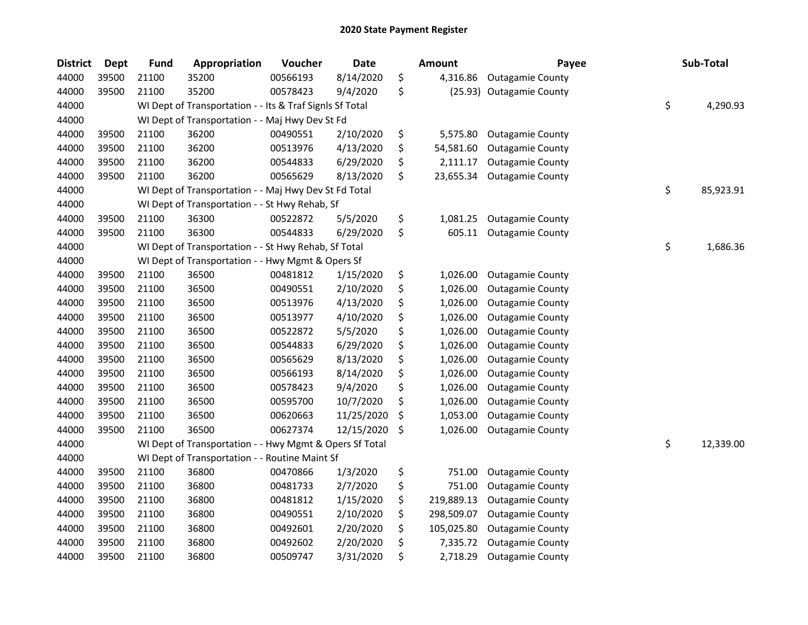| <b>District</b> | <b>Dept</b> | <b>Fund</b> | Appropriation                                            | Voucher  | Date       | <b>Amount</b>    | Payee                    | Sub-Total       |
|-----------------|-------------|-------------|----------------------------------------------------------|----------|------------|------------------|--------------------------|-----------------|
| 44000           | 39500       | 21100       | 35200                                                    | 00566193 | 8/14/2020  | \$<br>4,316.86   | <b>Outagamie County</b>  |                 |
| 44000           | 39500       | 21100       | 35200                                                    | 00578423 | 9/4/2020   | \$               | (25.93) Outagamie County |                 |
| 44000           |             |             | WI Dept of Transportation - - Its & Traf Signls Sf Total |          |            |                  |                          | \$<br>4,290.93  |
| 44000           |             |             | WI Dept of Transportation - - Maj Hwy Dev St Fd          |          |            |                  |                          |                 |
| 44000           | 39500       | 21100       | 36200                                                    | 00490551 | 2/10/2020  | \$<br>5,575.80   | <b>Outagamie County</b>  |                 |
| 44000           | 39500       | 21100       | 36200                                                    | 00513976 | 4/13/2020  | \$<br>54,581.60  | <b>Outagamie County</b>  |                 |
| 44000           | 39500       | 21100       | 36200                                                    | 00544833 | 6/29/2020  | \$<br>2,111.17   | <b>Outagamie County</b>  |                 |
| 44000           | 39500       | 21100       | 36200                                                    | 00565629 | 8/13/2020  | \$<br>23,655.34  | <b>Outagamie County</b>  |                 |
| 44000           |             |             | WI Dept of Transportation - - Maj Hwy Dev St Fd Total    |          |            |                  |                          | \$<br>85,923.91 |
| 44000           |             |             | WI Dept of Transportation - - St Hwy Rehab, Sf           |          |            |                  |                          |                 |
| 44000           | 39500       | 21100       | 36300                                                    | 00522872 | 5/5/2020   | \$<br>1,081.25   | <b>Outagamie County</b>  |                 |
| 44000           | 39500       | 21100       | 36300                                                    | 00544833 | 6/29/2020  | \$<br>605.11     | <b>Outagamie County</b>  |                 |
| 44000           |             |             | WI Dept of Transportation - - St Hwy Rehab, Sf Total     |          |            |                  |                          | \$<br>1,686.36  |
| 44000           |             |             | WI Dept of Transportation - - Hwy Mgmt & Opers Sf        |          |            |                  |                          |                 |
| 44000           | 39500       | 21100       | 36500                                                    | 00481812 | 1/15/2020  | \$<br>1,026.00   | <b>Outagamie County</b>  |                 |
| 44000           | 39500       | 21100       | 36500                                                    | 00490551 | 2/10/2020  | \$<br>1,026.00   | <b>Outagamie County</b>  |                 |
| 44000           | 39500       | 21100       | 36500                                                    | 00513976 | 4/13/2020  | \$<br>1,026.00   | <b>Outagamie County</b>  |                 |
| 44000           | 39500       | 21100       | 36500                                                    | 00513977 | 4/10/2020  | \$<br>1,026.00   | <b>Outagamie County</b>  |                 |
| 44000           | 39500       | 21100       | 36500                                                    | 00522872 | 5/5/2020   | \$<br>1,026.00   | <b>Outagamie County</b>  |                 |
| 44000           | 39500       | 21100       | 36500                                                    | 00544833 | 6/29/2020  | \$<br>1,026.00   | <b>Outagamie County</b>  |                 |
| 44000           | 39500       | 21100       | 36500                                                    | 00565629 | 8/13/2020  | \$<br>1,026.00   | <b>Outagamie County</b>  |                 |
| 44000           | 39500       | 21100       | 36500                                                    | 00566193 | 8/14/2020  | \$<br>1,026.00   | <b>Outagamie County</b>  |                 |
| 44000           | 39500       | 21100       | 36500                                                    | 00578423 | 9/4/2020   | \$<br>1,026.00   | <b>Outagamie County</b>  |                 |
| 44000           | 39500       | 21100       | 36500                                                    | 00595700 | 10/7/2020  | \$<br>1,026.00   | <b>Outagamie County</b>  |                 |
| 44000           | 39500       | 21100       | 36500                                                    | 00620663 | 11/25/2020 | \$<br>1,053.00   | <b>Outagamie County</b>  |                 |
| 44000           | 39500       | 21100       | 36500                                                    | 00627374 | 12/15/2020 | \$<br>1,026.00   | <b>Outagamie County</b>  |                 |
| 44000           |             |             | WI Dept of Transportation - - Hwy Mgmt & Opers Sf Total  |          |            |                  |                          | \$<br>12,339.00 |
| 44000           |             |             | WI Dept of Transportation - - Routine Maint Sf           |          |            |                  |                          |                 |
| 44000           | 39500       | 21100       | 36800                                                    | 00470866 | 1/3/2020   | \$<br>751.00     | <b>Outagamie County</b>  |                 |
| 44000           | 39500       | 21100       | 36800                                                    | 00481733 | 2/7/2020   | \$<br>751.00     | <b>Outagamie County</b>  |                 |
| 44000           | 39500       | 21100       | 36800                                                    | 00481812 | 1/15/2020  | \$<br>219,889.13 | <b>Outagamie County</b>  |                 |
| 44000           | 39500       | 21100       | 36800                                                    | 00490551 | 2/10/2020  | \$<br>298,509.07 | <b>Outagamie County</b>  |                 |
| 44000           | 39500       | 21100       | 36800                                                    | 00492601 | 2/20/2020  | \$<br>105,025.80 | <b>Outagamie County</b>  |                 |
| 44000           | 39500       | 21100       | 36800                                                    | 00492602 | 2/20/2020  | \$<br>7,335.72   | <b>Outagamie County</b>  |                 |
| 44000           | 39500       | 21100       | 36800                                                    | 00509747 | 3/31/2020  | \$<br>2,718.29   | <b>Outagamie County</b>  |                 |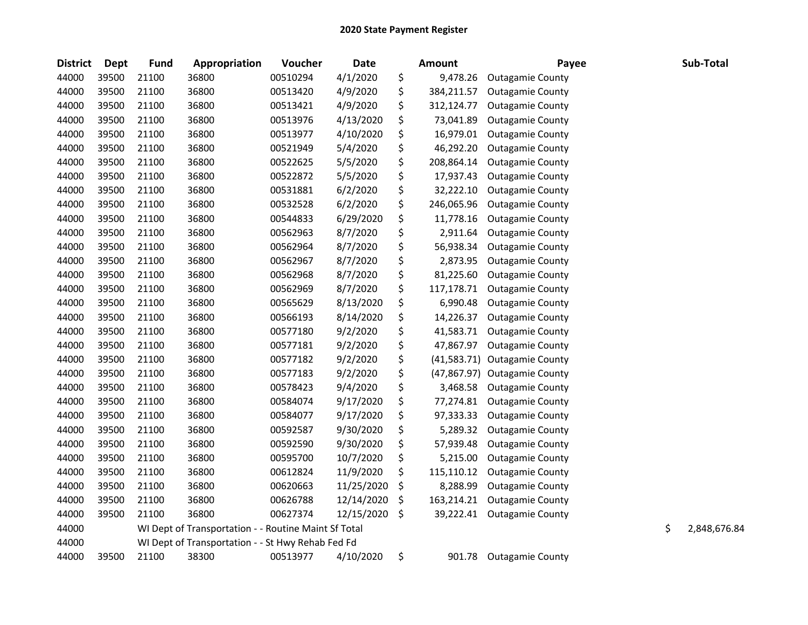| <b>District</b> | <b>Dept</b> | <b>Fund</b> | Appropriation                                        | Voucher  | <b>Date</b> | <b>Amount</b>      | Payee                   | Sub-Total          |
|-----------------|-------------|-------------|------------------------------------------------------|----------|-------------|--------------------|-------------------------|--------------------|
| 44000           | 39500       | 21100       | 36800                                                | 00510294 | 4/1/2020    | \$<br>9,478.26     | <b>Outagamie County</b> |                    |
| 44000           | 39500       | 21100       | 36800                                                | 00513420 | 4/9/2020    | \$<br>384,211.57   | <b>Outagamie County</b> |                    |
| 44000           | 39500       | 21100       | 36800                                                | 00513421 | 4/9/2020    | \$<br>312,124.77   | <b>Outagamie County</b> |                    |
| 44000           | 39500       | 21100       | 36800                                                | 00513976 | 4/13/2020   | \$<br>73,041.89    | <b>Outagamie County</b> |                    |
| 44000           | 39500       | 21100       | 36800                                                | 00513977 | 4/10/2020   | \$<br>16,979.01    | <b>Outagamie County</b> |                    |
| 44000           | 39500       | 21100       | 36800                                                | 00521949 | 5/4/2020    | \$<br>46,292.20    | <b>Outagamie County</b> |                    |
| 44000           | 39500       | 21100       | 36800                                                | 00522625 | 5/5/2020    | \$<br>208,864.14   | <b>Outagamie County</b> |                    |
| 44000           | 39500       | 21100       | 36800                                                | 00522872 | 5/5/2020    | \$<br>17,937.43    | <b>Outagamie County</b> |                    |
| 44000           | 39500       | 21100       | 36800                                                | 00531881 | 6/2/2020    | \$<br>32,222.10    | <b>Outagamie County</b> |                    |
| 44000           | 39500       | 21100       | 36800                                                | 00532528 | 6/2/2020    | \$<br>246,065.96   | <b>Outagamie County</b> |                    |
| 44000           | 39500       | 21100       | 36800                                                | 00544833 | 6/29/2020   | \$<br>11,778.16    | <b>Outagamie County</b> |                    |
| 44000           | 39500       | 21100       | 36800                                                | 00562963 | 8/7/2020    | \$<br>2,911.64     | <b>Outagamie County</b> |                    |
| 44000           | 39500       | 21100       | 36800                                                | 00562964 | 8/7/2020    | \$<br>56,938.34    | <b>Outagamie County</b> |                    |
| 44000           | 39500       | 21100       | 36800                                                | 00562967 | 8/7/2020    | \$<br>2,873.95     | <b>Outagamie County</b> |                    |
| 44000           | 39500       | 21100       | 36800                                                | 00562968 | 8/7/2020    | \$<br>81,225.60    | <b>Outagamie County</b> |                    |
| 44000           | 39500       | 21100       | 36800                                                | 00562969 | 8/7/2020    | \$<br>117,178.71   | <b>Outagamie County</b> |                    |
| 44000           | 39500       | 21100       | 36800                                                | 00565629 | 8/13/2020   | \$<br>6,990.48     | <b>Outagamie County</b> |                    |
| 44000           | 39500       | 21100       | 36800                                                | 00566193 | 8/14/2020   | \$<br>14,226.37    | <b>Outagamie County</b> |                    |
| 44000           | 39500       | 21100       | 36800                                                | 00577180 | 9/2/2020    | \$<br>41,583.71    | <b>Outagamie County</b> |                    |
| 44000           | 39500       | 21100       | 36800                                                | 00577181 | 9/2/2020    | \$<br>47,867.97    | <b>Outagamie County</b> |                    |
| 44000           | 39500       | 21100       | 36800                                                | 00577182 | 9/2/2020    | \$<br>(41,583.71)  | <b>Outagamie County</b> |                    |
| 44000           | 39500       | 21100       | 36800                                                | 00577183 | 9/2/2020    | \$<br>(47, 867.97) | Outagamie County        |                    |
| 44000           | 39500       | 21100       | 36800                                                | 00578423 | 9/4/2020    | \$<br>3,468.58     | <b>Outagamie County</b> |                    |
| 44000           | 39500       | 21100       | 36800                                                | 00584074 | 9/17/2020   | \$<br>77,274.81    | <b>Outagamie County</b> |                    |
| 44000           | 39500       | 21100       | 36800                                                | 00584077 | 9/17/2020   | \$<br>97,333.33    | <b>Outagamie County</b> |                    |
| 44000           | 39500       | 21100       | 36800                                                | 00592587 | 9/30/2020   | \$<br>5,289.32     | <b>Outagamie County</b> |                    |
| 44000           | 39500       | 21100       | 36800                                                | 00592590 | 9/30/2020   | \$<br>57,939.48    | <b>Outagamie County</b> |                    |
| 44000           | 39500       | 21100       | 36800                                                | 00595700 | 10/7/2020   | \$<br>5,215.00     | <b>Outagamie County</b> |                    |
| 44000           | 39500       | 21100       | 36800                                                | 00612824 | 11/9/2020   | \$<br>115,110.12   | <b>Outagamie County</b> |                    |
| 44000           | 39500       | 21100       | 36800                                                | 00620663 | 11/25/2020  | \$<br>8,288.99     | <b>Outagamie County</b> |                    |
| 44000           | 39500       | 21100       | 36800                                                | 00626788 | 12/14/2020  | \$<br>163,214.21   | <b>Outagamie County</b> |                    |
| 44000           | 39500       | 21100       | 36800                                                | 00627374 | 12/15/2020  | \$<br>39,222.41    | <b>Outagamie County</b> |                    |
| 44000           |             |             | WI Dept of Transportation - - Routine Maint Sf Total |          |             |                    |                         | \$<br>2,848,676.84 |
| 44000           |             |             | WI Dept of Transportation - - St Hwy Rehab Fed Fd    |          |             |                    |                         |                    |
| 44000           | 39500       | 21100       | 38300                                                | 00513977 | 4/10/2020   | \$<br>901.78       | <b>Outagamie County</b> |                    |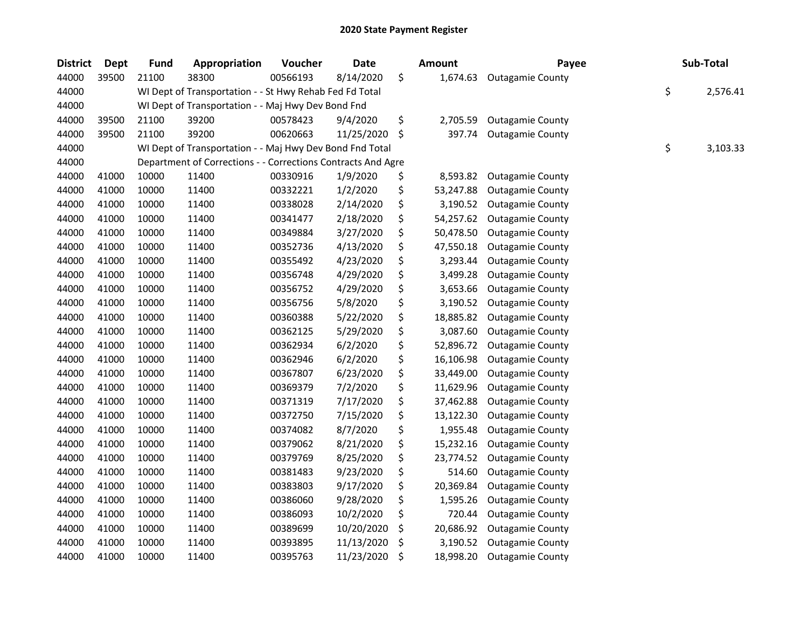| <b>District</b> | Dept  | <b>Fund</b> | Appropriation                                                | Voucher  | <b>Date</b> | Amount          | Payee                   | Sub-Total      |
|-----------------|-------|-------------|--------------------------------------------------------------|----------|-------------|-----------------|-------------------------|----------------|
| 44000           | 39500 | 21100       | 38300                                                        | 00566193 | 8/14/2020   | \$<br>1,674.63  | <b>Outagamie County</b> |                |
| 44000           |       |             | WI Dept of Transportation - - St Hwy Rehab Fed Fd Total      |          |             |                 |                         | \$<br>2,576.41 |
| 44000           |       |             | WI Dept of Transportation - - Maj Hwy Dev Bond Fnd           |          |             |                 |                         |                |
| 44000           | 39500 | 21100       | 39200                                                        | 00578423 | 9/4/2020    | \$<br>2,705.59  | <b>Outagamie County</b> |                |
| 44000           | 39500 | 21100       | 39200                                                        | 00620663 | 11/25/2020  | \$<br>397.74    | <b>Outagamie County</b> |                |
| 44000           |       |             | WI Dept of Transportation - - Maj Hwy Dev Bond Fnd Total     |          |             |                 |                         | \$<br>3,103.33 |
| 44000           |       |             | Department of Corrections - - Corrections Contracts And Agre |          |             |                 |                         |                |
| 44000           | 41000 | 10000       | 11400                                                        | 00330916 | 1/9/2020    | \$<br>8,593.82  | <b>Outagamie County</b> |                |
| 44000           | 41000 | 10000       | 11400                                                        | 00332221 | 1/2/2020    | \$<br>53,247.88 | <b>Outagamie County</b> |                |
| 44000           | 41000 | 10000       | 11400                                                        | 00338028 | 2/14/2020   | \$<br>3,190.52  | <b>Outagamie County</b> |                |
| 44000           | 41000 | 10000       | 11400                                                        | 00341477 | 2/18/2020   | \$<br>54,257.62 | <b>Outagamie County</b> |                |
| 44000           | 41000 | 10000       | 11400                                                        | 00349884 | 3/27/2020   | \$<br>50,478.50 | <b>Outagamie County</b> |                |
| 44000           | 41000 | 10000       | 11400                                                        | 00352736 | 4/13/2020   | \$<br>47,550.18 | <b>Outagamie County</b> |                |
| 44000           | 41000 | 10000       | 11400                                                        | 00355492 | 4/23/2020   | \$<br>3,293.44  | <b>Outagamie County</b> |                |
| 44000           | 41000 | 10000       | 11400                                                        | 00356748 | 4/29/2020   | \$<br>3,499.28  | <b>Outagamie County</b> |                |
| 44000           | 41000 | 10000       | 11400                                                        | 00356752 | 4/29/2020   | \$<br>3,653.66  | <b>Outagamie County</b> |                |
| 44000           | 41000 | 10000       | 11400                                                        | 00356756 | 5/8/2020    | \$<br>3,190.52  | <b>Outagamie County</b> |                |
| 44000           | 41000 | 10000       | 11400                                                        | 00360388 | 5/22/2020   | \$<br>18,885.82 | <b>Outagamie County</b> |                |
| 44000           | 41000 | 10000       | 11400                                                        | 00362125 | 5/29/2020   | \$<br>3,087.60  | <b>Outagamie County</b> |                |
| 44000           | 41000 | 10000       | 11400                                                        | 00362934 | 6/2/2020    | \$<br>52,896.72 | <b>Outagamie County</b> |                |
| 44000           | 41000 | 10000       | 11400                                                        | 00362946 | 6/2/2020    | \$<br>16,106.98 | <b>Outagamie County</b> |                |
| 44000           | 41000 | 10000       | 11400                                                        | 00367807 | 6/23/2020   | \$<br>33,449.00 | <b>Outagamie County</b> |                |
| 44000           | 41000 | 10000       | 11400                                                        | 00369379 | 7/2/2020    | \$<br>11,629.96 | <b>Outagamie County</b> |                |
| 44000           | 41000 | 10000       | 11400                                                        | 00371319 | 7/17/2020   | \$<br>37,462.88 | <b>Outagamie County</b> |                |
| 44000           | 41000 | 10000       | 11400                                                        | 00372750 | 7/15/2020   | \$<br>13,122.30 | <b>Outagamie County</b> |                |
| 44000           | 41000 | 10000       | 11400                                                        | 00374082 | 8/7/2020    | \$<br>1,955.48  | <b>Outagamie County</b> |                |
| 44000           | 41000 | 10000       | 11400                                                        | 00379062 | 8/21/2020   | \$<br>15,232.16 | <b>Outagamie County</b> |                |
| 44000           | 41000 | 10000       | 11400                                                        | 00379769 | 8/25/2020   | \$<br>23,774.52 | <b>Outagamie County</b> |                |
| 44000           | 41000 | 10000       | 11400                                                        | 00381483 | 9/23/2020   | \$<br>514.60    | <b>Outagamie County</b> |                |
| 44000           | 41000 | 10000       | 11400                                                        | 00383803 | 9/17/2020   | \$<br>20,369.84 | <b>Outagamie County</b> |                |
| 44000           | 41000 | 10000       | 11400                                                        | 00386060 | 9/28/2020   | \$<br>1,595.26  | <b>Outagamie County</b> |                |
| 44000           | 41000 | 10000       | 11400                                                        | 00386093 | 10/2/2020   | \$<br>720.44    | <b>Outagamie County</b> |                |
| 44000           | 41000 | 10000       | 11400                                                        | 00389699 | 10/20/2020  | \$<br>20,686.92 | <b>Outagamie County</b> |                |
| 44000           | 41000 | 10000       | 11400                                                        | 00393895 | 11/13/2020  | \$<br>3,190.52  | <b>Outagamie County</b> |                |
| 44000           | 41000 | 10000       | 11400                                                        | 00395763 | 11/23/2020  | \$<br>18,998.20 | <b>Outagamie County</b> |                |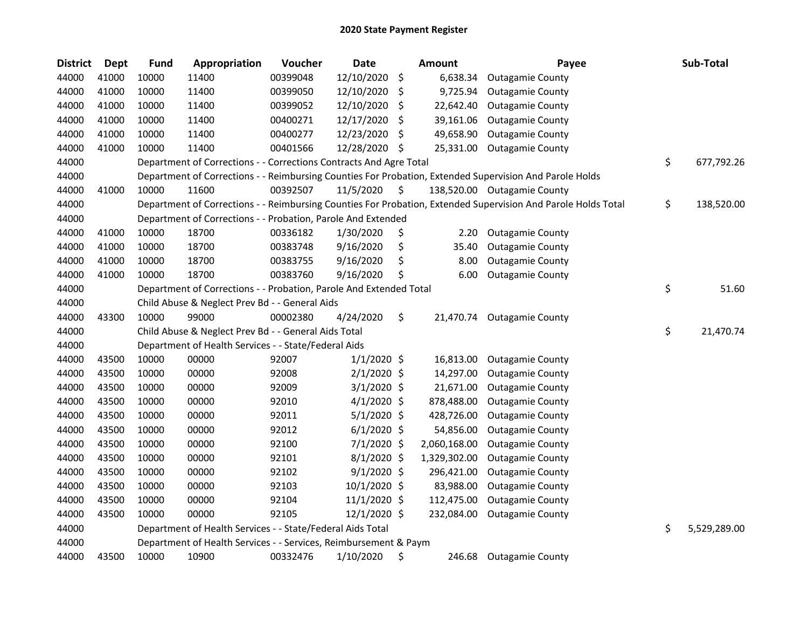| <b>District</b> | Dept  | <b>Fund</b> | Appropriation                                                      | Voucher  | <b>Date</b>    |     | <b>Amount</b> | Payee                                                                                                         | Sub-Total          |
|-----------------|-------|-------------|--------------------------------------------------------------------|----------|----------------|-----|---------------|---------------------------------------------------------------------------------------------------------------|--------------------|
| 44000           | 41000 | 10000       | 11400                                                              | 00399048 | 12/10/2020     | \$  | 6,638.34      | <b>Outagamie County</b>                                                                                       |                    |
| 44000           | 41000 | 10000       | 11400                                                              | 00399050 | 12/10/2020     | \$  | 9,725.94      | <b>Outagamie County</b>                                                                                       |                    |
| 44000           | 41000 | 10000       | 11400                                                              | 00399052 | 12/10/2020     | \$  | 22,642.40     | <b>Outagamie County</b>                                                                                       |                    |
| 44000           | 41000 | 10000       | 11400                                                              | 00400271 | 12/17/2020     | \$  | 39,161.06     | <b>Outagamie County</b>                                                                                       |                    |
| 44000           | 41000 | 10000       | 11400                                                              | 00400277 | 12/23/2020     | \$, | 49,658.90     | <b>Outagamie County</b>                                                                                       |                    |
| 44000           | 41000 | 10000       | 11400                                                              | 00401566 | 12/28/2020     | \$  | 25,331.00     | <b>Outagamie County</b>                                                                                       |                    |
| 44000           |       |             | Department of Corrections - - Corrections Contracts And Agre Total |          |                |     |               |                                                                                                               | \$<br>677,792.26   |
| 44000           |       |             |                                                                    |          |                |     |               | Department of Corrections - - Reimbursing Counties For Probation, Extended Supervision And Parole Holds       |                    |
| 44000           | 41000 | 10000       | 11600                                                              | 00392507 | 11/5/2020      | \$. |               | 138,520.00 Outagamie County                                                                                   |                    |
| 44000           |       |             |                                                                    |          |                |     |               | Department of Corrections - - Reimbursing Counties For Probation, Extended Supervision And Parole Holds Total | \$<br>138,520.00   |
| 44000           |       |             | Department of Corrections - - Probation, Parole And Extended       |          |                |     |               |                                                                                                               |                    |
| 44000           | 41000 | 10000       | 18700                                                              | 00336182 | 1/30/2020      | \$  | 2.20          | <b>Outagamie County</b>                                                                                       |                    |
| 44000           | 41000 | 10000       | 18700                                                              | 00383748 | 9/16/2020      | \$  | 35.40         | <b>Outagamie County</b>                                                                                       |                    |
| 44000           | 41000 | 10000       | 18700                                                              | 00383755 | 9/16/2020      | \$  | 8.00          | <b>Outagamie County</b>                                                                                       |                    |
| 44000           | 41000 | 10000       | 18700                                                              | 00383760 | 9/16/2020      | Ś   | 6.00          | <b>Outagamie County</b>                                                                                       |                    |
| 44000           |       |             | Department of Corrections - - Probation, Parole And Extended Total |          |                |     |               |                                                                                                               | \$<br>51.60        |
| 44000           |       |             | Child Abuse & Neglect Prev Bd - - General Aids                     |          |                |     |               |                                                                                                               |                    |
| 44000           | 43300 | 10000       | 99000                                                              | 00002380 | 4/24/2020      | \$  | 21,470.74     | <b>Outagamie County</b>                                                                                       |                    |
| 44000           |       |             | Child Abuse & Neglect Prev Bd - - General Aids Total               |          |                |     |               |                                                                                                               | \$<br>21,470.74    |
| 44000           |       |             | Department of Health Services - - State/Federal Aids               |          |                |     |               |                                                                                                               |                    |
| 44000           | 43500 | 10000       | 00000                                                              | 92007    | $1/1/2020$ \$  |     | 16,813.00     | <b>Outagamie County</b>                                                                                       |                    |
| 44000           | 43500 | 10000       | 00000                                                              | 92008    | $2/1/2020$ \$  |     | 14,297.00     | <b>Outagamie County</b>                                                                                       |                    |
| 44000           | 43500 | 10000       | 00000                                                              | 92009    | $3/1/2020$ \$  |     | 21,671.00     | <b>Outagamie County</b>                                                                                       |                    |
| 44000           | 43500 | 10000       | 00000                                                              | 92010    | $4/1/2020$ \$  |     | 878,488.00    | <b>Outagamie County</b>                                                                                       |                    |
| 44000           | 43500 | 10000       | 00000                                                              | 92011    | $5/1/2020$ \$  |     | 428,726.00    | <b>Outagamie County</b>                                                                                       |                    |
| 44000           | 43500 | 10000       | 00000                                                              | 92012    | $6/1/2020$ \$  |     | 54,856.00     | <b>Outagamie County</b>                                                                                       |                    |
| 44000           | 43500 | 10000       | 00000                                                              | 92100    | $7/1/2020$ \$  |     | 2,060,168.00  | <b>Outagamie County</b>                                                                                       |                    |
| 44000           | 43500 | 10000       | 00000                                                              | 92101    | $8/1/2020$ \$  |     | 1,329,302.00  | <b>Outagamie County</b>                                                                                       |                    |
| 44000           | 43500 | 10000       | 00000                                                              | 92102    | $9/1/2020$ \$  |     | 296,421.00    | <b>Outagamie County</b>                                                                                       |                    |
| 44000           | 43500 | 10000       | 00000                                                              | 92103    | 10/1/2020 \$   |     | 83,988.00     | <b>Outagamie County</b>                                                                                       |                    |
| 44000           | 43500 | 10000       | 00000                                                              | 92104    | $11/1/2020$ \$ |     | 112,475.00    | <b>Outagamie County</b>                                                                                       |                    |
| 44000           | 43500 | 10000       | 00000                                                              | 92105    | 12/1/2020 \$   |     | 232,084.00    | <b>Outagamie County</b>                                                                                       |                    |
| 44000           |       |             | Department of Health Services - - State/Federal Aids Total         |          |                |     |               |                                                                                                               | \$<br>5,529,289.00 |
| 44000           |       |             | Department of Health Services - - Services, Reimbursement & Paym   |          |                |     |               |                                                                                                               |                    |
| 44000           | 43500 | 10000       | 10900                                                              | 00332476 | 1/10/2020      | \$  | 246.68        | <b>Outagamie County</b>                                                                                       |                    |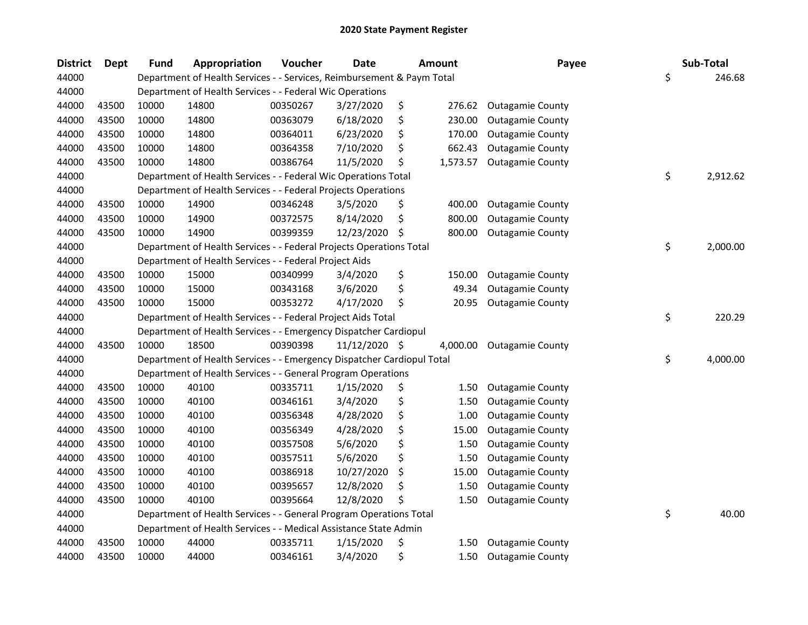| <b>District</b> | Dept  | <b>Fund</b> | Appropriation                                                          | Voucher  | <b>Date</b>   |     | <b>Amount</b> | Payee                   | Sub-Total      |
|-----------------|-------|-------------|------------------------------------------------------------------------|----------|---------------|-----|---------------|-------------------------|----------------|
| 44000           |       |             | Department of Health Services - - Services, Reimbursement & Paym Total |          |               |     |               |                         | \$<br>246.68   |
| 44000           |       |             | Department of Health Services - - Federal Wic Operations               |          |               |     |               |                         |                |
| 44000           | 43500 | 10000       | 14800                                                                  | 00350267 | 3/27/2020     | \$  | 276.62        | <b>Outagamie County</b> |                |
| 44000           | 43500 | 10000       | 14800                                                                  | 00363079 | 6/18/2020     | \$  | 230.00        | <b>Outagamie County</b> |                |
| 44000           | 43500 | 10000       | 14800                                                                  | 00364011 | 6/23/2020     | \$  | 170.00        | <b>Outagamie County</b> |                |
| 44000           | 43500 | 10000       | 14800                                                                  | 00364358 | 7/10/2020     | \$  | 662.43        | <b>Outagamie County</b> |                |
| 44000           | 43500 | 10000       | 14800                                                                  | 00386764 | 11/5/2020     | \$, | 1,573.57      | <b>Outagamie County</b> |                |
| 44000           |       |             | Department of Health Services - - Federal Wic Operations Total         |          |               |     |               |                         | \$<br>2,912.62 |
| 44000           |       |             | Department of Health Services - - Federal Projects Operations          |          |               |     |               |                         |                |
| 44000           | 43500 | 10000       | 14900                                                                  | 00346248 | 3/5/2020      | \$  | 400.00        | <b>Outagamie County</b> |                |
| 44000           | 43500 | 10000       | 14900                                                                  | 00372575 | 8/14/2020     | \$  | 800.00        | <b>Outagamie County</b> |                |
| 44000           | 43500 | 10000       | 14900                                                                  | 00399359 | 12/23/2020    | \$, | 800.00        | <b>Outagamie County</b> |                |
| 44000           |       |             | Department of Health Services - - Federal Projects Operations Total    |          |               |     |               |                         | \$<br>2,000.00 |
| 44000           |       |             | Department of Health Services - - Federal Project Aids                 |          |               |     |               |                         |                |
| 44000           | 43500 | 10000       | 15000                                                                  | 00340999 | 3/4/2020      | \$  | 150.00        | <b>Outagamie County</b> |                |
| 44000           | 43500 | 10000       | 15000                                                                  | 00343168 | 3/6/2020      | \$  | 49.34         | <b>Outagamie County</b> |                |
| 44000           | 43500 | 10000       | 15000                                                                  | 00353272 | 4/17/2020     | \$  | 20.95         | <b>Outagamie County</b> |                |
| 44000           |       |             | Department of Health Services - - Federal Project Aids Total           |          |               |     |               |                         | \$<br>220.29   |
| 44000           |       |             | Department of Health Services - - Emergency Dispatcher Cardiopul       |          |               |     |               |                         |                |
| 44000           | 43500 | 10000       | 18500                                                                  | 00390398 | 11/12/2020 \$ |     | 4,000.00      | <b>Outagamie County</b> |                |
| 44000           |       |             | Department of Health Services - - Emergency Dispatcher Cardiopul Total |          |               |     |               |                         | \$<br>4,000.00 |
| 44000           |       |             | Department of Health Services - - General Program Operations           |          |               |     |               |                         |                |
| 44000           | 43500 | 10000       | 40100                                                                  | 00335711 | 1/15/2020     | \$  | 1.50          | <b>Outagamie County</b> |                |
| 44000           | 43500 | 10000       | 40100                                                                  | 00346161 | 3/4/2020      | \$  | 1.50          | <b>Outagamie County</b> |                |
| 44000           | 43500 | 10000       | 40100                                                                  | 00356348 | 4/28/2020     | \$  | 1.00          | <b>Outagamie County</b> |                |
| 44000           | 43500 | 10000       | 40100                                                                  | 00356349 | 4/28/2020     | \$  | 15.00         | <b>Outagamie County</b> |                |
| 44000           | 43500 | 10000       | 40100                                                                  | 00357508 | 5/6/2020      | \$  | 1.50          | <b>Outagamie County</b> |                |
| 44000           | 43500 | 10000       | 40100                                                                  | 00357511 | 5/6/2020      | \$  | 1.50          | <b>Outagamie County</b> |                |
| 44000           | 43500 | 10000       | 40100                                                                  | 00386918 | 10/27/2020    | \$  | 15.00         | <b>Outagamie County</b> |                |
| 44000           | 43500 | 10000       | 40100                                                                  | 00395657 | 12/8/2020     | \$  | 1.50          | <b>Outagamie County</b> |                |
| 44000           | 43500 | 10000       | 40100                                                                  | 00395664 | 12/8/2020     | \$  | 1.50          | <b>Outagamie County</b> |                |
| 44000           |       |             | Department of Health Services - - General Program Operations Total     |          |               |     |               |                         | \$<br>40.00    |
| 44000           |       |             | Department of Health Services - - Medical Assistance State Admin       |          |               |     |               |                         |                |
| 44000           | 43500 | 10000       | 44000                                                                  | 00335711 | 1/15/2020     | \$  | 1.50          | <b>Outagamie County</b> |                |
| 44000           | 43500 | 10000       | 44000                                                                  | 00346161 | 3/4/2020      | \$  | 1.50          | <b>Outagamie County</b> |                |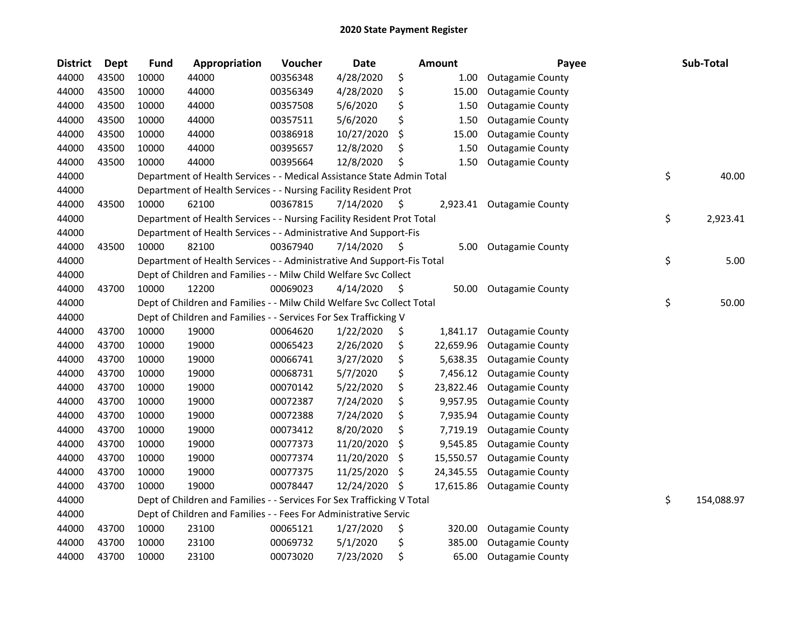| <b>District</b> | <b>Dept</b> | <b>Fund</b> | Appropriation                                                          | Voucher  | <b>Date</b> |     | <b>Amount</b> | Payee                     | Sub-Total        |
|-----------------|-------------|-------------|------------------------------------------------------------------------|----------|-------------|-----|---------------|---------------------------|------------------|
| 44000           | 43500       | 10000       | 44000                                                                  | 00356348 | 4/28/2020   | \$  | 1.00          | <b>Outagamie County</b>   |                  |
| 44000           | 43500       | 10000       | 44000                                                                  | 00356349 | 4/28/2020   | \$  | 15.00         | <b>Outagamie County</b>   |                  |
| 44000           | 43500       | 10000       | 44000                                                                  | 00357508 | 5/6/2020    | \$  | 1.50          | <b>Outagamie County</b>   |                  |
| 44000           | 43500       | 10000       | 44000                                                                  | 00357511 | 5/6/2020    | \$  | 1.50          | <b>Outagamie County</b>   |                  |
| 44000           | 43500       | 10000       | 44000                                                                  | 00386918 | 10/27/2020  | \$  | 15.00         | <b>Outagamie County</b>   |                  |
| 44000           | 43500       | 10000       | 44000                                                                  | 00395657 | 12/8/2020   | \$  | 1.50          | <b>Outagamie County</b>   |                  |
| 44000           | 43500       | 10000       | 44000                                                                  | 00395664 | 12/8/2020   | Ś   | 1.50          | <b>Outagamie County</b>   |                  |
| 44000           |             |             | Department of Health Services - - Medical Assistance State Admin Total |          |             |     |               |                           | \$<br>40.00      |
| 44000           |             |             | Department of Health Services - - Nursing Facility Resident Prot       |          |             |     |               |                           |                  |
| 44000           | 43500       | 10000       | 62100                                                                  | 00367815 | 7/14/2020   | \$. |               | 2,923.41 Outagamie County |                  |
| 44000           |             |             | Department of Health Services - - Nursing Facility Resident Prot Total |          |             |     |               |                           | \$<br>2,923.41   |
| 44000           |             |             | Department of Health Services - - Administrative And Support-Fis       |          |             |     |               |                           |                  |
| 44000           | 43500       | 10000       | 82100                                                                  | 00367940 | 7/14/2020   | \$  | 5.00          | <b>Outagamie County</b>   |                  |
| 44000           |             |             | Department of Health Services - - Administrative And Support-Fis Total |          |             |     |               |                           | \$<br>5.00       |
| 44000           |             |             | Dept of Children and Families - - Milw Child Welfare Svc Collect       |          |             |     |               |                           |                  |
| 44000           | 43700       | 10000       | 12200                                                                  | 00069023 | 4/14/2020   | \$, | 50.00         | <b>Outagamie County</b>   |                  |
| 44000           |             |             | Dept of Children and Families - - Milw Child Welfare Svc Collect Total |          |             |     |               |                           | \$<br>50.00      |
| 44000           |             |             | Dept of Children and Families - - Services For Sex Trafficking V       |          |             |     |               |                           |                  |
| 44000           | 43700       | 10000       | 19000                                                                  | 00064620 | 1/22/2020   | \$  | 1,841.17      | <b>Outagamie County</b>   |                  |
| 44000           | 43700       | 10000       | 19000                                                                  | 00065423 | 2/26/2020   | \$  | 22,659.96     | <b>Outagamie County</b>   |                  |
| 44000           | 43700       | 10000       | 19000                                                                  | 00066741 | 3/27/2020   | \$  | 5,638.35      | <b>Outagamie County</b>   |                  |
| 44000           | 43700       | 10000       | 19000                                                                  | 00068731 | 5/7/2020    | \$  | 7,456.12      | <b>Outagamie County</b>   |                  |
| 44000           | 43700       | 10000       | 19000                                                                  | 00070142 | 5/22/2020   | \$  | 23,822.46     | <b>Outagamie County</b>   |                  |
| 44000           | 43700       | 10000       | 19000                                                                  | 00072387 | 7/24/2020   | \$  | 9,957.95      | <b>Outagamie County</b>   |                  |
| 44000           | 43700       | 10000       | 19000                                                                  | 00072388 | 7/24/2020   | \$  | 7,935.94      | <b>Outagamie County</b>   |                  |
| 44000           | 43700       | 10000       | 19000                                                                  | 00073412 | 8/20/2020   | \$  | 7,719.19      | <b>Outagamie County</b>   |                  |
| 44000           | 43700       | 10000       | 19000                                                                  | 00077373 | 11/20/2020  | \$  | 9,545.85      | <b>Outagamie County</b>   |                  |
| 44000           | 43700       | 10000       | 19000                                                                  | 00077374 | 11/20/2020  | \$. | 15,550.57     | <b>Outagamie County</b>   |                  |
| 44000           | 43700       | 10000       | 19000                                                                  | 00077375 | 11/25/2020  | \$  | 24,345.55     | <b>Outagamie County</b>   |                  |
| 44000           | 43700       | 10000       | 19000                                                                  | 00078447 | 12/24/2020  | \$. | 17,615.86     | <b>Outagamie County</b>   |                  |
| 44000           |             |             | Dept of Children and Families - - Services For Sex Trafficking V Total |          |             |     |               |                           | \$<br>154,088.97 |
| 44000           |             |             | Dept of Children and Families - - Fees For Administrative Servic       |          |             |     |               |                           |                  |
| 44000           | 43700       | 10000       | 23100                                                                  | 00065121 | 1/27/2020   | \$  | 320.00        | <b>Outagamie County</b>   |                  |
| 44000           | 43700       | 10000       | 23100                                                                  | 00069732 | 5/1/2020    | \$  | 385.00        | <b>Outagamie County</b>   |                  |
| 44000           | 43700       | 10000       | 23100                                                                  | 00073020 | 7/23/2020   | \$  | 65.00         | <b>Outagamie County</b>   |                  |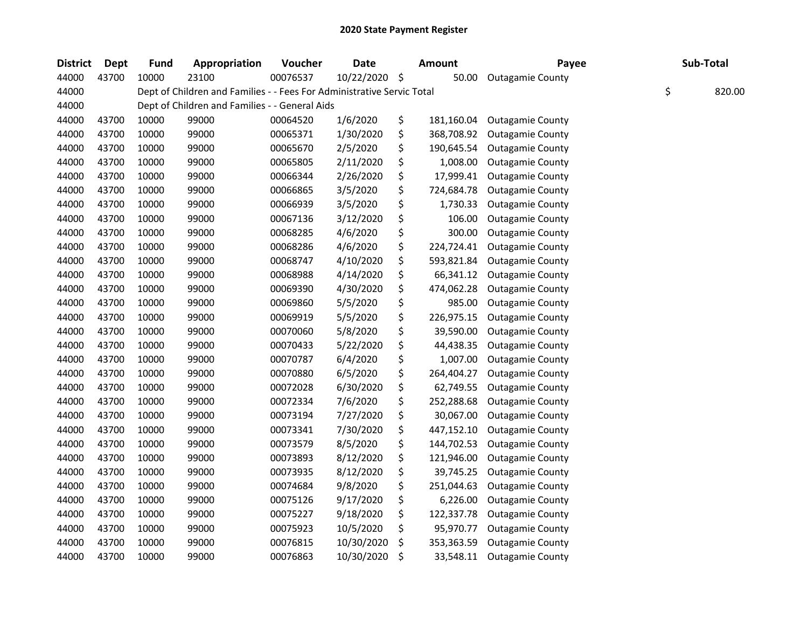| <b>District</b> | <b>Dept</b> | <b>Fund</b> | Appropriation                                                          | Voucher  | <b>Date</b> |     | <b>Amount</b> | Payee                   | Sub-Total |        |
|-----------------|-------------|-------------|------------------------------------------------------------------------|----------|-------------|-----|---------------|-------------------------|-----------|--------|
| 44000           | 43700       | 10000       | 23100                                                                  | 00076537 | 10/22/2020  | \$  | 50.00         | <b>Outagamie County</b> |           |        |
| 44000           |             |             | Dept of Children and Families - - Fees For Administrative Servic Total |          |             |     |               |                         | \$        | 820.00 |
| 44000           |             |             | Dept of Children and Families - - General Aids                         |          |             |     |               |                         |           |        |
| 44000           | 43700       | 10000       | 99000                                                                  | 00064520 | 1/6/2020    | \$  | 181,160.04    | <b>Outagamie County</b> |           |        |
| 44000           | 43700       | 10000       | 99000                                                                  | 00065371 | 1/30/2020   | \$  | 368,708.92    | <b>Outagamie County</b> |           |        |
| 44000           | 43700       | 10000       | 99000                                                                  | 00065670 | 2/5/2020    | \$  | 190,645.54    | <b>Outagamie County</b> |           |        |
| 44000           | 43700       | 10000       | 99000                                                                  | 00065805 | 2/11/2020   | \$  | 1,008.00      | <b>Outagamie County</b> |           |        |
| 44000           | 43700       | 10000       | 99000                                                                  | 00066344 | 2/26/2020   | \$  | 17,999.41     | <b>Outagamie County</b> |           |        |
| 44000           | 43700       | 10000       | 99000                                                                  | 00066865 | 3/5/2020    | \$  | 724,684.78    | <b>Outagamie County</b> |           |        |
| 44000           | 43700       | 10000       | 99000                                                                  | 00066939 | 3/5/2020    | \$  | 1,730.33      | <b>Outagamie County</b> |           |        |
| 44000           | 43700       | 10000       | 99000                                                                  | 00067136 | 3/12/2020   | \$  | 106.00        | <b>Outagamie County</b> |           |        |
| 44000           | 43700       | 10000       | 99000                                                                  | 00068285 | 4/6/2020    | \$  | 300.00        | <b>Outagamie County</b> |           |        |
| 44000           | 43700       | 10000       | 99000                                                                  | 00068286 | 4/6/2020    | \$  | 224,724.41    | <b>Outagamie County</b> |           |        |
| 44000           | 43700       | 10000       | 99000                                                                  | 00068747 | 4/10/2020   | \$  | 593,821.84    | <b>Outagamie County</b> |           |        |
| 44000           | 43700       | 10000       | 99000                                                                  | 00068988 | 4/14/2020   | \$  | 66,341.12     | <b>Outagamie County</b> |           |        |
| 44000           | 43700       | 10000       | 99000                                                                  | 00069390 | 4/30/2020   | \$  | 474,062.28    | <b>Outagamie County</b> |           |        |
| 44000           | 43700       | 10000       | 99000                                                                  | 00069860 | 5/5/2020    | \$  | 985.00        | <b>Outagamie County</b> |           |        |
| 44000           | 43700       | 10000       | 99000                                                                  | 00069919 | 5/5/2020    | \$  | 226,975.15    | <b>Outagamie County</b> |           |        |
| 44000           | 43700       | 10000       | 99000                                                                  | 00070060 | 5/8/2020    | \$  | 39,590.00     | <b>Outagamie County</b> |           |        |
| 44000           | 43700       | 10000       | 99000                                                                  | 00070433 | 5/22/2020   | \$  | 44,438.35     | <b>Outagamie County</b> |           |        |
| 44000           | 43700       | 10000       | 99000                                                                  | 00070787 | 6/4/2020    | \$  | 1,007.00      | <b>Outagamie County</b> |           |        |
| 44000           | 43700       | 10000       | 99000                                                                  | 00070880 | 6/5/2020    | \$  | 264,404.27    | <b>Outagamie County</b> |           |        |
| 44000           | 43700       | 10000       | 99000                                                                  | 00072028 | 6/30/2020   | \$  | 62,749.55     | <b>Outagamie County</b> |           |        |
| 44000           | 43700       | 10000       | 99000                                                                  | 00072334 | 7/6/2020    | \$  | 252,288.68    | <b>Outagamie County</b> |           |        |
| 44000           | 43700       | 10000       | 99000                                                                  | 00073194 | 7/27/2020   | \$  | 30,067.00     | <b>Outagamie County</b> |           |        |
| 44000           | 43700       | 10000       | 99000                                                                  | 00073341 | 7/30/2020   | \$  | 447,152.10    | <b>Outagamie County</b> |           |        |
| 44000           | 43700       | 10000       | 99000                                                                  | 00073579 | 8/5/2020    | \$  | 144,702.53    | <b>Outagamie County</b> |           |        |
| 44000           | 43700       | 10000       | 99000                                                                  | 00073893 | 8/12/2020   | \$  | 121,946.00    | <b>Outagamie County</b> |           |        |
| 44000           | 43700       | 10000       | 99000                                                                  | 00073935 | 8/12/2020   | \$  | 39,745.25     | <b>Outagamie County</b> |           |        |
| 44000           | 43700       | 10000       | 99000                                                                  | 00074684 | 9/8/2020    | \$  | 251,044.63    | <b>Outagamie County</b> |           |        |
| 44000           | 43700       | 10000       | 99000                                                                  | 00075126 | 9/17/2020   | \$  | 6,226.00      | <b>Outagamie County</b> |           |        |
| 44000           | 43700       | 10000       | 99000                                                                  | 00075227 | 9/18/2020   | \$  | 122,337.78    | <b>Outagamie County</b> |           |        |
| 44000           | 43700       | 10000       | 99000                                                                  | 00075923 | 10/5/2020   | \$  | 95,970.77     | <b>Outagamie County</b> |           |        |
| 44000           | 43700       | 10000       | 99000                                                                  | 00076815 | 10/30/2020  | \$. | 353,363.59    | <b>Outagamie County</b> |           |        |
| 44000           | 43700       | 10000       | 99000                                                                  | 00076863 | 10/30/2020  | \$  | 33,548.11     | <b>Outagamie County</b> |           |        |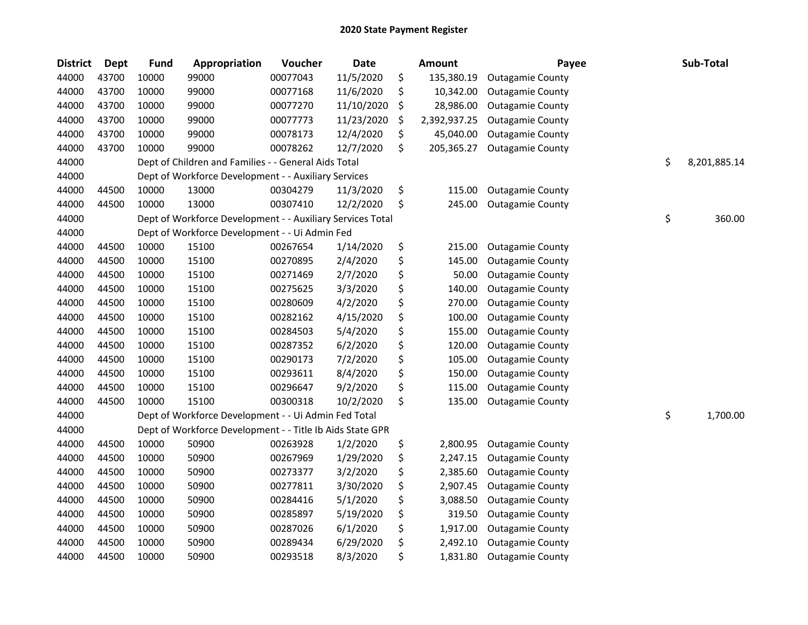| <b>District</b> | <b>Dept</b> | <b>Fund</b> | Appropriation                                              | Voucher  | <b>Date</b> | Amount             | Payee                   | Sub-Total          |
|-----------------|-------------|-------------|------------------------------------------------------------|----------|-------------|--------------------|-------------------------|--------------------|
| 44000           | 43700       | 10000       | 99000                                                      | 00077043 | 11/5/2020   | \$<br>135,380.19   | <b>Outagamie County</b> |                    |
| 44000           | 43700       | 10000       | 99000                                                      | 00077168 | 11/6/2020   | \$<br>10,342.00    | <b>Outagamie County</b> |                    |
| 44000           | 43700       | 10000       | 99000                                                      | 00077270 | 11/10/2020  | \$<br>28,986.00    | <b>Outagamie County</b> |                    |
| 44000           | 43700       | 10000       | 99000                                                      | 00077773 | 11/23/2020  | \$<br>2,392,937.25 | <b>Outagamie County</b> |                    |
| 44000           | 43700       | 10000       | 99000                                                      | 00078173 | 12/4/2020   | \$<br>45,040.00    | <b>Outagamie County</b> |                    |
| 44000           | 43700       | 10000       | 99000                                                      | 00078262 | 12/7/2020   | \$<br>205,365.27   | <b>Outagamie County</b> |                    |
| 44000           |             |             | Dept of Children and Families - - General Aids Total       |          |             |                    |                         | \$<br>8,201,885.14 |
| 44000           |             |             | Dept of Workforce Development - - Auxiliary Services       |          |             |                    |                         |                    |
| 44000           | 44500       | 10000       | 13000                                                      | 00304279 | 11/3/2020   | \$<br>115.00       | <b>Outagamie County</b> |                    |
| 44000           | 44500       | 10000       | 13000                                                      | 00307410 | 12/2/2020   | \$<br>245.00       | <b>Outagamie County</b> |                    |
| 44000           |             |             | Dept of Workforce Development - - Auxiliary Services Total |          |             |                    |                         | \$<br>360.00       |
| 44000           |             |             | Dept of Workforce Development - - Ui Admin Fed             |          |             |                    |                         |                    |
| 44000           | 44500       | 10000       | 15100                                                      | 00267654 | 1/14/2020   | \$<br>215.00       | <b>Outagamie County</b> |                    |
| 44000           | 44500       | 10000       | 15100                                                      | 00270895 | 2/4/2020    | \$<br>145.00       | <b>Outagamie County</b> |                    |
| 44000           | 44500       | 10000       | 15100                                                      | 00271469 | 2/7/2020    | \$<br>50.00        | <b>Outagamie County</b> |                    |
| 44000           | 44500       | 10000       | 15100                                                      | 00275625 | 3/3/2020    | \$<br>140.00       | <b>Outagamie County</b> |                    |
| 44000           | 44500       | 10000       | 15100                                                      | 00280609 | 4/2/2020    | \$<br>270.00       | <b>Outagamie County</b> |                    |
| 44000           | 44500       | 10000       | 15100                                                      | 00282162 | 4/15/2020   | \$<br>100.00       | <b>Outagamie County</b> |                    |
| 44000           | 44500       | 10000       | 15100                                                      | 00284503 | 5/4/2020    | \$<br>155.00       | <b>Outagamie County</b> |                    |
| 44000           | 44500       | 10000       | 15100                                                      | 00287352 | 6/2/2020    | \$<br>120.00       | <b>Outagamie County</b> |                    |
| 44000           | 44500       | 10000       | 15100                                                      | 00290173 | 7/2/2020    | \$<br>105.00       | <b>Outagamie County</b> |                    |
| 44000           | 44500       | 10000       | 15100                                                      | 00293611 | 8/4/2020    | \$<br>150.00       | <b>Outagamie County</b> |                    |
| 44000           | 44500       | 10000       | 15100                                                      | 00296647 | 9/2/2020    | \$<br>115.00       | <b>Outagamie County</b> |                    |
| 44000           | 44500       | 10000       | 15100                                                      | 00300318 | 10/2/2020   | \$<br>135.00       | <b>Outagamie County</b> |                    |
| 44000           |             |             | Dept of Workforce Development - - Ui Admin Fed Total       |          |             |                    |                         | \$<br>1,700.00     |
| 44000           |             |             | Dept of Workforce Development - - Title Ib Aids State GPR  |          |             |                    |                         |                    |
| 44000           | 44500       | 10000       | 50900                                                      | 00263928 | 1/2/2020    | \$<br>2,800.95     | <b>Outagamie County</b> |                    |
| 44000           | 44500       | 10000       | 50900                                                      | 00267969 | 1/29/2020   | \$<br>2,247.15     | <b>Outagamie County</b> |                    |
| 44000           | 44500       | 10000       | 50900                                                      | 00273377 | 3/2/2020    | \$<br>2,385.60     | <b>Outagamie County</b> |                    |
| 44000           | 44500       | 10000       | 50900                                                      | 00277811 | 3/30/2020   | \$<br>2,907.45     | <b>Outagamie County</b> |                    |
| 44000           | 44500       | 10000       | 50900                                                      | 00284416 | 5/1/2020    | \$<br>3,088.50     | <b>Outagamie County</b> |                    |
| 44000           | 44500       | 10000       | 50900                                                      | 00285897 | 5/19/2020   | \$<br>319.50       | <b>Outagamie County</b> |                    |
| 44000           | 44500       | 10000       | 50900                                                      | 00287026 | 6/1/2020    | \$<br>1,917.00     | <b>Outagamie County</b> |                    |
| 44000           | 44500       | 10000       | 50900                                                      | 00289434 | 6/29/2020   | \$<br>2,492.10     | <b>Outagamie County</b> |                    |
| 44000           | 44500       | 10000       | 50900                                                      | 00293518 | 8/3/2020    | \$<br>1,831.80     | <b>Outagamie County</b> |                    |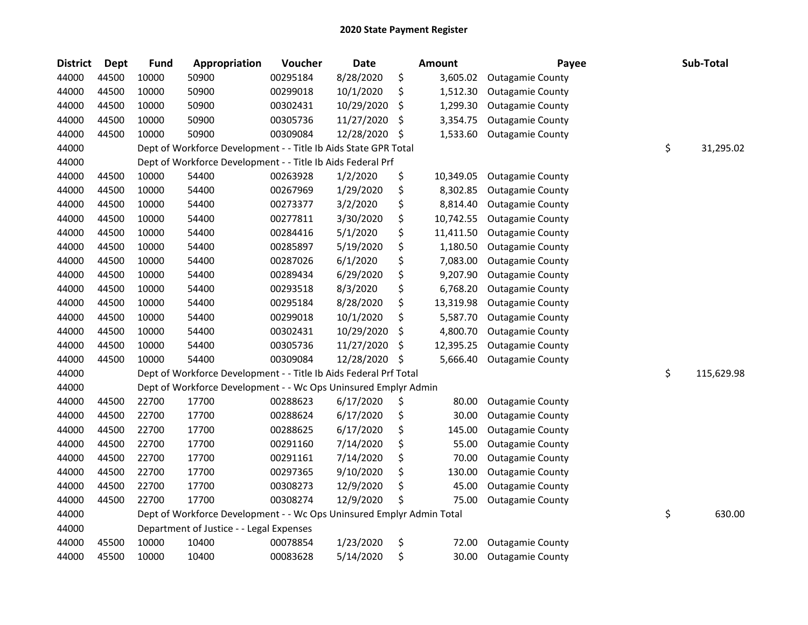| <b>District</b> | <b>Dept</b> | <b>Fund</b> | Appropriation                                                         | Voucher  | Date       |     | <b>Amount</b> | Payee                   | Sub-Total        |
|-----------------|-------------|-------------|-----------------------------------------------------------------------|----------|------------|-----|---------------|-------------------------|------------------|
| 44000           | 44500       | 10000       | 50900                                                                 | 00295184 | 8/28/2020  | \$  | 3,605.02      | <b>Outagamie County</b> |                  |
| 44000           | 44500       | 10000       | 50900                                                                 | 00299018 | 10/1/2020  | \$  | 1,512.30      | <b>Outagamie County</b> |                  |
| 44000           | 44500       | 10000       | 50900                                                                 | 00302431 | 10/29/2020 | \$  | 1,299.30      | <b>Outagamie County</b> |                  |
| 44000           | 44500       | 10000       | 50900                                                                 | 00305736 | 11/27/2020 | \$  | 3,354.75      | <b>Outagamie County</b> |                  |
| 44000           | 44500       | 10000       | 50900                                                                 | 00309084 | 12/28/2020 | \$  | 1,533.60      | <b>Outagamie County</b> |                  |
| 44000           |             |             | Dept of Workforce Development - - Title Ib Aids State GPR Total       |          |            |     |               |                         | \$<br>31,295.02  |
| 44000           |             |             | Dept of Workforce Development - - Title Ib Aids Federal Prf           |          |            |     |               |                         |                  |
| 44000           | 44500       | 10000       | 54400                                                                 | 00263928 | 1/2/2020   | \$  | 10,349.05     | <b>Outagamie County</b> |                  |
| 44000           | 44500       | 10000       | 54400                                                                 | 00267969 | 1/29/2020  | \$  | 8,302.85      | <b>Outagamie County</b> |                  |
| 44000           | 44500       | 10000       | 54400                                                                 | 00273377 | 3/2/2020   | \$  | 8,814.40      | <b>Outagamie County</b> |                  |
| 44000           | 44500       | 10000       | 54400                                                                 | 00277811 | 3/30/2020  | \$  | 10,742.55     | <b>Outagamie County</b> |                  |
| 44000           | 44500       | 10000       | 54400                                                                 | 00284416 | 5/1/2020   | \$  | 11,411.50     | <b>Outagamie County</b> |                  |
| 44000           | 44500       | 10000       | 54400                                                                 | 00285897 | 5/19/2020  | \$  | 1,180.50      | <b>Outagamie County</b> |                  |
| 44000           | 44500       | 10000       | 54400                                                                 | 00287026 | 6/1/2020   | \$  | 7,083.00      | <b>Outagamie County</b> |                  |
| 44000           | 44500       | 10000       | 54400                                                                 | 00289434 | 6/29/2020  | \$  | 9,207.90      | <b>Outagamie County</b> |                  |
| 44000           | 44500       | 10000       | 54400                                                                 | 00293518 | 8/3/2020   | \$  | 6,768.20      | <b>Outagamie County</b> |                  |
| 44000           | 44500       | 10000       | 54400                                                                 | 00295184 | 8/28/2020  | \$  | 13,319.98     | <b>Outagamie County</b> |                  |
| 44000           | 44500       | 10000       | 54400                                                                 | 00299018 | 10/1/2020  | \$  | 5,587.70      | <b>Outagamie County</b> |                  |
| 44000           | 44500       | 10000       | 54400                                                                 | 00302431 | 10/29/2020 | \$  | 4,800.70      | <b>Outagamie County</b> |                  |
| 44000           | 44500       | 10000       | 54400                                                                 | 00305736 | 11/27/2020 | \$  | 12,395.25     | <b>Outagamie County</b> |                  |
| 44000           | 44500       | 10000       | 54400                                                                 | 00309084 | 12/28/2020 | -\$ | 5,666.40      | <b>Outagamie County</b> |                  |
| 44000           |             |             | Dept of Workforce Development - - Title Ib Aids Federal Prf Total     |          |            |     |               |                         | \$<br>115,629.98 |
| 44000           |             |             | Dept of Workforce Development - - Wc Ops Uninsured Emplyr Admin       |          |            |     |               |                         |                  |
| 44000           | 44500       | 22700       | 17700                                                                 | 00288623 | 6/17/2020  | \$  | 80.00         | <b>Outagamie County</b> |                  |
| 44000           | 44500       | 22700       | 17700                                                                 | 00288624 | 6/17/2020  | \$  | 30.00         | <b>Outagamie County</b> |                  |
| 44000           | 44500       | 22700       | 17700                                                                 | 00288625 | 6/17/2020  | \$  | 145.00        | <b>Outagamie County</b> |                  |
| 44000           | 44500       | 22700       | 17700                                                                 | 00291160 | 7/14/2020  | \$  | 55.00         | <b>Outagamie County</b> |                  |
| 44000           | 44500       | 22700       | 17700                                                                 | 00291161 | 7/14/2020  | \$  | 70.00         | <b>Outagamie County</b> |                  |
| 44000           | 44500       | 22700       | 17700                                                                 | 00297365 | 9/10/2020  | \$  | 130.00        | <b>Outagamie County</b> |                  |
| 44000           | 44500       | 22700       | 17700                                                                 | 00308273 | 12/9/2020  | \$  | 45.00         | <b>Outagamie County</b> |                  |
| 44000           | 44500       | 22700       | 17700                                                                 | 00308274 | 12/9/2020  | \$  | 75.00         | <b>Outagamie County</b> |                  |
| 44000           |             |             | Dept of Workforce Development - - Wc Ops Uninsured Emplyr Admin Total |          |            |     |               |                         | \$<br>630.00     |
| 44000           |             |             | Department of Justice - - Legal Expenses                              |          |            |     |               |                         |                  |
| 44000           | 45500       | 10000       | 10400                                                                 | 00078854 | 1/23/2020  | \$  | 72.00         | <b>Outagamie County</b> |                  |
| 44000           | 45500       | 10000       | 10400                                                                 | 00083628 | 5/14/2020  | \$  | 30.00         | <b>Outagamie County</b> |                  |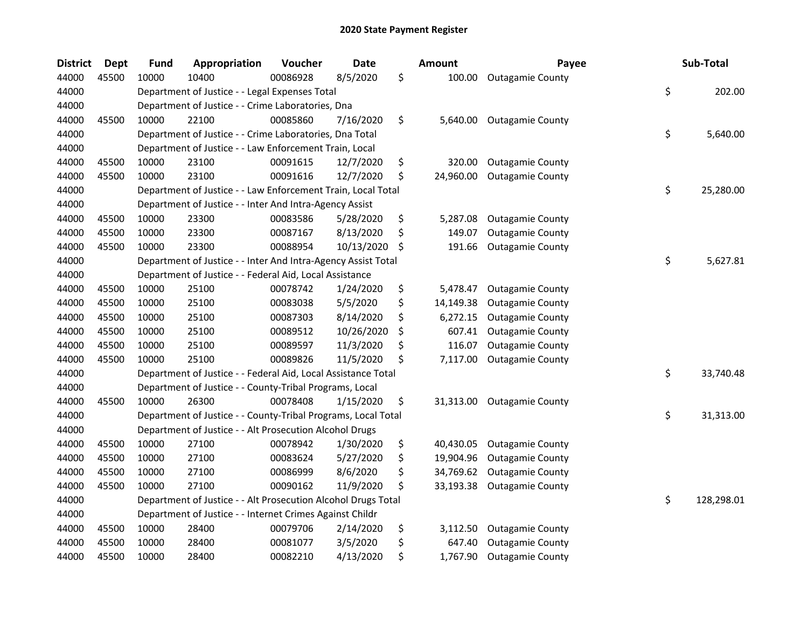| <b>District</b> | Dept  | <b>Fund</b> | Appropriation                                                 | Voucher  | <b>Date</b> | <b>Amount</b>   | Payee                   | Sub-Total        |
|-----------------|-------|-------------|---------------------------------------------------------------|----------|-------------|-----------------|-------------------------|------------------|
| 44000           | 45500 | 10000       | 10400                                                         | 00086928 | 8/5/2020    | \$<br>100.00    | <b>Outagamie County</b> |                  |
| 44000           |       |             | Department of Justice - - Legal Expenses Total                |          |             |                 |                         | \$<br>202.00     |
| 44000           |       |             | Department of Justice - - Crime Laboratories, Dna             |          |             |                 |                         |                  |
| 44000           | 45500 | 10000       | 22100                                                         | 00085860 | 7/16/2020   | \$<br>5,640.00  | <b>Outagamie County</b> |                  |
| 44000           |       |             | Department of Justice - - Crime Laboratories, Dna Total       |          |             |                 |                         | \$<br>5,640.00   |
| 44000           |       |             | Department of Justice - - Law Enforcement Train, Local        |          |             |                 |                         |                  |
| 44000           | 45500 | 10000       | 23100                                                         | 00091615 | 12/7/2020   | \$<br>320.00    | <b>Outagamie County</b> |                  |
| 44000           | 45500 | 10000       | 23100                                                         | 00091616 | 12/7/2020   | \$<br>24,960.00 | <b>Outagamie County</b> |                  |
| 44000           |       |             | Department of Justice - - Law Enforcement Train, Local Total  |          |             |                 |                         | \$<br>25,280.00  |
| 44000           |       |             | Department of Justice - - Inter And Intra-Agency Assist       |          |             |                 |                         |                  |
| 44000           | 45500 | 10000       | 23300                                                         | 00083586 | 5/28/2020   | \$<br>5,287.08  | <b>Outagamie County</b> |                  |
| 44000           | 45500 | 10000       | 23300                                                         | 00087167 | 8/13/2020   | \$<br>149.07    | <b>Outagamie County</b> |                  |
| 44000           | 45500 | 10000       | 23300                                                         | 00088954 | 10/13/2020  | \$<br>191.66    | <b>Outagamie County</b> |                  |
| 44000           |       |             | Department of Justice - - Inter And Intra-Agency Assist Total |          |             |                 |                         | \$<br>5,627.81   |
| 44000           |       |             | Department of Justice - - Federal Aid, Local Assistance       |          |             |                 |                         |                  |
| 44000           | 45500 | 10000       | 25100                                                         | 00078742 | 1/24/2020   | \$<br>5,478.47  | <b>Outagamie County</b> |                  |
| 44000           | 45500 | 10000       | 25100                                                         | 00083038 | 5/5/2020    | \$<br>14,149.38 | <b>Outagamie County</b> |                  |
| 44000           | 45500 | 10000       | 25100                                                         | 00087303 | 8/14/2020   | \$<br>6,272.15  | <b>Outagamie County</b> |                  |
| 44000           | 45500 | 10000       | 25100                                                         | 00089512 | 10/26/2020  | \$<br>607.41    | <b>Outagamie County</b> |                  |
| 44000           | 45500 | 10000       | 25100                                                         | 00089597 | 11/3/2020   | \$<br>116.07    | <b>Outagamie County</b> |                  |
| 44000           | 45500 | 10000       | 25100                                                         | 00089826 | 11/5/2020   | \$<br>7,117.00  | <b>Outagamie County</b> |                  |
| 44000           |       |             | Department of Justice - - Federal Aid, Local Assistance Total |          |             |                 |                         | \$<br>33,740.48  |
| 44000           |       |             | Department of Justice - - County-Tribal Programs, Local       |          |             |                 |                         |                  |
| 44000           | 45500 | 10000       | 26300                                                         | 00078408 | 1/15/2020   | \$<br>31,313.00 | <b>Outagamie County</b> |                  |
| 44000           |       |             | Department of Justice - - County-Tribal Programs, Local Total |          |             |                 |                         | \$<br>31,313.00  |
| 44000           |       |             | Department of Justice - - Alt Prosecution Alcohol Drugs       |          |             |                 |                         |                  |
| 44000           | 45500 | 10000       | 27100                                                         | 00078942 | 1/30/2020   | \$<br>40,430.05 | <b>Outagamie County</b> |                  |
| 44000           | 45500 | 10000       | 27100                                                         | 00083624 | 5/27/2020   | \$<br>19,904.96 | <b>Outagamie County</b> |                  |
| 44000           | 45500 | 10000       | 27100                                                         | 00086999 | 8/6/2020    | \$<br>34,769.62 | <b>Outagamie County</b> |                  |
| 44000           | 45500 | 10000       | 27100                                                         | 00090162 | 11/9/2020   | \$<br>33,193.38 | <b>Outagamie County</b> |                  |
| 44000           |       |             | Department of Justice - - Alt Prosecution Alcohol Drugs Total |          |             |                 |                         | \$<br>128,298.01 |
| 44000           |       |             | Department of Justice - - Internet Crimes Against Childr      |          |             |                 |                         |                  |
| 44000           | 45500 | 10000       | 28400                                                         | 00079706 | 2/14/2020   | \$<br>3,112.50  | <b>Outagamie County</b> |                  |
| 44000           | 45500 | 10000       | 28400                                                         | 00081077 | 3/5/2020    | \$<br>647.40    | <b>Outagamie County</b> |                  |
| 44000           | 45500 | 10000       | 28400                                                         | 00082210 | 4/13/2020   | \$<br>1,767.90  | <b>Outagamie County</b> |                  |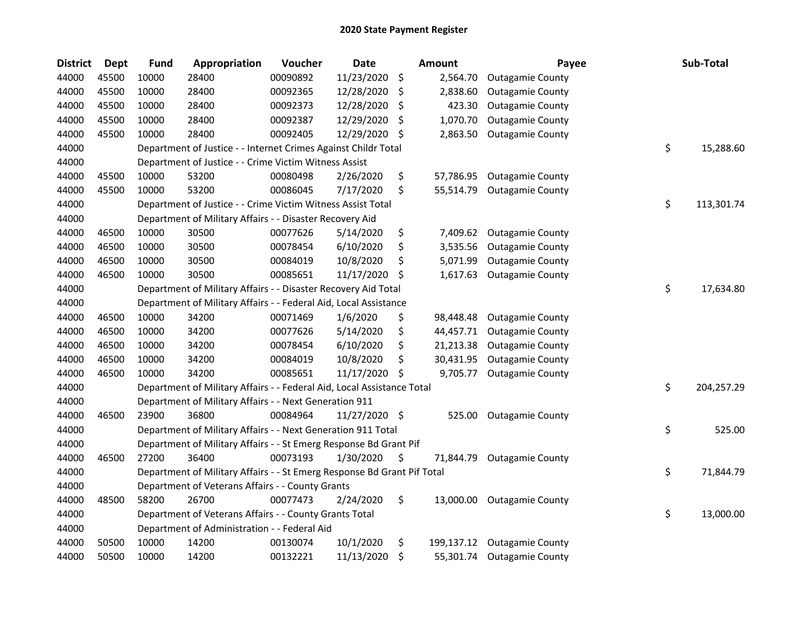| <b>District</b> | <b>Dept</b> | <b>Fund</b> | Appropriation                                                           | Voucher  | <b>Date</b>   |     | <b>Amount</b> | Payee                      | Sub-Total        |
|-----------------|-------------|-------------|-------------------------------------------------------------------------|----------|---------------|-----|---------------|----------------------------|------------------|
| 44000           | 45500       | 10000       | 28400                                                                   | 00090892 | 11/23/2020    | \$  | 2,564.70      | <b>Outagamie County</b>    |                  |
| 44000           | 45500       | 10000       | 28400                                                                   | 00092365 | 12/28/2020    | S   | 2,838.60      | <b>Outagamie County</b>    |                  |
| 44000           | 45500       | 10000       | 28400                                                                   | 00092373 | 12/28/2020    | \$  | 423.30        | <b>Outagamie County</b>    |                  |
| 44000           | 45500       | 10000       | 28400                                                                   | 00092387 | 12/29/2020    | \$, | 1,070.70      | <b>Outagamie County</b>    |                  |
| 44000           | 45500       | 10000       | 28400                                                                   | 00092405 | 12/29/2020    | \$  | 2,863.50      | <b>Outagamie County</b>    |                  |
| 44000           |             |             | Department of Justice - - Internet Crimes Against Childr Total          |          |               |     |               |                            | \$<br>15,288.60  |
| 44000           |             |             | Department of Justice - - Crime Victim Witness Assist                   |          |               |     |               |                            |                  |
| 44000           | 45500       | 10000       | 53200                                                                   | 00080498 | 2/26/2020     | \$  | 57,786.95     | <b>Outagamie County</b>    |                  |
| 44000           | 45500       | 10000       | 53200                                                                   | 00086045 | 7/17/2020     | \$  | 55,514.79     | <b>Outagamie County</b>    |                  |
| 44000           |             |             | Department of Justice - - Crime Victim Witness Assist Total             |          |               |     |               |                            | \$<br>113,301.74 |
| 44000           |             |             | Department of Military Affairs - - Disaster Recovery Aid                |          |               |     |               |                            |                  |
| 44000           | 46500       | 10000       | 30500                                                                   | 00077626 | 5/14/2020     | \$  | 7,409.62      | <b>Outagamie County</b>    |                  |
| 44000           | 46500       | 10000       | 30500                                                                   | 00078454 | 6/10/2020     | \$  | 3,535.56      | <b>Outagamie County</b>    |                  |
| 44000           | 46500       | 10000       | 30500                                                                   | 00084019 | 10/8/2020     | \$  | 5,071.99      | <b>Outagamie County</b>    |                  |
| 44000           | 46500       | 10000       | 30500                                                                   | 00085651 | 11/17/2020    | \$  | 1,617.63      | <b>Outagamie County</b>    |                  |
| 44000           |             |             | Department of Military Affairs - - Disaster Recovery Aid Total          |          |               |     |               |                            | \$<br>17,634.80  |
| 44000           |             |             | Department of Military Affairs - - Federal Aid, Local Assistance        |          |               |     |               |                            |                  |
| 44000           | 46500       | 10000       | 34200                                                                   | 00071469 | 1/6/2020      | \$  | 98,448.48     | <b>Outagamie County</b>    |                  |
| 44000           | 46500       | 10000       | 34200                                                                   | 00077626 | 5/14/2020     | \$  | 44,457.71     | <b>Outagamie County</b>    |                  |
| 44000           | 46500       | 10000       | 34200                                                                   | 00078454 | 6/10/2020     | \$  | 21,213.38     | <b>Outagamie County</b>    |                  |
| 44000           | 46500       | 10000       | 34200                                                                   | 00084019 | 10/8/2020     | \$  | 30,431.95     | <b>Outagamie County</b>    |                  |
| 44000           | 46500       | 10000       | 34200                                                                   | 00085651 | 11/17/2020    | S   | 9,705.77      | <b>Outagamie County</b>    |                  |
| 44000           |             |             | Department of Military Affairs - - Federal Aid, Local Assistance Total  |          |               |     |               |                            | \$<br>204,257.29 |
| 44000           |             |             | Department of Military Affairs - - Next Generation 911                  |          |               |     |               |                            |                  |
| 44000           | 46500       | 23900       | 36800                                                                   | 00084964 | 11/27/2020 \$ |     | 525.00        | <b>Outagamie County</b>    |                  |
| 44000           |             |             | Department of Military Affairs - - Next Generation 911 Total            |          |               |     |               |                            | \$<br>525.00     |
| 44000           |             |             | Department of Military Affairs - - St Emerg Response Bd Grant Pif       |          |               |     |               |                            |                  |
| 44000           | 46500       | 27200       | 36400                                                                   | 00073193 | 1/30/2020     | \$  | 71,844.79     | <b>Outagamie County</b>    |                  |
| 44000           |             |             | Department of Military Affairs - - St Emerg Response Bd Grant Pif Total |          |               |     |               |                            | \$<br>71,844.79  |
| 44000           |             |             | Department of Veterans Affairs - - County Grants                        |          |               |     |               |                            |                  |
| 44000           | 48500       | 58200       | 26700                                                                   | 00077473 | 2/24/2020     | \$  | 13,000.00     | <b>Outagamie County</b>    |                  |
| 44000           |             |             | Department of Veterans Affairs - - County Grants Total                  |          |               |     |               |                            | \$<br>13,000.00  |
| 44000           |             |             | Department of Administration - - Federal Aid                            |          |               |     |               |                            |                  |
| 44000           | 50500       | 10000       | 14200                                                                   | 00130074 | 10/1/2020     | \$  | 199,137.12    | <b>Outagamie County</b>    |                  |
| 44000           | 50500       | 10000       | 14200                                                                   | 00132221 | 11/13/2020    | \$  |               | 55,301.74 Outagamie County |                  |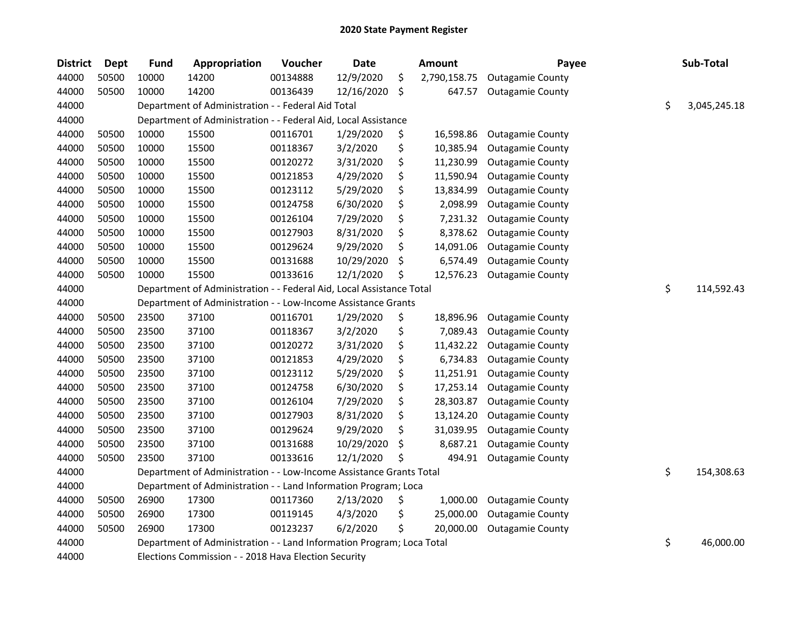| <b>District</b> | <b>Dept</b> | <b>Fund</b> | Appropriation                                                         | Voucher  | Date       | <b>Amount</b>      | Payee                   | Sub-Total          |
|-----------------|-------------|-------------|-----------------------------------------------------------------------|----------|------------|--------------------|-------------------------|--------------------|
| 44000           | 50500       | 10000       | 14200                                                                 | 00134888 | 12/9/2020  | \$<br>2,790,158.75 | <b>Outagamie County</b> |                    |
| 44000           | 50500       | 10000       | 14200                                                                 | 00136439 | 12/16/2020 | \$<br>647.57       | <b>Outagamie County</b> |                    |
| 44000           |             |             | Department of Administration - - Federal Aid Total                    |          |            |                    |                         | \$<br>3,045,245.18 |
| 44000           |             |             | Department of Administration - - Federal Aid, Local Assistance        |          |            |                    |                         |                    |
| 44000           | 50500       | 10000       | 15500                                                                 | 00116701 | 1/29/2020  | \$<br>16,598.86    | <b>Outagamie County</b> |                    |
| 44000           | 50500       | 10000       | 15500                                                                 | 00118367 | 3/2/2020   | \$<br>10,385.94    | <b>Outagamie County</b> |                    |
| 44000           | 50500       | 10000       | 15500                                                                 | 00120272 | 3/31/2020  | \$<br>11,230.99    | <b>Outagamie County</b> |                    |
| 44000           | 50500       | 10000       | 15500                                                                 | 00121853 | 4/29/2020  | \$<br>11,590.94    | <b>Outagamie County</b> |                    |
| 44000           | 50500       | 10000       | 15500                                                                 | 00123112 | 5/29/2020  | \$<br>13,834.99    | <b>Outagamie County</b> |                    |
| 44000           | 50500       | 10000       | 15500                                                                 | 00124758 | 6/30/2020  | \$<br>2,098.99     | <b>Outagamie County</b> |                    |
| 44000           | 50500       | 10000       | 15500                                                                 | 00126104 | 7/29/2020  | \$<br>7,231.32     | <b>Outagamie County</b> |                    |
| 44000           | 50500       | 10000       | 15500                                                                 | 00127903 | 8/31/2020  | \$<br>8,378.62     | <b>Outagamie County</b> |                    |
| 44000           | 50500       | 10000       | 15500                                                                 | 00129624 | 9/29/2020  | \$<br>14,091.06    | <b>Outagamie County</b> |                    |
| 44000           | 50500       | 10000       | 15500                                                                 | 00131688 | 10/29/2020 | \$<br>6,574.49     | <b>Outagamie County</b> |                    |
| 44000           | 50500       | 10000       | 15500                                                                 | 00133616 | 12/1/2020  | \$<br>12,576.23    | <b>Outagamie County</b> |                    |
| 44000           |             |             | Department of Administration - - Federal Aid, Local Assistance Total  |          |            |                    |                         | \$<br>114,592.43   |
| 44000           |             |             | Department of Administration - - Low-Income Assistance Grants         |          |            |                    |                         |                    |
| 44000           | 50500       | 23500       | 37100                                                                 | 00116701 | 1/29/2020  | \$<br>18,896.96    | <b>Outagamie County</b> |                    |
| 44000           | 50500       | 23500       | 37100                                                                 | 00118367 | 3/2/2020   | \$<br>7,089.43     | <b>Outagamie County</b> |                    |
| 44000           | 50500       | 23500       | 37100                                                                 | 00120272 | 3/31/2020  | \$<br>11,432.22    | <b>Outagamie County</b> |                    |
| 44000           | 50500       | 23500       | 37100                                                                 | 00121853 | 4/29/2020  | \$<br>6,734.83     | <b>Outagamie County</b> |                    |
| 44000           | 50500       | 23500       | 37100                                                                 | 00123112 | 5/29/2020  | \$<br>11,251.91    | <b>Outagamie County</b> |                    |
| 44000           | 50500       | 23500       | 37100                                                                 | 00124758 | 6/30/2020  | \$<br>17,253.14    | <b>Outagamie County</b> |                    |
| 44000           | 50500       | 23500       | 37100                                                                 | 00126104 | 7/29/2020  | \$<br>28,303.87    | <b>Outagamie County</b> |                    |
| 44000           | 50500       | 23500       | 37100                                                                 | 00127903 | 8/31/2020  | \$<br>13,124.20    | <b>Outagamie County</b> |                    |
| 44000           | 50500       | 23500       | 37100                                                                 | 00129624 | 9/29/2020  | \$<br>31,039.95    | <b>Outagamie County</b> |                    |
| 44000           | 50500       | 23500       | 37100                                                                 | 00131688 | 10/29/2020 | \$<br>8,687.21     | <b>Outagamie County</b> |                    |
| 44000           | 50500       | 23500       | 37100                                                                 | 00133616 | 12/1/2020  | \$<br>494.91       | <b>Outagamie County</b> |                    |
| 44000           |             |             | Department of Administration - - Low-Income Assistance Grants Total   |          |            |                    |                         | \$<br>154,308.63   |
| 44000           |             |             | Department of Administration - - Land Information Program; Loca       |          |            |                    |                         |                    |
| 44000           | 50500       | 26900       | 17300                                                                 | 00117360 | 2/13/2020  | \$<br>1,000.00     | <b>Outagamie County</b> |                    |
| 44000           | 50500       | 26900       | 17300                                                                 | 00119145 | 4/3/2020   | \$<br>25,000.00    | <b>Outagamie County</b> |                    |
| 44000           | 50500       | 26900       | 17300                                                                 | 00123237 | 6/2/2020   | \$<br>20,000.00    | <b>Outagamie County</b> |                    |
| 44000           |             |             | Department of Administration - - Land Information Program; Loca Total |          |            |                    |                         | \$<br>46,000.00    |
| 44000           |             |             | Elections Commission - - 2018 Hava Election Security                  |          |            |                    |                         |                    |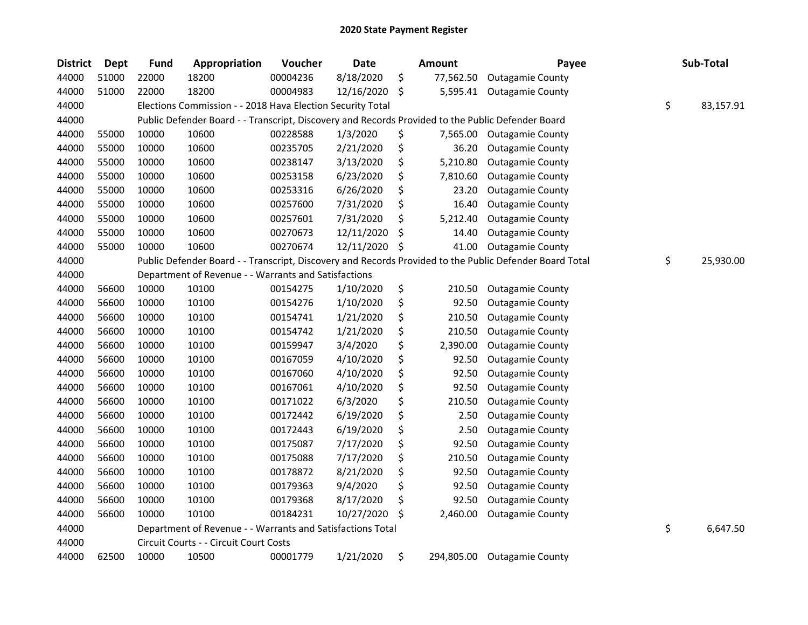| <b>District</b> | <b>Dept</b> | <b>Fund</b> | Appropriation                                                                                     | Voucher  | <b>Date</b> | <b>Amount</b>    | Payee                                                                                                   | Sub-Total       |
|-----------------|-------------|-------------|---------------------------------------------------------------------------------------------------|----------|-------------|------------------|---------------------------------------------------------------------------------------------------------|-----------------|
| 44000           | 51000       | 22000       | 18200                                                                                             | 00004236 | 8/18/2020   | \$<br>77,562.50  | <b>Outagamie County</b>                                                                                 |                 |
| 44000           | 51000       | 22000       | 18200                                                                                             | 00004983 | 12/16/2020  | \$<br>5,595.41   | <b>Outagamie County</b>                                                                                 |                 |
| 44000           |             |             | Elections Commission - - 2018 Hava Election Security Total                                        |          |             |                  |                                                                                                         | \$<br>83,157.91 |
| 44000           |             |             | Public Defender Board - - Transcript, Discovery and Records Provided to the Public Defender Board |          |             |                  |                                                                                                         |                 |
| 44000           | 55000       | 10000       | 10600                                                                                             | 00228588 | 1/3/2020    | \$<br>7,565.00   | <b>Outagamie County</b>                                                                                 |                 |
| 44000           | 55000       | 10000       | 10600                                                                                             | 00235705 | 2/21/2020   | \$<br>36.20      | <b>Outagamie County</b>                                                                                 |                 |
| 44000           | 55000       | 10000       | 10600                                                                                             | 00238147 | 3/13/2020   | \$<br>5,210.80   | <b>Outagamie County</b>                                                                                 |                 |
| 44000           | 55000       | 10000       | 10600                                                                                             | 00253158 | 6/23/2020   | \$<br>7,810.60   | <b>Outagamie County</b>                                                                                 |                 |
| 44000           | 55000       | 10000       | 10600                                                                                             | 00253316 | 6/26/2020   | \$<br>23.20      | <b>Outagamie County</b>                                                                                 |                 |
| 44000           | 55000       | 10000       | 10600                                                                                             | 00257600 | 7/31/2020   | \$<br>16.40      | <b>Outagamie County</b>                                                                                 |                 |
| 44000           | 55000       | 10000       | 10600                                                                                             | 00257601 | 7/31/2020   | \$<br>5,212.40   | <b>Outagamie County</b>                                                                                 |                 |
| 44000           | 55000       | 10000       | 10600                                                                                             | 00270673 | 12/11/2020  | \$<br>14.40      | <b>Outagamie County</b>                                                                                 |                 |
| 44000           | 55000       | 10000       | 10600                                                                                             | 00270674 | 12/11/2020  | \$<br>41.00      | <b>Outagamie County</b>                                                                                 |                 |
| 44000           |             |             |                                                                                                   |          |             |                  | Public Defender Board - - Transcript, Discovery and Records Provided to the Public Defender Board Total | \$<br>25,930.00 |
| 44000           |             |             | Department of Revenue - - Warrants and Satisfactions                                              |          |             |                  |                                                                                                         |                 |
| 44000           | 56600       | 10000       | 10100                                                                                             | 00154275 | 1/10/2020   | \$<br>210.50     | <b>Outagamie County</b>                                                                                 |                 |
| 44000           | 56600       | 10000       | 10100                                                                                             | 00154276 | 1/10/2020   | \$<br>92.50      | <b>Outagamie County</b>                                                                                 |                 |
| 44000           | 56600       | 10000       | 10100                                                                                             | 00154741 | 1/21/2020   | \$<br>210.50     | <b>Outagamie County</b>                                                                                 |                 |
| 44000           | 56600       | 10000       | 10100                                                                                             | 00154742 | 1/21/2020   | \$<br>210.50     | <b>Outagamie County</b>                                                                                 |                 |
| 44000           | 56600       | 10000       | 10100                                                                                             | 00159947 | 3/4/2020    | \$<br>2,390.00   | <b>Outagamie County</b>                                                                                 |                 |
| 44000           | 56600       | 10000       | 10100                                                                                             | 00167059 | 4/10/2020   | \$<br>92.50      | <b>Outagamie County</b>                                                                                 |                 |
| 44000           | 56600       | 10000       | 10100                                                                                             | 00167060 | 4/10/2020   | \$<br>92.50      | <b>Outagamie County</b>                                                                                 |                 |
| 44000           | 56600       | 10000       | 10100                                                                                             | 00167061 | 4/10/2020   | \$<br>92.50      | <b>Outagamie County</b>                                                                                 |                 |
| 44000           | 56600       | 10000       | 10100                                                                                             | 00171022 | 6/3/2020    | \$<br>210.50     | <b>Outagamie County</b>                                                                                 |                 |
| 44000           | 56600       | 10000       | 10100                                                                                             | 00172442 | 6/19/2020   | \$<br>2.50       | <b>Outagamie County</b>                                                                                 |                 |
| 44000           | 56600       | 10000       | 10100                                                                                             | 00172443 | 6/19/2020   | \$<br>2.50       | <b>Outagamie County</b>                                                                                 |                 |
| 44000           | 56600       | 10000       | 10100                                                                                             | 00175087 | 7/17/2020   | \$<br>92.50      | <b>Outagamie County</b>                                                                                 |                 |
| 44000           | 56600       | 10000       | 10100                                                                                             | 00175088 | 7/17/2020   | \$<br>210.50     | <b>Outagamie County</b>                                                                                 |                 |
| 44000           | 56600       | 10000       | 10100                                                                                             | 00178872 | 8/21/2020   | \$<br>92.50      | <b>Outagamie County</b>                                                                                 |                 |
| 44000           | 56600       | 10000       | 10100                                                                                             | 00179363 | 9/4/2020    | \$<br>92.50      | <b>Outagamie County</b>                                                                                 |                 |
| 44000           | 56600       | 10000       | 10100                                                                                             | 00179368 | 8/17/2020   | \$<br>92.50      | <b>Outagamie County</b>                                                                                 |                 |
| 44000           | 56600       | 10000       | 10100                                                                                             | 00184231 | 10/27/2020  | \$<br>2,460.00   | <b>Outagamie County</b>                                                                                 |                 |
| 44000           |             |             | Department of Revenue - - Warrants and Satisfactions Total                                        |          |             |                  |                                                                                                         | \$<br>6,647.50  |
| 44000           |             |             | Circuit Courts - - Circuit Court Costs                                                            |          |             |                  |                                                                                                         |                 |
| 44000           | 62500       | 10000       | 10500                                                                                             | 00001779 | 1/21/2020   | \$<br>294,805.00 | <b>Outagamie County</b>                                                                                 |                 |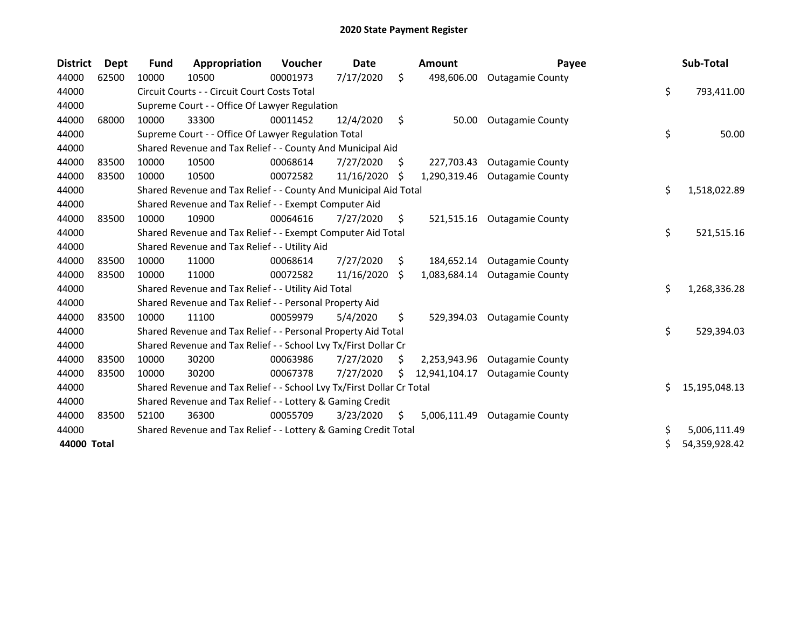| <b>District</b> | <b>Dept</b> | <b>Fund</b> | Appropriation                                                         | Voucher  | Date       |    | <b>Amount</b> | Payee                   |    | Sub-Total     |
|-----------------|-------------|-------------|-----------------------------------------------------------------------|----------|------------|----|---------------|-------------------------|----|---------------|
| 44000           | 62500       | 10000       | 10500                                                                 | 00001973 | 7/17/2020  | \$ | 498,606.00    | <b>Outagamie County</b> |    |               |
| 44000           |             |             | Circuit Courts - - Circuit Court Costs Total                          |          |            |    |               |                         | \$ | 793,411.00    |
| 44000           |             |             | Supreme Court - - Office Of Lawyer Regulation                         |          |            |    |               |                         |    |               |
| 44000           | 68000       | 10000       | 33300                                                                 | 00011452 | 12/4/2020  | \$ | 50.00         | <b>Outagamie County</b> |    |               |
| 44000           |             |             | Supreme Court - - Office Of Lawyer Regulation Total                   |          |            |    |               |                         | \$ | 50.00         |
| 44000           |             |             | Shared Revenue and Tax Relief - - County And Municipal Aid            |          |            |    |               |                         |    |               |
| 44000           | 83500       | 10000       | 10500                                                                 | 00068614 | 7/27/2020  | \$ | 227,703.43    | <b>Outagamie County</b> |    |               |
| 44000           | 83500       | 10000       | 10500                                                                 | 00072582 | 11/16/2020 | \$ | 1,290,319.46  | <b>Outagamie County</b> |    |               |
| 44000           |             |             | Shared Revenue and Tax Relief - - County And Municipal Aid Total      |          |            |    |               |                         | \$ | 1,518,022.89  |
| 44000           |             |             | Shared Revenue and Tax Relief - - Exempt Computer Aid                 |          |            |    |               |                         |    |               |
| 44000           | 83500       | 10000       | 10900                                                                 | 00064616 | 7/27/2020  | S. | 521,515.16    | <b>Outagamie County</b> |    |               |
| 44000           |             |             | Shared Revenue and Tax Relief - - Exempt Computer Aid Total           |          |            |    |               |                         | \$ | 521,515.16    |
| 44000           |             |             | Shared Revenue and Tax Relief - - Utility Aid                         |          |            |    |               |                         |    |               |
| 44000           | 83500       | 10000       | 11000                                                                 | 00068614 | 7/27/2020  | \$ | 184,652.14    | <b>Outagamie County</b> |    |               |
| 44000           | 83500       | 10000       | 11000                                                                 | 00072582 | 11/16/2020 | Ŝ. | 1.083.684.14  | <b>Outagamie County</b> |    |               |
| 44000           |             |             | Shared Revenue and Tax Relief - - Utility Aid Total                   |          |            |    |               |                         | \$ | 1,268,336.28  |
| 44000           |             |             | Shared Revenue and Tax Relief - - Personal Property Aid               |          |            |    |               |                         |    |               |
| 44000           | 83500       | 10000       | 11100                                                                 | 00059979 | 5/4/2020   | \$ | 529,394.03    | <b>Outagamie County</b> |    |               |
| 44000           |             |             | Shared Revenue and Tax Relief - - Personal Property Aid Total         |          |            |    |               |                         | \$ | 529,394.03    |
| 44000           |             |             | Shared Revenue and Tax Relief - - School Lvy Tx/First Dollar Cr       |          |            |    |               |                         |    |               |
| 44000           | 83500       | 10000       | 30200                                                                 | 00063986 | 7/27/2020  | S  | 2,253,943.96  | <b>Outagamie County</b> |    |               |
| 44000           | 83500       | 10000       | 30200                                                                 | 00067378 | 7/27/2020  | S  | 12,941,104.17 | <b>Outagamie County</b> |    |               |
| 44000           |             |             | Shared Revenue and Tax Relief - - School Lvy Tx/First Dollar Cr Total |          |            |    |               |                         | Ś. | 15,195,048.13 |
| 44000           |             |             | Shared Revenue and Tax Relief - - Lottery & Gaming Credit             |          |            |    |               |                         |    |               |
| 44000           | 83500       | 52100       | 36300                                                                 | 00055709 | 3/23/2020  | \$ | 5,006,111.49  | <b>Outagamie County</b> |    |               |
| 44000           |             |             | Shared Revenue and Tax Relief - - Lottery & Gaming Credit Total       |          |            |    |               |                         | \$ | 5,006,111.49  |
| 44000 Total     |             |             |                                                                       |          |            |    |               |                         | Ś. | 54,359,928.42 |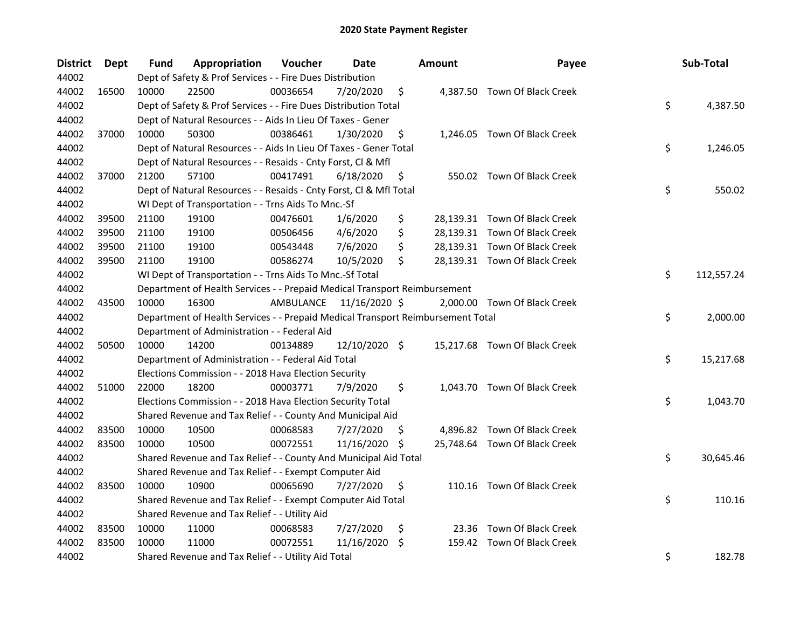| <b>District</b> | <b>Dept</b> | Fund  | Appropriation                                                                   | Voucher   | <b>Date</b>   |     | Amount | Payee                         | Sub-Total        |
|-----------------|-------------|-------|---------------------------------------------------------------------------------|-----------|---------------|-----|--------|-------------------------------|------------------|
| 44002           |             |       | Dept of Safety & Prof Services - - Fire Dues Distribution                       |           |               |     |        |                               |                  |
| 44002           | 16500       | 10000 | 22500                                                                           | 00036654  | 7/20/2020     | \$  |        | 4,387.50 Town Of Black Creek  |                  |
| 44002           |             |       | Dept of Safety & Prof Services - - Fire Dues Distribution Total                 |           |               |     |        |                               | \$<br>4,387.50   |
| 44002           |             |       | Dept of Natural Resources - - Aids In Lieu Of Taxes - Gener                     |           |               |     |        |                               |                  |
| 44002           | 37000       | 10000 | 50300                                                                           | 00386461  | 1/30/2020     | \$  |        | 1,246.05 Town Of Black Creek  |                  |
| 44002           |             |       | Dept of Natural Resources - - Aids In Lieu Of Taxes - Gener Total               |           |               |     |        |                               | \$<br>1,246.05   |
| 44002           |             |       | Dept of Natural Resources - - Resaids - Cnty Forst, Cl & Mfl                    |           |               |     |        |                               |                  |
| 44002           | 37000       | 21200 | 57100                                                                           | 00417491  | 6/18/2020     | \$  |        | 550.02 Town Of Black Creek    |                  |
| 44002           |             |       | Dept of Natural Resources - - Resaids - Cnty Forst, Cl & Mfl Total              |           |               |     |        |                               | \$<br>550.02     |
| 44002           |             |       | WI Dept of Transportation - - Trns Aids To Mnc.-Sf                              |           |               |     |        |                               |                  |
| 44002           | 39500       | 21100 | 19100                                                                           | 00476601  | 1/6/2020      | \$  |        | 28,139.31 Town Of Black Creek |                  |
| 44002           | 39500       | 21100 | 19100                                                                           | 00506456  | 4/6/2020      | \$  |        | 28,139.31 Town Of Black Creek |                  |
| 44002           | 39500       | 21100 | 19100                                                                           | 00543448  | 7/6/2020      | \$  |        | 28,139.31 Town Of Black Creek |                  |
| 44002           | 39500       | 21100 | 19100                                                                           | 00586274  | 10/5/2020     | \$  |        | 28,139.31 Town Of Black Creek |                  |
| 44002           |             |       | WI Dept of Transportation - - Trns Aids To Mnc.-Sf Total                        |           |               |     |        |                               | \$<br>112,557.24 |
| 44002           |             |       | Department of Health Services - - Prepaid Medical Transport Reimbursement       |           |               |     |        |                               |                  |
| 44002           | 43500       | 10000 | 16300                                                                           | AMBULANCE | 11/16/2020 \$ |     |        | 2,000.00 Town Of Black Creek  |                  |
| 44002           |             |       | Department of Health Services - - Prepaid Medical Transport Reimbursement Total |           |               |     |        |                               | \$<br>2,000.00   |
| 44002           |             |       | Department of Administration - - Federal Aid                                    |           |               |     |        |                               |                  |
| 44002           | 50500       | 10000 | 14200                                                                           | 00134889  | 12/10/2020 \$ |     |        | 15,217.68 Town Of Black Creek |                  |
| 44002           |             |       | Department of Administration - - Federal Aid Total                              |           |               |     |        |                               | \$<br>15,217.68  |
| 44002           |             |       | Elections Commission - - 2018 Hava Election Security                            |           |               |     |        |                               |                  |
| 44002           | 51000       | 22000 | 18200                                                                           | 00003771  | 7/9/2020      | \$  |        | 1,043.70 Town Of Black Creek  |                  |
| 44002           |             |       | Elections Commission - - 2018 Hava Election Security Total                      |           |               |     |        |                               | \$<br>1,043.70   |
| 44002           |             |       | Shared Revenue and Tax Relief - - County And Municipal Aid                      |           |               |     |        |                               |                  |
| 44002           | 83500       | 10000 | 10500                                                                           | 00068583  | 7/27/2020     | \$. |        | 4,896.82 Town Of Black Creek  |                  |
| 44002           | 83500       | 10000 | 10500                                                                           | 00072551  | 11/16/2020    | \$. |        | 25,748.64 Town Of Black Creek |                  |
| 44002           |             |       | Shared Revenue and Tax Relief - - County And Municipal Aid Total                |           |               |     |        |                               | \$<br>30,645.46  |
| 44002           |             |       | Shared Revenue and Tax Relief - - Exempt Computer Aid                           |           |               |     |        |                               |                  |
| 44002           | 83500       | 10000 | 10900                                                                           | 00065690  | 7/27/2020     | \$  |        | 110.16 Town Of Black Creek    |                  |
| 44002           |             |       | Shared Revenue and Tax Relief - - Exempt Computer Aid Total                     |           |               |     |        |                               | \$<br>110.16     |
| 44002           |             |       | Shared Revenue and Tax Relief - - Utility Aid                                   |           |               |     |        |                               |                  |
| 44002           | 83500       | 10000 | 11000                                                                           | 00068583  | 7/27/2020     | \$  | 23.36  | Town Of Black Creek           |                  |
| 44002           | 83500       | 10000 | 11000                                                                           | 00072551  | 11/16/2020    | \$  |        | 159.42 Town Of Black Creek    |                  |
| 44002           |             |       | Shared Revenue and Tax Relief - - Utility Aid Total                             |           |               |     |        |                               | \$<br>182.78     |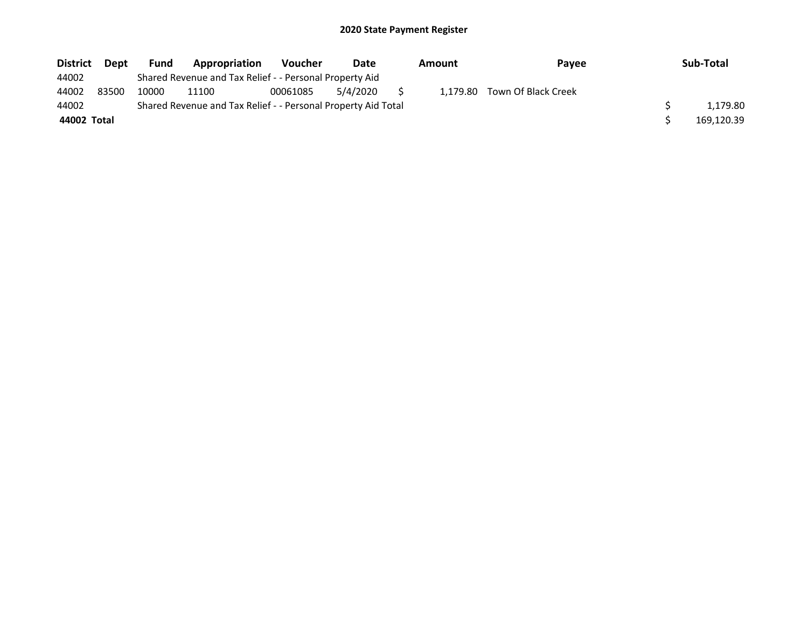| <b>District</b> | Dept  | Fund  | Appropriation                                                 | <b>Voucher</b> | Date     | Amount   | Payee               | Sub-Total  |
|-----------------|-------|-------|---------------------------------------------------------------|----------------|----------|----------|---------------------|------------|
| 44002           |       |       | Shared Revenue and Tax Relief - - Personal Property Aid       |                |          |          |                     |            |
| 44002           | 83500 | 10000 | 11100                                                         | 00061085       | 5/4/2020 | 1.179.80 | Town Of Black Creek |            |
| 44002           |       |       | Shared Revenue and Tax Relief - - Personal Property Aid Total |                |          |          |                     | 1,179.80   |
| 44002 Total     |       |       |                                                               |                |          |          |                     | 169,120.39 |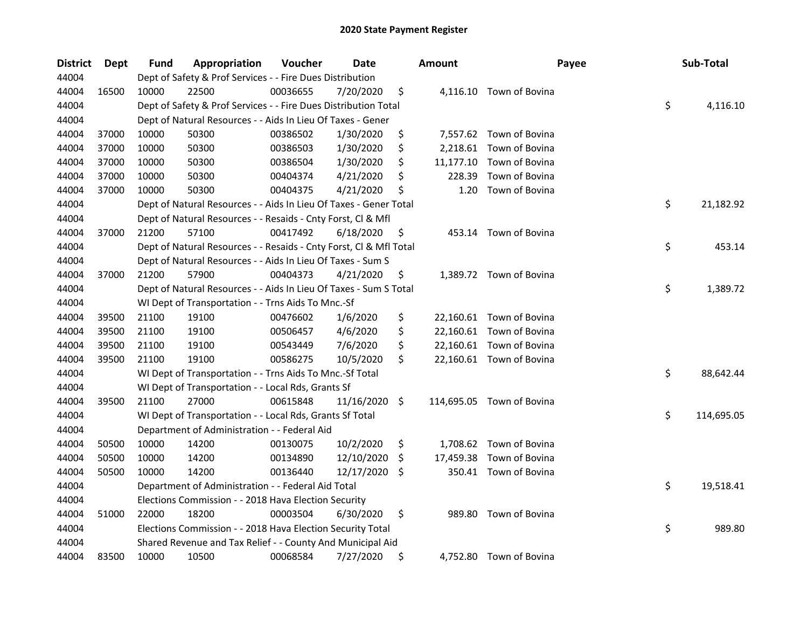| <b>District</b> | Dept  | <b>Fund</b> | Appropriation                                                      | Voucher  | Date          |    | <b>Amount</b> | Payee                     | Sub-Total        |
|-----------------|-------|-------------|--------------------------------------------------------------------|----------|---------------|----|---------------|---------------------------|------------------|
| 44004           |       |             | Dept of Safety & Prof Services - - Fire Dues Distribution          |          |               |    |               |                           |                  |
| 44004           | 16500 | 10000       | 22500                                                              | 00036655 | 7/20/2020     | \$ |               | 4,116.10 Town of Bovina   |                  |
| 44004           |       |             | Dept of Safety & Prof Services - - Fire Dues Distribution Total    |          |               |    |               |                           | \$<br>4,116.10   |
| 44004           |       |             | Dept of Natural Resources - - Aids In Lieu Of Taxes - Gener        |          |               |    |               |                           |                  |
| 44004           | 37000 | 10000       | 50300                                                              | 00386502 | 1/30/2020     | \$ |               | 7,557.62 Town of Bovina   |                  |
| 44004           | 37000 | 10000       | 50300                                                              | 00386503 | 1/30/2020     | \$ | 2,218.61      | Town of Bovina            |                  |
| 44004           | 37000 | 10000       | 50300                                                              | 00386504 | 1/30/2020     | \$ |               | 11,177.10 Town of Bovina  |                  |
| 44004           | 37000 | 10000       | 50300                                                              | 00404374 | 4/21/2020     | \$ | 228.39        | Town of Bovina            |                  |
| 44004           | 37000 | 10000       | 50300                                                              | 00404375 | 4/21/2020     | \$ | 1.20          | Town of Bovina            |                  |
| 44004           |       |             | Dept of Natural Resources - - Aids In Lieu Of Taxes - Gener Total  |          |               |    |               |                           | \$<br>21,182.92  |
| 44004           |       |             | Dept of Natural Resources - - Resaids - Cnty Forst, Cl & Mfl       |          |               |    |               |                           |                  |
| 44004           | 37000 | 21200       | 57100                                                              | 00417492 | 6/18/2020     | \$ |               | 453.14 Town of Bovina     |                  |
| 44004           |       |             | Dept of Natural Resources - - Resaids - Cnty Forst, Cl & Mfl Total |          |               |    |               |                           | \$<br>453.14     |
| 44004           |       |             | Dept of Natural Resources - - Aids In Lieu Of Taxes - Sum S        |          |               |    |               |                           |                  |
| 44004           | 37000 | 21200       | 57900                                                              | 00404373 | 4/21/2020     | \$ |               | 1,389.72 Town of Bovina   |                  |
| 44004           |       |             | Dept of Natural Resources - - Aids In Lieu Of Taxes - Sum S Total  |          |               |    |               |                           | \$<br>1,389.72   |
| 44004           |       |             | WI Dept of Transportation - - Trns Aids To Mnc.-Sf                 |          |               |    |               |                           |                  |
| 44004           | 39500 | 21100       | 19100                                                              | 00476602 | 1/6/2020      | \$ |               | 22,160.61 Town of Bovina  |                  |
| 44004           | 39500 | 21100       | 19100                                                              | 00506457 | 4/6/2020      | \$ |               | 22,160.61 Town of Bovina  |                  |
| 44004           | 39500 | 21100       | 19100                                                              | 00543449 | 7/6/2020      | \$ |               | 22,160.61 Town of Bovina  |                  |
| 44004           | 39500 | 21100       | 19100                                                              | 00586275 | 10/5/2020     | \$ |               | 22,160.61 Town of Bovina  |                  |
| 44004           |       |             | WI Dept of Transportation - - Trns Aids To Mnc.-Sf Total           |          |               |    |               |                           | \$<br>88,642.44  |
| 44004           |       |             | WI Dept of Transportation - - Local Rds, Grants Sf                 |          |               |    |               |                           |                  |
| 44004           | 39500 | 21100       | 27000                                                              | 00615848 | 11/16/2020 \$ |    |               | 114,695.05 Town of Bovina |                  |
| 44004           |       |             | WI Dept of Transportation - - Local Rds, Grants Sf Total           |          |               |    |               |                           | \$<br>114,695.05 |
| 44004           |       |             | Department of Administration - - Federal Aid                       |          |               |    |               |                           |                  |
| 44004           | 50500 | 10000       | 14200                                                              | 00130075 | 10/2/2020     | \$ |               | 1,708.62 Town of Bovina   |                  |
| 44004           | 50500 | 10000       | 14200                                                              | 00134890 | 12/10/2020    | \$ |               | 17,459.38 Town of Bovina  |                  |
| 44004           | 50500 | 10000       | 14200                                                              | 00136440 | 12/17/2020    | S  |               | 350.41 Town of Bovina     |                  |
| 44004           |       |             | Department of Administration - - Federal Aid Total                 |          |               |    |               |                           | \$<br>19,518.41  |
| 44004           |       |             | Elections Commission - - 2018 Hava Election Security               |          |               |    |               |                           |                  |
| 44004           | 51000 | 22000       | 18200                                                              | 00003504 | 6/30/2020     | \$ |               | 989.80 Town of Bovina     |                  |
| 44004           |       |             | Elections Commission - - 2018 Hava Election Security Total         |          |               |    |               |                           | \$<br>989.80     |
| 44004           |       |             | Shared Revenue and Tax Relief - - County And Municipal Aid         |          |               |    |               |                           |                  |
| 44004           | 83500 | 10000       | 10500                                                              | 00068584 | 7/27/2020     | \$ |               | 4,752.80 Town of Bovina   |                  |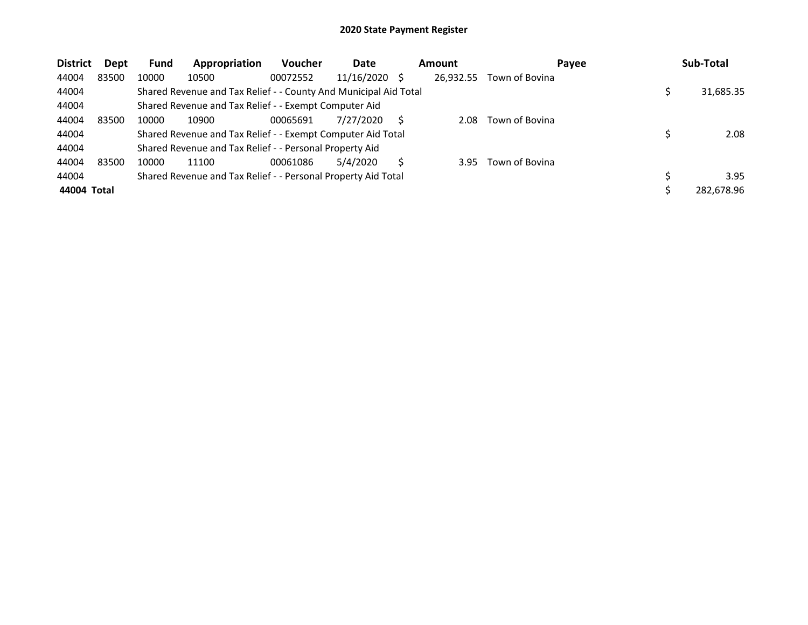| <b>District</b> | <b>Dept</b> | <b>Fund</b> | Appropriation                                                    | <b>Voucher</b> | Date       |      | <b>Amount</b> | Payee          | Sub-Total  |
|-----------------|-------------|-------------|------------------------------------------------------------------|----------------|------------|------|---------------|----------------|------------|
| 44004           | 83500       | 10000       | 10500                                                            | 00072552       | 11/16/2020 | - \$ | 26.932.55     | Town of Bovina |            |
| 44004           |             |             | Shared Revenue and Tax Relief - - County And Municipal Aid Total |                |            |      |               |                | 31,685.35  |
| 44004           |             |             | Shared Revenue and Tax Relief - - Exempt Computer Aid            |                |            |      |               |                |            |
| 44004           | 83500       | 10000       | 10900                                                            | 00065691       | 7/27/2020  |      | 2.08          | Town of Bovina |            |
| 44004           |             |             | Shared Revenue and Tax Relief - - Exempt Computer Aid Total      |                |            |      |               |                | 2.08       |
| 44004           |             |             | Shared Revenue and Tax Relief - - Personal Property Aid          |                |            |      |               |                |            |
| 44004           | 83500       | 10000       | 11100                                                            | 00061086       | 5/4/2020   |      | 3.95          | Town of Bovina |            |
| 44004           |             |             | Shared Revenue and Tax Relief - - Personal Property Aid Total    |                |            |      |               |                | 3.95       |
| 44004 Total     |             |             |                                                                  |                |            |      |               |                | 282.678.96 |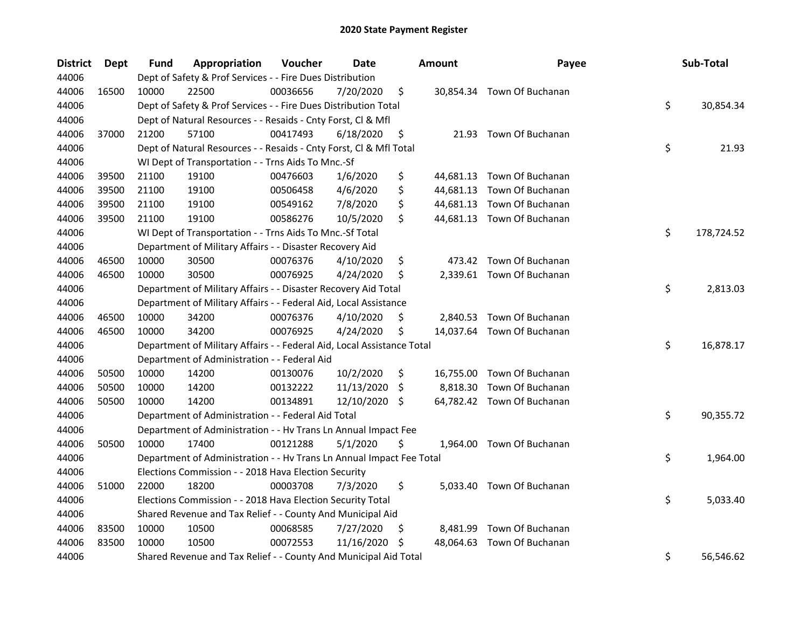| <b>District</b> | Dept  | Fund  | Appropriation                                                          | Voucher  | <b>Date</b>   |     | <b>Amount</b> | Payee                      | Sub-Total        |
|-----------------|-------|-------|------------------------------------------------------------------------|----------|---------------|-----|---------------|----------------------------|------------------|
| 44006           |       |       | Dept of Safety & Prof Services - - Fire Dues Distribution              |          |               |     |               |                            |                  |
| 44006           | 16500 | 10000 | 22500                                                                  | 00036656 | 7/20/2020     | \$  |               | 30,854.34 Town Of Buchanan |                  |
| 44006           |       |       | Dept of Safety & Prof Services - - Fire Dues Distribution Total        |          |               |     |               |                            | \$<br>30,854.34  |
| 44006           |       |       | Dept of Natural Resources - - Resaids - Cnty Forst, Cl & Mfl           |          |               |     |               |                            |                  |
| 44006           | 37000 | 21200 | 57100                                                                  | 00417493 | 6/18/2020     | \$  |               | 21.93 Town Of Buchanan     |                  |
| 44006           |       |       | Dept of Natural Resources - - Resaids - Cnty Forst, Cl & Mfl Total     |          |               |     |               |                            | \$<br>21.93      |
| 44006           |       |       | WI Dept of Transportation - - Trns Aids To Mnc.-Sf                     |          |               |     |               |                            |                  |
| 44006           | 39500 | 21100 | 19100                                                                  | 00476603 | 1/6/2020      | \$  |               | 44,681.13 Town Of Buchanan |                  |
| 44006           | 39500 | 21100 | 19100                                                                  | 00506458 | 4/6/2020      | \$  |               | 44,681.13 Town Of Buchanan |                  |
| 44006           | 39500 | 21100 | 19100                                                                  | 00549162 | 7/8/2020      | \$  |               | 44,681.13 Town Of Buchanan |                  |
| 44006           | 39500 | 21100 | 19100                                                                  | 00586276 | 10/5/2020     | \$  |               | 44,681.13 Town Of Buchanan |                  |
| 44006           |       |       | WI Dept of Transportation - - Trns Aids To Mnc.-Sf Total               |          |               |     |               |                            | \$<br>178,724.52 |
| 44006           |       |       | Department of Military Affairs - - Disaster Recovery Aid               |          |               |     |               |                            |                  |
| 44006           | 46500 | 10000 | 30500                                                                  | 00076376 | 4/10/2020     | \$  | 473.42        | Town Of Buchanan           |                  |
| 44006           | 46500 | 10000 | 30500                                                                  | 00076925 | 4/24/2020     | \$  |               | 2,339.61 Town Of Buchanan  |                  |
| 44006           |       |       | Department of Military Affairs - - Disaster Recovery Aid Total         |          |               |     |               |                            | \$<br>2,813.03   |
| 44006           |       |       | Department of Military Affairs - - Federal Aid, Local Assistance       |          |               |     |               |                            |                  |
| 44006           | 46500 | 10000 | 34200                                                                  | 00076376 | 4/10/2020     | \$  | 2,840.53      | Town Of Buchanan           |                  |
| 44006           | 46500 | 10000 | 34200                                                                  | 00076925 | 4/24/2020     | \$  |               | 14,037.64 Town Of Buchanan |                  |
| 44006           |       |       | Department of Military Affairs - - Federal Aid, Local Assistance Total |          |               |     |               |                            | \$<br>16,878.17  |
| 44006           |       |       | Department of Administration - - Federal Aid                           |          |               |     |               |                            |                  |
| 44006           | 50500 | 10000 | 14200                                                                  | 00130076 | 10/2/2020     | \$  |               | 16,755.00 Town Of Buchanan |                  |
| 44006           | 50500 | 10000 | 14200                                                                  | 00132222 | 11/13/2020    | \$  | 8,818.30      | Town Of Buchanan           |                  |
| 44006           | 50500 | 10000 | 14200                                                                  | 00134891 | 12/10/2020 \$ |     |               | 64,782.42 Town Of Buchanan |                  |
| 44006           |       |       | Department of Administration - - Federal Aid Total                     |          |               |     |               |                            | \$<br>90,355.72  |
| 44006           |       |       | Department of Administration - - Hv Trans Ln Annual Impact Fee         |          |               |     |               |                            |                  |
| 44006           | 50500 | 10000 | 17400                                                                  | 00121288 | 5/1/2020      | \$. |               | 1,964.00 Town Of Buchanan  |                  |
| 44006           |       |       | Department of Administration - - Hv Trans Ln Annual Impact Fee Total   |          |               |     |               |                            | \$<br>1,964.00   |
| 44006           |       |       | Elections Commission - - 2018 Hava Election Security                   |          |               |     |               |                            |                  |
| 44006           | 51000 | 22000 | 18200                                                                  | 00003708 | 7/3/2020      | \$  |               | 5,033.40 Town Of Buchanan  |                  |
| 44006           |       |       | Elections Commission - - 2018 Hava Election Security Total             |          |               |     |               |                            | \$<br>5,033.40   |
| 44006           |       |       | Shared Revenue and Tax Relief - - County And Municipal Aid             |          |               |     |               |                            |                  |
| 44006           | 83500 | 10000 | 10500                                                                  | 00068585 | 7/27/2020     | \$  | 8,481.99      | Town Of Buchanan           |                  |
| 44006           | 83500 | 10000 | 10500                                                                  | 00072553 | 11/16/2020    | S   | 48,064.63     | Town Of Buchanan           |                  |
| 44006           |       |       | Shared Revenue and Tax Relief - - County And Municipal Aid Total       |          |               |     |               |                            | \$<br>56,546.62  |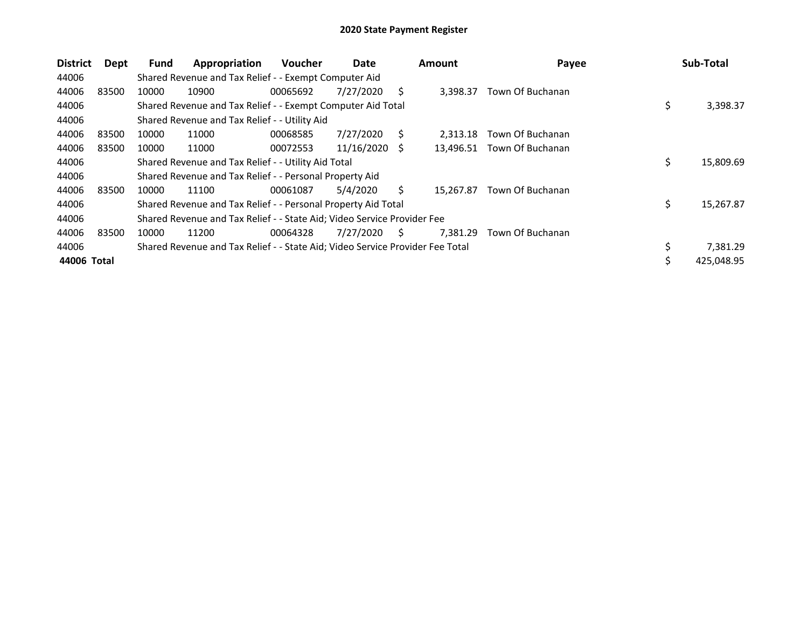| <b>District</b> | Dept  | <b>Fund</b> | Appropriation                                                                 | <b>Voucher</b> | Date       |    | <b>Amount</b> | Payee            | Sub-Total        |
|-----------------|-------|-------------|-------------------------------------------------------------------------------|----------------|------------|----|---------------|------------------|------------------|
| 44006           |       |             | Shared Revenue and Tax Relief - - Exempt Computer Aid                         |                |            |    |               |                  |                  |
| 44006           | 83500 | 10000       | 10900                                                                         | 00065692       | 7/27/2020  | S  | 3,398.37      | Town Of Buchanan |                  |
| 44006           |       |             | Shared Revenue and Tax Relief - - Exempt Computer Aid Total                   |                |            |    |               |                  | \$<br>3,398.37   |
| 44006           |       |             | Shared Revenue and Tax Relief - - Utility Aid                                 |                |            |    |               |                  |                  |
| 44006           | 83500 | 10000       | 11000                                                                         | 00068585       | 7/27/2020  | S. | 2.313.18      | Town Of Buchanan |                  |
| 44006           | 83500 | 10000       | 11000                                                                         | 00072553       | 11/16/2020 | -S | 13,496.51     | Town Of Buchanan |                  |
| 44006           |       |             | Shared Revenue and Tax Relief - - Utility Aid Total                           |                |            |    |               |                  | \$<br>15,809.69  |
| 44006           |       |             | Shared Revenue and Tax Relief - - Personal Property Aid                       |                |            |    |               |                  |                  |
| 44006           | 83500 | 10000       | 11100                                                                         | 00061087       | 5/4/2020   | S. | 15.267.87     | Town Of Buchanan |                  |
| 44006           |       |             | Shared Revenue and Tax Relief - - Personal Property Aid Total                 |                |            |    |               |                  | \$<br>15,267.87  |
| 44006           |       |             | Shared Revenue and Tax Relief - - State Aid; Video Service Provider Fee       |                |            |    |               |                  |                  |
| 44006           | 83500 | 10000       | 11200                                                                         | 00064328       | 7/27/2020  | S  | 7.381.29      | Town Of Buchanan |                  |
| 44006           |       |             | Shared Revenue and Tax Relief - - State Aid; Video Service Provider Fee Total |                |            |    |               |                  | \$<br>7,381.29   |
| 44006 Total     |       |             |                                                                               |                |            |    |               |                  | \$<br>425,048.95 |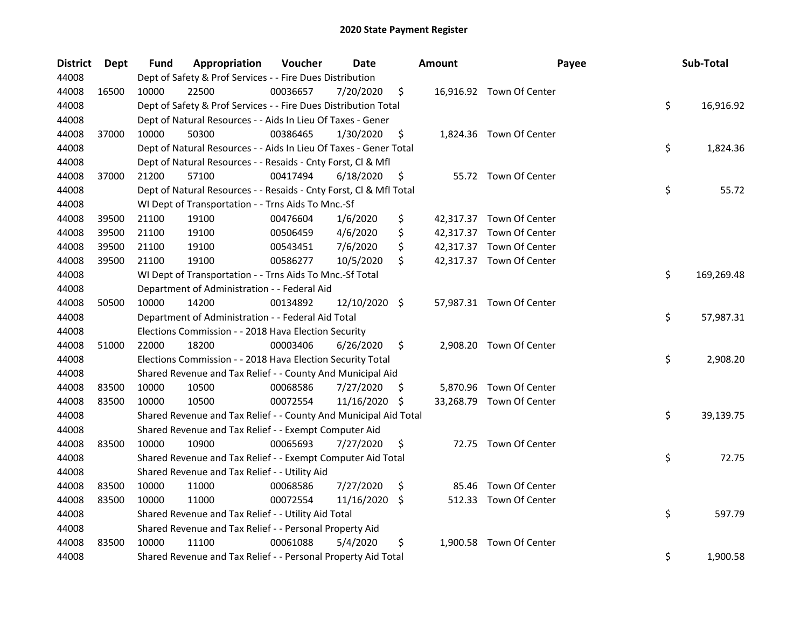| District | Dept  | Fund  | Appropriation                                                      | Voucher  | Date          |     | <b>Amount</b> | Payee                    | Sub-Total        |
|----------|-------|-------|--------------------------------------------------------------------|----------|---------------|-----|---------------|--------------------------|------------------|
| 44008    |       |       | Dept of Safety & Prof Services - - Fire Dues Distribution          |          |               |     |               |                          |                  |
| 44008    | 16500 | 10000 | 22500                                                              | 00036657 | 7/20/2020     | \$  |               | 16,916.92 Town Of Center |                  |
| 44008    |       |       | Dept of Safety & Prof Services - - Fire Dues Distribution Total    |          |               |     |               |                          | \$<br>16,916.92  |
| 44008    |       |       | Dept of Natural Resources - - Aids In Lieu Of Taxes - Gener        |          |               |     |               |                          |                  |
| 44008    | 37000 | 10000 | 50300                                                              | 00386465 | 1/30/2020     | \$  |               | 1,824.36 Town Of Center  |                  |
| 44008    |       |       | Dept of Natural Resources - - Aids In Lieu Of Taxes - Gener Total  |          |               |     |               |                          | \$<br>1,824.36   |
| 44008    |       |       | Dept of Natural Resources - - Resaids - Cnty Forst, Cl & Mfl       |          |               |     |               |                          |                  |
| 44008    | 37000 | 21200 | 57100                                                              | 00417494 | 6/18/2020     | \$  |               | 55.72 Town Of Center     |                  |
| 44008    |       |       | Dept of Natural Resources - - Resaids - Cnty Forst, Cl & Mfl Total |          |               |     |               |                          | \$<br>55.72      |
| 44008    |       |       | WI Dept of Transportation - - Trns Aids To Mnc.-Sf                 |          |               |     |               |                          |                  |
| 44008    | 39500 | 21100 | 19100                                                              | 00476604 | 1/6/2020      | \$  |               | 42,317.37 Town Of Center |                  |
| 44008    | 39500 | 21100 | 19100                                                              | 00506459 | 4/6/2020      | \$  |               | 42,317.37 Town Of Center |                  |
| 44008    | 39500 | 21100 | 19100                                                              | 00543451 | 7/6/2020      | \$  |               | 42,317.37 Town Of Center |                  |
| 44008    | 39500 | 21100 | 19100                                                              | 00586277 | 10/5/2020     | \$  |               | 42,317.37 Town Of Center |                  |
| 44008    |       |       | WI Dept of Transportation - - Trns Aids To Mnc.-Sf Total           |          |               |     |               |                          | \$<br>169,269.48 |
| 44008    |       |       | Department of Administration - - Federal Aid                       |          |               |     |               |                          |                  |
| 44008    | 50500 | 10000 | 14200                                                              | 00134892 | 12/10/2020 \$ |     |               | 57,987.31 Town Of Center |                  |
| 44008    |       |       | Department of Administration - - Federal Aid Total                 |          |               |     |               |                          | \$<br>57,987.31  |
| 44008    |       |       | Elections Commission - - 2018 Hava Election Security               |          |               |     |               |                          |                  |
| 44008    | 51000 | 22000 | 18200                                                              | 00003406 | 6/26/2020     | \$  |               | 2,908.20 Town Of Center  |                  |
| 44008    |       |       | Elections Commission - - 2018 Hava Election Security Total         |          |               |     |               |                          | \$<br>2,908.20   |
| 44008    |       |       | Shared Revenue and Tax Relief - - County And Municipal Aid         |          |               |     |               |                          |                  |
| 44008    | 83500 | 10000 | 10500                                                              | 00068586 | 7/27/2020     | \$. |               | 5,870.96 Town Of Center  |                  |
| 44008    | 83500 | 10000 | 10500                                                              | 00072554 | 11/16/2020    | \$  |               | 33,268.79 Town Of Center |                  |
| 44008    |       |       | Shared Revenue and Tax Relief - - County And Municipal Aid Total   |          |               |     |               |                          | \$<br>39,139.75  |
| 44008    |       |       | Shared Revenue and Tax Relief - - Exempt Computer Aid              |          |               |     |               |                          |                  |
| 44008    | 83500 | 10000 | 10900                                                              | 00065693 | 7/27/2020     | \$  |               | 72.75 Town Of Center     |                  |
| 44008    |       |       | Shared Revenue and Tax Relief - - Exempt Computer Aid Total        |          |               |     |               |                          | \$<br>72.75      |
| 44008    |       |       | Shared Revenue and Tax Relief - - Utility Aid                      |          |               |     |               |                          |                  |
| 44008    | 83500 | 10000 | 11000                                                              | 00068586 | 7/27/2020     | \$  |               | 85.46 Town Of Center     |                  |
| 44008    | 83500 | 10000 | 11000                                                              | 00072554 | 11/16/2020    | \$  |               | 512.33 Town Of Center    |                  |
| 44008    |       |       | Shared Revenue and Tax Relief - - Utility Aid Total                |          |               |     |               |                          | \$<br>597.79     |
| 44008    |       |       | Shared Revenue and Tax Relief - - Personal Property Aid            |          |               |     |               |                          |                  |
| 44008    | 83500 | 10000 | 11100                                                              | 00061088 | 5/4/2020      | \$  |               | 1,900.58 Town Of Center  |                  |
| 44008    |       |       | Shared Revenue and Tax Relief - - Personal Property Aid Total      |          |               |     |               |                          | \$<br>1,900.58   |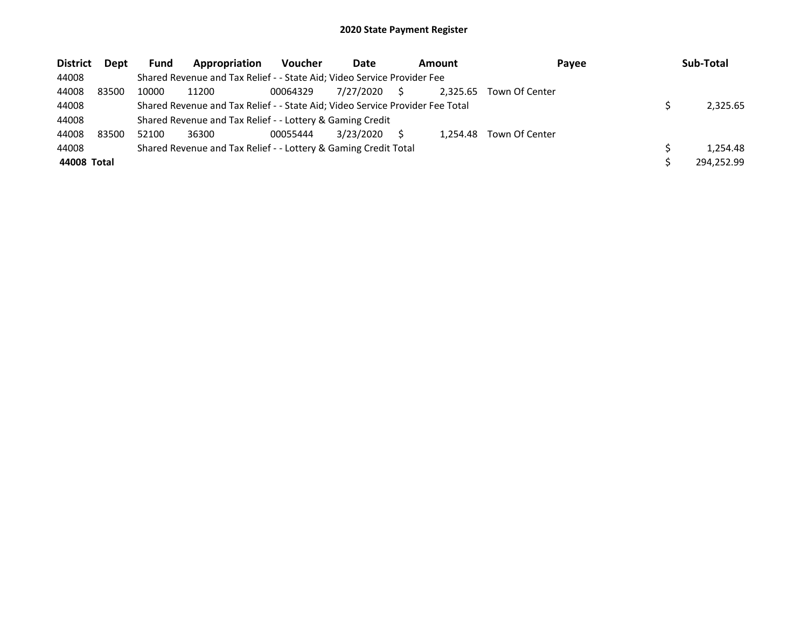| <b>District</b> | <b>Dept</b> | <b>Fund</b> | Appropriation                                                                 | <b>Voucher</b> | Date      | Amount<br>Payee |          |                | Sub-Total |            |
|-----------------|-------------|-------------|-------------------------------------------------------------------------------|----------------|-----------|-----------------|----------|----------------|-----------|------------|
| 44008           |             |             | Shared Revenue and Tax Relief - - State Aid; Video Service Provider Fee       |                |           |                 |          |                |           |            |
| 44008           | 83500       | 10000       | 11200                                                                         | 00064329       | 7/27/2020 | S.              | 2.325.65 | Town Of Center |           |            |
| 44008           |             |             | Shared Revenue and Tax Relief - - State Aid; Video Service Provider Fee Total |                |           |                 |          |                |           | 2.325.65   |
| 44008           |             |             | Shared Revenue and Tax Relief - - Lottery & Gaming Credit                     |                |           |                 |          |                |           |            |
| 44008           | 83500       | 52100       | 36300                                                                         | 00055444       | 3/23/2020 |                 | 1.254.48 | Town Of Center |           |            |
| 44008           |             |             | Shared Revenue and Tax Relief - - Lottery & Gaming Credit Total               |                |           |                 |          |                |           | 1.254.48   |
| 44008 Total     |             |             |                                                                               |                |           |                 |          |                |           | 294.252.99 |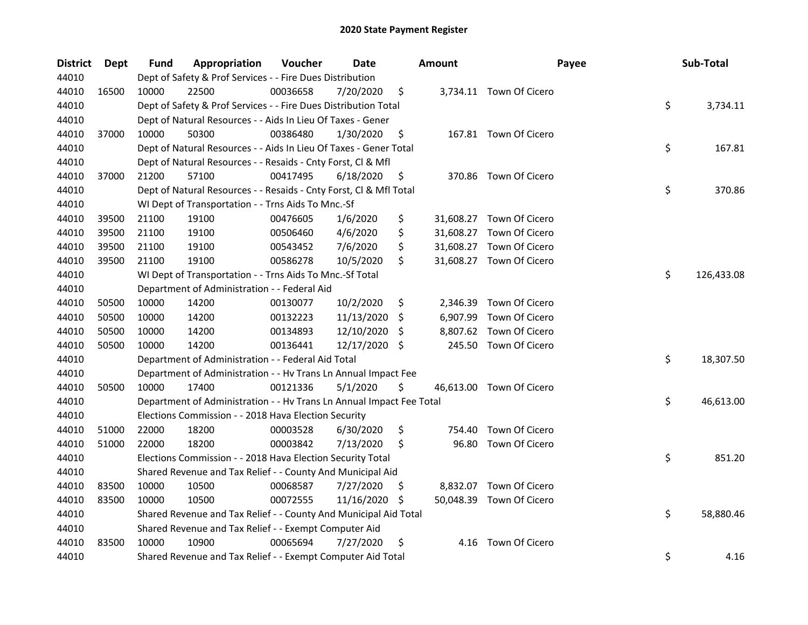| <b>District</b> | <b>Dept</b> | Fund  | Appropriation                                                        | Voucher  | <b>Date</b> |     | <b>Amount</b> | Payee                    | Sub-Total        |
|-----------------|-------------|-------|----------------------------------------------------------------------|----------|-------------|-----|---------------|--------------------------|------------------|
| 44010           |             |       | Dept of Safety & Prof Services - - Fire Dues Distribution            |          |             |     |               |                          |                  |
| 44010           | 16500       | 10000 | 22500                                                                | 00036658 | 7/20/2020   | \$  |               | 3,734.11 Town Of Cicero  |                  |
| 44010           |             |       | Dept of Safety & Prof Services - - Fire Dues Distribution Total      |          |             |     |               |                          | \$<br>3,734.11   |
| 44010           |             |       | Dept of Natural Resources - - Aids In Lieu Of Taxes - Gener          |          |             |     |               |                          |                  |
| 44010           | 37000       | 10000 | 50300                                                                | 00386480 | 1/30/2020   | \$  |               | 167.81 Town Of Cicero    |                  |
| 44010           |             |       | Dept of Natural Resources - - Aids In Lieu Of Taxes - Gener Total    |          |             |     |               |                          | \$<br>167.81     |
| 44010           |             |       | Dept of Natural Resources - - Resaids - Cnty Forst, Cl & Mfl         |          |             |     |               |                          |                  |
| 44010           | 37000       | 21200 | 57100                                                                | 00417495 | 6/18/2020   | \$  |               | 370.86 Town Of Cicero    |                  |
| 44010           |             |       | Dept of Natural Resources - - Resaids - Cnty Forst, Cl & Mfl Total   |          |             |     |               |                          | \$<br>370.86     |
| 44010           |             |       | WI Dept of Transportation - - Trns Aids To Mnc.-Sf                   |          |             |     |               |                          |                  |
| 44010           | 39500       | 21100 | 19100                                                                | 00476605 | 1/6/2020    | \$  |               | 31,608.27 Town Of Cicero |                  |
| 44010           | 39500       | 21100 | 19100                                                                | 00506460 | 4/6/2020    | \$  |               | 31,608.27 Town Of Cicero |                  |
| 44010           | 39500       | 21100 | 19100                                                                | 00543452 | 7/6/2020    | \$  |               | 31,608.27 Town Of Cicero |                  |
| 44010           | 39500       | 21100 | 19100                                                                | 00586278 | 10/5/2020   | \$  |               | 31,608.27 Town Of Cicero |                  |
| 44010           |             |       | WI Dept of Transportation - - Trns Aids To Mnc.-Sf Total             |          |             |     |               |                          | \$<br>126,433.08 |
| 44010           |             |       | Department of Administration - - Federal Aid                         |          |             |     |               |                          |                  |
| 44010           | 50500       | 10000 | 14200                                                                | 00130077 | 10/2/2020   | \$  | 2,346.39      | Town Of Cicero           |                  |
| 44010           | 50500       | 10000 | 14200                                                                | 00132223 | 11/13/2020  | \$  | 6,907.99      | Town Of Cicero           |                  |
| 44010           | 50500       | 10000 | 14200                                                                | 00134893 | 12/10/2020  | \$  | 8,807.62      | Town Of Cicero           |                  |
| 44010           | 50500       | 10000 | 14200                                                                | 00136441 | 12/17/2020  | \$  | 245.50        | Town Of Cicero           |                  |
| 44010           |             |       | Department of Administration - - Federal Aid Total                   |          |             |     |               |                          | \$<br>18,307.50  |
| 44010           |             |       | Department of Administration - - Hv Trans Ln Annual Impact Fee       |          |             |     |               |                          |                  |
| 44010           | 50500       | 10000 | 17400                                                                | 00121336 | 5/1/2020    | \$  |               | 46,613.00 Town Of Cicero |                  |
| 44010           |             |       | Department of Administration - - Hv Trans Ln Annual Impact Fee Total |          |             |     |               |                          | \$<br>46,613.00  |
| 44010           |             |       | Elections Commission - - 2018 Hava Election Security                 |          |             |     |               |                          |                  |
| 44010           | 51000       | 22000 | 18200                                                                | 00003528 | 6/30/2020   | \$  | 754.40        | Town Of Cicero           |                  |
| 44010           | 51000       | 22000 | 18200                                                                | 00003842 | 7/13/2020   | \$  | 96.80         | Town Of Cicero           |                  |
| 44010           |             |       | Elections Commission - - 2018 Hava Election Security Total           |          |             |     |               |                          | \$<br>851.20     |
| 44010           |             |       | Shared Revenue and Tax Relief - - County And Municipal Aid           |          |             |     |               |                          |                  |
| 44010           | 83500       | 10000 | 10500                                                                | 00068587 | 7/27/2020   | \$  |               | 8,832.07 Town Of Cicero  |                  |
| 44010           | 83500       | 10000 | 10500                                                                | 00072555 | 11/16/2020  | \$. |               | 50,048.39 Town Of Cicero |                  |
| 44010           |             |       | Shared Revenue and Tax Relief - - County And Municipal Aid Total     |          |             |     |               |                          | \$<br>58,880.46  |
| 44010           |             |       | Shared Revenue and Tax Relief - - Exempt Computer Aid                |          |             |     |               |                          |                  |
| 44010           | 83500       | 10000 | 10900                                                                | 00065694 | 7/27/2020   | \$  | 4.16          | Town Of Cicero           |                  |
| 44010           |             |       | Shared Revenue and Tax Relief - - Exempt Computer Aid Total          |          |             |     |               |                          | \$<br>4.16       |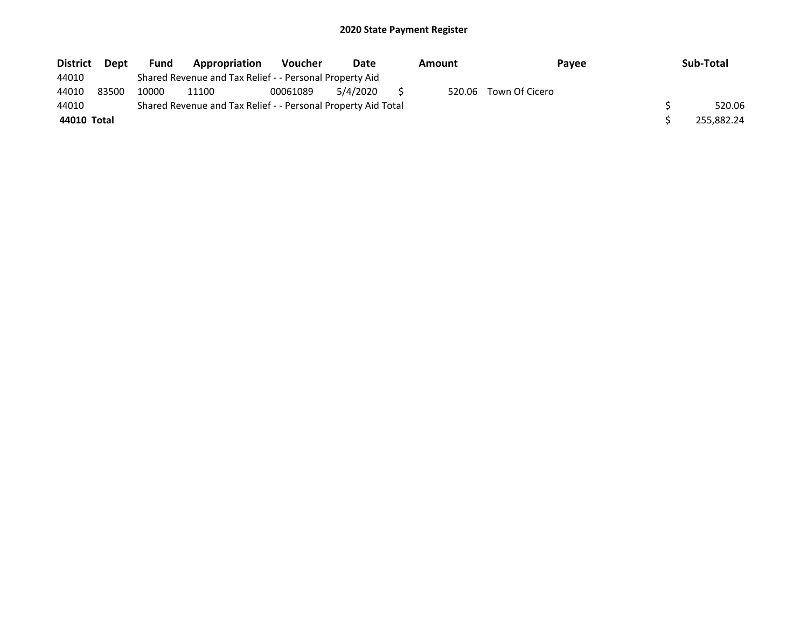| <b>District</b> | <b>Dept</b> | <b>Fund</b> | Appropriation                                                 | <b>Voucher</b> | Date     | Amount | <b>Pavee</b>   | Sub-Total  |
|-----------------|-------------|-------------|---------------------------------------------------------------|----------------|----------|--------|----------------|------------|
| 44010           |             |             | Shared Revenue and Tax Relief - - Personal Property Aid       |                |          |        |                |            |
| 44010           | 83500       | 10000       | 11100                                                         | 00061089       | 5/4/2020 | 520.06 | Town Of Cicero |            |
| 44010           |             |             | Shared Revenue and Tax Relief - - Personal Property Aid Total |                |          |        |                | 520.06     |
| 44010 Total     |             |             |                                                               |                |          |        |                | 255,882.24 |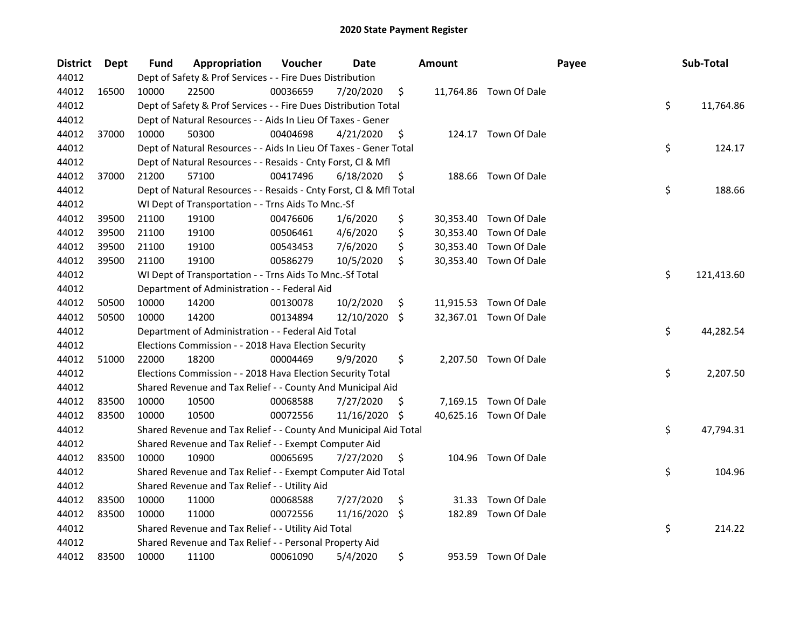| <b>District</b> | Dept  | Fund  | Appropriation                                                      | Voucher  | Date       |     | <b>Amount</b> |                        | Payee | Sub-Total        |
|-----------------|-------|-------|--------------------------------------------------------------------|----------|------------|-----|---------------|------------------------|-------|------------------|
| 44012           |       |       | Dept of Safety & Prof Services - - Fire Dues Distribution          |          |            |     |               |                        |       |                  |
| 44012           | 16500 | 10000 | 22500                                                              | 00036659 | 7/20/2020  | \$  |               | 11,764.86 Town Of Dale |       |                  |
| 44012           |       |       | Dept of Safety & Prof Services - - Fire Dues Distribution Total    |          |            |     |               |                        |       | \$<br>11,764.86  |
| 44012           |       |       | Dept of Natural Resources - - Aids In Lieu Of Taxes - Gener        |          |            |     |               |                        |       |                  |
| 44012           | 37000 | 10000 | 50300                                                              | 00404698 | 4/21/2020  | \$  |               | 124.17 Town Of Dale    |       |                  |
| 44012           |       |       | Dept of Natural Resources - - Aids In Lieu Of Taxes - Gener Total  |          |            |     |               |                        |       | \$<br>124.17     |
| 44012           |       |       | Dept of Natural Resources - - Resaids - Cnty Forst, Cl & Mfl       |          |            |     |               |                        |       |                  |
| 44012           | 37000 | 21200 | 57100                                                              | 00417496 | 6/18/2020  | \$  |               | 188.66 Town Of Dale    |       |                  |
| 44012           |       |       | Dept of Natural Resources - - Resaids - Cnty Forst, Cl & Mfl Total |          |            |     |               |                        |       | \$<br>188.66     |
| 44012           |       |       | WI Dept of Transportation - - Trns Aids To Mnc.-Sf                 |          |            |     |               |                        |       |                  |
| 44012           | 39500 | 21100 | 19100                                                              | 00476606 | 1/6/2020   | \$  |               | 30,353.40 Town Of Dale |       |                  |
| 44012           | 39500 | 21100 | 19100                                                              | 00506461 | 4/6/2020   | \$  |               | 30,353.40 Town Of Dale |       |                  |
| 44012           | 39500 | 21100 | 19100                                                              | 00543453 | 7/6/2020   | \$  |               | 30,353.40 Town Of Dale |       |                  |
| 44012           | 39500 | 21100 | 19100                                                              | 00586279 | 10/5/2020  | \$  |               | 30,353.40 Town Of Dale |       |                  |
| 44012           |       |       | WI Dept of Transportation - - Trns Aids To Mnc.-Sf Total           |          |            |     |               |                        |       | \$<br>121,413.60 |
| 44012           |       |       | Department of Administration - - Federal Aid                       |          |            |     |               |                        |       |                  |
| 44012           | 50500 | 10000 | 14200                                                              | 00130078 | 10/2/2020  | \$  |               | 11,915.53 Town Of Dale |       |                  |
| 44012           | 50500 | 10000 | 14200                                                              | 00134894 | 12/10/2020 | Ŝ.  |               | 32,367.01 Town Of Dale |       |                  |
| 44012           |       |       | Department of Administration - - Federal Aid Total                 |          |            |     |               |                        |       | \$<br>44,282.54  |
| 44012           |       |       | Elections Commission - - 2018 Hava Election Security               |          |            |     |               |                        |       |                  |
| 44012           | 51000 | 22000 | 18200                                                              | 00004469 | 9/9/2020   | \$  |               | 2,207.50 Town Of Dale  |       |                  |
| 44012           |       |       | Elections Commission - - 2018 Hava Election Security Total         |          |            |     |               |                        |       | \$<br>2,207.50   |
| 44012           |       |       | Shared Revenue and Tax Relief - - County And Municipal Aid         |          |            |     |               |                        |       |                  |
| 44012           | 83500 | 10000 | 10500                                                              | 00068588 | 7/27/2020  | \$. |               | 7,169.15 Town Of Dale  |       |                  |
| 44012           | 83500 | 10000 | 10500                                                              | 00072556 | 11/16/2020 | \$  |               | 40,625.16 Town Of Dale |       |                  |
| 44012           |       |       | Shared Revenue and Tax Relief - - County And Municipal Aid Total   |          |            |     |               |                        |       | \$<br>47,794.31  |
| 44012           |       |       | Shared Revenue and Tax Relief - - Exempt Computer Aid              |          |            |     |               |                        |       |                  |
| 44012           | 83500 | 10000 | 10900                                                              | 00065695 | 7/27/2020  | \$  |               | 104.96 Town Of Dale    |       |                  |
| 44012           |       |       | Shared Revenue and Tax Relief - - Exempt Computer Aid Total        |          |            |     |               |                        |       | \$<br>104.96     |
| 44012           |       |       | Shared Revenue and Tax Relief - - Utility Aid                      |          |            |     |               |                        |       |                  |
| 44012           | 83500 | 10000 | 11000                                                              | 00068588 | 7/27/2020  | \$  | 31.33         | Town Of Dale           |       |                  |
| 44012           | 83500 | 10000 | 11000                                                              | 00072556 | 11/16/2020 | \$  | 182.89        | Town Of Dale           |       |                  |
| 44012           |       |       | Shared Revenue and Tax Relief - - Utility Aid Total                |          |            |     |               |                        |       | \$<br>214.22     |
| 44012           |       |       | Shared Revenue and Tax Relief - - Personal Property Aid            |          |            |     |               |                        |       |                  |
| 44012           | 83500 | 10000 | 11100                                                              | 00061090 | 5/4/2020   | \$  |               | 953.59 Town Of Dale    |       |                  |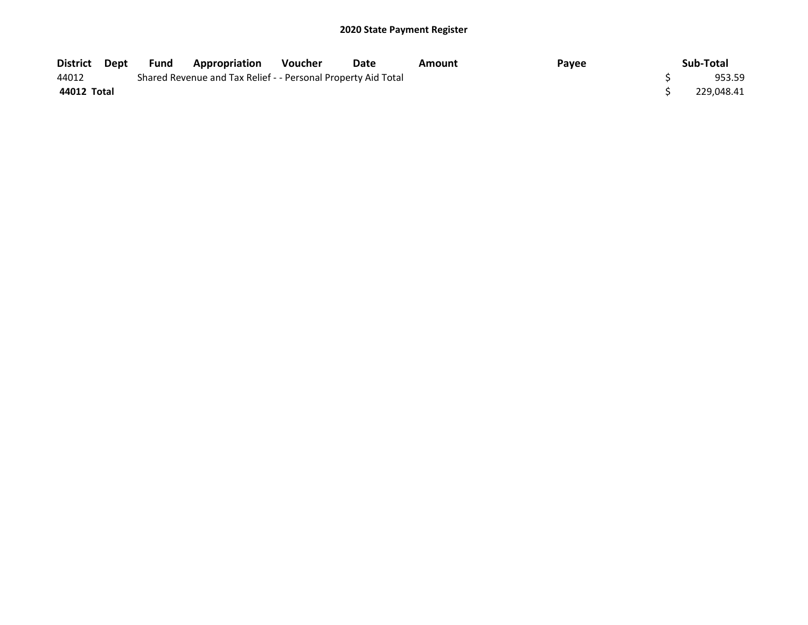| District Dept | Fund | <b>Appropriation</b>                                          | <b>Voucher</b> | Date | Amount | Payee | Sub-Total  |
|---------------|------|---------------------------------------------------------------|----------------|------|--------|-------|------------|
| 44012         |      | Shared Revenue and Tax Relief - - Personal Property Aid Total |                |      |        |       | 953.59     |
| 44012 Total   |      |                                                               |                |      |        |       | 229.048.41 |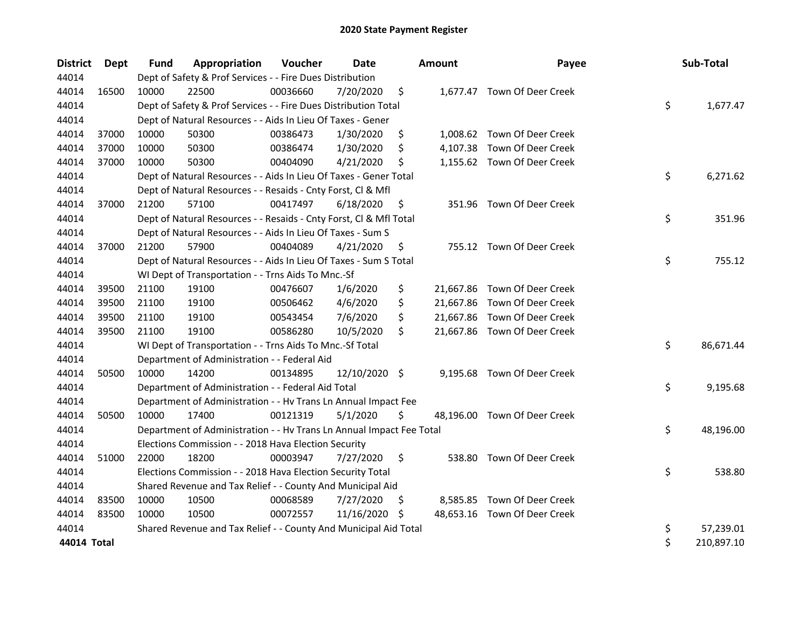| <b>District</b> | Dept  | Fund  | Appropriation                                                        | Voucher  | <b>Date</b>   |    | <b>Amount</b> | Payee                        | Sub-Total        |
|-----------------|-------|-------|----------------------------------------------------------------------|----------|---------------|----|---------------|------------------------------|------------------|
| 44014           |       |       | Dept of Safety & Prof Services - - Fire Dues Distribution            |          |               |    |               |                              |                  |
| 44014           | 16500 | 10000 | 22500                                                                | 00036660 | 7/20/2020     | \$ |               | 1,677.47 Town Of Deer Creek  |                  |
| 44014           |       |       | Dept of Safety & Prof Services - - Fire Dues Distribution Total      |          |               |    |               |                              | \$<br>1,677.47   |
| 44014           |       |       | Dept of Natural Resources - - Aids In Lieu Of Taxes - Gener          |          |               |    |               |                              |                  |
| 44014           | 37000 | 10000 | 50300                                                                | 00386473 | 1/30/2020     | \$ |               | 1,008.62 Town Of Deer Creek  |                  |
| 44014           | 37000 | 10000 | 50300                                                                | 00386474 | 1/30/2020     | \$ |               | 4,107.38 Town Of Deer Creek  |                  |
| 44014           | 37000 | 10000 | 50300                                                                | 00404090 | 4/21/2020     | \$ |               | 1,155.62 Town Of Deer Creek  |                  |
| 44014           |       |       | Dept of Natural Resources - - Aids In Lieu Of Taxes - Gener Total    |          |               |    |               |                              | \$<br>6,271.62   |
| 44014           |       |       | Dept of Natural Resources - - Resaids - Cnty Forst, Cl & Mfl         |          |               |    |               |                              |                  |
| 44014           | 37000 | 21200 | 57100                                                                | 00417497 | 6/18/2020     | \$ |               | 351.96 Town Of Deer Creek    |                  |
| 44014           |       |       | Dept of Natural Resources - - Resaids - Cnty Forst, Cl & Mfl Total   |          |               |    |               |                              | \$<br>351.96     |
| 44014           |       |       | Dept of Natural Resources - - Aids In Lieu Of Taxes - Sum S          |          |               |    |               |                              |                  |
| 44014           | 37000 | 21200 | 57900                                                                | 00404089 | 4/21/2020     | \$ |               | 755.12 Town Of Deer Creek    |                  |
| 44014           |       |       | Dept of Natural Resources - - Aids In Lieu Of Taxes - Sum S Total    |          |               |    |               |                              | \$<br>755.12     |
| 44014           |       |       | WI Dept of Transportation - - Trns Aids To Mnc.-Sf                   |          |               |    |               |                              |                  |
| 44014           | 39500 | 21100 | 19100                                                                | 00476607 | 1/6/2020      | \$ |               | 21,667.86 Town Of Deer Creek |                  |
| 44014           | 39500 | 21100 | 19100                                                                | 00506462 | 4/6/2020      | \$ |               | 21,667.86 Town Of Deer Creek |                  |
| 44014           | 39500 | 21100 | 19100                                                                | 00543454 | 7/6/2020      | \$ |               | 21,667.86 Town Of Deer Creek |                  |
| 44014           | 39500 | 21100 | 19100                                                                | 00586280 | 10/5/2020     | \$ |               | 21,667.86 Town Of Deer Creek |                  |
| 44014           |       |       | WI Dept of Transportation - - Trns Aids To Mnc.-Sf Total             |          |               |    |               |                              | \$<br>86,671.44  |
| 44014           |       |       | Department of Administration - - Federal Aid                         |          |               |    |               |                              |                  |
| 44014           | 50500 | 10000 | 14200                                                                | 00134895 | 12/10/2020 \$ |    |               | 9,195.68 Town Of Deer Creek  |                  |
| 44014           |       |       | Department of Administration - - Federal Aid Total                   |          |               |    |               |                              | \$<br>9,195.68   |
| 44014           |       |       | Department of Administration - - Hv Trans Ln Annual Impact Fee       |          |               |    |               |                              |                  |
| 44014           | 50500 | 10000 | 17400                                                                | 00121319 | 5/1/2020      | \$ |               | 48,196.00 Town Of Deer Creek |                  |
| 44014           |       |       | Department of Administration - - Hv Trans Ln Annual Impact Fee Total |          |               |    |               |                              | \$<br>48,196.00  |
| 44014           |       |       | Elections Commission - - 2018 Hava Election Security                 |          |               |    |               |                              |                  |
| 44014           | 51000 | 22000 | 18200                                                                | 00003947 | 7/27/2020     | \$ |               | 538.80 Town Of Deer Creek    |                  |
| 44014           |       |       | Elections Commission - - 2018 Hava Election Security Total           |          |               |    |               |                              | \$<br>538.80     |
| 44014           |       |       | Shared Revenue and Tax Relief - - County And Municipal Aid           |          |               |    |               |                              |                  |
| 44014           | 83500 | 10000 | 10500                                                                | 00068589 | 7/27/2020     | \$ |               | 8,585.85 Town Of Deer Creek  |                  |
| 44014           | 83500 | 10000 | 10500                                                                | 00072557 | 11/16/2020    | S. |               | 48,653.16 Town Of Deer Creek |                  |
| 44014           |       |       | Shared Revenue and Tax Relief - - County And Municipal Aid Total     |          |               |    |               |                              | \$<br>57,239.01  |
| 44014 Total     |       |       |                                                                      |          |               |    |               |                              | \$<br>210,897.10 |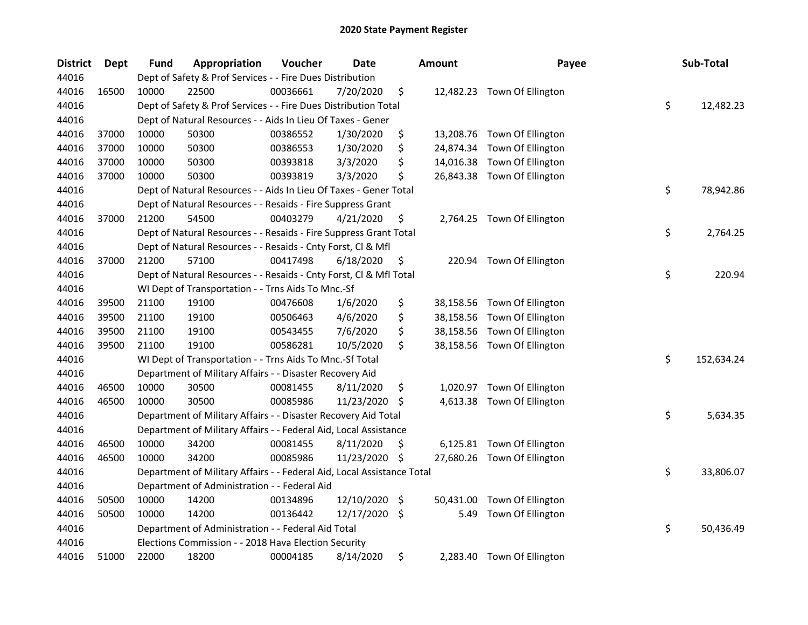| <b>District</b> | <b>Dept</b> | Fund  | Appropriation                                                          | Voucher  | <b>Date</b> |               | <b>Amount</b> | Payee                       | Sub-Total        |
|-----------------|-------------|-------|------------------------------------------------------------------------|----------|-------------|---------------|---------------|-----------------------------|------------------|
| 44016           |             |       | Dept of Safety & Prof Services - - Fire Dues Distribution              |          |             |               |               |                             |                  |
| 44016           | 16500       | 10000 | 22500                                                                  | 00036661 | 7/20/2020   | \$            |               | 12,482.23 Town Of Ellington |                  |
| 44016           |             |       | Dept of Safety & Prof Services - - Fire Dues Distribution Total        |          |             |               |               |                             | \$<br>12,482.23  |
| 44016           |             |       | Dept of Natural Resources - - Aids In Lieu Of Taxes - Gener            |          |             |               |               |                             |                  |
| 44016           | 37000       | 10000 | 50300                                                                  | 00386552 | 1/30/2020   | \$            |               | 13,208.76 Town Of Ellington |                  |
| 44016           | 37000       | 10000 | 50300                                                                  | 00386553 | 1/30/2020   | \$            | 24,874.34     | Town Of Ellington           |                  |
| 44016           | 37000       | 10000 | 50300                                                                  | 00393818 | 3/3/2020    | \$            |               | 14,016.38 Town Of Ellington |                  |
| 44016           | 37000       | 10000 | 50300                                                                  | 00393819 | 3/3/2020    | \$            |               | 26,843.38 Town Of Ellington |                  |
| 44016           |             |       | Dept of Natural Resources - - Aids In Lieu Of Taxes - Gener Total      |          |             |               |               |                             | \$<br>78,942.86  |
| 44016           |             |       | Dept of Natural Resources - - Resaids - Fire Suppress Grant            |          |             |               |               |                             |                  |
| 44016           | 37000       | 21200 | 54500                                                                  | 00403279 | 4/21/2020   | \$            |               | 2,764.25 Town Of Ellington  |                  |
| 44016           |             |       | Dept of Natural Resources - - Resaids - Fire Suppress Grant Total      |          |             |               |               |                             | \$<br>2,764.25   |
| 44016           |             |       | Dept of Natural Resources - - Resaids - Cnty Forst, Cl & Mfl           |          |             |               |               |                             |                  |
| 44016           | 37000       | 21200 | 57100                                                                  | 00417498 | 6/18/2020   | \$            | 220.94        | Town Of Ellington           |                  |
| 44016           |             |       | Dept of Natural Resources - - Resaids - Cnty Forst, Cl & Mfl Total     |          |             |               |               |                             | \$<br>220.94     |
| 44016           |             |       | WI Dept of Transportation - - Trns Aids To Mnc.-Sf                     |          |             |               |               |                             |                  |
| 44016           | 39500       | 21100 | 19100                                                                  | 00476608 | 1/6/2020    | \$            | 38,158.56     | Town Of Ellington           |                  |
| 44016           | 39500       | 21100 | 19100                                                                  | 00506463 | 4/6/2020    | \$            | 38,158.56     | Town Of Ellington           |                  |
| 44016           | 39500       | 21100 | 19100                                                                  | 00543455 | 7/6/2020    | \$            | 38,158.56     | Town Of Ellington           |                  |
| 44016           | 39500       | 21100 | 19100                                                                  | 00586281 | 10/5/2020   | \$            | 38,158.56     | Town Of Ellington           |                  |
| 44016           |             |       | WI Dept of Transportation - - Trns Aids To Mnc.-Sf Total               |          |             |               |               |                             | \$<br>152,634.24 |
| 44016           |             |       | Department of Military Affairs - - Disaster Recovery Aid               |          |             |               |               |                             |                  |
| 44016           | 46500       | 10000 | 30500                                                                  | 00081455 | 8/11/2020   | \$            | 1,020.97      | Town Of Ellington           |                  |
| 44016           | 46500       | 10000 | 30500                                                                  | 00085986 | 11/23/2020  | \$            | 4,613.38      | Town Of Ellington           |                  |
| 44016           |             |       | Department of Military Affairs - - Disaster Recovery Aid Total         |          |             |               |               |                             | \$<br>5,634.35   |
| 44016           |             |       | Department of Military Affairs - - Federal Aid, Local Assistance       |          |             |               |               |                             |                  |
| 44016           | 46500       | 10000 | 34200                                                                  | 00081455 | 8/11/2020   | \$            |               | 6,125.81 Town Of Ellington  |                  |
| 44016           | 46500       | 10000 | 34200                                                                  | 00085986 | 11/23/2020  | \$            |               | 27,680.26 Town Of Ellington |                  |
| 44016           |             |       | Department of Military Affairs - - Federal Aid, Local Assistance Total |          |             |               |               |                             | \$<br>33,806.07  |
| 44016           |             |       | Department of Administration - - Federal Aid                           |          |             |               |               |                             |                  |
| 44016           | 50500       | 10000 | 14200                                                                  | 00134896 | 12/10/2020  | $\ddot{\phi}$ | 50,431.00     | Town Of Ellington           |                  |
| 44016           | 50500       | 10000 | 14200                                                                  | 00136442 | 12/17/2020  | \$            | 5.49          | Town Of Ellington           |                  |
| 44016           |             |       | Department of Administration - - Federal Aid Total                     |          |             |               |               |                             | \$<br>50,436.49  |
| 44016           |             |       | Elections Commission - - 2018 Hava Election Security                   |          |             |               |               |                             |                  |
| 44016           | 51000       | 22000 | 18200                                                                  | 00004185 | 8/14/2020   | \$            | 2,283.40      | Town Of Ellington           |                  |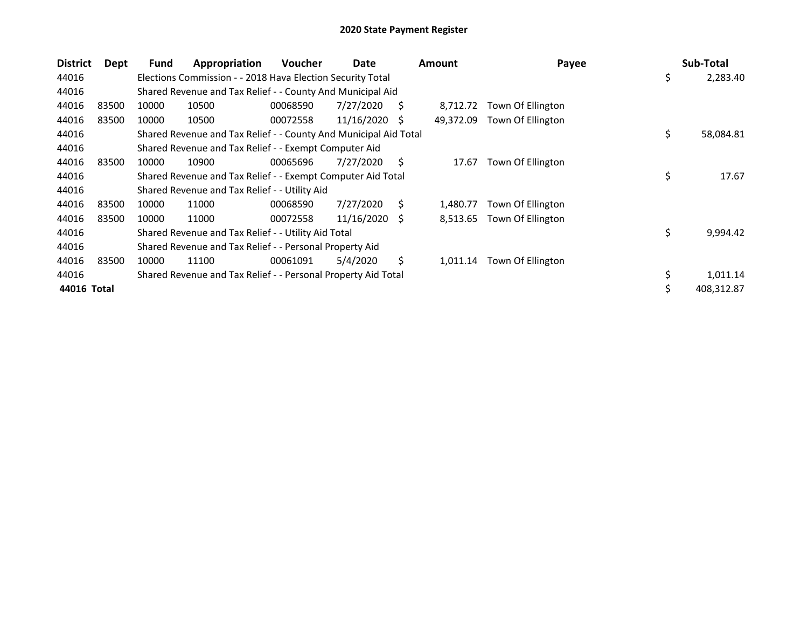| <b>District</b> | Dept  | Fund  | Appropriation                                                    | <b>Voucher</b> | Date       |    | <b>Amount</b> | Payee             | Sub-Total       |
|-----------------|-------|-------|------------------------------------------------------------------|----------------|------------|----|---------------|-------------------|-----------------|
| 44016           |       |       | Elections Commission - - 2018 Hava Election Security Total       |                |            |    |               |                   | \$<br>2,283.40  |
| 44016           |       |       | Shared Revenue and Tax Relief - - County And Municipal Aid       |                |            |    |               |                   |                 |
| 44016           | 83500 | 10000 | 10500                                                            | 00068590       | 7/27/2020  | S  | 8,712.72      | Town Of Ellington |                 |
| 44016           | 83500 | 10000 | 10500                                                            | 00072558       | 11/16/2020 | -S | 49,372.09     | Town Of Ellington |                 |
| 44016           |       |       | Shared Revenue and Tax Relief - - County And Municipal Aid Total |                |            |    |               |                   | \$<br>58,084.81 |
| 44016           |       |       | Shared Revenue and Tax Relief - - Exempt Computer Aid            |                |            |    |               |                   |                 |
| 44016           | 83500 | 10000 | 10900                                                            | 00065696       | 7/27/2020  | Ŝ. | 17.67         | Town Of Ellington |                 |
| 44016           |       |       | Shared Revenue and Tax Relief - - Exempt Computer Aid Total      |                |            |    |               |                   | \$<br>17.67     |
| 44016           |       |       | Shared Revenue and Tax Relief - - Utility Aid                    |                |            |    |               |                   |                 |
| 44016           | 83500 | 10000 | 11000                                                            | 00068590       | 7/27/2020  | S. | 1,480.77      | Town Of Ellington |                 |
| 44016           | 83500 | 10000 | 11000                                                            | 00072558       | 11/16/2020 | -S | 8,513.65      | Town Of Ellington |                 |
| 44016           |       |       | Shared Revenue and Tax Relief - - Utility Aid Total              |                |            |    |               |                   | \$<br>9,994.42  |
| 44016           |       |       | Shared Revenue and Tax Relief - - Personal Property Aid          |                |            |    |               |                   |                 |
| 44016           | 83500 | 10000 | 11100                                                            | 00061091       | 5/4/2020   | S  | 1,011.14      | Town Of Ellington |                 |
| 44016           |       |       | Shared Revenue and Tax Relief - - Personal Property Aid Total    |                |            |    |               |                   | \$<br>1,011.14  |
| 44016 Total     |       |       |                                                                  |                |            |    |               |                   | 408,312.87      |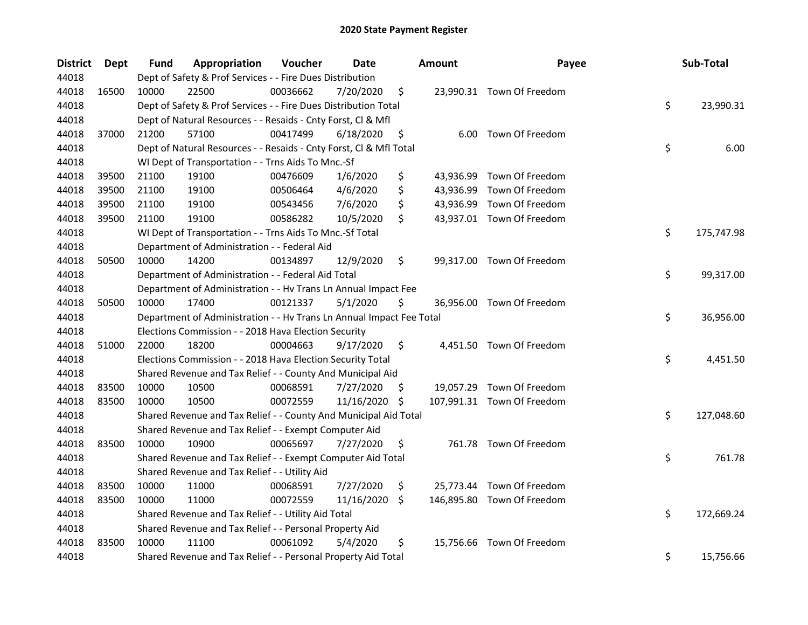| <b>District</b> | Dept  | <b>Fund</b> | Appropriation                                                        | Voucher  | Date       |     | <b>Amount</b> | Payee                      | Sub-Total        |
|-----------------|-------|-------------|----------------------------------------------------------------------|----------|------------|-----|---------------|----------------------------|------------------|
| 44018           |       |             | Dept of Safety & Prof Services - - Fire Dues Distribution            |          |            |     |               |                            |                  |
| 44018           | 16500 | 10000       | 22500                                                                | 00036662 | 7/20/2020  | \$  |               | 23,990.31 Town Of Freedom  |                  |
| 44018           |       |             | Dept of Safety & Prof Services - - Fire Dues Distribution Total      |          |            |     |               |                            | \$<br>23,990.31  |
| 44018           |       |             | Dept of Natural Resources - - Resaids - Cnty Forst, Cl & Mfl         |          |            |     |               |                            |                  |
| 44018           | 37000 | 21200       | 57100                                                                | 00417499 | 6/18/2020  | \$  |               | 6.00 Town Of Freedom       |                  |
| 44018           |       |             | Dept of Natural Resources - - Resaids - Cnty Forst, Cl & Mfl Total   |          |            |     |               |                            | \$<br>6.00       |
| 44018           |       |             | WI Dept of Transportation - - Trns Aids To Mnc.-Sf                   |          |            |     |               |                            |                  |
| 44018           | 39500 | 21100       | 19100                                                                | 00476609 | 1/6/2020   | \$  |               | 43,936.99 Town Of Freedom  |                  |
| 44018           | 39500 | 21100       | 19100                                                                | 00506464 | 4/6/2020   | \$  |               | 43,936.99 Town Of Freedom  |                  |
| 44018           | 39500 | 21100       | 19100                                                                | 00543456 | 7/6/2020   | \$  |               | 43,936.99 Town Of Freedom  |                  |
| 44018           | 39500 | 21100       | 19100                                                                | 00586282 | 10/5/2020  | \$  |               | 43,937.01 Town Of Freedom  |                  |
| 44018           |       |             | WI Dept of Transportation - - Trns Aids To Mnc.-Sf Total             |          |            |     |               |                            | \$<br>175,747.98 |
| 44018           |       |             | Department of Administration - - Federal Aid                         |          |            |     |               |                            |                  |
| 44018           | 50500 | 10000       | 14200                                                                | 00134897 | 12/9/2020  | \$  |               | 99,317.00 Town Of Freedom  |                  |
| 44018           |       |             | Department of Administration - - Federal Aid Total                   |          |            |     |               |                            | \$<br>99,317.00  |
| 44018           |       |             | Department of Administration - - Hv Trans Ln Annual Impact Fee       |          |            |     |               |                            |                  |
| 44018           | 50500 | 10000       | 17400                                                                | 00121337 | 5/1/2020   | \$  |               | 36,956.00 Town Of Freedom  |                  |
| 44018           |       |             | Department of Administration - - Hv Trans Ln Annual Impact Fee Total |          |            |     |               |                            | \$<br>36,956.00  |
| 44018           |       |             | Elections Commission - - 2018 Hava Election Security                 |          |            |     |               |                            |                  |
| 44018           | 51000 | 22000       | 18200                                                                | 00004663 | 9/17/2020  | \$  |               | 4,451.50 Town Of Freedom   |                  |
| 44018           |       |             | Elections Commission - - 2018 Hava Election Security Total           |          |            |     |               |                            | \$<br>4,451.50   |
| 44018           |       |             | Shared Revenue and Tax Relief - - County And Municipal Aid           |          |            |     |               |                            |                  |
| 44018           | 83500 | 10000       | 10500                                                                | 00068591 | 7/27/2020  | \$. |               | 19,057.29 Town Of Freedom  |                  |
| 44018           | 83500 | 10000       | 10500                                                                | 00072559 | 11/16/2020 | \$  |               | 107,991.31 Town Of Freedom |                  |
| 44018           |       |             | Shared Revenue and Tax Relief - - County And Municipal Aid Total     |          |            |     |               |                            | \$<br>127,048.60 |
| 44018           |       |             | Shared Revenue and Tax Relief - - Exempt Computer Aid                |          |            |     |               |                            |                  |
| 44018           | 83500 | 10000       | 10900                                                                | 00065697 | 7/27/2020  | \$  |               | 761.78 Town Of Freedom     |                  |
| 44018           |       |             | Shared Revenue and Tax Relief - - Exempt Computer Aid Total          |          |            |     |               |                            | \$<br>761.78     |
| 44018           |       |             | Shared Revenue and Tax Relief - - Utility Aid                        |          |            |     |               |                            |                  |
| 44018           | 83500 | 10000       | 11000                                                                | 00068591 | 7/27/2020  | \$  |               | 25,773.44 Town Of Freedom  |                  |
| 44018           | 83500 | 10000       | 11000                                                                | 00072559 | 11/16/2020 | \$. |               | 146,895.80 Town Of Freedom |                  |
| 44018           |       |             | Shared Revenue and Tax Relief - - Utility Aid Total                  |          |            |     |               |                            | \$<br>172,669.24 |
| 44018           |       |             | Shared Revenue and Tax Relief - - Personal Property Aid              |          |            |     |               |                            |                  |
| 44018           | 83500 | 10000       | 11100                                                                | 00061092 | 5/4/2020   | \$  |               | 15,756.66 Town Of Freedom  |                  |
| 44018           |       |             | Shared Revenue and Tax Relief - - Personal Property Aid Total        |          |            |     |               |                            | \$<br>15,756.66  |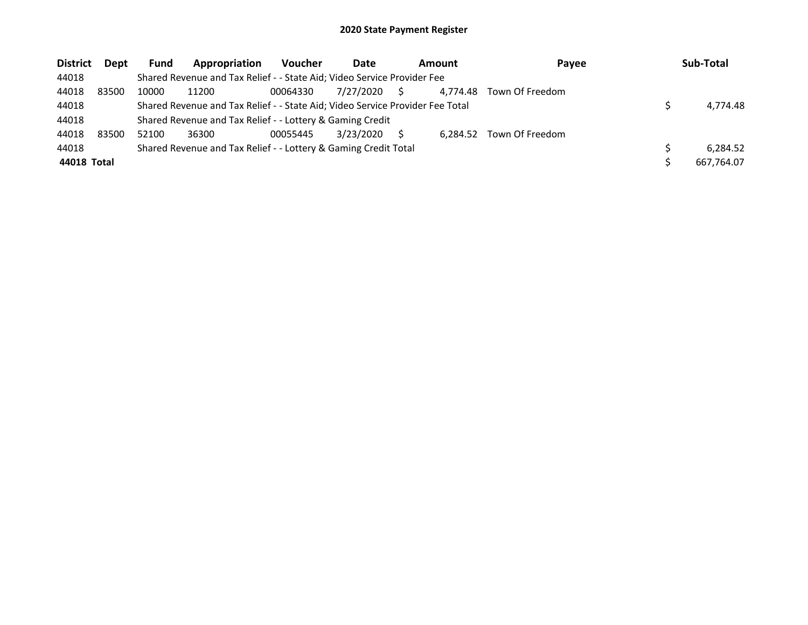| <b>District</b> | <b>Dept</b> | <b>Fund</b> | Appropriation                                                                 | <b>Voucher</b> | Date      |    | <b>Amount</b><br>Payee |                 | Sub-Total  |
|-----------------|-------------|-------------|-------------------------------------------------------------------------------|----------------|-----------|----|------------------------|-----------------|------------|
| 44018           |             |             | Shared Revenue and Tax Relief - - State Aid; Video Service Provider Fee       |                |           |    |                        |                 |            |
| 44018           | 83500       | 10000       | 11200                                                                         | 00064330       | 7/27/2020 | S. | 4.774.48               | Town Of Freedom |            |
| 44018           |             |             | Shared Revenue and Tax Relief - - State Aid; Video Service Provider Fee Total |                |           |    |                        |                 | 4.774.48   |
| 44018           |             |             | Shared Revenue and Tax Relief - - Lottery & Gaming Credit                     |                |           |    |                        |                 |            |
| 44018           | 83500       | 52100       | 36300                                                                         | 00055445       | 3/23/2020 |    | 6.284.52               | Town Of Freedom |            |
| 44018           |             |             | Shared Revenue and Tax Relief - - Lottery & Gaming Credit Total               |                |           |    |                        |                 | 6.284.52   |
| 44018 Total     |             |             |                                                                               |                |           |    |                        |                 | 667.764.07 |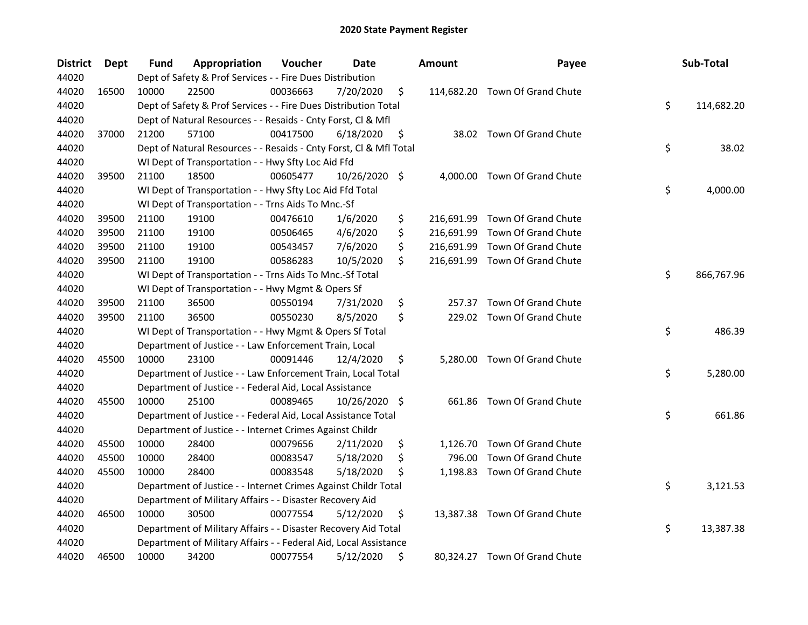| <b>District</b> | Dept  | <b>Fund</b> | Appropriation                                                      | Voucher  | Date          | <b>Amount</b>    | Payee                          | Sub-Total        |
|-----------------|-------|-------------|--------------------------------------------------------------------|----------|---------------|------------------|--------------------------------|------------------|
| 44020           |       |             | Dept of Safety & Prof Services - - Fire Dues Distribution          |          |               |                  |                                |                  |
| 44020           | 16500 | 10000       | 22500                                                              | 00036663 | 7/20/2020     | \$               | 114,682.20 Town Of Grand Chute |                  |
| 44020           |       |             | Dept of Safety & Prof Services - - Fire Dues Distribution Total    |          |               |                  |                                | \$<br>114,682.20 |
| 44020           |       |             | Dept of Natural Resources - - Resaids - Cnty Forst, Cl & Mfl       |          |               |                  |                                |                  |
| 44020           | 37000 | 21200       | 57100                                                              | 00417500 | 6/18/2020     | \$               | 38.02 Town Of Grand Chute      |                  |
| 44020           |       |             | Dept of Natural Resources - - Resaids - Cnty Forst, Cl & Mfl Total |          |               |                  |                                | \$<br>38.02      |
| 44020           |       |             | WI Dept of Transportation - - Hwy Sfty Loc Aid Ffd                 |          |               |                  |                                |                  |
| 44020           | 39500 | 21100       | 18500                                                              | 00605477 | 10/26/2020 \$ |                  | 4,000.00 Town Of Grand Chute   |                  |
| 44020           |       |             | WI Dept of Transportation - - Hwy Sfty Loc Aid Ffd Total           |          |               |                  |                                | \$<br>4,000.00   |
| 44020           |       |             | WI Dept of Transportation - - Trns Aids To Mnc.-Sf                 |          |               |                  |                                |                  |
| 44020           | 39500 | 21100       | 19100                                                              | 00476610 | 1/6/2020      | \$               | 216,691.99 Town Of Grand Chute |                  |
| 44020           | 39500 | 21100       | 19100                                                              | 00506465 | 4/6/2020      | \$<br>216,691.99 | Town Of Grand Chute            |                  |
| 44020           | 39500 | 21100       | 19100                                                              | 00543457 | 7/6/2020      | \$               | 216,691.99 Town Of Grand Chute |                  |
| 44020           | 39500 | 21100       | 19100                                                              | 00586283 | 10/5/2020     | \$               | 216,691.99 Town Of Grand Chute |                  |
| 44020           |       |             | WI Dept of Transportation - - Trns Aids To Mnc.-Sf Total           |          |               |                  |                                | \$<br>866,767.96 |
| 44020           |       |             | WI Dept of Transportation - - Hwy Mgmt & Opers Sf                  |          |               |                  |                                |                  |
| 44020           | 39500 | 21100       | 36500                                                              | 00550194 | 7/31/2020     | \$<br>257.37     | Town Of Grand Chute            |                  |
| 44020           | 39500 | 21100       | 36500                                                              | 00550230 | 8/5/2020      | \$               | 229.02 Town Of Grand Chute     |                  |
| 44020           |       |             | WI Dept of Transportation - - Hwy Mgmt & Opers Sf Total            |          |               |                  |                                | \$<br>486.39     |
| 44020           |       |             | Department of Justice - - Law Enforcement Train, Local             |          |               |                  |                                |                  |
| 44020           | 45500 | 10000       | 23100                                                              | 00091446 | 12/4/2020     | \$               | 5,280.00 Town Of Grand Chute   |                  |
| 44020           |       |             | Department of Justice - - Law Enforcement Train, Local Total       |          |               |                  |                                | \$<br>5,280.00   |
| 44020           |       |             | Department of Justice - - Federal Aid, Local Assistance            |          |               |                  |                                |                  |
| 44020           | 45500 | 10000       | 25100                                                              | 00089465 | 10/26/2020 \$ |                  | 661.86 Town Of Grand Chute     |                  |
| 44020           |       |             | Department of Justice - - Federal Aid, Local Assistance Total      |          |               |                  |                                | \$<br>661.86     |
| 44020           |       |             | Department of Justice - - Internet Crimes Against Childr           |          |               |                  |                                |                  |
| 44020           | 45500 | 10000       | 28400                                                              | 00079656 | 2/11/2020     | \$<br>1,126.70   | Town Of Grand Chute            |                  |
| 44020           | 45500 | 10000       | 28400                                                              | 00083547 | 5/18/2020     | \$<br>796.00     | Town Of Grand Chute            |                  |
| 44020           | 45500 | 10000       | 28400                                                              | 00083548 | 5/18/2020     | \$               | 1,198.83 Town Of Grand Chute   |                  |
| 44020           |       |             | Department of Justice - - Internet Crimes Against Childr Total     |          |               |                  |                                | \$<br>3,121.53   |
| 44020           |       |             | Department of Military Affairs - - Disaster Recovery Aid           |          |               |                  |                                |                  |
| 44020           | 46500 | 10000       | 30500                                                              | 00077554 | 5/12/2020     | \$               | 13,387.38 Town Of Grand Chute  |                  |
| 44020           |       |             | Department of Military Affairs - - Disaster Recovery Aid Total     |          |               |                  |                                | \$<br>13,387.38  |
| 44020           |       |             | Department of Military Affairs - - Federal Aid, Local Assistance   |          |               |                  |                                |                  |
| 44020           | 46500 | 10000       | 34200                                                              | 00077554 | 5/12/2020     | \$               | 80,324.27 Town Of Grand Chute  |                  |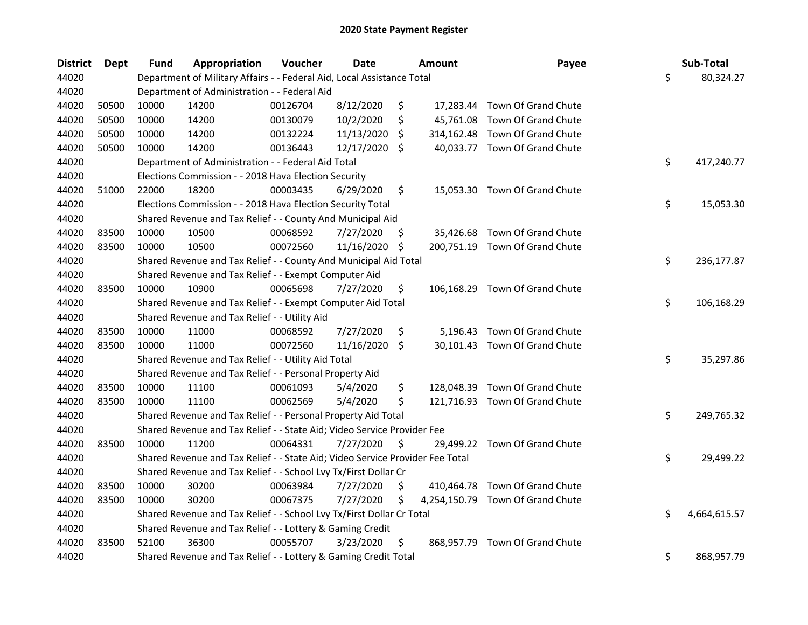| <b>District</b> | Dept  | <b>Fund</b> | Appropriation                                                                 | Voucher  | <b>Date</b> |                    | <b>Amount</b> | Payee                            | Sub-Total          |
|-----------------|-------|-------------|-------------------------------------------------------------------------------|----------|-------------|--------------------|---------------|----------------------------------|--------------------|
| 44020           |       |             | Department of Military Affairs - - Federal Aid, Local Assistance Total        |          |             |                    |               |                                  | \$<br>80,324.27    |
| 44020           |       |             | Department of Administration - - Federal Aid                                  |          |             |                    |               |                                  |                    |
| 44020           | 50500 | 10000       | 14200                                                                         | 00126704 | 8/12/2020   | \$                 |               | 17,283.44 Town Of Grand Chute    |                    |
| 44020           | 50500 | 10000       | 14200                                                                         | 00130079 | 10/2/2020   | \$                 |               | 45,761.08 Town Of Grand Chute    |                    |
| 44020           | 50500 | 10000       | 14200                                                                         | 00132224 | 11/13/2020  | S                  |               | 314,162.48 Town Of Grand Chute   |                    |
| 44020           | 50500 | 10000       | 14200                                                                         | 00136443 | 12/17/2020  | \$                 |               | 40,033.77 Town Of Grand Chute    |                    |
| 44020           |       |             | Department of Administration - - Federal Aid Total                            |          |             |                    |               |                                  | \$<br>417,240.77   |
| 44020           |       |             | Elections Commission - - 2018 Hava Election Security                          |          |             |                    |               |                                  |                    |
| 44020           | 51000 | 22000       | 18200                                                                         | 00003435 | 6/29/2020   | \$                 |               | 15,053.30 Town Of Grand Chute    |                    |
| 44020           |       |             | Elections Commission - - 2018 Hava Election Security Total                    |          |             |                    |               |                                  | \$<br>15,053.30    |
| 44020           |       |             | Shared Revenue and Tax Relief - - County And Municipal Aid                    |          |             |                    |               |                                  |                    |
| 44020           | 83500 | 10000       | 10500                                                                         | 00068592 | 7/27/2020   | S.                 |               | 35,426.68 Town Of Grand Chute    |                    |
| 44020           | 83500 | 10000       | 10500                                                                         | 00072560 | 11/16/2020  | \$                 |               | 200,751.19 Town Of Grand Chute   |                    |
| 44020           |       |             | Shared Revenue and Tax Relief - - County And Municipal Aid Total              |          |             |                    |               |                                  | \$<br>236,177.87   |
| 44020           |       |             | Shared Revenue and Tax Relief - - Exempt Computer Aid                         |          |             |                    |               |                                  |                    |
| 44020           | 83500 | 10000       | 10900                                                                         | 00065698 | 7/27/2020   | \$                 |               | 106,168.29 Town Of Grand Chute   |                    |
| 44020           |       |             | Shared Revenue and Tax Relief - - Exempt Computer Aid Total                   |          |             |                    |               |                                  | \$<br>106,168.29   |
| 44020           |       |             | Shared Revenue and Tax Relief - - Utility Aid                                 |          |             |                    |               |                                  |                    |
| 44020           | 83500 | 10000       | 11000                                                                         | 00068592 | 7/27/2020   | \$                 |               | 5,196.43 Town Of Grand Chute     |                    |
| 44020           | 83500 | 10000       | 11000                                                                         | 00072560 | 11/16/2020  | $\ddot{\varsigma}$ |               | 30,101.43 Town Of Grand Chute    |                    |
| 44020           |       |             | Shared Revenue and Tax Relief - - Utility Aid Total                           |          |             |                    |               |                                  | \$<br>35,297.86    |
| 44020           |       |             | Shared Revenue and Tax Relief - - Personal Property Aid                       |          |             |                    |               |                                  |                    |
| 44020           | 83500 | 10000       | 11100                                                                         | 00061093 | 5/4/2020    | \$                 |               | 128,048.39 Town Of Grand Chute   |                    |
| 44020           | 83500 | 10000       | 11100                                                                         | 00062569 | 5/4/2020    | \$                 |               | 121,716.93 Town Of Grand Chute   |                    |
| 44020           |       |             | Shared Revenue and Tax Relief - - Personal Property Aid Total                 |          |             |                    |               |                                  | \$<br>249,765.32   |
| 44020           |       |             | Shared Revenue and Tax Relief - - State Aid; Video Service Provider Fee       |          |             |                    |               |                                  |                    |
| 44020           | 83500 | 10000       | 11200                                                                         | 00064331 | 7/27/2020   | S                  |               | 29,499.22 Town Of Grand Chute    |                    |
| 44020           |       |             | Shared Revenue and Tax Relief - - State Aid; Video Service Provider Fee Total |          |             |                    |               |                                  | \$<br>29,499.22    |
| 44020           |       |             | Shared Revenue and Tax Relief - - School Lvy Tx/First Dollar Cr               |          |             |                    |               |                                  |                    |
| 44020           | 83500 | 10000       | 30200                                                                         | 00063984 | 7/27/2020   | \$                 |               | 410,464.78 Town Of Grand Chute   |                    |
| 44020           | 83500 | 10000       | 30200                                                                         | 00067375 | 7/27/2020   | \$                 |               | 4,254,150.79 Town Of Grand Chute |                    |
| 44020           |       |             | Shared Revenue and Tax Relief - - School Lvy Tx/First Dollar Cr Total         |          |             |                    |               |                                  | \$<br>4,664,615.57 |
| 44020           |       |             | Shared Revenue and Tax Relief - - Lottery & Gaming Credit                     |          |             |                    |               |                                  |                    |
| 44020           | 83500 | 52100       | 36300                                                                         | 00055707 | 3/23/2020   | \$                 |               | 868,957.79 Town Of Grand Chute   |                    |
| 44020           |       |             | Shared Revenue and Tax Relief - - Lottery & Gaming Credit Total               |          |             |                    |               |                                  | \$<br>868,957.79   |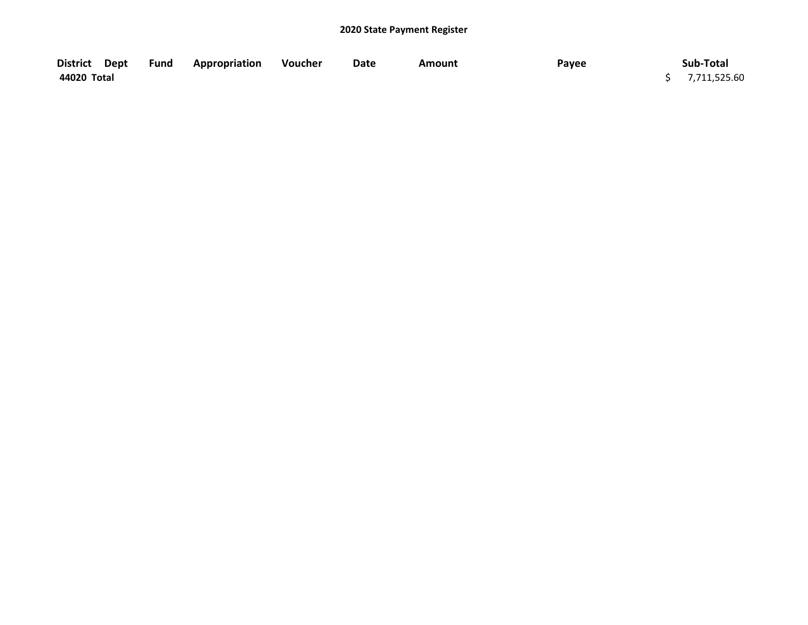| District Dept | Fund | <b>Appropriation</b> | Voucher | Date | Amount | Payee | Sub-Total      |
|---------------|------|----------------------|---------|------|--------|-------|----------------|
| 44020 Total   |      |                      |         |      |        |       | \$7,711,525.60 |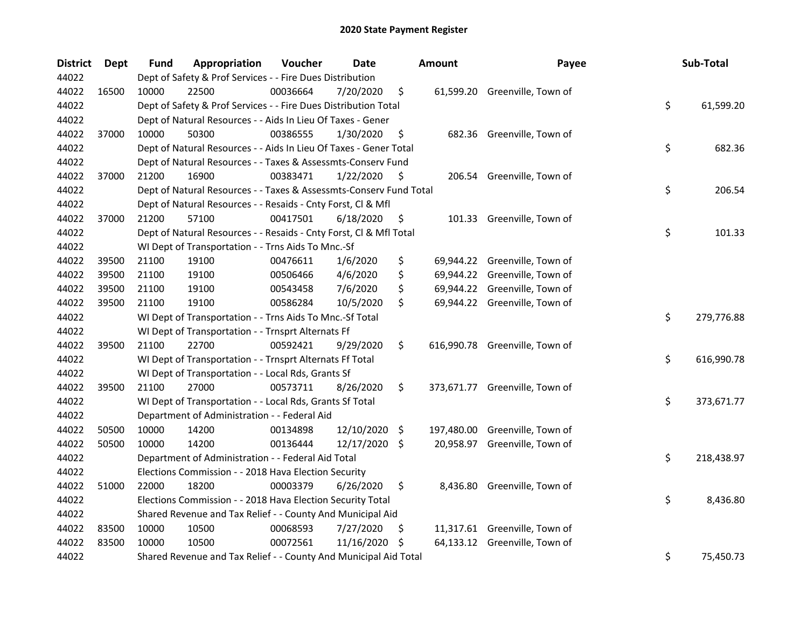| <b>District</b> | Dept  | <b>Fund</b> | Appropriation                                                      | Voucher  | Date          |      | <b>Amount</b> | Payee                          | Sub-Total        |
|-----------------|-------|-------------|--------------------------------------------------------------------|----------|---------------|------|---------------|--------------------------------|------------------|
| 44022           |       |             | Dept of Safety & Prof Services - - Fire Dues Distribution          |          |               |      |               |                                |                  |
| 44022           | 16500 | 10000       | 22500                                                              | 00036664 | 7/20/2020     | \$   |               | 61,599.20 Greenville, Town of  |                  |
| 44022           |       |             | Dept of Safety & Prof Services - - Fire Dues Distribution Total    |          |               |      |               |                                | \$<br>61,599.20  |
| 44022           |       |             | Dept of Natural Resources - - Aids In Lieu Of Taxes - Gener        |          |               |      |               |                                |                  |
| 44022           | 37000 | 10000       | 50300                                                              | 00386555 | 1/30/2020     | \$   |               | 682.36 Greenville, Town of     |                  |
| 44022           |       |             | Dept of Natural Resources - - Aids In Lieu Of Taxes - Gener Total  |          |               |      |               |                                | \$<br>682.36     |
| 44022           |       |             | Dept of Natural Resources - - Taxes & Assessmts-Conserv Fund       |          |               |      |               |                                |                  |
| 44022           | 37000 | 21200       | 16900                                                              | 00383471 | 1/22/2020     | \$.  |               | 206.54 Greenville, Town of     |                  |
| 44022           |       |             | Dept of Natural Resources - - Taxes & Assessmts-Conserv Fund Total |          |               |      |               |                                | \$<br>206.54     |
| 44022           |       |             | Dept of Natural Resources - - Resaids - Cnty Forst, Cl & Mfl       |          |               |      |               |                                |                  |
| 44022           | 37000 | 21200       | 57100                                                              | 00417501 | 6/18/2020     | \$   |               | 101.33 Greenville, Town of     |                  |
| 44022           |       |             | Dept of Natural Resources - - Resaids - Cnty Forst, Cl & Mfl Total |          |               |      |               |                                | \$<br>101.33     |
| 44022           |       |             | WI Dept of Transportation - - Trns Aids To Mnc.-Sf                 |          |               |      |               |                                |                  |
| 44022           | 39500 | 21100       | 19100                                                              | 00476611 | 1/6/2020      | \$   | 69,944.22     | Greenville, Town of            |                  |
| 44022           | 39500 | 21100       | 19100                                                              | 00506466 | 4/6/2020      | \$   |               | 69,944.22 Greenville, Town of  |                  |
| 44022           | 39500 | 21100       | 19100                                                              | 00543458 | 7/6/2020      | \$   |               | 69,944.22 Greenville, Town of  |                  |
| 44022           | 39500 | 21100       | 19100                                                              | 00586284 | 10/5/2020     | \$   |               | 69,944.22 Greenville, Town of  |                  |
| 44022           |       |             | WI Dept of Transportation - - Trns Aids To Mnc.-Sf Total           |          |               |      |               |                                | \$<br>279,776.88 |
| 44022           |       |             | WI Dept of Transportation - - Trnsprt Alternats Ff                 |          |               |      |               |                                |                  |
| 44022           | 39500 | 21100       | 22700                                                              | 00592421 | 9/29/2020     | \$   |               | 616,990.78 Greenville, Town of |                  |
| 44022           |       |             | WI Dept of Transportation - - Trnsprt Alternats Ff Total           |          |               |      |               |                                | \$<br>616,990.78 |
| 44022           |       |             | WI Dept of Transportation - - Local Rds, Grants Sf                 |          |               |      |               |                                |                  |
| 44022           | 39500 | 21100       | 27000                                                              | 00573711 | 8/26/2020     | \$   |               | 373,671.77 Greenville, Town of |                  |
| 44022           |       |             | WI Dept of Transportation - - Local Rds, Grants Sf Total           |          |               |      |               |                                | \$<br>373,671.77 |
| 44022           |       |             | Department of Administration - - Federal Aid                       |          |               |      |               |                                |                  |
| 44022           | 50500 | 10000       | 14200                                                              | 00134898 | 12/10/2020    | - \$ | 197,480.00    | Greenville, Town of            |                  |
| 44022           | 50500 | 10000       | 14200                                                              | 00136444 | 12/17/2020 \$ |      | 20,958.97     | Greenville, Town of            |                  |
| 44022           |       |             | Department of Administration - - Federal Aid Total                 |          |               |      |               |                                | \$<br>218,438.97 |
| 44022           |       |             | Elections Commission - - 2018 Hava Election Security               |          |               |      |               |                                |                  |
| 44022           | 51000 | 22000       | 18200                                                              | 00003379 | 6/26/2020     | \$   |               | 8,436.80 Greenville, Town of   |                  |
| 44022           |       |             | Elections Commission - - 2018 Hava Election Security Total         |          |               |      |               |                                | \$<br>8,436.80   |
| 44022           |       |             | Shared Revenue and Tax Relief - - County And Municipal Aid         |          |               |      |               |                                |                  |
| 44022           | 83500 | 10000       | 10500                                                              | 00068593 | 7/27/2020     | \$   |               | 11,317.61 Greenville, Town of  |                  |
| 44022           | 83500 | 10000       | 10500                                                              | 00072561 | 11/16/2020    | \$.  | 64,133.12     | Greenville, Town of            |                  |
| 44022           |       |             | Shared Revenue and Tax Relief - - County And Municipal Aid Total   |          |               |      |               |                                | \$<br>75,450.73  |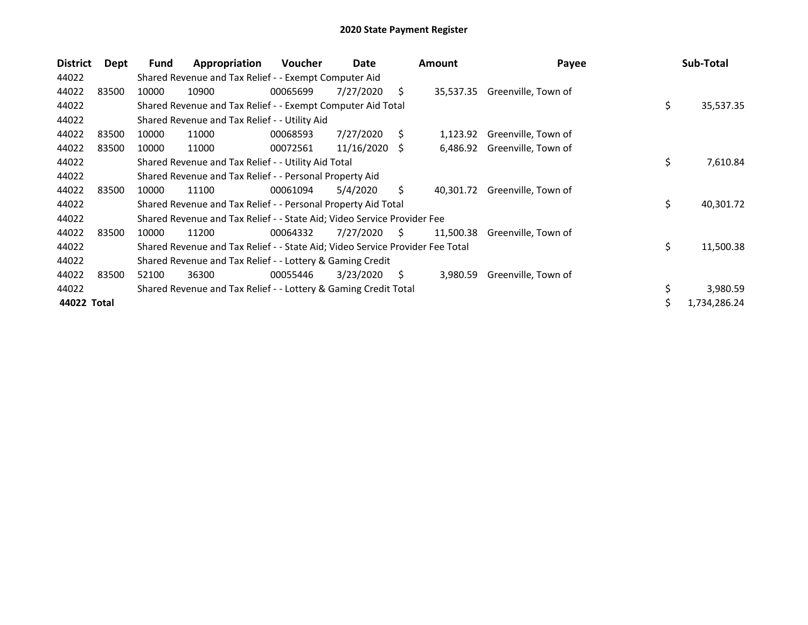| <b>District</b> | Dept  | <b>Fund</b> | Appropriation                                                                 | <b>Voucher</b> | Date       |    | <b>Amount</b> | Payee                         | Sub-Total       |
|-----------------|-------|-------------|-------------------------------------------------------------------------------|----------------|------------|----|---------------|-------------------------------|-----------------|
| 44022           |       |             | Shared Revenue and Tax Relief - - Exempt Computer Aid                         |                |            |    |               |                               |                 |
| 44022           | 83500 | 10000       | 10900                                                                         | 00065699       | 7/27/2020  | Ś. |               | 35,537.35 Greenville, Town of |                 |
| 44022           |       |             | Shared Revenue and Tax Relief - - Exempt Computer Aid Total                   |                |            |    |               |                               | \$<br>35,537.35 |
| 44022           |       |             | Shared Revenue and Tax Relief - - Utility Aid                                 |                |            |    |               |                               |                 |
| 44022           | 83500 | 10000       | 11000                                                                         | 00068593       | 7/27/2020  | Ś  | 1,123.92      | Greenville, Town of           |                 |
| 44022           | 83500 | 10000       | 11000                                                                         | 00072561       | 11/16/2020 | S  | 6,486.92      | Greenville, Town of           |                 |
| 44022           |       |             | Shared Revenue and Tax Relief - - Utility Aid Total                           |                |            |    |               |                               | \$<br>7,610.84  |
| 44022           |       |             | Shared Revenue and Tax Relief - - Personal Property Aid                       |                |            |    |               |                               |                 |
| 44022           | 83500 | 10000       | 11100                                                                         | 00061094       | 5/4/2020   | Ŝ. | 40.301.72     | Greenville, Town of           |                 |
| 44022           |       |             | Shared Revenue and Tax Relief - - Personal Property Aid Total                 |                |            |    |               |                               | \$<br>40,301.72 |
| 44022           |       |             | Shared Revenue and Tax Relief - - State Aid; Video Service Provider Fee       |                |            |    |               |                               |                 |
| 44022           | 83500 | 10000       | 11200                                                                         | 00064332       | 7/27/2020  | S. | 11,500.38     | Greenville, Town of           |                 |
| 44022           |       |             | Shared Revenue and Tax Relief - - State Aid; Video Service Provider Fee Total |                |            |    |               |                               | \$<br>11,500.38 |
| 44022           |       |             | Shared Revenue and Tax Relief - - Lottery & Gaming Credit                     |                |            |    |               |                               |                 |
| 44022           | 83500 | 52100       | 36300                                                                         | 00055446       | 3/23/2020  | S. | 3,980.59      | Greenville, Town of           |                 |
| 44022           |       |             | Shared Revenue and Tax Relief - - Lottery & Gaming Credit Total               |                |            |    |               |                               | \$<br>3,980.59  |
| 44022 Total     |       |             |                                                                               |                |            |    |               |                               | 1,734,286.24    |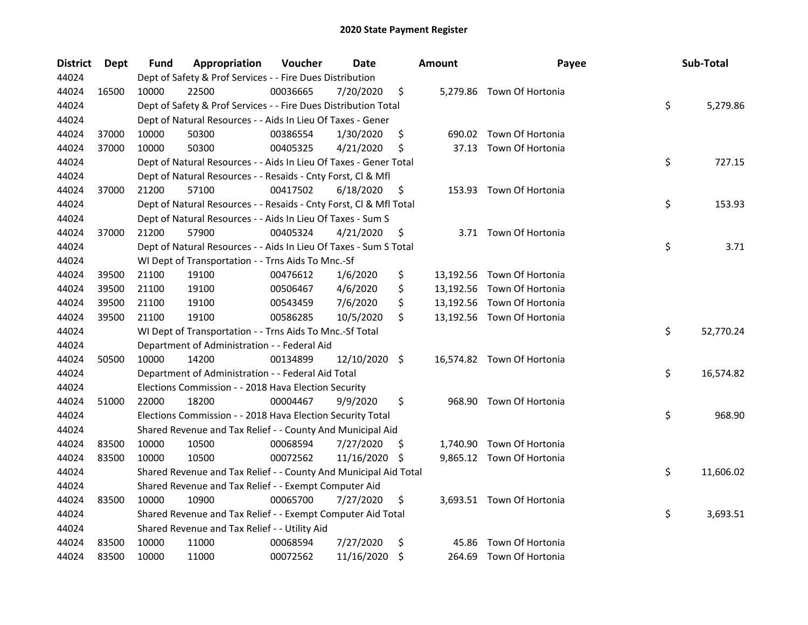| <b>District</b> | <b>Dept</b> | Fund  | Appropriation                                                      | Voucher  | <b>Date</b>   |     | <b>Amount</b> | Payee                      | Sub-Total       |
|-----------------|-------------|-------|--------------------------------------------------------------------|----------|---------------|-----|---------------|----------------------------|-----------------|
| 44024           |             |       | Dept of Safety & Prof Services - - Fire Dues Distribution          |          |               |     |               |                            |                 |
| 44024           | 16500       | 10000 | 22500                                                              | 00036665 | 7/20/2020     | \$  |               | 5,279.86 Town Of Hortonia  |                 |
| 44024           |             |       | Dept of Safety & Prof Services - - Fire Dues Distribution Total    |          |               |     |               |                            | \$<br>5,279.86  |
| 44024           |             |       | Dept of Natural Resources - - Aids In Lieu Of Taxes - Gener        |          |               |     |               |                            |                 |
| 44024           | 37000       | 10000 | 50300                                                              | 00386554 | 1/30/2020     | \$  |               | 690.02 Town Of Hortonia    |                 |
| 44024           | 37000       | 10000 | 50300                                                              | 00405325 | 4/21/2020     | \$  |               | 37.13 Town Of Hortonia     |                 |
| 44024           |             |       | Dept of Natural Resources - - Aids In Lieu Of Taxes - Gener Total  |          |               |     |               |                            | \$<br>727.15    |
| 44024           |             |       | Dept of Natural Resources - - Resaids - Cnty Forst, Cl & Mfl       |          |               |     |               |                            |                 |
| 44024           | 37000       | 21200 | 57100                                                              | 00417502 | 6/18/2020     | \$  |               | 153.93 Town Of Hortonia    |                 |
| 44024           |             |       | Dept of Natural Resources - - Resaids - Cnty Forst, Cl & Mfl Total |          |               |     |               |                            | \$<br>153.93    |
| 44024           |             |       | Dept of Natural Resources - - Aids In Lieu Of Taxes - Sum S        |          |               |     |               |                            |                 |
| 44024           | 37000       | 21200 | 57900                                                              | 00405324 | 4/21/2020     | \$  |               | 3.71 Town Of Hortonia      |                 |
| 44024           |             |       | Dept of Natural Resources - - Aids In Lieu Of Taxes - Sum S Total  |          |               |     |               |                            | \$<br>3.71      |
| 44024           |             |       | WI Dept of Transportation - - Trns Aids To Mnc.-Sf                 |          |               |     |               |                            |                 |
| 44024           | 39500       | 21100 | 19100                                                              | 00476612 | 1/6/2020      | \$  |               | 13,192.56 Town Of Hortonia |                 |
| 44024           | 39500       | 21100 | 19100                                                              | 00506467 | 4/6/2020      | \$  |               | 13,192.56 Town Of Hortonia |                 |
| 44024           | 39500       | 21100 | 19100                                                              | 00543459 | 7/6/2020      | \$  |               | 13,192.56 Town Of Hortonia |                 |
| 44024           | 39500       | 21100 | 19100                                                              | 00586285 | 10/5/2020     | \$  |               | 13,192.56 Town Of Hortonia |                 |
| 44024           |             |       | WI Dept of Transportation - - Trns Aids To Mnc.-Sf Total           |          |               |     |               |                            | \$<br>52,770.24 |
| 44024           |             |       | Department of Administration - - Federal Aid                       |          |               |     |               |                            |                 |
| 44024           | 50500       | 10000 | 14200                                                              | 00134899 | 12/10/2020 \$ |     |               | 16,574.82 Town Of Hortonia |                 |
| 44024           |             |       | Department of Administration - - Federal Aid Total                 |          |               |     |               |                            | \$<br>16,574.82 |
| 44024           |             |       | Elections Commission - - 2018 Hava Election Security               |          |               |     |               |                            |                 |
| 44024           | 51000       | 22000 | 18200                                                              | 00004467 | 9/9/2020      | \$  |               | 968.90 Town Of Hortonia    |                 |
| 44024           |             |       | Elections Commission - - 2018 Hava Election Security Total         |          |               |     |               |                            | \$<br>968.90    |
| 44024           |             |       | Shared Revenue and Tax Relief - - County And Municipal Aid         |          |               |     |               |                            |                 |
| 44024           | 83500       | 10000 | 10500                                                              | 00068594 | 7/27/2020     | \$, |               | 1,740.90 Town Of Hortonia  |                 |
| 44024           | 83500       | 10000 | 10500                                                              | 00072562 | 11/16/2020    | -S  |               | 9,865.12 Town Of Hortonia  |                 |
| 44024           |             |       | Shared Revenue and Tax Relief - - County And Municipal Aid Total   |          |               |     |               |                            | \$<br>11,606.02 |
| 44024           |             |       | Shared Revenue and Tax Relief - - Exempt Computer Aid              |          |               |     |               |                            |                 |
| 44024           | 83500       | 10000 | 10900                                                              | 00065700 | 7/27/2020     | \$  |               | 3,693.51 Town Of Hortonia  |                 |
| 44024           |             |       | Shared Revenue and Tax Relief - - Exempt Computer Aid Total        |          |               |     |               |                            | \$<br>3,693.51  |
| 44024           |             |       | Shared Revenue and Tax Relief - - Utility Aid                      |          |               |     |               |                            |                 |
| 44024           | 83500       | 10000 | 11000                                                              | 00068594 | 7/27/2020     | \$  | 45.86         | Town Of Hortonia           |                 |
| 44024           | 83500       | 10000 | 11000                                                              | 00072562 | 11/16/2020    | \$  |               | 264.69 Town Of Hortonia    |                 |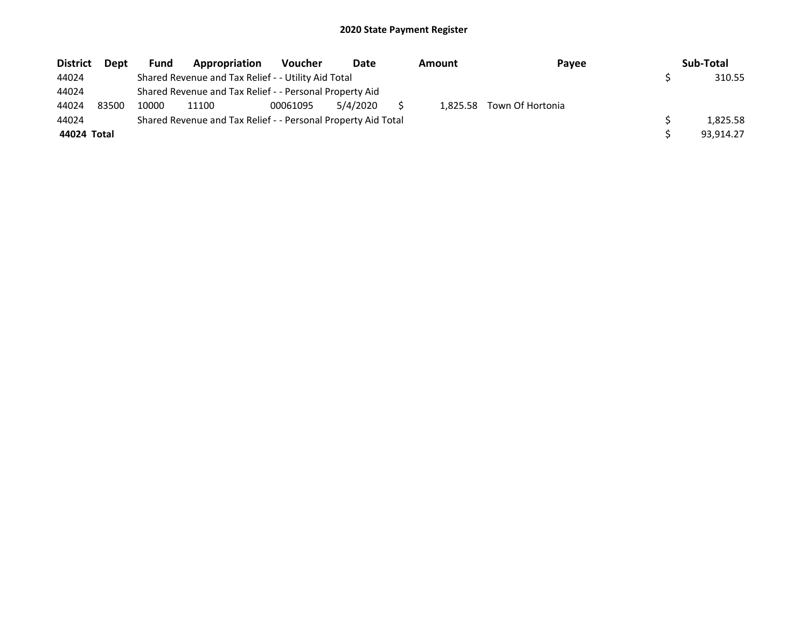| <b>District</b> | <b>Dept</b> | Fund  | Appropriation                                                 | <b>Voucher</b> | Date     | Amount | Payee                     | Sub-Total |
|-----------------|-------------|-------|---------------------------------------------------------------|----------------|----------|--------|---------------------------|-----------|
| 44024           |             |       | Shared Revenue and Tax Relief - - Utility Aid Total           |                |          |        |                           | 310.55    |
| 44024           |             |       | Shared Revenue and Tax Relief - - Personal Property Aid       |                |          |        |                           |           |
| 44024           | 83500       | 10000 | 11100                                                         | 00061095       | 5/4/2020 |        | 1.825.58 Town Of Hortonia |           |
| 44024           |             |       | Shared Revenue and Tax Relief - - Personal Property Aid Total |                |          |        |                           | 1.825.58  |
| 44024 Total     |             |       |                                                               |                |          |        |                           | 93.914.27 |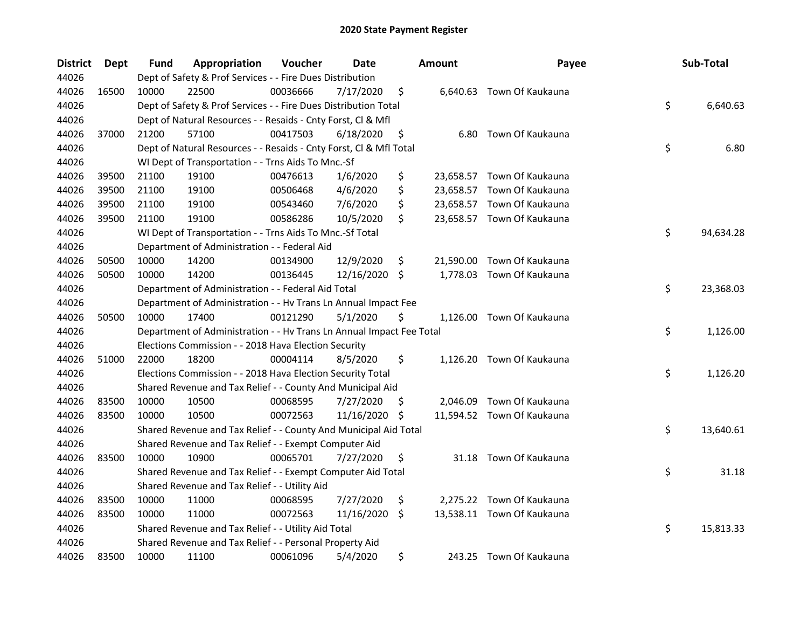| <b>District</b> | Dept  | <b>Fund</b> | Appropriation                                                        | Voucher  | Date       |     | <b>Amount</b> | Payee                      | Sub-Total       |
|-----------------|-------|-------------|----------------------------------------------------------------------|----------|------------|-----|---------------|----------------------------|-----------------|
| 44026           |       |             | Dept of Safety & Prof Services - - Fire Dues Distribution            |          |            |     |               |                            |                 |
| 44026           | 16500 | 10000       | 22500                                                                | 00036666 | 7/17/2020  | \$  |               | 6,640.63 Town Of Kaukauna  |                 |
| 44026           |       |             | Dept of Safety & Prof Services - - Fire Dues Distribution Total      |          |            |     |               |                            | \$<br>6,640.63  |
| 44026           |       |             | Dept of Natural Resources - - Resaids - Cnty Forst, Cl & Mfl         |          |            |     |               |                            |                 |
| 44026           | 37000 | 21200       | 57100                                                                | 00417503 | 6/18/2020  | \$  |               | 6.80 Town Of Kaukauna      |                 |
| 44026           |       |             | Dept of Natural Resources - - Resaids - Cnty Forst, Cl & Mfl Total   |          |            |     |               |                            | \$<br>6.80      |
| 44026           |       |             | WI Dept of Transportation - - Trns Aids To Mnc.-Sf                   |          |            |     |               |                            |                 |
| 44026           | 39500 | 21100       | 19100                                                                | 00476613 | 1/6/2020   | \$  |               | 23,658.57 Town Of Kaukauna |                 |
| 44026           | 39500 | 21100       | 19100                                                                | 00506468 | 4/6/2020   | \$  |               | 23,658.57 Town Of Kaukauna |                 |
| 44026           | 39500 | 21100       | 19100                                                                | 00543460 | 7/6/2020   | \$  |               | 23,658.57 Town Of Kaukauna |                 |
| 44026           | 39500 | 21100       | 19100                                                                | 00586286 | 10/5/2020  | \$  |               | 23,658.57 Town Of Kaukauna |                 |
| 44026           |       |             | WI Dept of Transportation - - Trns Aids To Mnc.-Sf Total             |          |            |     |               |                            | \$<br>94,634.28 |
| 44026           |       |             | Department of Administration - - Federal Aid                         |          |            |     |               |                            |                 |
| 44026           | 50500 | 10000       | 14200                                                                | 00134900 | 12/9/2020  | \$  | 21,590.00     | Town Of Kaukauna           |                 |
| 44026           | 50500 | 10000       | 14200                                                                | 00136445 | 12/16/2020 | \$  | 1,778.03      | Town Of Kaukauna           |                 |
| 44026           |       |             | Department of Administration - - Federal Aid Total                   |          |            |     |               |                            | \$<br>23,368.03 |
| 44026           |       |             | Department of Administration - - Hv Trans Ln Annual Impact Fee       |          |            |     |               |                            |                 |
| 44026           | 50500 | 10000       | 17400                                                                | 00121290 | 5/1/2020   | \$  |               | 1,126.00 Town Of Kaukauna  |                 |
| 44026           |       |             | Department of Administration - - Hv Trans Ln Annual Impact Fee Total |          |            |     |               |                            | \$<br>1,126.00  |
| 44026           |       |             | Elections Commission - - 2018 Hava Election Security                 |          |            |     |               |                            |                 |
| 44026           | 51000 | 22000       | 18200                                                                | 00004114 | 8/5/2020   | \$  |               | 1,126.20 Town Of Kaukauna  |                 |
| 44026           |       |             | Elections Commission - - 2018 Hava Election Security Total           |          |            |     |               |                            | \$<br>1,126.20  |
| 44026           |       |             | Shared Revenue and Tax Relief - - County And Municipal Aid           |          |            |     |               |                            |                 |
| 44026           | 83500 | 10000       | 10500                                                                | 00068595 | 7/27/2020  | \$. |               | 2,046.09 Town Of Kaukauna  |                 |
| 44026           | 83500 | 10000       | 10500                                                                | 00072563 | 11/16/2020 | \$  |               | 11,594.52 Town Of Kaukauna |                 |
| 44026           |       |             | Shared Revenue and Tax Relief - - County And Municipal Aid Total     |          |            |     |               |                            | \$<br>13,640.61 |
| 44026           |       |             | Shared Revenue and Tax Relief - - Exempt Computer Aid                |          |            |     |               |                            |                 |
| 44026           | 83500 | 10000       | 10900                                                                | 00065701 | 7/27/2020  | \$  |               | 31.18 Town Of Kaukauna     |                 |
| 44026           |       |             | Shared Revenue and Tax Relief - - Exempt Computer Aid Total          |          |            |     |               |                            | \$<br>31.18     |
| 44026           |       |             | Shared Revenue and Tax Relief - - Utility Aid                        |          |            |     |               |                            |                 |
| 44026           | 83500 | 10000       | 11000                                                                | 00068595 | 7/27/2020  | \$  |               | 2,275.22 Town Of Kaukauna  |                 |
| 44026           | 83500 | 10000       | 11000                                                                | 00072563 | 11/16/2020 | \$  |               | 13,538.11 Town Of Kaukauna |                 |
| 44026           |       |             | Shared Revenue and Tax Relief - - Utility Aid Total                  |          |            |     |               |                            | \$<br>15,813.33 |
| 44026           |       |             | Shared Revenue and Tax Relief - - Personal Property Aid              |          |            |     |               |                            |                 |
| 44026           | 83500 | 10000       | 11100                                                                | 00061096 | 5/4/2020   | \$  |               | 243.25 Town Of Kaukauna    |                 |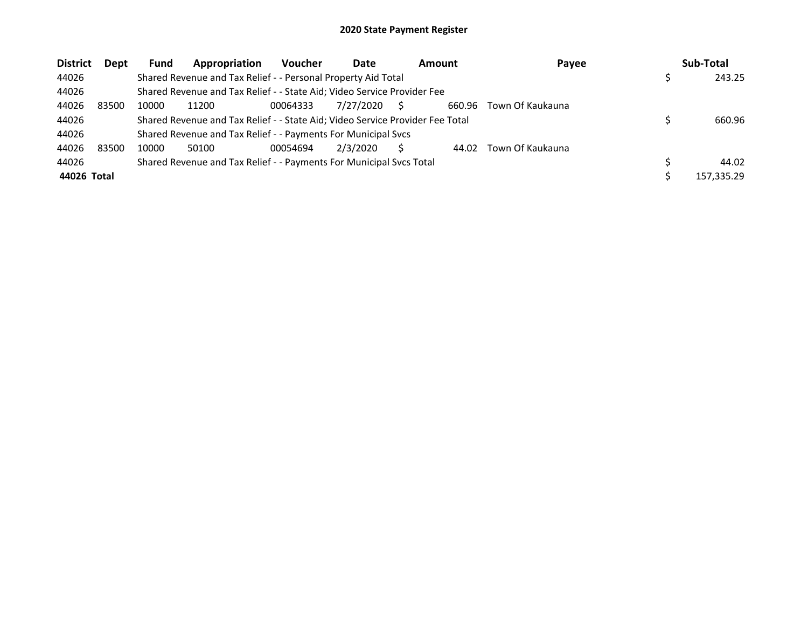| <b>District</b> | Dept  | <b>Fund</b> | Appropriation                                                                 | <b>Voucher</b> | Date      | <b>Amount</b> | Payee            | Sub-Total  |
|-----------------|-------|-------------|-------------------------------------------------------------------------------|----------------|-----------|---------------|------------------|------------|
| 44026           |       |             | Shared Revenue and Tax Relief - - Personal Property Aid Total                 |                |           |               |                  | 243.25     |
| 44026           |       |             | Shared Revenue and Tax Relief - - State Aid; Video Service Provider Fee       |                |           |               |                  |            |
| 44026           | 83500 | 10000       | 11200                                                                         | 00064333       | 7/27/2020 | 660.96        | Town Of Kaukauna |            |
| 44026           |       |             | Shared Revenue and Tax Relief - - State Aid; Video Service Provider Fee Total |                |           |               |                  | 660.96     |
| 44026           |       |             | Shared Revenue and Tax Relief - - Payments For Municipal Svcs                 |                |           |               |                  |            |
| 44026           | 83500 | 10000       | 50100                                                                         | 00054694       | 2/3/2020  | 44.02         | Town Of Kaukauna |            |
| 44026           |       |             | Shared Revenue and Tax Relief - - Payments For Municipal Svcs Total           |                |           |               |                  | 44.02      |
| 44026 Total     |       |             |                                                                               |                |           |               |                  | 157.335.29 |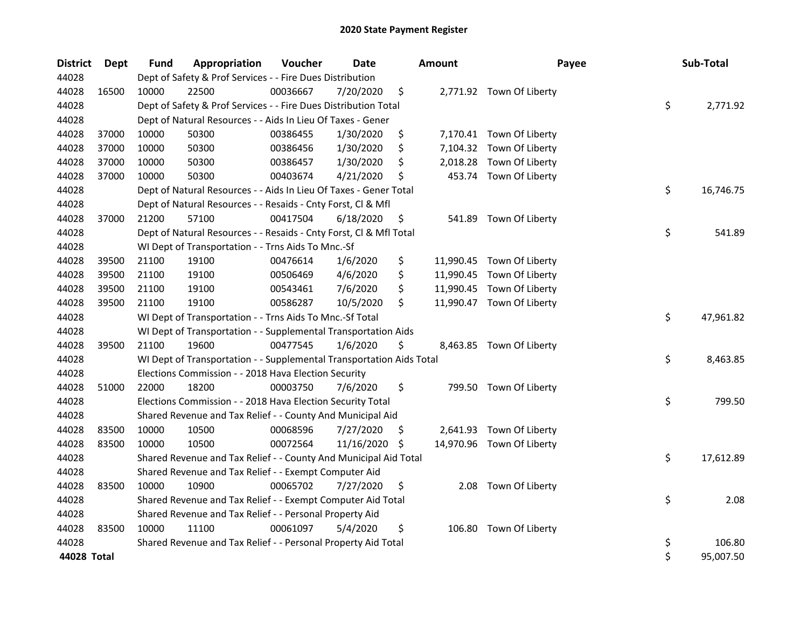| <b>District</b> | Dept  | <b>Fund</b> | Appropriation                                                        | Voucher  | <b>Date</b> |     | <b>Amount</b> | Payee                     | Sub-Total       |
|-----------------|-------|-------------|----------------------------------------------------------------------|----------|-------------|-----|---------------|---------------------------|-----------------|
| 44028           |       |             | Dept of Safety & Prof Services - - Fire Dues Distribution            |          |             |     |               |                           |                 |
| 44028           | 16500 | 10000       | 22500                                                                | 00036667 | 7/20/2020   | \$  |               | 2,771.92 Town Of Liberty  |                 |
| 44028           |       |             | Dept of Safety & Prof Services - - Fire Dues Distribution Total      |          |             |     |               |                           | \$<br>2,771.92  |
| 44028           |       |             | Dept of Natural Resources - - Aids In Lieu Of Taxes - Gener          |          |             |     |               |                           |                 |
| 44028           | 37000 | 10000       | 50300                                                                | 00386455 | 1/30/2020   | \$  |               | 7,170.41 Town Of Liberty  |                 |
| 44028           | 37000 | 10000       | 50300                                                                | 00386456 | 1/30/2020   | \$  | 7,104.32      | Town Of Liberty           |                 |
| 44028           | 37000 | 10000       | 50300                                                                | 00386457 | 1/30/2020   | \$  | 2,018.28      | Town Of Liberty           |                 |
| 44028           | 37000 | 10000       | 50300                                                                | 00403674 | 4/21/2020   | \$  |               | 453.74 Town Of Liberty    |                 |
| 44028           |       |             | Dept of Natural Resources - - Aids In Lieu Of Taxes - Gener Total    |          |             |     |               |                           | \$<br>16,746.75 |
| 44028           |       |             | Dept of Natural Resources - - Resaids - Cnty Forst, Cl & Mfl         |          |             |     |               |                           |                 |
| 44028           | 37000 | 21200       | 57100                                                                | 00417504 | 6/18/2020   | \$  |               | 541.89 Town Of Liberty    |                 |
| 44028           |       |             | Dept of Natural Resources - - Resaids - Cnty Forst, Cl & Mfl Total   |          |             |     |               |                           | \$<br>541.89    |
| 44028           |       |             | WI Dept of Transportation - - Trns Aids To Mnc.-Sf                   |          |             |     |               |                           |                 |
| 44028           | 39500 | 21100       | 19100                                                                | 00476614 | 1/6/2020    | \$  |               | 11,990.45 Town Of Liberty |                 |
| 44028           | 39500 | 21100       | 19100                                                                | 00506469 | 4/6/2020    | \$  | 11,990.45     | Town Of Liberty           |                 |
| 44028           | 39500 | 21100       | 19100                                                                | 00543461 | 7/6/2020    | \$  |               | 11,990.45 Town Of Liberty |                 |
| 44028           | 39500 | 21100       | 19100                                                                | 00586287 | 10/5/2020   | \$  |               | 11,990.47 Town Of Liberty |                 |
| 44028           |       |             | WI Dept of Transportation - - Trns Aids To Mnc.-Sf Total             |          |             |     |               |                           | \$<br>47,961.82 |
| 44028           |       |             | WI Dept of Transportation - - Supplemental Transportation Aids       |          |             |     |               |                           |                 |
| 44028           | 39500 | 21100       | 19600                                                                | 00477545 | 1/6/2020    | \$  |               | 8,463.85 Town Of Liberty  |                 |
| 44028           |       |             | WI Dept of Transportation - - Supplemental Transportation Aids Total |          |             |     |               |                           | \$<br>8,463.85  |
| 44028           |       |             | Elections Commission - - 2018 Hava Election Security                 |          |             |     |               |                           |                 |
| 44028           | 51000 | 22000       | 18200                                                                | 00003750 | 7/6/2020    | \$  |               | 799.50 Town Of Liberty    |                 |
| 44028           |       |             | Elections Commission - - 2018 Hava Election Security Total           |          |             |     |               |                           | \$<br>799.50    |
| 44028           |       |             | Shared Revenue and Tax Relief - - County And Municipal Aid           |          |             |     |               |                           |                 |
| 44028           | 83500 | 10000       | 10500                                                                | 00068596 | 7/27/2020   | \$. | 2,641.93      | Town Of Liberty           |                 |
| 44028           | 83500 | 10000       | 10500                                                                | 00072564 | 11/16/2020  | \$  |               | 14,970.96 Town Of Liberty |                 |
| 44028           |       |             | Shared Revenue and Tax Relief - - County And Municipal Aid Total     |          |             |     |               |                           | \$<br>17,612.89 |
| 44028           |       |             | Shared Revenue and Tax Relief - - Exempt Computer Aid                |          |             |     |               |                           |                 |
| 44028           | 83500 | 10000       | 10900                                                                | 00065702 | 7/27/2020   | \$  | 2.08          | Town Of Liberty           |                 |
| 44028           |       |             | Shared Revenue and Tax Relief - - Exempt Computer Aid Total          |          |             |     |               |                           | \$<br>2.08      |
| 44028           |       |             | Shared Revenue and Tax Relief - - Personal Property Aid              |          |             |     |               |                           |                 |
| 44028           | 83500 | 10000       | 11100                                                                | 00061097 | 5/4/2020    | \$  | 106.80        | Town Of Liberty           |                 |
| 44028           |       |             | Shared Revenue and Tax Relief - - Personal Property Aid Total        |          |             |     |               |                           | \$<br>106.80    |
| 44028 Total     |       |             |                                                                      |          |             |     |               |                           | \$<br>95,007.50 |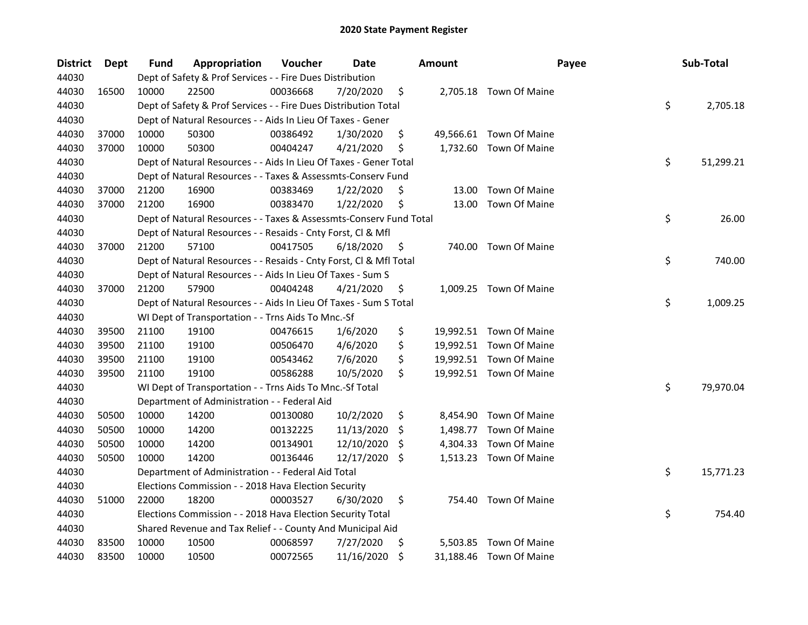| <b>District</b> | Dept  | Fund  | Appropriation                                                      | Voucher  | Date       |     | <b>Amount</b> | Payee                   | Sub-Total       |
|-----------------|-------|-------|--------------------------------------------------------------------|----------|------------|-----|---------------|-------------------------|-----------------|
| 44030           |       |       | Dept of Safety & Prof Services - - Fire Dues Distribution          |          |            |     |               |                         |                 |
| 44030           | 16500 | 10000 | 22500                                                              | 00036668 | 7/20/2020  | \$  |               | 2,705.18 Town Of Maine  |                 |
| 44030           |       |       | Dept of Safety & Prof Services - - Fire Dues Distribution Total    |          |            |     |               |                         | \$<br>2,705.18  |
| 44030           |       |       | Dept of Natural Resources - - Aids In Lieu Of Taxes - Gener        |          |            |     |               |                         |                 |
| 44030           | 37000 | 10000 | 50300                                                              | 00386492 | 1/30/2020  | \$  |               | 49,566.61 Town Of Maine |                 |
| 44030           | 37000 | 10000 | 50300                                                              | 00404247 | 4/21/2020  | \$  | 1,732.60      | Town Of Maine           |                 |
| 44030           |       |       | Dept of Natural Resources - - Aids In Lieu Of Taxes - Gener Total  |          |            |     |               |                         | \$<br>51,299.21 |
| 44030           |       |       | Dept of Natural Resources - - Taxes & Assessmts-Conserv Fund       |          |            |     |               |                         |                 |
| 44030           | 37000 | 21200 | 16900                                                              | 00383469 | 1/22/2020  | \$  | 13.00         | Town Of Maine           |                 |
| 44030           | 37000 | 21200 | 16900                                                              | 00383470 | 1/22/2020  | \$  | 13.00         | Town Of Maine           |                 |
| 44030           |       |       | Dept of Natural Resources - - Taxes & Assessmts-Conserv Fund Total |          |            |     |               |                         | \$<br>26.00     |
| 44030           |       |       | Dept of Natural Resources - - Resaids - Cnty Forst, Cl & Mfl       |          |            |     |               |                         |                 |
| 44030           | 37000 | 21200 | 57100                                                              | 00417505 | 6/18/2020  | \$. | 740.00        | Town Of Maine           |                 |
| 44030           |       |       | Dept of Natural Resources - - Resaids - Cnty Forst, Cl & Mfl Total |          |            |     |               |                         | \$<br>740.00    |
| 44030           |       |       | Dept of Natural Resources - - Aids In Lieu Of Taxes - Sum S        |          |            |     |               |                         |                 |
| 44030           | 37000 | 21200 | 57900                                                              | 00404248 | 4/21/2020  | S   | 1,009.25      | Town Of Maine           |                 |
| 44030           |       |       | Dept of Natural Resources - - Aids In Lieu Of Taxes - Sum S Total  |          |            |     |               |                         | \$<br>1,009.25  |
| 44030           |       |       | WI Dept of Transportation - - Trns Aids To Mnc.-Sf                 |          |            |     |               |                         |                 |
| 44030           | 39500 | 21100 | 19100                                                              | 00476615 | 1/6/2020   | \$  |               | 19,992.51 Town Of Maine |                 |
| 44030           | 39500 | 21100 | 19100                                                              | 00506470 | 4/6/2020   | \$  |               | 19,992.51 Town Of Maine |                 |
| 44030           | 39500 | 21100 | 19100                                                              | 00543462 | 7/6/2020   | \$  |               | 19,992.51 Town Of Maine |                 |
| 44030           | 39500 | 21100 | 19100                                                              | 00586288 | 10/5/2020  | \$  |               | 19,992.51 Town Of Maine |                 |
| 44030           |       |       | WI Dept of Transportation - - Trns Aids To Mnc.-Sf Total           |          |            |     |               |                         | \$<br>79,970.04 |
| 44030           |       |       | Department of Administration - - Federal Aid                       |          |            |     |               |                         |                 |
| 44030           | 50500 | 10000 | 14200                                                              | 00130080 | 10/2/2020  | \$  | 8,454.90      | Town Of Maine           |                 |
| 44030           | 50500 | 10000 | 14200                                                              | 00132225 | 11/13/2020 | \$  | 1,498.77      | Town Of Maine           |                 |
| 44030           | 50500 | 10000 | 14200                                                              | 00134901 | 12/10/2020 | S   | 4,304.33      | Town Of Maine           |                 |
| 44030           | 50500 | 10000 | 14200                                                              | 00136446 | 12/17/2020 | \$  | 1,513.23      | Town Of Maine           |                 |
| 44030           |       |       | Department of Administration - - Federal Aid Total                 |          |            |     |               |                         | \$<br>15,771.23 |
| 44030           |       |       | Elections Commission - - 2018 Hava Election Security               |          |            |     |               |                         |                 |
| 44030           | 51000 | 22000 | 18200                                                              | 00003527 | 6/30/2020  | \$  |               | 754.40 Town Of Maine    |                 |
| 44030           |       |       | Elections Commission - - 2018 Hava Election Security Total         |          |            |     |               |                         | \$<br>754.40    |
| 44030           |       |       | Shared Revenue and Tax Relief - - County And Municipal Aid         |          |            |     |               |                         |                 |
| 44030           | 83500 | 10000 | 10500                                                              | 00068597 | 7/27/2020  | \$  | 5,503.85      | Town Of Maine           |                 |
| 44030           | 83500 | 10000 | 10500                                                              | 00072565 | 11/16/2020 | \$  |               | 31,188.46 Town Of Maine |                 |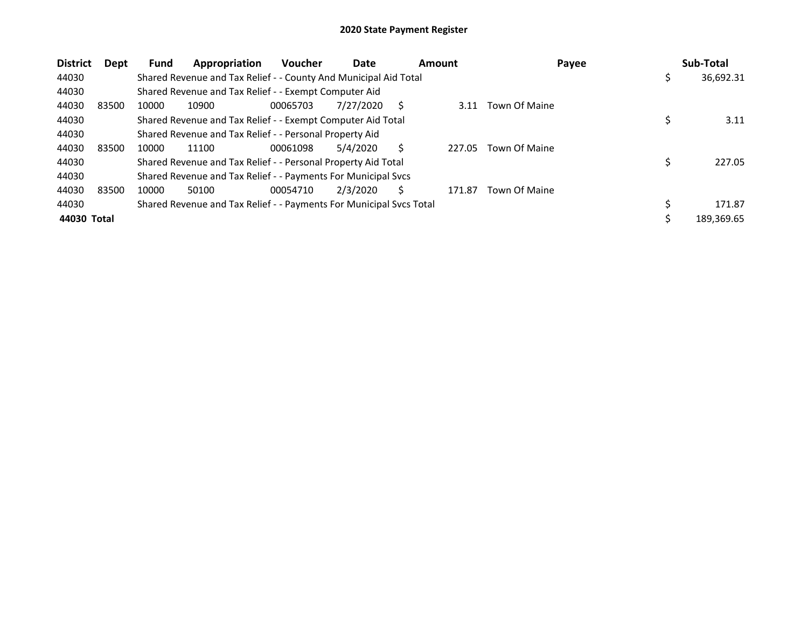| <b>District</b><br>Dept | Appropriation<br><b>Fund</b>                                        | <b>Voucher</b> | Date      | <b>Amount</b> | Payee         |    | Sub-Total  |
|-------------------------|---------------------------------------------------------------------|----------------|-----------|---------------|---------------|----|------------|
| 44030                   | Shared Revenue and Tax Relief - - County And Municipal Aid Total    |                |           |               |               | Ş  | 36,692.31  |
| 44030                   | Shared Revenue and Tax Relief - - Exempt Computer Aid               |                |           |               |               |    |            |
| 44030<br>83500          | 10000<br>10900                                                      | 00065703       | 7/27/2020 | 3.11          | Town Of Maine |    |            |
| 44030                   | Shared Revenue and Tax Relief - - Exempt Computer Aid Total         |                |           |               |               |    | 3.11       |
| 44030                   | Shared Revenue and Tax Relief - - Personal Property Aid             |                |           |               |               |    |            |
| 44030<br>83500          | 10000<br>11100                                                      | 00061098       | 5/4/2020  | 227.05        | Town Of Maine |    |            |
| 44030                   | Shared Revenue and Tax Relief - - Personal Property Aid Total       |                |           |               |               |    | 227.05     |
| 44030                   | Shared Revenue and Tax Relief - - Payments For Municipal Svcs       |                |           |               |               |    |            |
| 44030<br>83500          | 10000<br>50100                                                      | 00054710       | 2/3/2020  | 171.87        | Town Of Maine |    |            |
| 44030                   | Shared Revenue and Tax Relief - - Payments For Municipal Svcs Total |                |           |               |               | \$ | 171.87     |
| 44030 Total             |                                                                     |                |           |               |               |    | 189,369.65 |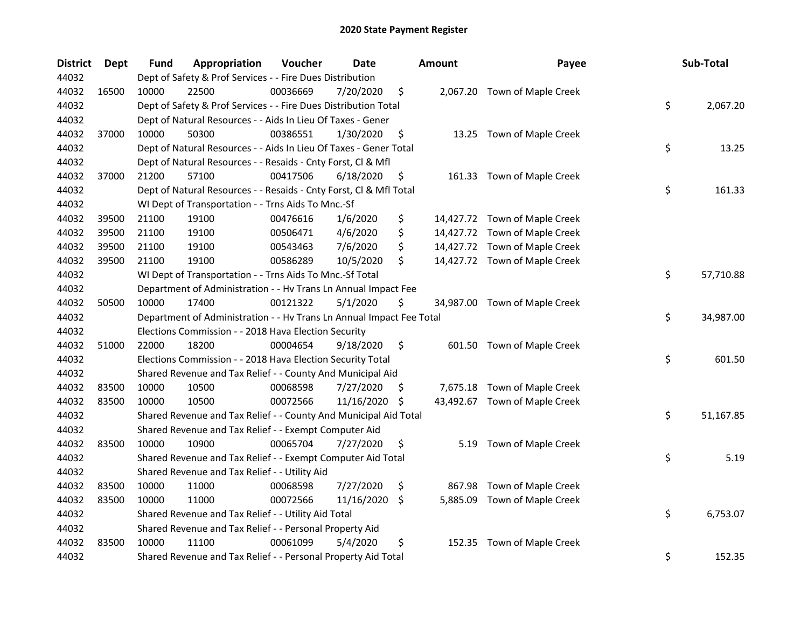| <b>District</b> | Dept  | Fund  | Appropriation                                                        | Voucher  | <b>Date</b> |     | <b>Amount</b> | Payee                         | Sub-Total       |
|-----------------|-------|-------|----------------------------------------------------------------------|----------|-------------|-----|---------------|-------------------------------|-----------------|
| 44032           |       |       | Dept of Safety & Prof Services - - Fire Dues Distribution            |          |             |     |               |                               |                 |
| 44032           | 16500 | 10000 | 22500                                                                | 00036669 | 7/20/2020   | \$  |               | 2,067.20 Town of Maple Creek  |                 |
| 44032           |       |       | Dept of Safety & Prof Services - - Fire Dues Distribution Total      |          |             |     |               |                               | \$<br>2,067.20  |
| 44032           |       |       | Dept of Natural Resources - - Aids In Lieu Of Taxes - Gener          |          |             |     |               |                               |                 |
| 44032           | 37000 | 10000 | 50300                                                                | 00386551 | 1/30/2020   | \$  |               | 13.25 Town of Maple Creek     |                 |
| 44032           |       |       | Dept of Natural Resources - - Aids In Lieu Of Taxes - Gener Total    |          |             |     |               |                               | \$<br>13.25     |
| 44032           |       |       | Dept of Natural Resources - - Resaids - Cnty Forst, Cl & Mfl         |          |             |     |               |                               |                 |
| 44032           | 37000 | 21200 | 57100                                                                | 00417506 | 6/18/2020   | \$  |               | 161.33 Town of Maple Creek    |                 |
| 44032           |       |       | Dept of Natural Resources - - Resaids - Cnty Forst, Cl & Mfl Total   |          |             |     |               |                               | \$<br>161.33    |
| 44032           |       |       | WI Dept of Transportation - - Trns Aids To Mnc.-Sf                   |          |             |     |               |                               |                 |
| 44032           | 39500 | 21100 | 19100                                                                | 00476616 | 1/6/2020    | \$  |               | 14,427.72 Town of Maple Creek |                 |
| 44032           | 39500 | 21100 | 19100                                                                | 00506471 | 4/6/2020    | \$  |               | 14,427.72 Town of Maple Creek |                 |
| 44032           | 39500 | 21100 | 19100                                                                | 00543463 | 7/6/2020    | \$  |               | 14,427.72 Town of Maple Creek |                 |
| 44032           | 39500 | 21100 | 19100                                                                | 00586289 | 10/5/2020   | \$  |               | 14,427.72 Town of Maple Creek |                 |
| 44032           |       |       | WI Dept of Transportation - - Trns Aids To Mnc.-Sf Total             |          |             |     |               |                               | \$<br>57,710.88 |
| 44032           |       |       | Department of Administration - - Hv Trans Ln Annual Impact Fee       |          |             |     |               |                               |                 |
| 44032           | 50500 | 10000 | 17400                                                                | 00121322 | 5/1/2020    | \$  |               | 34,987.00 Town of Maple Creek |                 |
| 44032           |       |       | Department of Administration - - Hv Trans Ln Annual Impact Fee Total |          |             |     |               |                               | \$<br>34,987.00 |
| 44032           |       |       | Elections Commission - - 2018 Hava Election Security                 |          |             |     |               |                               |                 |
| 44032           | 51000 | 22000 | 18200                                                                | 00004654 | 9/18/2020   | \$  |               | 601.50 Town of Maple Creek    |                 |
| 44032           |       |       | Elections Commission - - 2018 Hava Election Security Total           |          |             |     |               |                               | \$<br>601.50    |
| 44032           |       |       | Shared Revenue and Tax Relief - - County And Municipal Aid           |          |             |     |               |                               |                 |
| 44032           | 83500 | 10000 | 10500                                                                | 00068598 | 7/27/2020   | \$. |               | 7,675.18 Town of Maple Creek  |                 |
| 44032           | 83500 | 10000 | 10500                                                                | 00072566 | 11/16/2020  | \$  |               | 43,492.67 Town of Maple Creek |                 |
| 44032           |       |       | Shared Revenue and Tax Relief - - County And Municipal Aid Total     |          |             |     |               |                               | \$<br>51,167.85 |
| 44032           |       |       | Shared Revenue and Tax Relief - - Exempt Computer Aid                |          |             |     |               |                               |                 |
| 44032           | 83500 | 10000 | 10900                                                                | 00065704 | 7/27/2020   | \$  |               | 5.19 Town of Maple Creek      |                 |
| 44032           |       |       | Shared Revenue and Tax Relief - - Exempt Computer Aid Total          |          |             |     |               |                               | \$<br>5.19      |
| 44032           |       |       | Shared Revenue and Tax Relief - - Utility Aid                        |          |             |     |               |                               |                 |
| 44032           | 83500 | 10000 | 11000                                                                | 00068598 | 7/27/2020   | \$  | 867.98        | Town of Maple Creek           |                 |
| 44032           | 83500 | 10000 | 11000                                                                | 00072566 | 11/16/2020  | \$  | 5,885.09      | Town of Maple Creek           |                 |
| 44032           |       |       | Shared Revenue and Tax Relief - - Utility Aid Total                  |          |             |     |               |                               | \$<br>6,753.07  |
| 44032           |       |       | Shared Revenue and Tax Relief - - Personal Property Aid              |          |             |     |               |                               |                 |
| 44032           | 83500 | 10000 | 11100                                                                | 00061099 | 5/4/2020    | \$  | 152.35        | Town of Maple Creek           |                 |
| 44032           |       |       | Shared Revenue and Tax Relief - - Personal Property Aid Total        |          |             |     |               |                               | \$<br>152.35    |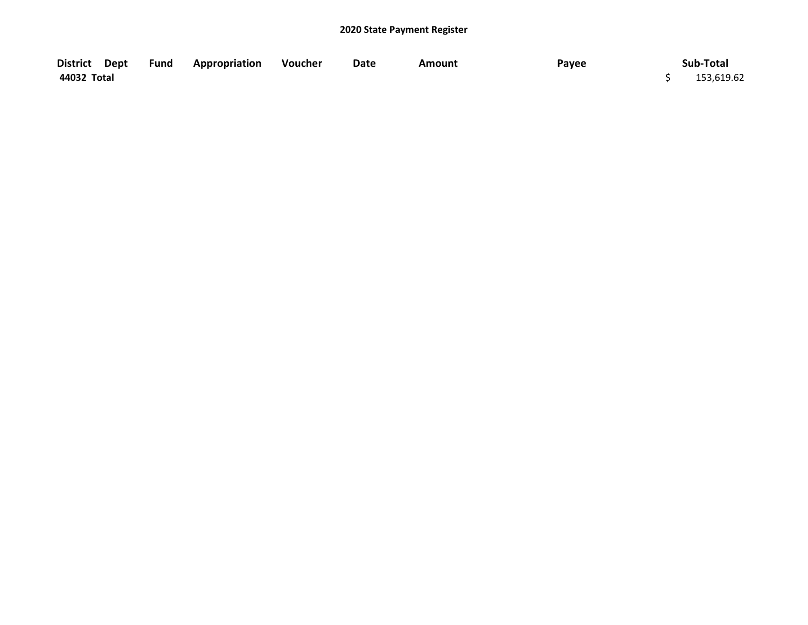| District Dept | <b>Fund Appropriation Voucher</b> | Date | <b>Amount</b> | Payee | Sub-Total  |
|---------------|-----------------------------------|------|---------------|-------|------------|
| 44032 Total   |                                   |      |               |       | 153,619.62 |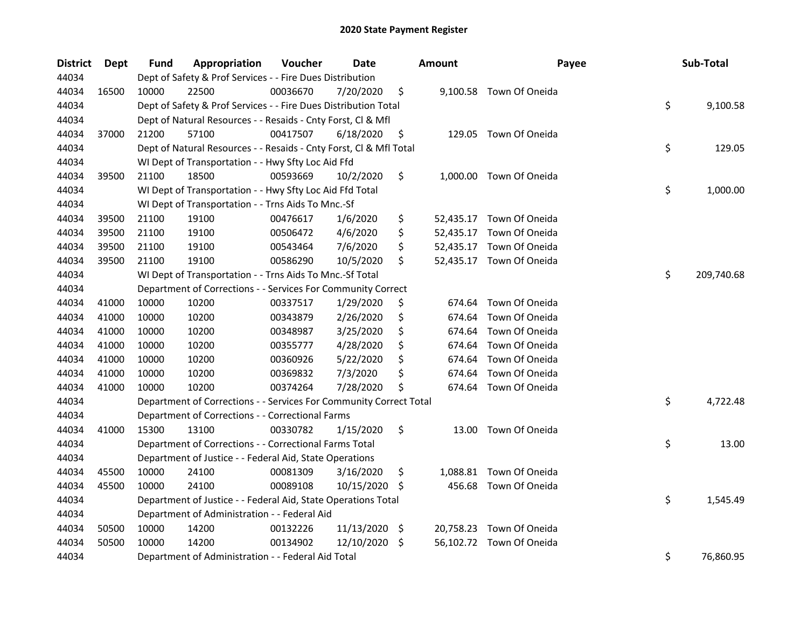| <b>District</b> | Dept  | Fund  | Appropriation                                                      | Voucher  | <b>Date</b> |     | <b>Amount</b> | Payee                    | Sub-Total        |
|-----------------|-------|-------|--------------------------------------------------------------------|----------|-------------|-----|---------------|--------------------------|------------------|
| 44034           |       |       | Dept of Safety & Prof Services - - Fire Dues Distribution          |          |             |     |               |                          |                  |
| 44034           | 16500 | 10000 | 22500                                                              | 00036670 | 7/20/2020   | \$  |               | 9,100.58 Town Of Oneida  |                  |
| 44034           |       |       | Dept of Safety & Prof Services - - Fire Dues Distribution Total    |          |             |     |               |                          | \$<br>9,100.58   |
| 44034           |       |       | Dept of Natural Resources - - Resaids - Cnty Forst, Cl & Mfl       |          |             |     |               |                          |                  |
| 44034           | 37000 | 21200 | 57100                                                              | 00417507 | 6/18/2020   | \$  |               | 129.05 Town Of Oneida    |                  |
| 44034           |       |       | Dept of Natural Resources - - Resaids - Cnty Forst, Cl & Mfl Total |          |             |     |               |                          | \$<br>129.05     |
| 44034           |       |       | WI Dept of Transportation - - Hwy Sfty Loc Aid Ffd                 |          |             |     |               |                          |                  |
| 44034           | 39500 | 21100 | 18500                                                              | 00593669 | 10/2/2020   | \$  |               | 1,000.00 Town Of Oneida  |                  |
| 44034           |       |       | WI Dept of Transportation - - Hwy Sfty Loc Aid Ffd Total           |          |             |     |               |                          | \$<br>1,000.00   |
| 44034           |       |       | WI Dept of Transportation - - Trns Aids To Mnc.-Sf                 |          |             |     |               |                          |                  |
| 44034           | 39500 | 21100 | 19100                                                              | 00476617 | 1/6/2020    | \$  |               | 52,435.17 Town Of Oneida |                  |
| 44034           | 39500 | 21100 | 19100                                                              | 00506472 | 4/6/2020    | \$  |               | 52,435.17 Town Of Oneida |                  |
| 44034           | 39500 | 21100 | 19100                                                              | 00543464 | 7/6/2020    | \$  |               | 52,435.17 Town Of Oneida |                  |
| 44034           | 39500 | 21100 | 19100                                                              | 00586290 | 10/5/2020   | \$  |               | 52,435.17 Town Of Oneida |                  |
| 44034           |       |       | WI Dept of Transportation - - Trns Aids To Mnc.-Sf Total           |          |             |     |               |                          | \$<br>209,740.68 |
| 44034           |       |       | Department of Corrections - - Services For Community Correct       |          |             |     |               |                          |                  |
| 44034           | 41000 | 10000 | 10200                                                              | 00337517 | 1/29/2020   | \$  | 674.64        | Town Of Oneida           |                  |
| 44034           | 41000 | 10000 | 10200                                                              | 00343879 | 2/26/2020   | \$  | 674.64        | Town Of Oneida           |                  |
| 44034           | 41000 | 10000 | 10200                                                              | 00348987 | 3/25/2020   | \$  | 674.64        | Town Of Oneida           |                  |
| 44034           | 41000 | 10000 | 10200                                                              | 00355777 | 4/28/2020   | \$  | 674.64        | Town Of Oneida           |                  |
| 44034           | 41000 | 10000 | 10200                                                              | 00360926 | 5/22/2020   | \$  | 674.64        | Town Of Oneida           |                  |
| 44034           | 41000 | 10000 | 10200                                                              | 00369832 | 7/3/2020    | \$  | 674.64        | Town Of Oneida           |                  |
| 44034           | 41000 | 10000 | 10200                                                              | 00374264 | 7/28/2020   | \$  | 674.64        | Town Of Oneida           |                  |
| 44034           |       |       | Department of Corrections - - Services For Community Correct Total |          |             |     |               |                          | \$<br>4,722.48   |
| 44034           |       |       | Department of Corrections - - Correctional Farms                   |          |             |     |               |                          |                  |
| 44034           | 41000 | 15300 | 13100                                                              | 00330782 | 1/15/2020   | \$  | 13.00         | Town Of Oneida           |                  |
| 44034           |       |       | Department of Corrections - - Correctional Farms Total             |          |             |     |               |                          | \$<br>13.00      |
| 44034           |       |       | Department of Justice - - Federal Aid, State Operations            |          |             |     |               |                          |                  |
| 44034           | 45500 | 10000 | 24100                                                              | 00081309 | 3/16/2020   | \$  |               | 1,088.81 Town Of Oneida  |                  |
| 44034           | 45500 | 10000 | 24100                                                              | 00089108 | 10/15/2020  | \$. | 456.68        | Town Of Oneida           |                  |
| 44034           |       |       | Department of Justice - - Federal Aid, State Operations Total      |          |             |     |               |                          | \$<br>1,545.49   |
| 44034           |       |       | Department of Administration - - Federal Aid                       |          |             |     |               |                          |                  |
| 44034           | 50500 | 10000 | 14200                                                              | 00132226 | 11/13/2020  | -\$ |               | 20,758.23 Town Of Oneida |                  |
| 44034           | 50500 | 10000 | 14200                                                              | 00134902 | 12/10/2020  | \$  |               | 56,102.72 Town Of Oneida |                  |
| 44034           |       |       | Department of Administration - - Federal Aid Total                 |          |             |     |               |                          | \$<br>76,860.95  |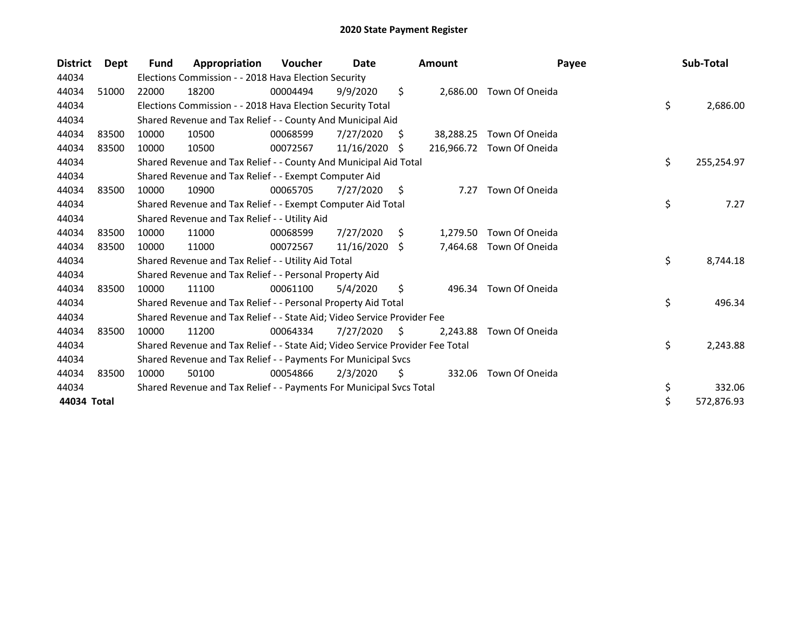| <b>District</b> | Dept  | <b>Fund</b> | Appropriation                                                                 | Voucher  | Date       |     | <b>Amount</b> | Payee                     | Sub-Total        |
|-----------------|-------|-------------|-------------------------------------------------------------------------------|----------|------------|-----|---------------|---------------------------|------------------|
| 44034           |       |             | Elections Commission - - 2018 Hava Election Security                          |          |            |     |               |                           |                  |
| 44034           | 51000 | 22000       | 18200                                                                         | 00004494 | 9/9/2020   | \$  | 2,686.00      | Town Of Oneida            |                  |
| 44034           |       |             | Elections Commission - - 2018 Hava Election Security Total                    |          |            |     |               |                           | \$<br>2,686.00   |
| 44034           |       |             | Shared Revenue and Tax Relief - - County And Municipal Aid                    |          |            |     |               |                           |                  |
| 44034           | 83500 | 10000       | 10500                                                                         | 00068599 | 7/27/2020  | S.  | 38,288.25     | Town Of Oneida            |                  |
| 44034           | 83500 | 10000       | 10500                                                                         | 00072567 | 11/16/2020 | \$. |               | 216,966.72 Town Of Oneida |                  |
| 44034           |       |             | Shared Revenue and Tax Relief - - County And Municipal Aid Total              |          |            |     |               |                           | \$<br>255,254.97 |
| 44034           |       |             | Shared Revenue and Tax Relief - - Exempt Computer Aid                         |          |            |     |               |                           |                  |
| 44034           | 83500 | 10000       | 10900                                                                         | 00065705 | 7/27/2020  | \$  | 7.27          | Town Of Oneida            |                  |
| 44034           |       |             | Shared Revenue and Tax Relief - - Exempt Computer Aid Total                   |          |            |     |               |                           | \$<br>7.27       |
| 44034           |       |             | Shared Revenue and Tax Relief - - Utility Aid                                 |          |            |     |               |                           |                  |
| 44034           | 83500 | 10000       | 11000                                                                         | 00068599 | 7/27/2020  | S.  | 1,279.50      | Town Of Oneida            |                  |
| 44034           | 83500 | 10000       | 11000                                                                         | 00072567 | 11/16/2020 | -S  | 7,464.68      | Town Of Oneida            |                  |
| 44034           |       |             | Shared Revenue and Tax Relief - - Utility Aid Total                           |          |            |     |               |                           | \$<br>8,744.18   |
| 44034           |       |             | Shared Revenue and Tax Relief - - Personal Property Aid                       |          |            |     |               |                           |                  |
| 44034           | 83500 | 10000       | 11100                                                                         | 00061100 | 5/4/2020   | \$  | 496.34        | Town Of Oneida            |                  |
| 44034           |       |             | Shared Revenue and Tax Relief - - Personal Property Aid Total                 |          |            |     |               |                           | \$<br>496.34     |
| 44034           |       |             | Shared Revenue and Tax Relief - - State Aid; Video Service Provider Fee       |          |            |     |               |                           |                  |
| 44034           | 83500 | 10000       | 11200                                                                         | 00064334 | 7/27/2020  | S   | 2,243.88      | Town Of Oneida            |                  |
| 44034           |       |             | Shared Revenue and Tax Relief - - State Aid; Video Service Provider Fee Total |          |            |     |               |                           | \$<br>2,243.88   |
| 44034           |       |             | Shared Revenue and Tax Relief - - Payments For Municipal Svcs                 |          |            |     |               |                           |                  |
| 44034           | 83500 | 10000       | 50100                                                                         | 00054866 | 2/3/2020   | S   | 332.06        | Town Of Oneida            |                  |
| 44034           |       |             | Shared Revenue and Tax Relief - - Payments For Municipal Svcs Total           |          |            |     |               |                           | \$<br>332.06     |
| 44034 Total     |       |             |                                                                               |          |            |     |               |                           | \$<br>572,876.93 |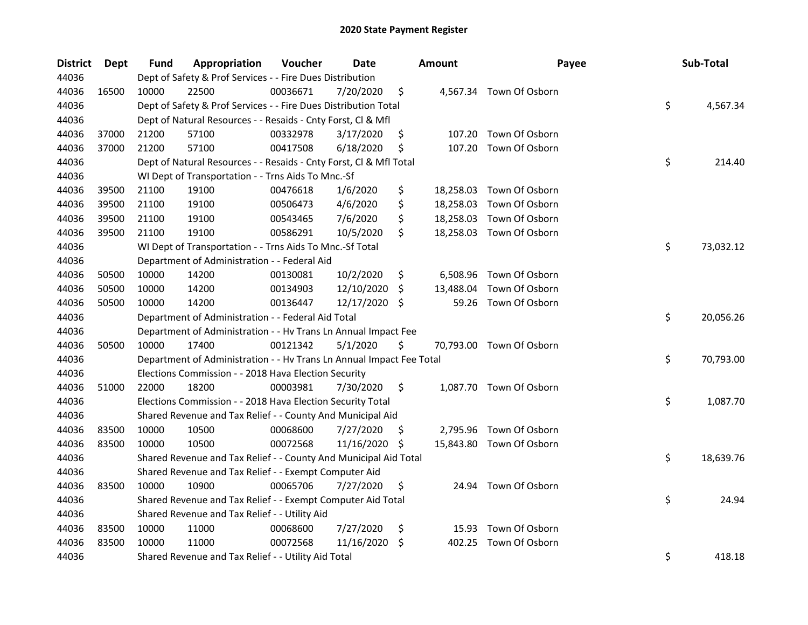| <b>District</b> | <b>Dept</b> | Fund  | Appropriation                                                        | Voucher  | Date       |     | <b>Amount</b> | Payee                    | Sub-Total       |
|-----------------|-------------|-------|----------------------------------------------------------------------|----------|------------|-----|---------------|--------------------------|-----------------|
| 44036           |             |       | Dept of Safety & Prof Services - - Fire Dues Distribution            |          |            |     |               |                          |                 |
| 44036           | 16500       | 10000 | 22500                                                                | 00036671 | 7/20/2020  | \$  |               | 4,567.34 Town Of Osborn  |                 |
| 44036           |             |       | Dept of Safety & Prof Services - - Fire Dues Distribution Total      |          |            |     |               |                          | \$<br>4,567.34  |
| 44036           |             |       | Dept of Natural Resources - - Resaids - Cnty Forst, Cl & Mfl         |          |            |     |               |                          |                 |
| 44036           | 37000       | 21200 | 57100                                                                | 00332978 | 3/17/2020  | \$  |               | 107.20 Town Of Osborn    |                 |
| 44036           | 37000       | 21200 | 57100                                                                | 00417508 | 6/18/2020  | \$  | 107.20        | Town Of Osborn           |                 |
| 44036           |             |       | Dept of Natural Resources - - Resaids - Cnty Forst, Cl & Mfl Total   |          |            |     |               |                          | \$<br>214.40    |
| 44036           |             |       | WI Dept of Transportation - - Trns Aids To Mnc.-Sf                   |          |            |     |               |                          |                 |
| 44036           | 39500       | 21100 | 19100                                                                | 00476618 | 1/6/2020   | \$  |               | 18,258.03 Town Of Osborn |                 |
| 44036           | 39500       | 21100 | 19100                                                                | 00506473 | 4/6/2020   | \$  |               | 18,258.03 Town Of Osborn |                 |
| 44036           | 39500       | 21100 | 19100                                                                | 00543465 | 7/6/2020   | \$  |               | 18,258.03 Town Of Osborn |                 |
| 44036           | 39500       | 21100 | 19100                                                                | 00586291 | 10/5/2020  | \$  |               | 18,258.03 Town Of Osborn |                 |
| 44036           |             |       | WI Dept of Transportation - - Trns Aids To Mnc.-Sf Total             |          |            |     |               |                          | \$<br>73,032.12 |
| 44036           |             |       | Department of Administration - - Federal Aid                         |          |            |     |               |                          |                 |
| 44036           | 50500       | 10000 | 14200                                                                | 00130081 | 10/2/2020  | \$  | 6,508.96      | Town Of Osborn           |                 |
| 44036           | 50500       | 10000 | 14200                                                                | 00134903 | 12/10/2020 | -S  | 13,488.04     | Town Of Osborn           |                 |
| 44036           | 50500       | 10000 | 14200                                                                | 00136447 | 12/17/2020 | Ŝ.  | 59.26         | Town Of Osborn           |                 |
| 44036           |             |       | Department of Administration - - Federal Aid Total                   |          |            |     |               |                          | \$<br>20,056.26 |
| 44036           |             |       | Department of Administration - - Hv Trans Ln Annual Impact Fee       |          |            |     |               |                          |                 |
| 44036           | 50500       | 10000 | 17400                                                                | 00121342 | 5/1/2020   | \$  |               | 70,793.00 Town Of Osborn |                 |
| 44036           |             |       | Department of Administration - - Hv Trans Ln Annual Impact Fee Total |          |            |     |               |                          | \$<br>70,793.00 |
| 44036           |             |       | Elections Commission - - 2018 Hava Election Security                 |          |            |     |               |                          |                 |
| 44036           | 51000       | 22000 | 18200                                                                | 00003981 | 7/30/2020  | \$  |               | 1,087.70 Town Of Osborn  |                 |
| 44036           |             |       | Elections Commission - - 2018 Hava Election Security Total           |          |            |     |               |                          | \$<br>1,087.70  |
| 44036           |             |       | Shared Revenue and Tax Relief - - County And Municipal Aid           |          |            |     |               |                          |                 |
| 44036           | 83500       | 10000 | 10500                                                                | 00068600 | 7/27/2020  | -\$ |               | 2,795.96 Town Of Osborn  |                 |
| 44036           | 83500       | 10000 | 10500                                                                | 00072568 | 11/16/2020 | -\$ |               | 15,843.80 Town Of Osborn |                 |
| 44036           |             |       | Shared Revenue and Tax Relief - - County And Municipal Aid Total     |          |            |     |               |                          | \$<br>18,639.76 |
| 44036           |             |       | Shared Revenue and Tax Relief - - Exempt Computer Aid                |          |            |     |               |                          |                 |
| 44036           | 83500       | 10000 | 10900                                                                | 00065706 | 7/27/2020  | \$  |               | 24.94 Town Of Osborn     |                 |
| 44036           |             |       | Shared Revenue and Tax Relief - - Exempt Computer Aid Total          |          |            |     |               |                          | \$<br>24.94     |
| 44036           |             |       | Shared Revenue and Tax Relief - - Utility Aid                        |          |            |     |               |                          |                 |
| 44036           | 83500       | 10000 | 11000                                                                | 00068600 | 7/27/2020  | \$  | 15.93         | Town Of Osborn           |                 |
| 44036           | 83500       | 10000 | 11000                                                                | 00072568 | 11/16/2020 | \$  | 402.25        | Town Of Osborn           |                 |
| 44036           |             |       | Shared Revenue and Tax Relief - - Utility Aid Total                  |          |            |     |               |                          | \$<br>418.18    |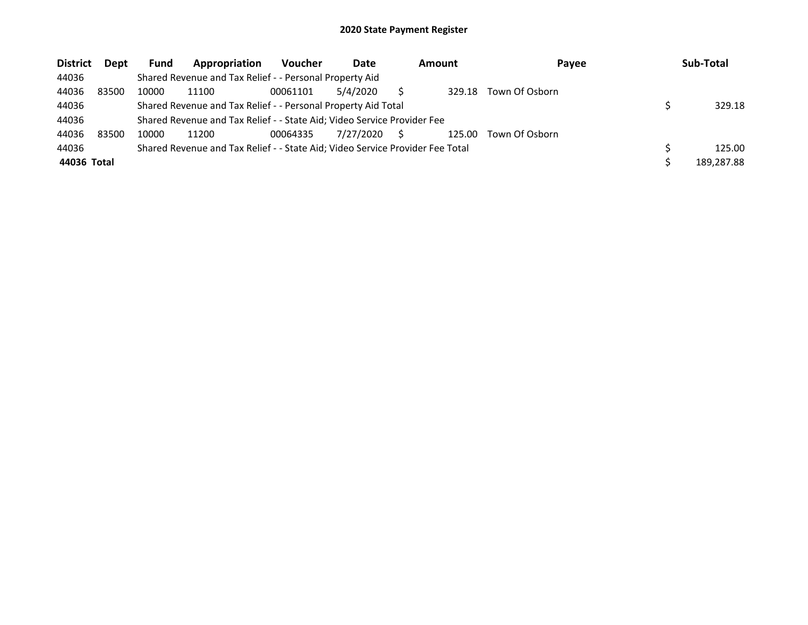| <b>District</b> | Dept  | <b>Fund</b> | Appropriation                                                                 | <b>Voucher</b> | Date      | <b>Amount</b> | Payee          | Sub-Total  |
|-----------------|-------|-------------|-------------------------------------------------------------------------------|----------------|-----------|---------------|----------------|------------|
| 44036           |       |             | Shared Revenue and Tax Relief - - Personal Property Aid                       |                |           |               |                |            |
| 44036           | 83500 | 10000       | 11100                                                                         | 00061101       | 5/4/2020  | 329.18        | Town Of Osborn |            |
| 44036           |       |             | Shared Revenue and Tax Relief - - Personal Property Aid Total                 |                |           |               |                | 329.18     |
| 44036           |       |             | Shared Revenue and Tax Relief - - State Aid; Video Service Provider Fee       |                |           |               |                |            |
| 44036           | 83500 | 10000       | 11200                                                                         | 00064335       | 7/27/2020 | 125.00        | Town Of Osborn |            |
| 44036           |       |             | Shared Revenue and Tax Relief - - State Aid; Video Service Provider Fee Total |                |           |               |                | 125.00     |
| 44036 Total     |       |             |                                                                               |                |           |               |                | 189.287.88 |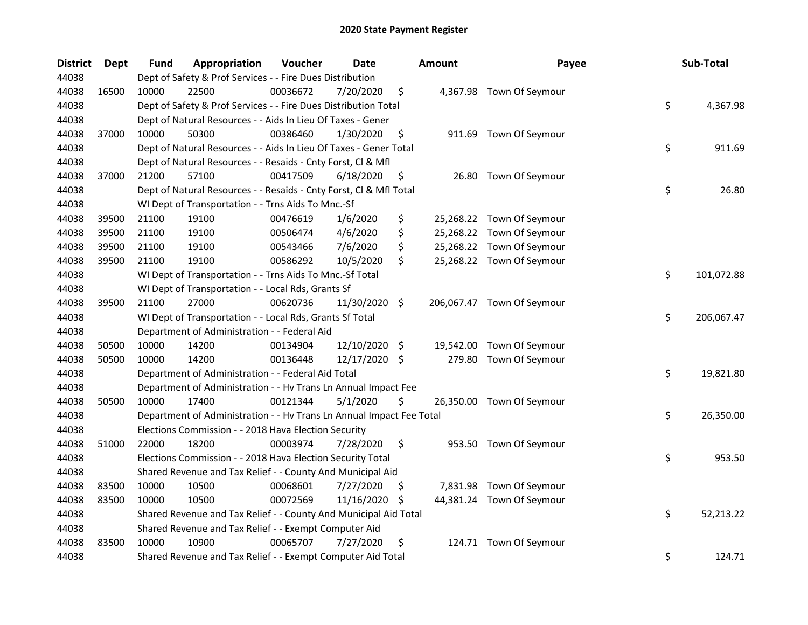| <b>District</b> | <b>Dept</b> | Fund  | Appropriation                                                        | Voucher  | <b>Date</b>   |     | <b>Amount</b> | Payee                      | Sub-Total        |
|-----------------|-------------|-------|----------------------------------------------------------------------|----------|---------------|-----|---------------|----------------------------|------------------|
| 44038           |             |       | Dept of Safety & Prof Services - - Fire Dues Distribution            |          |               |     |               |                            |                  |
| 44038           | 16500       | 10000 | 22500                                                                | 00036672 | 7/20/2020     | \$  |               | 4,367.98 Town Of Seymour   |                  |
| 44038           |             |       | Dept of Safety & Prof Services - - Fire Dues Distribution Total      |          |               |     |               |                            | \$<br>4,367.98   |
| 44038           |             |       | Dept of Natural Resources - - Aids In Lieu Of Taxes - Gener          |          |               |     |               |                            |                  |
| 44038           | 37000       | 10000 | 50300                                                                | 00386460 | 1/30/2020     | \$  |               | 911.69 Town Of Seymour     |                  |
| 44038           |             |       | Dept of Natural Resources - - Aids In Lieu Of Taxes - Gener Total    |          |               |     |               |                            | \$<br>911.69     |
| 44038           |             |       | Dept of Natural Resources - - Resaids - Cnty Forst, Cl & Mfl         |          |               |     |               |                            |                  |
| 44038           | 37000       | 21200 | 57100                                                                | 00417509 | 6/18/2020     | \$  |               | 26.80 Town Of Seymour      |                  |
| 44038           |             |       | Dept of Natural Resources - - Resaids - Cnty Forst, Cl & Mfl Total   |          |               |     |               |                            | \$<br>26.80      |
| 44038           |             |       | WI Dept of Transportation - - Trns Aids To Mnc.-Sf                   |          |               |     |               |                            |                  |
| 44038           | 39500       | 21100 | 19100                                                                | 00476619 | 1/6/2020      | \$  |               | 25,268.22 Town Of Seymour  |                  |
| 44038           | 39500       | 21100 | 19100                                                                | 00506474 | 4/6/2020      | \$  |               | 25,268.22 Town Of Seymour  |                  |
| 44038           | 39500       | 21100 | 19100                                                                | 00543466 | 7/6/2020      | \$  |               | 25,268.22 Town Of Seymour  |                  |
| 44038           | 39500       | 21100 | 19100                                                                | 00586292 | 10/5/2020     | \$  |               | 25,268.22 Town Of Seymour  |                  |
| 44038           |             |       | WI Dept of Transportation - - Trns Aids To Mnc.-Sf Total             |          |               |     |               |                            | \$<br>101,072.88 |
| 44038           |             |       | WI Dept of Transportation - - Local Rds, Grants Sf                   |          |               |     |               |                            |                  |
| 44038           | 39500       | 21100 | 27000                                                                | 00620736 | 11/30/2020 \$ |     |               | 206,067.47 Town Of Seymour |                  |
| 44038           |             |       | WI Dept of Transportation - - Local Rds, Grants Sf Total             |          |               |     |               |                            | \$<br>206,067.47 |
| 44038           |             |       | Department of Administration - - Federal Aid                         |          |               |     |               |                            |                  |
| 44038           | 50500       | 10000 | 14200                                                                | 00134904 | 12/10/2020    | -\$ |               | 19,542.00 Town Of Seymour  |                  |
| 44038           | 50500       | 10000 | 14200                                                                | 00136448 | 12/17/2020 \$ |     |               | 279.80 Town Of Seymour     |                  |
| 44038           |             |       | Department of Administration - - Federal Aid Total                   |          |               |     |               |                            | \$<br>19,821.80  |
| 44038           |             |       | Department of Administration - - Hv Trans Ln Annual Impact Fee       |          |               |     |               |                            |                  |
| 44038           | 50500       | 10000 | 17400                                                                | 00121344 | 5/1/2020      | \$  |               | 26,350.00 Town Of Seymour  |                  |
| 44038           |             |       | Department of Administration - - Hv Trans Ln Annual Impact Fee Total |          |               |     |               |                            | \$<br>26,350.00  |
| 44038           |             |       | Elections Commission - - 2018 Hava Election Security                 |          |               |     |               |                            |                  |
| 44038           | 51000       | 22000 | 18200                                                                | 00003974 | 7/28/2020     | \$  |               | 953.50 Town Of Seymour     |                  |
| 44038           |             |       | Elections Commission - - 2018 Hava Election Security Total           |          |               |     |               |                            | \$<br>953.50     |
| 44038           |             |       | Shared Revenue and Tax Relief - - County And Municipal Aid           |          |               |     |               |                            |                  |
| 44038           | 83500       | 10000 | 10500                                                                | 00068601 | 7/27/2020     | \$, |               | 7,831.98 Town Of Seymour   |                  |
| 44038           | 83500       | 10000 | 10500                                                                | 00072569 | 11/16/2020    | -\$ |               | 44,381.24 Town Of Seymour  |                  |
| 44038           |             |       | Shared Revenue and Tax Relief - - County And Municipal Aid Total     |          |               |     |               |                            | \$<br>52,213.22  |
| 44038           |             |       | Shared Revenue and Tax Relief - - Exempt Computer Aid                |          |               |     |               |                            |                  |
| 44038           | 83500       | 10000 | 10900                                                                | 00065707 | 7/27/2020     | \$  |               | 124.71 Town Of Seymour     |                  |
| 44038           |             |       | Shared Revenue and Tax Relief - - Exempt Computer Aid Total          |          |               |     |               |                            | \$<br>124.71     |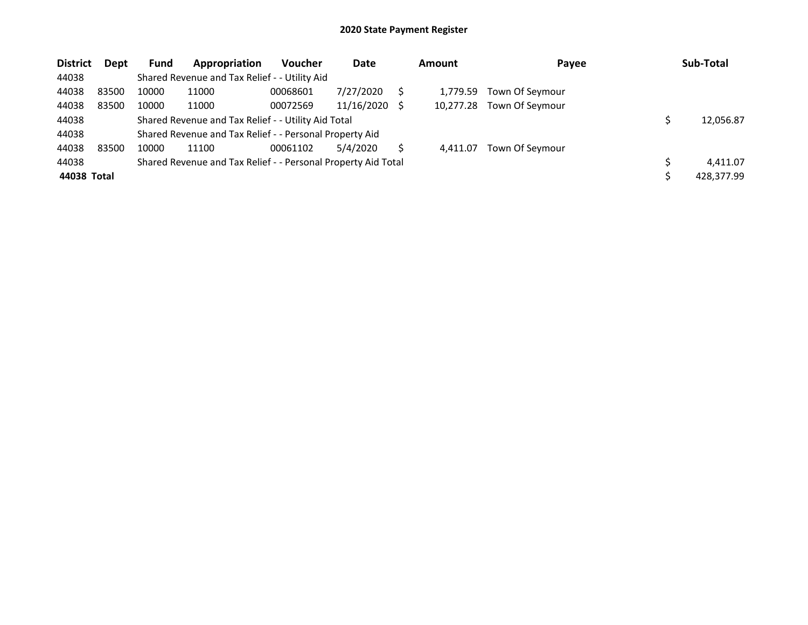| <b>District</b> | Dept  | <b>Fund</b> | Appropriation                                                 | <b>Voucher</b> | Date          | <b>Amount</b> | Payee           | Sub-Total  |
|-----------------|-------|-------------|---------------------------------------------------------------|----------------|---------------|---------------|-----------------|------------|
| 44038           |       |             | Shared Revenue and Tax Relief - - Utility Aid                 |                |               |               |                 |            |
| 44038           | 83500 | 10000       | 11000                                                         | 00068601       | 7/27/2020     | 1.779.59      | Town Of Seymour |            |
| 44038           | 83500 | 10000       | 11000                                                         | 00072569       | 11/16/2020 \$ | 10.277.28     | Town Of Seymour |            |
| 44038           |       |             | Shared Revenue and Tax Relief - - Utility Aid Total           |                |               |               |                 | 12,056.87  |
| 44038           |       |             | Shared Revenue and Tax Relief - - Personal Property Aid       |                |               |               |                 |            |
| 44038           | 83500 | 10000       | 11100                                                         | 00061102       | 5/4/2020      | 4.411.07      | Town Of Seymour |            |
| 44038           |       |             | Shared Revenue and Tax Relief - - Personal Property Aid Total |                |               |               |                 | 4.411.07   |
| 44038 Total     |       |             |                                                               |                |               |               |                 | 428,377.99 |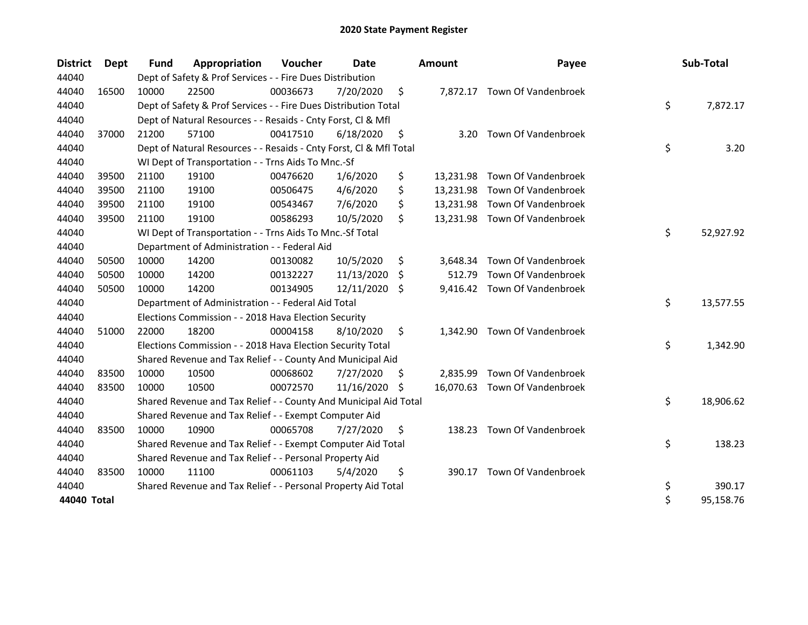| <b>District</b> | <b>Dept</b> | <b>Fund</b> | Appropriation                                                      | Voucher  | Date          |    | <b>Amount</b> | Payee                         | Sub-Total       |
|-----------------|-------------|-------------|--------------------------------------------------------------------|----------|---------------|----|---------------|-------------------------------|-----------------|
| 44040           |             |             | Dept of Safety & Prof Services - - Fire Dues Distribution          |          |               |    |               |                               |                 |
| 44040           | 16500       | 10000       | 22500                                                              | 00036673 | 7/20/2020     | \$ |               | 7,872.17 Town Of Vandenbroek  |                 |
| 44040           |             |             | Dept of Safety & Prof Services - - Fire Dues Distribution Total    |          |               |    |               |                               | \$<br>7,872.17  |
| 44040           |             |             | Dept of Natural Resources - - Resaids - Cnty Forst, Cl & Mfl       |          |               |    |               |                               |                 |
| 44040           | 37000       | 21200       | 57100                                                              | 00417510 | 6/18/2020     | \$ | 3.20          | Town Of Vandenbroek           |                 |
| 44040           |             |             | Dept of Natural Resources - - Resaids - Cnty Forst, Cl & Mfl Total |          |               |    |               |                               | \$<br>3.20      |
| 44040           |             |             | WI Dept of Transportation - - Trns Aids To Mnc.-Sf                 |          |               |    |               |                               |                 |
| 44040           | 39500       | 21100       | 19100                                                              | 00476620 | 1/6/2020      | \$ |               | 13,231.98 Town Of Vandenbroek |                 |
| 44040           | 39500       | 21100       | 19100                                                              | 00506475 | 4/6/2020      | \$ | 13,231.98     | Town Of Vandenbroek           |                 |
| 44040           | 39500       | 21100       | 19100                                                              | 00543467 | 7/6/2020      | \$ |               | 13,231.98 Town Of Vandenbroek |                 |
| 44040           | 39500       | 21100       | 19100                                                              | 00586293 | 10/5/2020     | \$ |               | 13,231.98 Town Of Vandenbroek |                 |
| 44040           |             |             | WI Dept of Transportation - - Trns Aids To Mnc.-Sf Total           |          |               |    |               |                               | \$<br>52,927.92 |
| 44040           |             |             | Department of Administration - - Federal Aid                       |          |               |    |               |                               |                 |
| 44040           | 50500       | 10000       | 14200                                                              | 00130082 | 10/5/2020     | \$ | 3,648.34      | Town Of Vandenbroek           |                 |
| 44040           | 50500       | 10000       | 14200                                                              | 00132227 | 11/13/2020    | \$ | 512.79        | Town Of Vandenbroek           |                 |
| 44040           | 50500       | 10000       | 14200                                                              | 00134905 | 12/11/2020    | S. |               | 9,416.42 Town Of Vandenbroek  |                 |
| 44040           |             |             | Department of Administration - - Federal Aid Total                 |          |               |    |               |                               | \$<br>13,577.55 |
| 44040           |             |             | Elections Commission - - 2018 Hava Election Security               |          |               |    |               |                               |                 |
| 44040           | 51000       | 22000       | 18200                                                              | 00004158 | 8/10/2020     | \$ | 1.342.90      | Town Of Vandenbroek           |                 |
| 44040           |             |             | Elections Commission - - 2018 Hava Election Security Total         |          |               |    |               |                               | \$<br>1,342.90  |
| 44040           |             |             | Shared Revenue and Tax Relief - - County And Municipal Aid         |          |               |    |               |                               |                 |
| 44040           | 83500       | 10000       | 10500                                                              | 00068602 | 7/27/2020     | \$ | 2,835.99      | Town Of Vandenbroek           |                 |
| 44040           | 83500       | 10000       | 10500                                                              | 00072570 | 11/16/2020 \$ |    |               | 16,070.63 Town Of Vandenbroek |                 |
| 44040           |             |             | Shared Revenue and Tax Relief - - County And Municipal Aid Total   |          |               |    |               |                               | \$<br>18,906.62 |
| 44040           |             |             | Shared Revenue and Tax Relief - - Exempt Computer Aid              |          |               |    |               |                               |                 |
| 44040           | 83500       | 10000       | 10900                                                              | 00065708 | 7/27/2020     | \$ | 138.23        | Town Of Vandenbroek           |                 |
| 44040           |             |             | Shared Revenue and Tax Relief - - Exempt Computer Aid Total        |          |               |    |               |                               | \$<br>138.23    |
| 44040           |             |             | Shared Revenue and Tax Relief - - Personal Property Aid            |          |               |    |               |                               |                 |
| 44040           | 83500       | 10000       | 11100                                                              | 00061103 | 5/4/2020      | \$ | 390.17        | Town Of Vandenbroek           |                 |
| 44040           |             |             | Shared Revenue and Tax Relief - - Personal Property Aid Total      |          |               |    |               |                               | \$<br>390.17    |
| 44040 Total     |             |             |                                                                    |          |               |    |               |                               | \$<br>95,158.76 |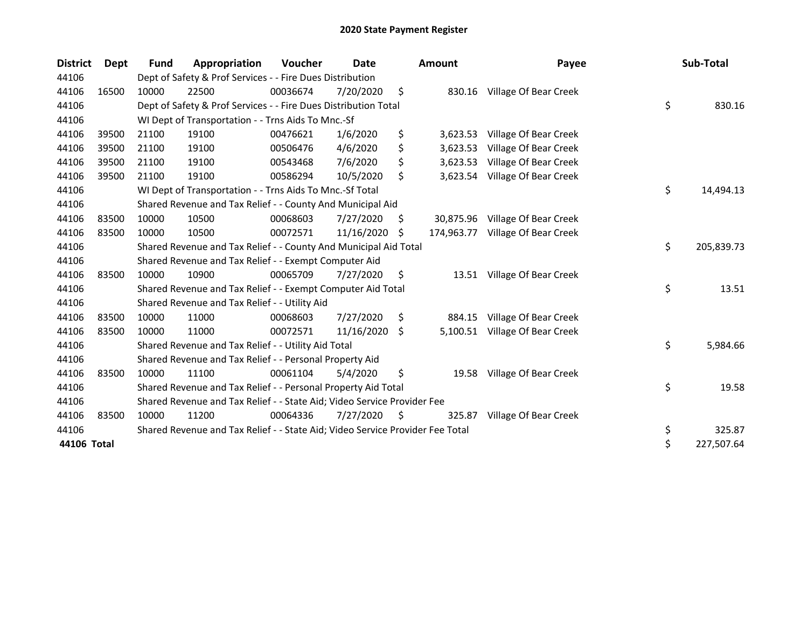| <b>District</b> | <b>Dept</b> | <b>Fund</b> | Appropriation                                                                 | Voucher  | Date       |     | <b>Amount</b> | Payee                          | Sub-Total        |
|-----------------|-------------|-------------|-------------------------------------------------------------------------------|----------|------------|-----|---------------|--------------------------------|------------------|
| 44106           |             |             | Dept of Safety & Prof Services - - Fire Dues Distribution                     |          |            |     |               |                                |                  |
| 44106           | 16500       | 10000       | 22500                                                                         | 00036674 | 7/20/2020  | \$  |               | 830.16 Village Of Bear Creek   |                  |
| 44106           |             |             | Dept of Safety & Prof Services - - Fire Dues Distribution Total               |          |            |     |               |                                | \$<br>830.16     |
| 44106           |             |             | WI Dept of Transportation - - Trns Aids To Mnc.-Sf                            |          |            |     |               |                                |                  |
| 44106           | 39500       | 21100       | 19100                                                                         | 00476621 | 1/6/2020   | \$  | 3,623.53      | Village Of Bear Creek          |                  |
| 44106           | 39500       | 21100       | 19100                                                                         | 00506476 | 4/6/2020   | \$  | 3,623.53      | Village Of Bear Creek          |                  |
| 44106           | 39500       | 21100       | 19100                                                                         | 00543468 | 7/6/2020   | \$  | 3,623.53      | Village Of Bear Creek          |                  |
| 44106           | 39500       | 21100       | 19100                                                                         | 00586294 | 10/5/2020  | \$  |               | 3,623.54 Village Of Bear Creek |                  |
| 44106           |             |             | WI Dept of Transportation - - Trns Aids To Mnc.-Sf Total                      |          |            |     |               |                                | \$<br>14,494.13  |
| 44106           |             |             | Shared Revenue and Tax Relief - - County And Municipal Aid                    |          |            |     |               |                                |                  |
| 44106           | 83500       | 10000       | 10500                                                                         | 00068603 | 7/27/2020  | S.  | 30,875.96     | Village Of Bear Creek          |                  |
| 44106           | 83500       | 10000       | 10500                                                                         | 00072571 | 11/16/2020 | \$. | 174,963.77    | Village Of Bear Creek          |                  |
| 44106           |             |             | Shared Revenue and Tax Relief - - County And Municipal Aid Total              |          |            |     |               |                                | \$<br>205,839.73 |
| 44106           |             |             | Shared Revenue and Tax Relief - - Exempt Computer Aid                         |          |            |     |               |                                |                  |
| 44106           | 83500       | 10000       | 10900                                                                         | 00065709 | 7/27/2020  | \$  |               | 13.51 Village Of Bear Creek    |                  |
| 44106           |             |             | Shared Revenue and Tax Relief - - Exempt Computer Aid Total                   |          |            |     |               |                                | \$<br>13.51      |
| 44106           |             |             | Shared Revenue and Tax Relief - - Utility Aid                                 |          |            |     |               |                                |                  |
| 44106           | 83500       | 10000       | 11000                                                                         | 00068603 | 7/27/2020  | S.  | 884.15        | Village Of Bear Creek          |                  |
| 44106           | 83500       | 10000       | 11000                                                                         | 00072571 | 11/16/2020 | \$  | 5,100.51      | Village Of Bear Creek          |                  |
| 44106           |             |             | Shared Revenue and Tax Relief - - Utility Aid Total                           |          |            |     |               |                                | \$<br>5,984.66   |
| 44106           |             |             | Shared Revenue and Tax Relief - - Personal Property Aid                       |          |            |     |               |                                |                  |
| 44106           | 83500       | 10000       | 11100                                                                         | 00061104 | 5/4/2020   | \$  | 19.58         | Village Of Bear Creek          |                  |
| 44106           |             |             | Shared Revenue and Tax Relief - - Personal Property Aid Total                 |          |            |     |               |                                | \$<br>19.58      |
| 44106           |             |             | Shared Revenue and Tax Relief - - State Aid; Video Service Provider Fee       |          |            |     |               |                                |                  |
| 44106           | 83500       | 10000       | 11200                                                                         | 00064336 | 7/27/2020  | \$  | 325.87        | Village Of Bear Creek          |                  |
| 44106           |             |             | Shared Revenue and Tax Relief - - State Aid; Video Service Provider Fee Total |          |            |     |               |                                | \$<br>325.87     |
| 44106 Total     |             |             |                                                                               |          |            |     |               |                                | \$<br>227,507.64 |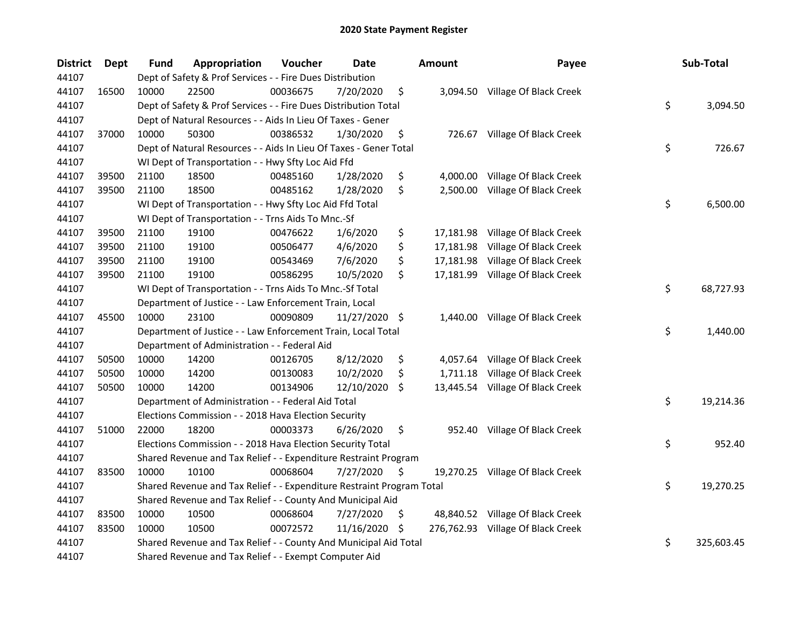| <b>District</b> | <b>Dept</b> | Fund  | Appropriation                                                         | Voucher  | <b>Date</b> |     | <b>Amount</b> | Payee                             | Sub-Total        |
|-----------------|-------------|-------|-----------------------------------------------------------------------|----------|-------------|-----|---------------|-----------------------------------|------------------|
| 44107           |             |       | Dept of Safety & Prof Services - - Fire Dues Distribution             |          |             |     |               |                                   |                  |
| 44107           | 16500       | 10000 | 22500                                                                 | 00036675 | 7/20/2020   | \$  |               | 3,094.50 Village Of Black Creek   |                  |
| 44107           |             |       | Dept of Safety & Prof Services - - Fire Dues Distribution Total       |          |             |     |               |                                   | \$<br>3,094.50   |
| 44107           |             |       | Dept of Natural Resources - - Aids In Lieu Of Taxes - Gener           |          |             |     |               |                                   |                  |
| 44107           | 37000       | 10000 | 50300                                                                 | 00386532 | 1/30/2020   | \$  |               | 726.67 Village Of Black Creek     |                  |
| 44107           |             |       | Dept of Natural Resources - - Aids In Lieu Of Taxes - Gener Total     |          |             |     |               |                                   | \$<br>726.67     |
| 44107           |             |       | WI Dept of Transportation - - Hwy Sfty Loc Aid Ffd                    |          |             |     |               |                                   |                  |
| 44107           | 39500       | 21100 | 18500                                                                 | 00485160 | 1/28/2020   | \$  |               | 4,000.00 Village Of Black Creek   |                  |
| 44107           | 39500       | 21100 | 18500                                                                 | 00485162 | 1/28/2020   | \$  | 2,500.00      | Village Of Black Creek            |                  |
| 44107           |             |       | WI Dept of Transportation - - Hwy Sfty Loc Aid Ffd Total              |          |             |     |               |                                   | \$<br>6,500.00   |
| 44107           |             |       | WI Dept of Transportation - - Trns Aids To Mnc.-Sf                    |          |             |     |               |                                   |                  |
| 44107           | 39500       | 21100 | 19100                                                                 | 00476622 | 1/6/2020    | \$  |               | 17,181.98 Village Of Black Creek  |                  |
| 44107           | 39500       | 21100 | 19100                                                                 | 00506477 | 4/6/2020    | \$  | 17,181.98     | Village Of Black Creek            |                  |
| 44107           | 39500       | 21100 | 19100                                                                 | 00543469 | 7/6/2020    | \$  | 17,181.98     | Village Of Black Creek            |                  |
| 44107           | 39500       | 21100 | 19100                                                                 | 00586295 | 10/5/2020   | \$  |               | 17,181.99 Village Of Black Creek  |                  |
| 44107           |             |       | WI Dept of Transportation - - Trns Aids To Mnc.-Sf Total              |          |             |     |               |                                   | \$<br>68,727.93  |
| 44107           |             |       | Department of Justice - - Law Enforcement Train, Local                |          |             |     |               |                                   |                  |
| 44107           | 45500       | 10000 | 23100                                                                 | 00090809 | 11/27/2020  | \$  | 1,440.00      | Village Of Black Creek            |                  |
| 44107           |             |       | Department of Justice - - Law Enforcement Train, Local Total          |          |             |     |               |                                   | \$<br>1,440.00   |
| 44107           |             |       | Department of Administration - - Federal Aid                          |          |             |     |               |                                   |                  |
| 44107           | 50500       | 10000 | 14200                                                                 | 00126705 | 8/12/2020   | \$  |               | 4,057.64 Village Of Black Creek   |                  |
| 44107           | 50500       | 10000 | 14200                                                                 | 00130083 | 10/2/2020   | \$  |               | 1,711.18 Village Of Black Creek   |                  |
| 44107           | 50500       | 10000 | 14200                                                                 | 00134906 | 12/10/2020  | S.  |               | 13,445.54 Village Of Black Creek  |                  |
| 44107           |             |       | Department of Administration - - Federal Aid Total                    |          |             |     |               |                                   | \$<br>19,214.36  |
| 44107           |             |       | Elections Commission - - 2018 Hava Election Security                  |          |             |     |               |                                   |                  |
| 44107           | 51000       | 22000 | 18200                                                                 | 00003373 | 6/26/2020   | \$  |               | 952.40 Village Of Black Creek     |                  |
| 44107           |             |       | Elections Commission - - 2018 Hava Election Security Total            |          |             |     |               |                                   | \$<br>952.40     |
| 44107           |             |       | Shared Revenue and Tax Relief - - Expenditure Restraint Program       |          |             |     |               |                                   |                  |
| 44107           | 83500       | 10000 | 10100                                                                 | 00068604 | 7/27/2020   | S   |               | 19,270.25 Village Of Black Creek  |                  |
| 44107           |             |       | Shared Revenue and Tax Relief - - Expenditure Restraint Program Total |          |             |     |               |                                   | \$<br>19,270.25  |
| 44107           |             |       | Shared Revenue and Tax Relief - - County And Municipal Aid            |          |             |     |               |                                   |                  |
| 44107           | 83500       | 10000 | 10500                                                                 | 00068604 | 7/27/2020   | \$  |               | 48,840.52 Village Of Black Creek  |                  |
| 44107           | 83500       | 10000 | 10500                                                                 | 00072572 | 11/16/2020  | \$. |               | 276,762.93 Village Of Black Creek |                  |
| 44107           |             |       | Shared Revenue and Tax Relief - - County And Municipal Aid Total      |          |             |     |               |                                   | \$<br>325,603.45 |
| 44107           |             |       | Shared Revenue and Tax Relief - - Exempt Computer Aid                 |          |             |     |               |                                   |                  |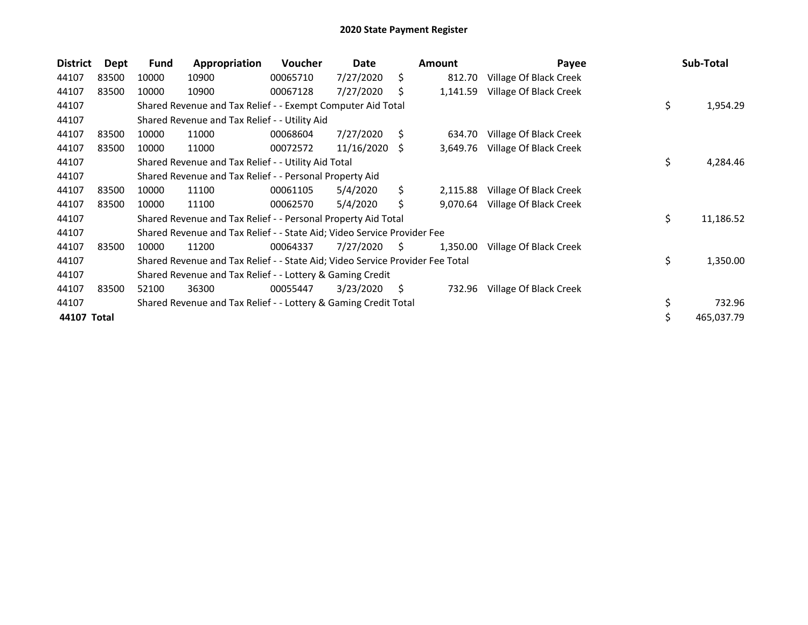| <b>District</b> | Dept  | Fund  | Appropriation                                                                 | <b>Voucher</b> | Date            |     | <b>Amount</b> | Payee                  | Sub-Total        |
|-----------------|-------|-------|-------------------------------------------------------------------------------|----------------|-----------------|-----|---------------|------------------------|------------------|
| 44107           | 83500 | 10000 | 10900                                                                         | 00065710       | 7/27/2020       | \$  | 812.70        | Village Of Black Creek |                  |
| 44107           | 83500 | 10000 | 10900                                                                         | 00067128       | 7/27/2020       | S.  | 1,141.59      | Village Of Black Creek |                  |
| 44107           |       |       | Shared Revenue and Tax Relief - - Exempt Computer Aid Total                   |                |                 |     |               |                        | \$<br>1,954.29   |
| 44107           |       |       | Shared Revenue and Tax Relief - - Utility Aid                                 |                |                 |     |               |                        |                  |
| 44107           | 83500 | 10000 | 11000                                                                         | 00068604       | 7/27/2020       | S.  | 634.70        | Village Of Black Creek |                  |
| 44107           | 83500 | 10000 | 11000                                                                         | 00072572       | $11/16/2020$ \$ |     | 3,649.76      | Village Of Black Creek |                  |
| 44107           |       |       | Shared Revenue and Tax Relief - - Utility Aid Total                           |                |                 |     |               |                        | \$<br>4,284.46   |
| 44107           |       |       | Shared Revenue and Tax Relief - - Personal Property Aid                       |                |                 |     |               |                        |                  |
| 44107           | 83500 | 10000 | 11100                                                                         | 00061105       | 5/4/2020        | S.  | 2,115.88      | Village Of Black Creek |                  |
| 44107           | 83500 | 10000 | 11100                                                                         | 00062570       | 5/4/2020        | \$. | 9,070.64      | Village Of Black Creek |                  |
| 44107           |       |       | Shared Revenue and Tax Relief - - Personal Property Aid Total                 |                |                 |     |               |                        | \$<br>11,186.52  |
| 44107           |       |       | Shared Revenue and Tax Relief - - State Aid; Video Service Provider Fee       |                |                 |     |               |                        |                  |
| 44107           | 83500 | 10000 | 11200                                                                         | 00064337       | 7/27/2020       | S.  | 1,350.00      | Village Of Black Creek |                  |
| 44107           |       |       | Shared Revenue and Tax Relief - - State Aid; Video Service Provider Fee Total |                |                 |     |               |                        | \$<br>1,350.00   |
| 44107           |       |       | Shared Revenue and Tax Relief - - Lottery & Gaming Credit                     |                |                 |     |               |                        |                  |
| 44107           | 83500 | 52100 | 36300                                                                         | 00055447       | 3/23/2020       | \$. | 732.96        | Village Of Black Creek |                  |
| 44107           |       |       | Shared Revenue and Tax Relief - - Lottery & Gaming Credit Total               |                |                 |     |               |                        | \$<br>732.96     |
| 44107 Total     |       |       |                                                                               |                |                 |     |               |                        | \$<br>465,037.79 |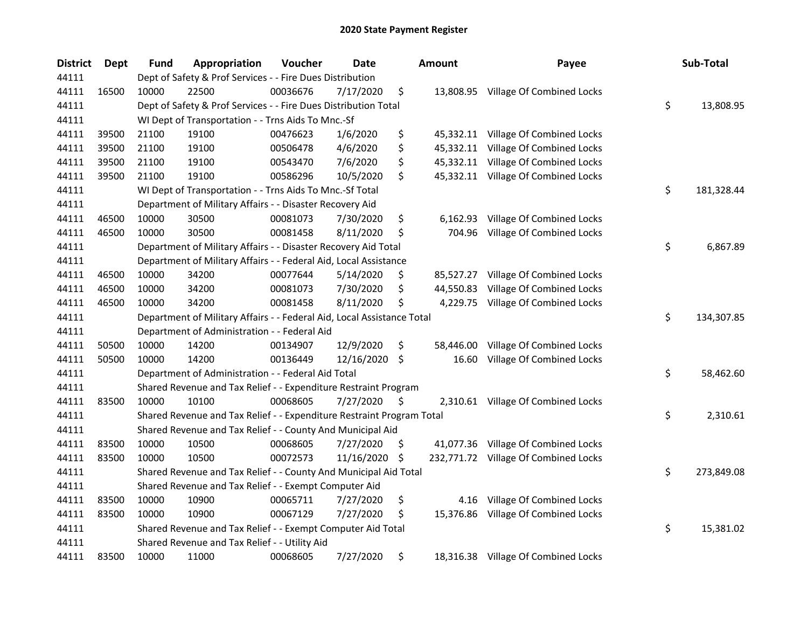| <b>District</b> | <b>Dept</b> | Fund  | Appropriation                                                          | Voucher  | <b>Date</b> | Amount          | Payee                                | Sub-Total        |
|-----------------|-------------|-------|------------------------------------------------------------------------|----------|-------------|-----------------|--------------------------------------|------------------|
| 44111           |             |       | Dept of Safety & Prof Services - - Fire Dues Distribution              |          |             |                 |                                      |                  |
| 44111           | 16500       | 10000 | 22500                                                                  | 00036676 | 7/17/2020   | \$              | 13,808.95 Village Of Combined Locks  |                  |
| 44111           |             |       | Dept of Safety & Prof Services - - Fire Dues Distribution Total        |          |             |                 |                                      | \$<br>13,808.95  |
| 44111           |             |       | WI Dept of Transportation - - Trns Aids To Mnc.-Sf                     |          |             |                 |                                      |                  |
| 44111           | 39500       | 21100 | 19100                                                                  | 00476623 | 1/6/2020    | \$              | 45,332.11 Village Of Combined Locks  |                  |
| 44111           | 39500       | 21100 | 19100                                                                  | 00506478 | 4/6/2020    | \$<br>45,332.11 | Village Of Combined Locks            |                  |
| 44111           | 39500       | 21100 | 19100                                                                  | 00543470 | 7/6/2020    | \$<br>45,332.11 | Village Of Combined Locks            |                  |
| 44111           | 39500       | 21100 | 19100                                                                  | 00586296 | 10/5/2020   | \$              | 45,332.11 Village Of Combined Locks  |                  |
| 44111           |             |       | WI Dept of Transportation - - Trns Aids To Mnc.-Sf Total               |          |             |                 |                                      | \$<br>181,328.44 |
| 44111           |             |       | Department of Military Affairs - - Disaster Recovery Aid               |          |             |                 |                                      |                  |
| 44111           | 46500       | 10000 | 30500                                                                  | 00081073 | 7/30/2020   | \$<br>6,162.93  | Village Of Combined Locks            |                  |
| 44111           | 46500       | 10000 | 30500                                                                  | 00081458 | 8/11/2020   | \$<br>704.96    | Village Of Combined Locks            |                  |
| 44111           |             |       | Department of Military Affairs - - Disaster Recovery Aid Total         |          |             |                 |                                      | \$<br>6,867.89   |
| 44111           |             |       | Department of Military Affairs - - Federal Aid, Local Assistance       |          |             |                 |                                      |                  |
| 44111           | 46500       | 10000 | 34200                                                                  | 00077644 | 5/14/2020   | \$<br>85,527.27 | Village Of Combined Locks            |                  |
| 44111           | 46500       | 10000 | 34200                                                                  | 00081073 | 7/30/2020   | \$<br>44,550.83 | Village Of Combined Locks            |                  |
| 44111           | 46500       | 10000 | 34200                                                                  | 00081458 | 8/11/2020   | \$<br>4,229.75  | Village Of Combined Locks            |                  |
| 44111           |             |       | Department of Military Affairs - - Federal Aid, Local Assistance Total |          |             |                 |                                      | \$<br>134,307.85 |
| 44111           |             |       | Department of Administration - - Federal Aid                           |          |             |                 |                                      |                  |
| 44111           | 50500       | 10000 | 14200                                                                  | 00134907 | 12/9/2020   | \$<br>58,446.00 | Village Of Combined Locks            |                  |
| 44111           | 50500       | 10000 | 14200                                                                  | 00136449 | 12/16/2020  | \$<br>16.60     | Village Of Combined Locks            |                  |
| 44111           |             |       | Department of Administration - - Federal Aid Total                     |          |             |                 |                                      | \$<br>58,462.60  |
| 44111           |             |       | Shared Revenue and Tax Relief - - Expenditure Restraint Program        |          |             |                 |                                      |                  |
| 44111           | 83500       | 10000 | 10100                                                                  | 00068605 | 7/27/2020   | \$              | 2,310.61 Village Of Combined Locks   |                  |
| 44111           |             |       | Shared Revenue and Tax Relief - - Expenditure Restraint Program Total  |          |             |                 |                                      | \$<br>2,310.61   |
| 44111           |             |       | Shared Revenue and Tax Relief - - County And Municipal Aid             |          |             |                 |                                      |                  |
| 44111           | 83500       | 10000 | 10500                                                                  | 00068605 | 7/27/2020   | \$              | 41,077.36 Village Of Combined Locks  |                  |
| 44111           | 83500       | 10000 | 10500                                                                  | 00072573 | 11/16/2020  | \$              | 232,771.72 Village Of Combined Locks |                  |
| 44111           |             |       | Shared Revenue and Tax Relief - - County And Municipal Aid Total       |          |             |                 |                                      | \$<br>273,849.08 |
| 44111           |             |       | Shared Revenue and Tax Relief - - Exempt Computer Aid                  |          |             |                 |                                      |                  |
| 44111           | 83500       | 10000 | 10900                                                                  | 00065711 | 7/27/2020   | \$<br>4.16      | Village Of Combined Locks            |                  |
| 44111           | 83500       | 10000 | 10900                                                                  | 00067129 | 7/27/2020   | \$<br>15,376.86 | Village Of Combined Locks            |                  |
| 44111           |             |       | Shared Revenue and Tax Relief - - Exempt Computer Aid Total            |          |             |                 |                                      | \$<br>15,381.02  |
| 44111           |             |       | Shared Revenue and Tax Relief - - Utility Aid                          |          |             |                 |                                      |                  |
| 44111           | 83500       | 10000 | 11000                                                                  | 00068605 | 7/27/2020   | \$              | 18,316.38 Village Of Combined Locks  |                  |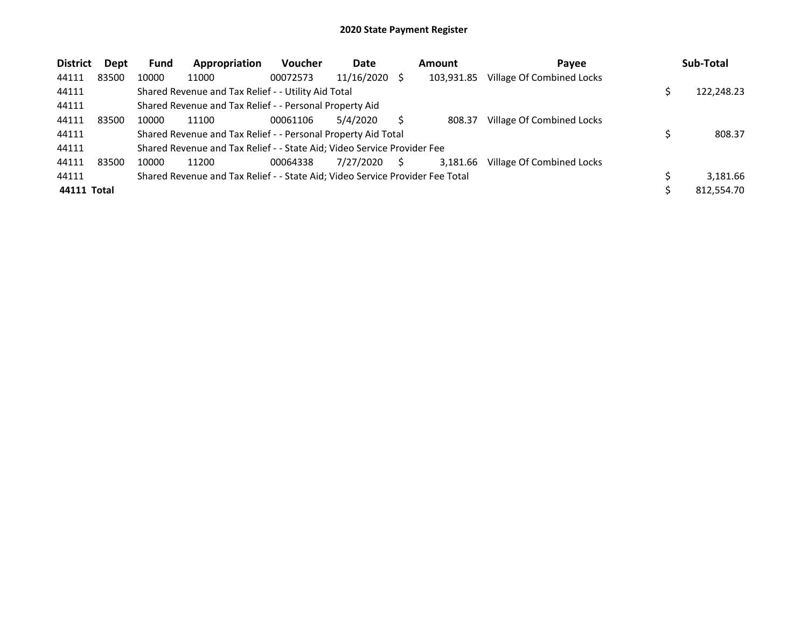| <b>District</b> | Dept  | <b>Fund</b> | Appropriation                                                                 | <b>Voucher</b> | Date       |    | Amount     | Payee                     | Sub-Total  |
|-----------------|-------|-------------|-------------------------------------------------------------------------------|----------------|------------|----|------------|---------------------------|------------|
| 44111           | 83500 | 10000       | 11000                                                                         | 00072573       | 11/16/2020 |    | 103,931.85 | Village Of Combined Locks |            |
| 44111           |       |             | Shared Revenue and Tax Relief - - Utility Aid Total                           |                |            |    |            |                           | 122,248.23 |
| 44111           |       |             | Shared Revenue and Tax Relief - - Personal Property Aid                       |                |            |    |            |                           |            |
| 44111           | 83500 | 10000       | 11100                                                                         | 00061106       | 5/4/2020   |    | 808.37     | Village Of Combined Locks |            |
| 44111           |       |             | Shared Revenue and Tax Relief - - Personal Property Aid Total                 |                |            |    |            |                           | 808.37     |
| 44111           |       |             | Shared Revenue and Tax Relief - - State Aid; Video Service Provider Fee       |                |            |    |            |                           |            |
| 44111           | 83500 | 10000       | 11200                                                                         | 00064338       | 7/27/2020  | S. | 3,181.66   | Village Of Combined Locks |            |
| 44111           |       |             | Shared Revenue and Tax Relief - - State Aid; Video Service Provider Fee Total |                |            |    |            |                           | 3.181.66   |
| 44111 Total     |       |             |                                                                               |                |            |    |            |                           | 812,554.70 |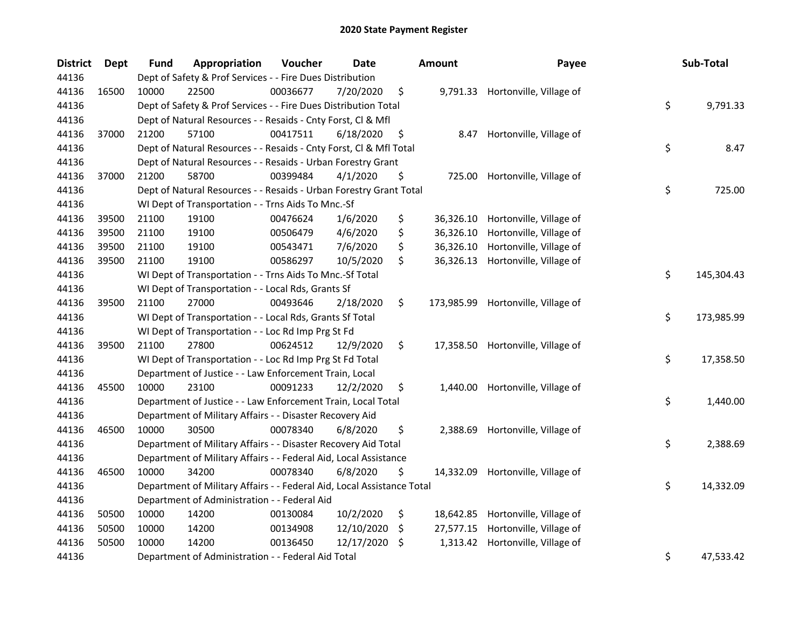| <b>District</b> | <b>Dept</b> | <b>Fund</b> | Appropriation                                                          | Voucher  | Date       |     | <b>Amount</b> | Payee                            | Sub-Total        |
|-----------------|-------------|-------------|------------------------------------------------------------------------|----------|------------|-----|---------------|----------------------------------|------------------|
| 44136           |             |             | Dept of Safety & Prof Services - - Fire Dues Distribution              |          |            |     |               |                                  |                  |
| 44136           | 16500       | 10000       | 22500                                                                  | 00036677 | 7/20/2020  | \$  |               | 9,791.33 Hortonville, Village of |                  |
| 44136           |             |             | Dept of Safety & Prof Services - - Fire Dues Distribution Total        |          |            |     |               |                                  | \$<br>9,791.33   |
| 44136           |             |             | Dept of Natural Resources - - Resaids - Cnty Forst, Cl & Mfl           |          |            |     |               |                                  |                  |
| 44136           | 37000       | 21200       | 57100                                                                  | 00417511 | 6/18/2020  | \$  | 8.47          | Hortonville, Village of          |                  |
| 44136           |             |             | Dept of Natural Resources - - Resaids - Cnty Forst, CI & Mfl Total     |          |            |     |               |                                  | \$<br>8.47       |
| 44136           |             |             | Dept of Natural Resources - - Resaids - Urban Forestry Grant           |          |            |     |               |                                  |                  |
| 44136           | 37000       | 21200       | 58700                                                                  | 00399484 | 4/1/2020   | \$  | 725.00        | Hortonville, Village of          |                  |
| 44136           |             |             | Dept of Natural Resources - - Resaids - Urban Forestry Grant Total     |          |            |     |               |                                  | \$<br>725.00     |
| 44136           |             |             | WI Dept of Transportation - - Trns Aids To Mnc.-Sf                     |          |            |     |               |                                  |                  |
| 44136           | 39500       | 21100       | 19100                                                                  | 00476624 | 1/6/2020   | \$  | 36,326.10     | Hortonville, Village of          |                  |
| 44136           | 39500       | 21100       | 19100                                                                  | 00506479 | 4/6/2020   | \$  | 36,326.10     | Hortonville, Village of          |                  |
| 44136           | 39500       | 21100       | 19100                                                                  | 00543471 | 7/6/2020   | \$  | 36,326.10     | Hortonville, Village of          |                  |
| 44136           | 39500       | 21100       | 19100                                                                  | 00586297 | 10/5/2020  | \$  | 36,326.13     | Hortonville, Village of          |                  |
| 44136           |             |             | WI Dept of Transportation - - Trns Aids To Mnc.-Sf Total               |          |            |     |               |                                  | \$<br>145,304.43 |
| 44136           |             |             | WI Dept of Transportation - - Local Rds, Grants Sf                     |          |            |     |               |                                  |                  |
| 44136           | 39500       | 21100       | 27000                                                                  | 00493646 | 2/18/2020  | \$  | 173,985.99    | Hortonville, Village of          |                  |
| 44136           |             |             | WI Dept of Transportation - - Local Rds, Grants Sf Total               |          |            |     |               |                                  | \$<br>173,985.99 |
| 44136           |             |             | WI Dept of Transportation - - Loc Rd Imp Prg St Fd                     |          |            |     |               |                                  |                  |
| 44136           | 39500       | 21100       | 27800                                                                  | 00624512 | 12/9/2020  | \$  | 17,358.50     | Hortonville, Village of          |                  |
| 44136           |             |             | WI Dept of Transportation - - Loc Rd Imp Prg St Fd Total               |          |            |     |               |                                  | \$<br>17,358.50  |
| 44136           |             |             | Department of Justice - - Law Enforcement Train, Local                 |          |            |     |               |                                  |                  |
| 44136           | 45500       | 10000       | 23100                                                                  | 00091233 | 12/2/2020  | \$  | 1,440.00      | Hortonville, Village of          |                  |
| 44136           |             |             | Department of Justice - - Law Enforcement Train, Local Total           |          |            |     |               |                                  | \$<br>1,440.00   |
| 44136           |             |             | Department of Military Affairs - - Disaster Recovery Aid               |          |            |     |               |                                  |                  |
| 44136           | 46500       | 10000       | 30500                                                                  | 00078340 | 6/8/2020   | \$  | 2,388.69      | Hortonville, Village of          |                  |
| 44136           |             |             | Department of Military Affairs - - Disaster Recovery Aid Total         |          |            |     |               |                                  | \$<br>2,388.69   |
| 44136           |             |             | Department of Military Affairs - - Federal Aid, Local Assistance       |          |            |     |               |                                  |                  |
| 44136           | 46500       | 10000       | 34200                                                                  | 00078340 | 6/8/2020   | \$  | 14,332.09     | Hortonville, Village of          |                  |
| 44136           |             |             | Department of Military Affairs - - Federal Aid, Local Assistance Total |          |            |     |               |                                  | \$<br>14,332.09  |
| 44136           |             |             | Department of Administration - - Federal Aid                           |          |            |     |               |                                  |                  |
| 44136           | 50500       | 10000       | 14200                                                                  | 00130084 | 10/2/2020  | \$  | 18,642.85     | Hortonville, Village of          |                  |
| 44136           | 50500       | 10000       | 14200                                                                  | 00134908 | 12/10/2020 | \$. | 27,577.15     | Hortonville, Village of          |                  |
| 44136           | 50500       | 10000       | 14200                                                                  | 00136450 | 12/17/2020 | \$. | 1,313.42      | Hortonville, Village of          |                  |
| 44136           |             |             | Department of Administration - - Federal Aid Total                     |          |            |     |               |                                  | \$<br>47,533.42  |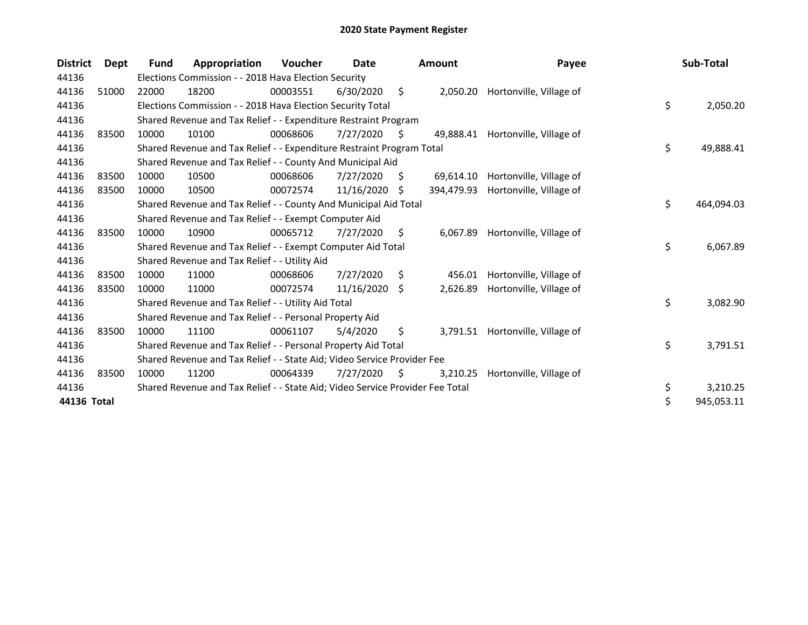| <b>District</b> | <b>Dept</b> | <b>Fund</b> | Appropriation                                                                 | <b>Voucher</b> | Date       |     | <b>Amount</b> | Payee                   | Sub-Total        |
|-----------------|-------------|-------------|-------------------------------------------------------------------------------|----------------|------------|-----|---------------|-------------------------|------------------|
| 44136           |             |             | Elections Commission - - 2018 Hava Election Security                          |                |            |     |               |                         |                  |
| 44136           | 51000       | 22000       | 18200                                                                         | 00003551       | 6/30/2020  | \$  | 2,050.20      | Hortonville, Village of |                  |
| 44136           |             |             | Elections Commission - - 2018 Hava Election Security Total                    |                |            |     |               |                         | \$<br>2,050.20   |
| 44136           |             |             | Shared Revenue and Tax Relief - - Expenditure Restraint Program               |                |            |     |               |                         |                  |
| 44136           | 83500       | 10000       | 10100                                                                         | 00068606       | 7/27/2020  | S   | 49,888.41     | Hortonville, Village of |                  |
| 44136           |             |             | Shared Revenue and Tax Relief - - Expenditure Restraint Program Total         |                |            |     |               |                         | \$<br>49,888.41  |
| 44136           |             |             | Shared Revenue and Tax Relief - - County And Municipal Aid                    |                |            |     |               |                         |                  |
| 44136           | 83500       | 10000       | 10500                                                                         | 00068606       | 7/27/2020  | S.  | 69,614.10     | Hortonville, Village of |                  |
| 44136           | 83500       | 10000       | 10500                                                                         | 00072574       | 11/16/2020 | S   | 394,479.93    | Hortonville, Village of |                  |
| 44136           |             |             | Shared Revenue and Tax Relief - - County And Municipal Aid Total              |                |            |     |               |                         | \$<br>464,094.03 |
| 44136           |             |             | Shared Revenue and Tax Relief - - Exempt Computer Aid                         |                |            |     |               |                         |                  |
| 44136           | 83500       | 10000       | 10900                                                                         | 00065712       | 7/27/2020  | S.  | 6,067.89      | Hortonville, Village of |                  |
| 44136           |             |             | Shared Revenue and Tax Relief - - Exempt Computer Aid Total                   |                |            |     |               |                         | \$<br>6,067.89   |
| 44136           |             |             | Shared Revenue and Tax Relief - - Utility Aid                                 |                |            |     |               |                         |                  |
| 44136           | 83500       | 10000       | 11000                                                                         | 00068606       | 7/27/2020  | \$  | 456.01        | Hortonville, Village of |                  |
| 44136           | 83500       | 10000       | 11000                                                                         | 00072574       | 11/16/2020 | -S  | 2,626.89      | Hortonville, Village of |                  |
| 44136           |             |             | Shared Revenue and Tax Relief - - Utility Aid Total                           |                |            |     |               |                         | \$<br>3,082.90   |
| 44136           |             |             | Shared Revenue and Tax Relief - - Personal Property Aid                       |                |            |     |               |                         |                  |
| 44136           | 83500       | 10000       | 11100                                                                         | 00061107       | 5/4/2020   | \$  | 3,791.51      | Hortonville, Village of |                  |
| 44136           |             |             | Shared Revenue and Tax Relief - - Personal Property Aid Total                 |                |            |     |               |                         | \$<br>3,791.51   |
| 44136           |             |             | Shared Revenue and Tax Relief - - State Aid; Video Service Provider Fee       |                |            |     |               |                         |                  |
| 44136           | 83500       | 10000       | 11200                                                                         | 00064339       | 7/27/2020  | \$. | 3,210.25      | Hortonville, Village of |                  |
| 44136           |             |             | Shared Revenue and Tax Relief - - State Aid; Video Service Provider Fee Total |                |            |     |               |                         | \$<br>3,210.25   |
| 44136 Total     |             |             |                                                                               |                |            |     |               |                         | \$<br>945,053.11 |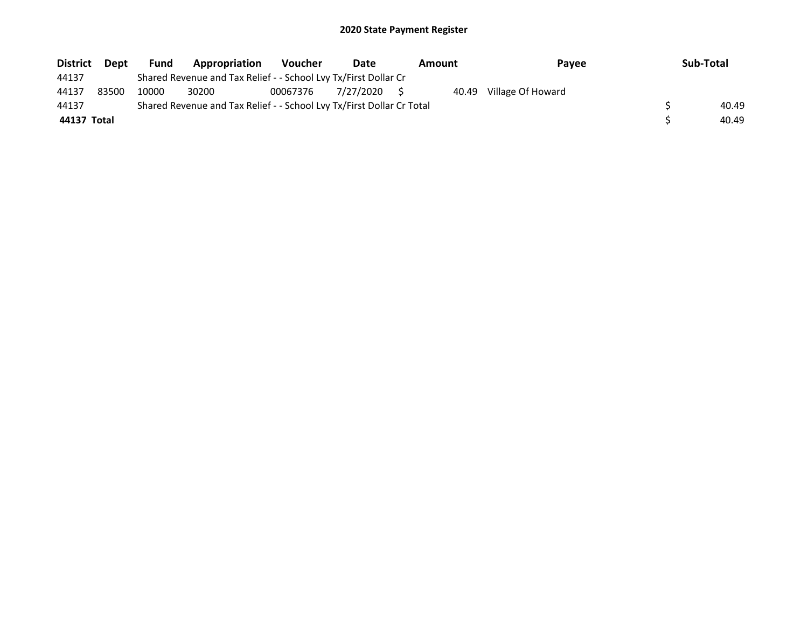| <b>District</b> | Dept  | <b>Fund</b> | <b>Appropriation</b>                                                  | Voucher  | Date      | <b>Amount</b> | Pavee                   | Sub-Total |
|-----------------|-------|-------------|-----------------------------------------------------------------------|----------|-----------|---------------|-------------------------|-----------|
| 44137           |       |             | Shared Revenue and Tax Relief - - School Lvy Tx/First Dollar Cr       |          |           |               |                         |           |
| 44137           | 83500 | 10000       | 30200                                                                 | 00067376 | 7/27/2020 |               | 40.49 Village Of Howard |           |
| 44137           |       |             | Shared Revenue and Tax Relief - - School Lvy Tx/First Dollar Cr Total |          |           |               |                         | 40.49     |
| 44137 Total     |       |             |                                                                       |          |           |               |                         | 40.49     |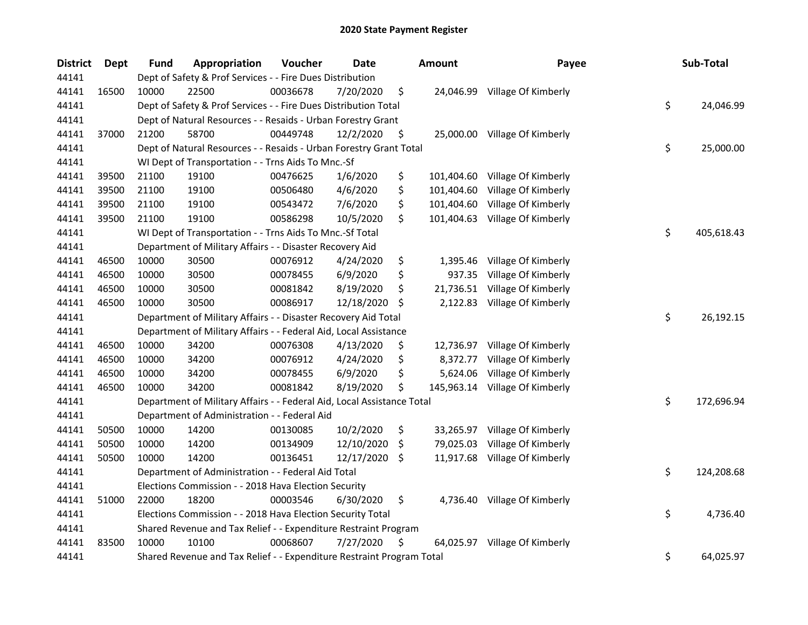| <b>District</b> | <b>Dept</b> | <b>Fund</b> | Appropriation                                                          | Voucher  | <b>Date</b> |     | Amount     | Payee                          | Sub-Total        |
|-----------------|-------------|-------------|------------------------------------------------------------------------|----------|-------------|-----|------------|--------------------------------|------------------|
| 44141           |             |             | Dept of Safety & Prof Services - - Fire Dues Distribution              |          |             |     |            |                                |                  |
| 44141           | 16500       | 10000       | 22500                                                                  | 00036678 | 7/20/2020   | \$  | 24,046.99  | Village Of Kimberly            |                  |
| 44141           |             |             | Dept of Safety & Prof Services - - Fire Dues Distribution Total        |          |             |     |            |                                | \$<br>24,046.99  |
| 44141           |             |             | Dept of Natural Resources - - Resaids - Urban Forestry Grant           |          |             |     |            |                                |                  |
| 44141           | 37000       | 21200       | 58700                                                                  | 00449748 | 12/2/2020   | \$  |            | 25,000.00 Village Of Kimberly  |                  |
| 44141           |             |             | Dept of Natural Resources - - Resaids - Urban Forestry Grant Total     |          |             |     |            |                                | \$<br>25,000.00  |
| 44141           |             |             | WI Dept of Transportation - - Trns Aids To Mnc.-Sf                     |          |             |     |            |                                |                  |
| 44141           | 39500       | 21100       | 19100                                                                  | 00476625 | 1/6/2020    | \$  | 101,404.60 | Village Of Kimberly            |                  |
| 44141           | 39500       | 21100       | 19100                                                                  | 00506480 | 4/6/2020    | \$  | 101,404.60 | Village Of Kimberly            |                  |
| 44141           | 39500       | 21100       | 19100                                                                  | 00543472 | 7/6/2020    | \$  | 101,404.60 | Village Of Kimberly            |                  |
| 44141           | 39500       | 21100       | 19100                                                                  | 00586298 | 10/5/2020   | \$  | 101,404.63 | Village Of Kimberly            |                  |
| 44141           |             |             | WI Dept of Transportation - - Trns Aids To Mnc.-Sf Total               |          |             |     |            |                                | \$<br>405,618.43 |
| 44141           |             |             | Department of Military Affairs - - Disaster Recovery Aid               |          |             |     |            |                                |                  |
| 44141           | 46500       | 10000       | 30500                                                                  | 00076912 | 4/24/2020   | \$  | 1,395.46   | Village Of Kimberly            |                  |
| 44141           | 46500       | 10000       | 30500                                                                  | 00078455 | 6/9/2020    | \$  | 937.35     | Village Of Kimberly            |                  |
| 44141           | 46500       | 10000       | 30500                                                                  | 00081842 | 8/19/2020   | \$  | 21,736.51  | Village Of Kimberly            |                  |
| 44141           | 46500       | 10000       | 30500                                                                  | 00086917 | 12/18/2020  | \$  | 2,122.83   | Village Of Kimberly            |                  |
| 44141           |             |             | Department of Military Affairs - - Disaster Recovery Aid Total         |          |             |     |            |                                | \$<br>26,192.15  |
| 44141           |             |             | Department of Military Affairs - - Federal Aid, Local Assistance       |          |             |     |            |                                |                  |
| 44141           | 46500       | 10000       | 34200                                                                  | 00076308 | 4/13/2020   | \$  | 12,736.97  | Village Of Kimberly            |                  |
| 44141           | 46500       | 10000       | 34200                                                                  | 00076912 | 4/24/2020   | \$  | 8,372.77   | Village Of Kimberly            |                  |
| 44141           | 46500       | 10000       | 34200                                                                  | 00078455 | 6/9/2020    | \$  | 5,624.06   | Village Of Kimberly            |                  |
| 44141           | 46500       | 10000       | 34200                                                                  | 00081842 | 8/19/2020   | \$  |            | 145,963.14 Village Of Kimberly |                  |
| 44141           |             |             | Department of Military Affairs - - Federal Aid, Local Assistance Total |          |             |     |            |                                | \$<br>172,696.94 |
| 44141           |             |             | Department of Administration - - Federal Aid                           |          |             |     |            |                                |                  |
| 44141           | 50500       | 10000       | 14200                                                                  | 00130085 | 10/2/2020   | \$  | 33,265.97  | Village Of Kimberly            |                  |
| 44141           | 50500       | 10000       | 14200                                                                  | 00134909 | 12/10/2020  | \$  | 79,025.03  | Village Of Kimberly            |                  |
| 44141           | 50500       | 10000       | 14200                                                                  | 00136451 | 12/17/2020  | -\$ | 11,917.68  | Village Of Kimberly            |                  |
| 44141           |             |             | Department of Administration - - Federal Aid Total                     |          |             |     |            |                                | \$<br>124,208.68 |
| 44141           |             |             | Elections Commission - - 2018 Hava Election Security                   |          |             |     |            |                                |                  |
| 44141           | 51000       | 22000       | 18200                                                                  | 00003546 | 6/30/2020   | \$  |            | 4,736.40 Village Of Kimberly   |                  |
| 44141           |             |             | Elections Commission - - 2018 Hava Election Security Total             |          |             |     |            |                                | \$<br>4,736.40   |
| 44141           |             |             | Shared Revenue and Tax Relief - - Expenditure Restraint Program        |          |             |     |            |                                |                  |
| 44141           | 83500       | 10000       | 10100                                                                  | 00068607 | 7/27/2020   | \$  |            | 64,025.97 Village Of Kimberly  |                  |
| 44141           |             |             | Shared Revenue and Tax Relief - - Expenditure Restraint Program Total  |          |             |     |            |                                | \$<br>64,025.97  |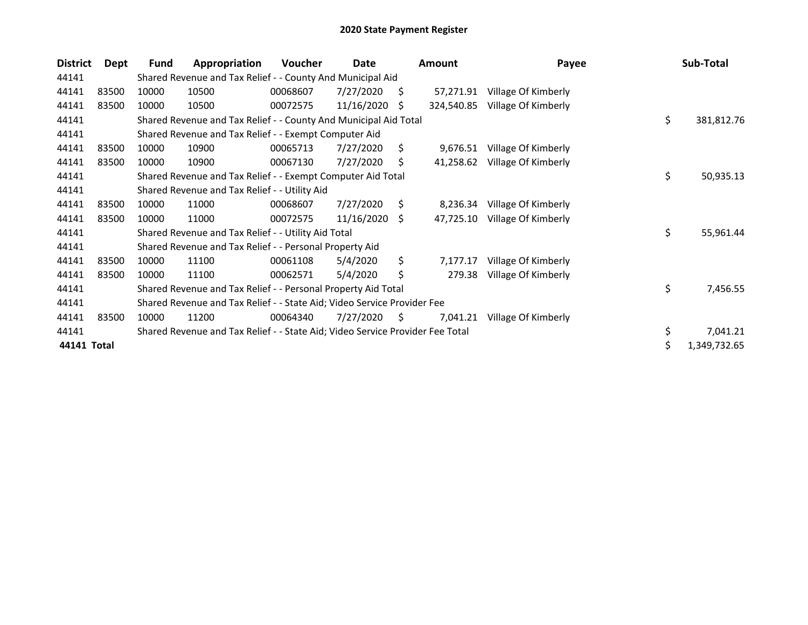| <b>District</b> | Dept  | Fund  | Appropriation                                                                 | Voucher  | Date       |      | <b>Amount</b> | Payee               | Sub-Total          |
|-----------------|-------|-------|-------------------------------------------------------------------------------|----------|------------|------|---------------|---------------------|--------------------|
| 44141           |       |       | Shared Revenue and Tax Relief - - County And Municipal Aid                    |          |            |      |               |                     |                    |
| 44141           | 83500 | 10000 | 10500                                                                         | 00068607 | 7/27/2020  | S    | 57,271.91     | Village Of Kimberly |                    |
| 44141           | 83500 | 10000 | 10500                                                                         | 00072575 | 11/16/2020 | S    | 324,540.85    | Village Of Kimberly |                    |
| 44141           |       |       | Shared Revenue and Tax Relief - - County And Municipal Aid Total              |          |            |      |               |                     | \$<br>381,812.76   |
| 44141           |       |       | Shared Revenue and Tax Relief - - Exempt Computer Aid                         |          |            |      |               |                     |                    |
| 44141           | 83500 | 10000 | 10900                                                                         | 00065713 | 7/27/2020  | \$   | 9,676.51      | Village Of Kimberly |                    |
| 44141           | 83500 | 10000 | 10900                                                                         | 00067130 | 7/27/2020  | Ŝ.   | 41,258.62     | Village Of Kimberly |                    |
| 44141           |       |       | Shared Revenue and Tax Relief - - Exempt Computer Aid Total                   |          |            |      |               |                     | \$<br>50,935.13    |
| 44141           |       |       | Shared Revenue and Tax Relief - - Utility Aid                                 |          |            |      |               |                     |                    |
| 44141           | 83500 | 10000 | 11000                                                                         | 00068607 | 7/27/2020  | Ŝ.   | 8,236.34      | Village Of Kimberly |                    |
| 44141           | 83500 | 10000 | 11000                                                                         | 00072575 | 11/16/2020 | - \$ | 47,725.10     | Village Of Kimberly |                    |
| 44141           |       |       | Shared Revenue and Tax Relief - - Utility Aid Total                           |          |            |      |               |                     | \$<br>55,961.44    |
| 44141           |       |       | Shared Revenue and Tax Relief - - Personal Property Aid                       |          |            |      |               |                     |                    |
| 44141           | 83500 | 10000 | 11100                                                                         | 00061108 | 5/4/2020   | \$   | 7,177.17      | Village Of Kimberly |                    |
| 44141           | 83500 | 10000 | 11100                                                                         | 00062571 | 5/4/2020   | Ś.   | 279.38        | Village Of Kimberly |                    |
| 44141           |       |       | Shared Revenue and Tax Relief - - Personal Property Aid Total                 |          |            |      |               |                     | \$<br>7,456.55     |
| 44141           |       |       | Shared Revenue and Tax Relief - - State Aid; Video Service Provider Fee       |          |            |      |               |                     |                    |
| 44141           | 83500 | 10000 | 11200                                                                         | 00064340 | 7/27/2020  | S    | 7,041.21      | Village Of Kimberly |                    |
| 44141           |       |       | Shared Revenue and Tax Relief - - State Aid; Video Service Provider Fee Total |          |            |      |               |                     | \$<br>7,041.21     |
| 44141 Total     |       |       |                                                                               |          |            |      |               |                     | \$<br>1,349,732.65 |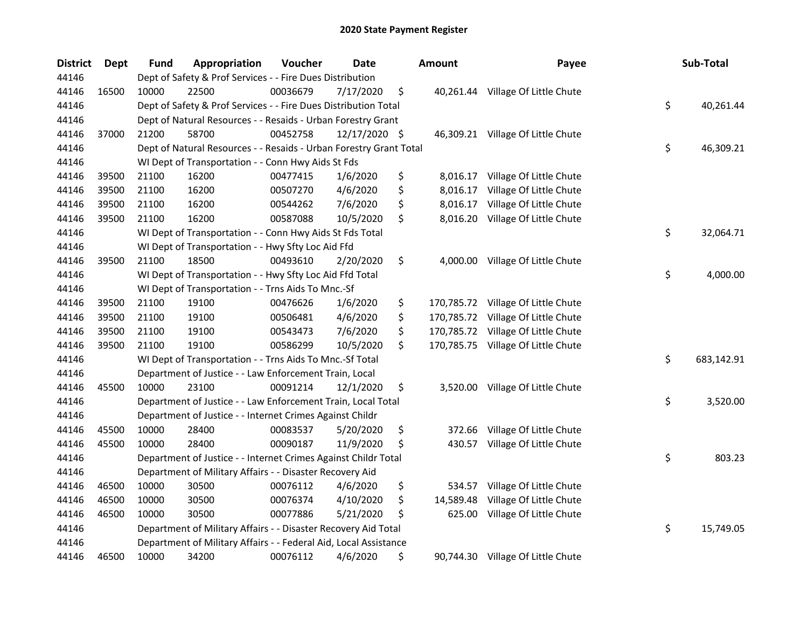| <b>District</b> | <b>Dept</b> | <b>Fund</b> | Appropriation                                                      | Voucher  | Date          | Amount           | Payee                             | Sub-Total        |
|-----------------|-------------|-------------|--------------------------------------------------------------------|----------|---------------|------------------|-----------------------------------|------------------|
| 44146           |             |             | Dept of Safety & Prof Services - - Fire Dues Distribution          |          |               |                  |                                   |                  |
| 44146           | 16500       | 10000       | 22500                                                              | 00036679 | 7/17/2020     | \$               | 40,261.44 Village Of Little Chute |                  |
| 44146           |             |             | Dept of Safety & Prof Services - - Fire Dues Distribution Total    |          |               |                  |                                   | \$<br>40,261.44  |
| 44146           |             |             | Dept of Natural Resources - - Resaids - Urban Forestry Grant       |          |               |                  |                                   |                  |
| 44146           | 37000       | 21200       | 58700                                                              | 00452758 | 12/17/2020 \$ |                  | 46,309.21 Village Of Little Chute |                  |
| 44146           |             |             | Dept of Natural Resources - - Resaids - Urban Forestry Grant Total |          |               |                  |                                   | \$<br>46,309.21  |
| 44146           |             |             | WI Dept of Transportation - - Conn Hwy Aids St Fds                 |          |               |                  |                                   |                  |
| 44146           | 39500       | 21100       | 16200                                                              | 00477415 | 1/6/2020      | \$<br>8,016.17   | Village Of Little Chute           |                  |
| 44146           | 39500       | 21100       | 16200                                                              | 00507270 | 4/6/2020      | \$<br>8,016.17   | Village Of Little Chute           |                  |
| 44146           | 39500       | 21100       | 16200                                                              | 00544262 | 7/6/2020      | \$<br>8,016.17   | Village Of Little Chute           |                  |
| 44146           | 39500       | 21100       | 16200                                                              | 00587088 | 10/5/2020     | \$<br>8,016.20   | Village Of Little Chute           |                  |
| 44146           |             |             | WI Dept of Transportation - - Conn Hwy Aids St Fds Total           |          |               |                  |                                   | \$<br>32,064.71  |
| 44146           |             |             | WI Dept of Transportation - - Hwy Sfty Loc Aid Ffd                 |          |               |                  |                                   |                  |
| 44146           | 39500       | 21100       | 18500                                                              | 00493610 | 2/20/2020     | \$<br>4,000.00   | Village Of Little Chute           |                  |
| 44146           |             |             | WI Dept of Transportation - - Hwy Sfty Loc Aid Ffd Total           |          |               |                  |                                   | \$<br>4,000.00   |
| 44146           |             |             | WI Dept of Transportation - - Trns Aids To Mnc.-Sf                 |          |               |                  |                                   |                  |
| 44146           | 39500       | 21100       | 19100                                                              | 00476626 | 1/6/2020      | \$<br>170,785.72 | Village Of Little Chute           |                  |
| 44146           | 39500       | 21100       | 19100                                                              | 00506481 | 4/6/2020      | \$<br>170,785.72 | Village Of Little Chute           |                  |
| 44146           | 39500       | 21100       | 19100                                                              | 00543473 | 7/6/2020      | \$<br>170,785.72 | Village Of Little Chute           |                  |
| 44146           | 39500       | 21100       | 19100                                                              | 00586299 | 10/5/2020     | \$<br>170,785.75 | Village Of Little Chute           |                  |
| 44146           |             |             | WI Dept of Transportation - - Trns Aids To Mnc.-Sf Total           |          |               |                  |                                   | \$<br>683,142.91 |
| 44146           |             |             | Department of Justice - - Law Enforcement Train, Local             |          |               |                  |                                   |                  |
| 44146           | 45500       | 10000       | 23100                                                              | 00091214 | 12/1/2020     | \$<br>3,520.00   | Village Of Little Chute           |                  |
| 44146           |             |             | Department of Justice - - Law Enforcement Train, Local Total       |          |               |                  |                                   | \$<br>3,520.00   |
| 44146           |             |             | Department of Justice - - Internet Crimes Against Childr           |          |               |                  |                                   |                  |
| 44146           | 45500       | 10000       | 28400                                                              | 00083537 | 5/20/2020     | \$<br>372.66     | Village Of Little Chute           |                  |
| 44146           | 45500       | 10000       | 28400                                                              | 00090187 | 11/9/2020     | \$<br>430.57     | Village Of Little Chute           |                  |
| 44146           |             |             | Department of Justice - - Internet Crimes Against Childr Total     |          |               |                  |                                   | \$<br>803.23     |
| 44146           |             |             | Department of Military Affairs - - Disaster Recovery Aid           |          |               |                  |                                   |                  |
| 44146           | 46500       | 10000       | 30500                                                              | 00076112 | 4/6/2020      | \$<br>534.57     | Village Of Little Chute           |                  |
| 44146           | 46500       | 10000       | 30500                                                              | 00076374 | 4/10/2020     | \$<br>14,589.48  | Village Of Little Chute           |                  |
| 44146           | 46500       | 10000       | 30500                                                              | 00077886 | 5/21/2020     | \$<br>625.00     | Village Of Little Chute           |                  |
| 44146           |             |             | Department of Military Affairs - - Disaster Recovery Aid Total     |          |               |                  |                                   | \$<br>15,749.05  |
| 44146           |             |             | Department of Military Affairs - - Federal Aid, Local Assistance   |          |               |                  |                                   |                  |
| 44146           | 46500       | 10000       | 34200                                                              | 00076112 | 4/6/2020      | \$               | 90,744.30 Village Of Little Chute |                  |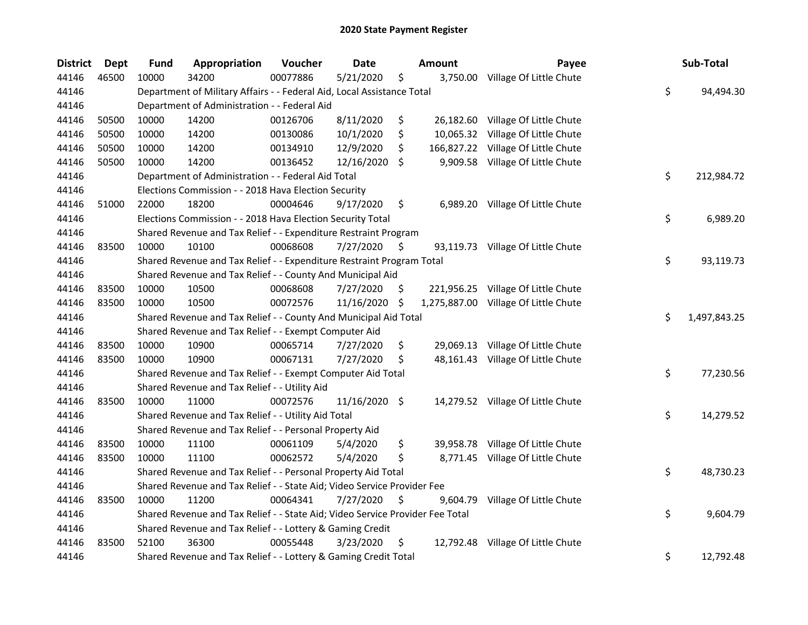| <b>District</b> | <b>Dept</b> | <b>Fund</b> | Appropriation                                                                 | Voucher  | Date            |    | <b>Amount</b> | Payee                             | Sub-Total          |
|-----------------|-------------|-------------|-------------------------------------------------------------------------------|----------|-----------------|----|---------------|-----------------------------------|--------------------|
| 44146           | 46500       | 10000       | 34200                                                                         | 00077886 | 5/21/2020       | \$ | 3,750.00      | Village Of Little Chute           |                    |
| 44146           |             |             | Department of Military Affairs - - Federal Aid, Local Assistance Total        |          |                 |    |               |                                   | \$<br>94,494.30    |
| 44146           |             |             | Department of Administration - - Federal Aid                                  |          |                 |    |               |                                   |                    |
| 44146           | 50500       | 10000       | 14200                                                                         | 00126706 | 8/11/2020       | \$ | 26,182.60     | Village Of Little Chute           |                    |
| 44146           | 50500       | 10000       | 14200                                                                         | 00130086 | 10/1/2020       | \$ | 10,065.32     | Village Of Little Chute           |                    |
| 44146           | 50500       | 10000       | 14200                                                                         | 00134910 | 12/9/2020       | \$ | 166,827.22    | Village Of Little Chute           |                    |
| 44146           | 50500       | 10000       | 14200                                                                         | 00136452 | 12/16/2020      | \$ | 9,909.58      | Village Of Little Chute           |                    |
| 44146           |             |             | Department of Administration - - Federal Aid Total                            |          |                 |    |               |                                   | \$<br>212,984.72   |
| 44146           |             |             | Elections Commission - - 2018 Hava Election Security                          |          |                 |    |               |                                   |                    |
| 44146           | 51000       | 22000       | 18200                                                                         | 00004646 | 9/17/2020       | \$ |               | 6,989.20 Village Of Little Chute  |                    |
| 44146           |             |             | Elections Commission - - 2018 Hava Election Security Total                    |          |                 |    |               |                                   | \$<br>6,989.20     |
| 44146           |             |             | Shared Revenue and Tax Relief - - Expenditure Restraint Program               |          |                 |    |               |                                   |                    |
| 44146           | 83500       | 10000       | 10100                                                                         | 00068608 | 7/27/2020       | \$ |               | 93,119.73 Village Of Little Chute |                    |
| 44146           |             |             | Shared Revenue and Tax Relief - - Expenditure Restraint Program Total         |          |                 |    |               |                                   | \$<br>93,119.73    |
| 44146           |             |             | Shared Revenue and Tax Relief - - County And Municipal Aid                    |          |                 |    |               |                                   |                    |
| 44146           | 83500       | 10000       | 10500                                                                         | 00068608 | 7/27/2020       | \$ | 221,956.25    | Village Of Little Chute           |                    |
| 44146           | 83500       | 10000       | 10500                                                                         | 00072576 | 11/16/2020      | S  | 1,275,887.00  | Village Of Little Chute           |                    |
| 44146           |             |             | Shared Revenue and Tax Relief - - County And Municipal Aid Total              |          |                 |    |               |                                   | \$<br>1,497,843.25 |
| 44146           |             |             | Shared Revenue and Tax Relief - - Exempt Computer Aid                         |          |                 |    |               |                                   |                    |
| 44146           | 83500       | 10000       | 10900                                                                         | 00065714 | 7/27/2020       | \$ | 29,069.13     | Village Of Little Chute           |                    |
| 44146           | 83500       | 10000       | 10900                                                                         | 00067131 | 7/27/2020       | \$ |               | 48,161.43 Village Of Little Chute |                    |
| 44146           |             |             | Shared Revenue and Tax Relief - - Exempt Computer Aid Total                   |          |                 |    |               |                                   | \$<br>77,230.56    |
| 44146           |             |             | Shared Revenue and Tax Relief - - Utility Aid                                 |          |                 |    |               |                                   |                    |
| 44146           | 83500       | 10000       | 11000                                                                         | 00072576 | $11/16/2020$ \$ |    |               | 14,279.52 Village Of Little Chute |                    |
| 44146           |             |             | Shared Revenue and Tax Relief - - Utility Aid Total                           |          |                 |    |               |                                   | \$<br>14,279.52    |
| 44146           |             |             | Shared Revenue and Tax Relief - - Personal Property Aid                       |          |                 |    |               |                                   |                    |
| 44146           | 83500       | 10000       | 11100                                                                         | 00061109 | 5/4/2020        | \$ |               | 39,958.78 Village Of Little Chute |                    |
| 44146           | 83500       | 10000       | 11100                                                                         | 00062572 | 5/4/2020        | \$ |               | 8,771.45 Village Of Little Chute  |                    |
| 44146           |             |             | Shared Revenue and Tax Relief - - Personal Property Aid Total                 |          |                 |    |               |                                   | \$<br>48,730.23    |
| 44146           |             |             | Shared Revenue and Tax Relief - - State Aid; Video Service Provider Fee       |          |                 |    |               |                                   |                    |
| 44146           | 83500       | 10000       | 11200                                                                         | 00064341 | 7/27/2020       | \$ | 9,604.79      | Village Of Little Chute           |                    |
| 44146           |             |             | Shared Revenue and Tax Relief - - State Aid; Video Service Provider Fee Total |          |                 |    |               |                                   | \$<br>9,604.79     |
| 44146           |             |             | Shared Revenue and Tax Relief - - Lottery & Gaming Credit                     |          |                 |    |               |                                   |                    |
| 44146           | 83500       | 52100       | 36300                                                                         | 00055448 | 3/23/2020       | \$ |               | 12,792.48 Village Of Little Chute |                    |
| 44146           |             |             | Shared Revenue and Tax Relief - - Lottery & Gaming Credit Total               |          |                 |    |               |                                   | \$<br>12,792.48    |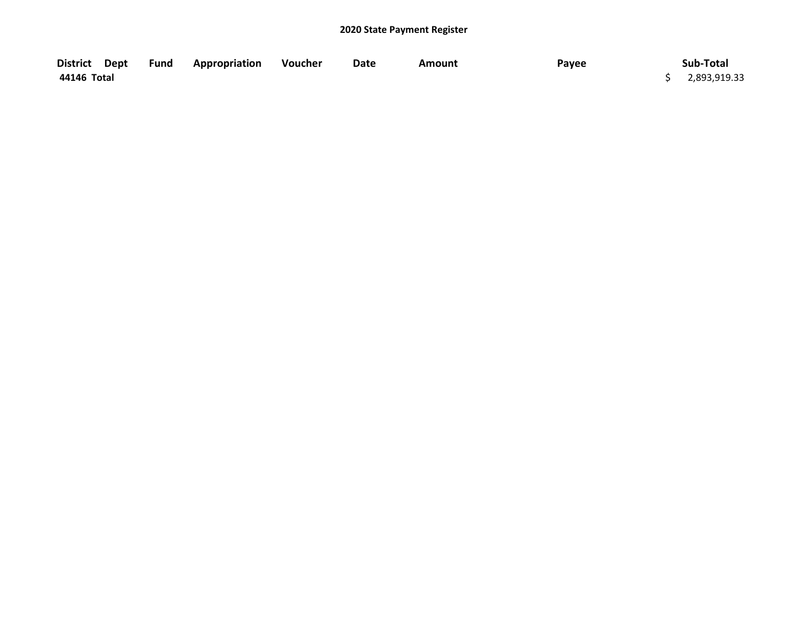| District Dept | Fund | <b>Appropriation</b> | Voucher | Date | <b>Amount</b> | Payee | Sub-Total    |
|---------------|------|----------------------|---------|------|---------------|-------|--------------|
| 44146 Total   |      |                      |         |      |               |       | 2,893,919.33 |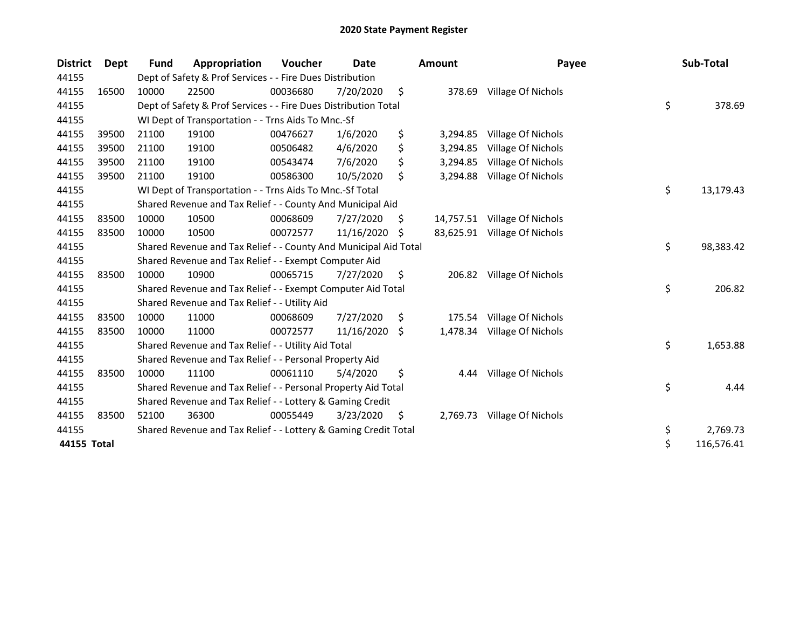| <b>District</b> | <b>Dept</b> | <b>Fund</b> | Appropriation                                                    | Voucher  | <b>Date</b>   |    | Amount   | Payee                        | Sub-Total        |
|-----------------|-------------|-------------|------------------------------------------------------------------|----------|---------------|----|----------|------------------------------|------------------|
| 44155           |             |             | Dept of Safety & Prof Services - - Fire Dues Distribution        |          |               |    |          |                              |                  |
| 44155           | 16500       | 10000       | 22500                                                            | 00036680 | 7/20/2020     | \$ | 378.69   | Village Of Nichols           |                  |
| 44155           |             |             | Dept of Safety & Prof Services - - Fire Dues Distribution Total  |          |               |    |          |                              | \$<br>378.69     |
| 44155           |             |             | WI Dept of Transportation - - Trns Aids To Mnc.-Sf               |          |               |    |          |                              |                  |
| 44155           | 39500       | 21100       | 19100                                                            | 00476627 | 1/6/2020      | \$ | 3,294.85 | Village Of Nichols           |                  |
| 44155           | 39500       | 21100       | 19100                                                            | 00506482 | 4/6/2020      | \$ | 3,294.85 | Village Of Nichols           |                  |
| 44155           | 39500       | 21100       | 19100                                                            | 00543474 | 7/6/2020      | \$ | 3,294.85 | Village Of Nichols           |                  |
| 44155           | 39500       | 21100       | 19100                                                            | 00586300 | 10/5/2020     | \$ | 3,294.88 | Village Of Nichols           |                  |
| 44155           |             |             | WI Dept of Transportation - - Trns Aids To Mnc.-Sf Total         |          |               |    |          |                              | \$<br>13,179.43  |
| 44155           |             |             | Shared Revenue and Tax Relief - - County And Municipal Aid       |          |               |    |          |                              |                  |
| 44155           | 83500       | 10000       | 10500                                                            | 00068609 | 7/27/2020     | \$ |          | 14,757.51 Village Of Nichols |                  |
| 44155           | 83500       | 10000       | 10500                                                            | 00072577 | 11/16/2020    | S  |          | 83,625.91 Village Of Nichols |                  |
| 44155           |             |             | Shared Revenue and Tax Relief - - County And Municipal Aid Total |          |               |    |          |                              | \$<br>98,383.42  |
| 44155           |             |             | Shared Revenue and Tax Relief - - Exempt Computer Aid            |          |               |    |          |                              |                  |
| 44155           | 83500       | 10000       | 10900                                                            | 00065715 | 7/27/2020     | S. |          | 206.82 Village Of Nichols    |                  |
| 44155           |             |             | Shared Revenue and Tax Relief - - Exempt Computer Aid Total      |          |               |    |          |                              | \$<br>206.82     |
| 44155           |             |             | Shared Revenue and Tax Relief - - Utility Aid                    |          |               |    |          |                              |                  |
| 44155           | 83500       | 10000       | 11000                                                            | 00068609 | 7/27/2020     | \$ | 175.54   | Village Of Nichols           |                  |
| 44155           | 83500       | 10000       | 11000                                                            | 00072577 | 11/16/2020 \$ |    | 1,478.34 | Village Of Nichols           |                  |
| 44155           |             |             | Shared Revenue and Tax Relief - - Utility Aid Total              |          |               |    |          |                              | \$<br>1,653.88   |
| 44155           |             |             | Shared Revenue and Tax Relief - - Personal Property Aid          |          |               |    |          |                              |                  |
| 44155           | 83500       | 10000       | 11100                                                            | 00061110 | 5/4/2020      | \$ | 4.44     | Village Of Nichols           |                  |
| 44155           |             |             | Shared Revenue and Tax Relief - - Personal Property Aid Total    |          |               |    |          |                              | \$<br>4.44       |
| 44155           |             |             | Shared Revenue and Tax Relief - - Lottery & Gaming Credit        |          |               |    |          |                              |                  |
| 44155           | 83500       | 52100       | 36300                                                            | 00055449 | 3/23/2020     | \$ |          | 2,769.73 Village Of Nichols  |                  |
| 44155           |             |             | Shared Revenue and Tax Relief - - Lottery & Gaming Credit Total  |          |               |    |          |                              | \$<br>2,769.73   |
| 44155 Total     |             |             |                                                                  |          |               |    |          |                              | \$<br>116,576.41 |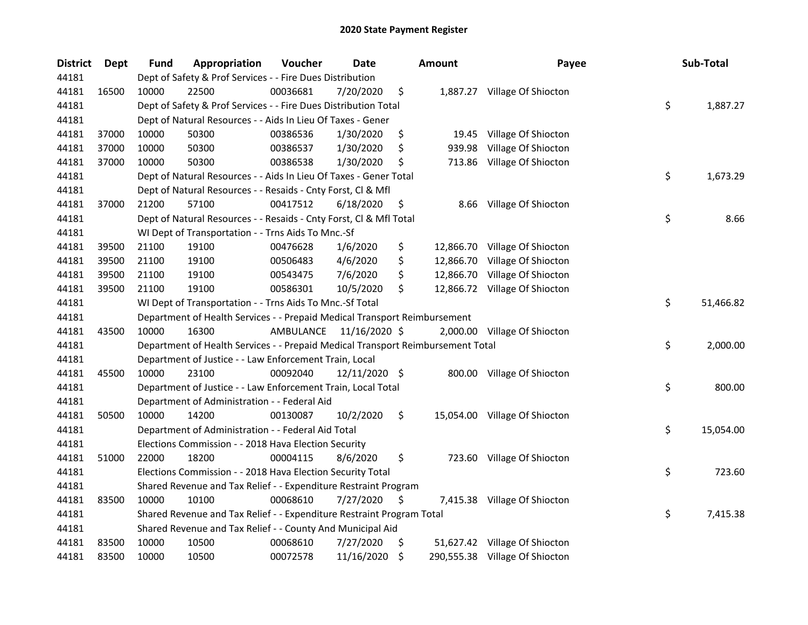| <b>District</b> | Dept  | <b>Fund</b> | Appropriation                                                                   | Voucher   | Date          |     | <b>Amount</b> | Payee                          | Sub-Total       |
|-----------------|-------|-------------|---------------------------------------------------------------------------------|-----------|---------------|-----|---------------|--------------------------------|-----------------|
| 44181           |       |             | Dept of Safety & Prof Services - - Fire Dues Distribution                       |           |               |     |               |                                |                 |
| 44181           | 16500 | 10000       | 22500                                                                           | 00036681  | 7/20/2020     | \$  |               | 1,887.27 Village Of Shiocton   |                 |
| 44181           |       |             | Dept of Safety & Prof Services - - Fire Dues Distribution Total                 |           |               |     |               |                                | \$<br>1,887.27  |
| 44181           |       |             | Dept of Natural Resources - - Aids In Lieu Of Taxes - Gener                     |           |               |     |               |                                |                 |
| 44181           | 37000 | 10000       | 50300                                                                           | 00386536  | 1/30/2020     | \$  | 19.45         | Village Of Shiocton            |                 |
| 44181           | 37000 | 10000       | 50300                                                                           | 00386537  | 1/30/2020     | \$  | 939.98        | Village Of Shiocton            |                 |
| 44181           | 37000 | 10000       | 50300                                                                           | 00386538  | 1/30/2020     | \$, |               | 713.86 Village Of Shiocton     |                 |
| 44181           |       |             | Dept of Natural Resources - - Aids In Lieu Of Taxes - Gener Total               |           |               |     |               |                                | \$<br>1,673.29  |
| 44181           |       |             | Dept of Natural Resources - - Resaids - Cnty Forst, Cl & Mfl                    |           |               |     |               |                                |                 |
| 44181           | 37000 | 21200       | 57100                                                                           | 00417512  | 6/18/2020     | \$  |               | 8.66 Village Of Shiocton       |                 |
| 44181           |       |             | Dept of Natural Resources - - Resaids - Cnty Forst, Cl & Mfl Total              |           |               |     |               |                                | \$<br>8.66      |
| 44181           |       |             | WI Dept of Transportation - - Trns Aids To Mnc.-Sf                              |           |               |     |               |                                |                 |
| 44181           | 39500 | 21100       | 19100                                                                           | 00476628  | 1/6/2020      | \$  |               | 12,866.70 Village Of Shiocton  |                 |
| 44181           | 39500 | 21100       | 19100                                                                           | 00506483  | 4/6/2020      | \$  | 12,866.70     | Village Of Shiocton            |                 |
| 44181           | 39500 | 21100       | 19100                                                                           | 00543475  | 7/6/2020      | \$  |               | 12,866.70 Village Of Shiocton  |                 |
| 44181           | 39500 | 21100       | 19100                                                                           | 00586301  | 10/5/2020     | \$  |               | 12,866.72 Village Of Shiocton  |                 |
| 44181           |       |             | WI Dept of Transportation - - Trns Aids To Mnc.-Sf Total                        |           |               |     |               |                                | \$<br>51,466.82 |
| 44181           |       |             | Department of Health Services - - Prepaid Medical Transport Reimbursement       |           |               |     |               |                                |                 |
| 44181           | 43500 | 10000       | 16300                                                                           | AMBULANCE | 11/16/2020 \$ |     |               | 2,000.00 Village Of Shiocton   |                 |
| 44181           |       |             | Department of Health Services - - Prepaid Medical Transport Reimbursement Total |           |               |     |               |                                | \$<br>2,000.00  |
| 44181           |       |             | Department of Justice - - Law Enforcement Train, Local                          |           |               |     |               |                                |                 |
| 44181           | 45500 | 10000       | 23100                                                                           | 00092040  | 12/11/2020 \$ |     |               | 800.00 Village Of Shiocton     |                 |
| 44181           |       |             | Department of Justice - - Law Enforcement Train, Local Total                    |           |               |     |               |                                | \$<br>800.00    |
| 44181           |       |             | Department of Administration - - Federal Aid                                    |           |               |     |               |                                |                 |
| 44181           | 50500 | 10000       | 14200                                                                           | 00130087  | 10/2/2020     | \$  |               | 15,054.00 Village Of Shiocton  |                 |
| 44181           |       |             | Department of Administration - - Federal Aid Total                              |           |               |     |               |                                | \$<br>15,054.00 |
| 44181           |       |             | Elections Commission - - 2018 Hava Election Security                            |           |               |     |               |                                |                 |
| 44181           | 51000 | 22000       | 18200                                                                           | 00004115  | 8/6/2020      | \$  |               | 723.60 Village Of Shiocton     |                 |
| 44181           |       |             | Elections Commission - - 2018 Hava Election Security Total                      |           |               |     |               |                                | \$<br>723.60    |
| 44181           |       |             | Shared Revenue and Tax Relief - - Expenditure Restraint Program                 |           |               |     |               |                                |                 |
| 44181           | 83500 | 10000       | 10100                                                                           | 00068610  | 7/27/2020     | \$. |               | 7,415.38 Village Of Shiocton   |                 |
| 44181           |       |             | Shared Revenue and Tax Relief - - Expenditure Restraint Program Total           |           |               |     |               |                                | \$<br>7,415.38  |
| 44181           |       |             | Shared Revenue and Tax Relief - - County And Municipal Aid                      |           |               |     |               |                                |                 |
| 44181           | 83500 | 10000       | 10500                                                                           | 00068610  | 7/27/2020     | \$  |               | 51,627.42 Village Of Shiocton  |                 |
| 44181           | 83500 | 10000       | 10500                                                                           | 00072578  | 11/16/2020    | \$  |               | 290,555.38 Village Of Shiocton |                 |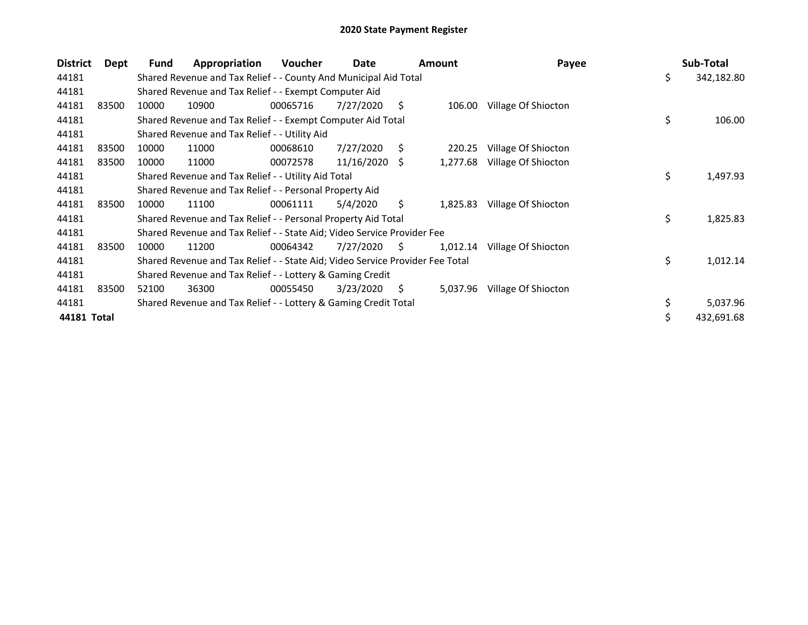| <b>District</b> | Dept  | Fund  | Appropriation                                                                 | <b>Voucher</b> | Date            |     | <b>Amount</b> | Payee               |    | Sub-Total  |
|-----------------|-------|-------|-------------------------------------------------------------------------------|----------------|-----------------|-----|---------------|---------------------|----|------------|
| 44181           |       |       | Shared Revenue and Tax Relief - - County And Municipal Aid Total              |                |                 |     |               |                     | \$ | 342,182.80 |
| 44181           |       |       | Shared Revenue and Tax Relief - - Exempt Computer Aid                         |                |                 |     |               |                     |    |            |
| 44181           | 83500 | 10000 | 10900                                                                         | 00065716       | 7/27/2020       | S   | 106.00        | Village Of Shiocton |    |            |
| 44181           |       |       | Shared Revenue and Tax Relief - - Exempt Computer Aid Total                   |                |                 |     |               |                     | \$ | 106.00     |
| 44181           |       |       | Shared Revenue and Tax Relief - - Utility Aid                                 |                |                 |     |               |                     |    |            |
| 44181           | 83500 | 10000 | 11000                                                                         | 00068610       | 7/27/2020       | S.  | 220.25        | Village Of Shiocton |    |            |
| 44181           | 83500 | 10000 | 11000                                                                         | 00072578       | $11/16/2020$ \$ |     | 1,277.68      | Village Of Shiocton |    |            |
| 44181           |       |       | Shared Revenue and Tax Relief - - Utility Aid Total                           |                |                 |     |               |                     | \$ | 1,497.93   |
| 44181           |       |       | Shared Revenue and Tax Relief - - Personal Property Aid                       |                |                 |     |               |                     |    |            |
| 44181           | 83500 | 10000 | 11100                                                                         | 00061111       | 5/4/2020        | \$  | 1,825.83      | Village Of Shiocton |    |            |
| 44181           |       |       | Shared Revenue and Tax Relief - - Personal Property Aid Total                 |                |                 |     |               |                     | \$ | 1,825.83   |
| 44181           |       |       | Shared Revenue and Tax Relief - - State Aid; Video Service Provider Fee       |                |                 |     |               |                     |    |            |
| 44181           | 83500 | 10000 | 11200                                                                         | 00064342       | 7/27/2020       | -S  | 1,012.14      | Village Of Shiocton |    |            |
| 44181           |       |       | Shared Revenue and Tax Relief - - State Aid; Video Service Provider Fee Total |                |                 |     |               |                     | \$ | 1,012.14   |
| 44181           |       |       | Shared Revenue and Tax Relief - - Lottery & Gaming Credit                     |                |                 |     |               |                     |    |            |
| 44181           | 83500 | 52100 | 36300                                                                         | 00055450       | 3/23/2020       | \$. | 5,037.96      | Village Of Shiocton |    |            |
| 44181           |       |       | Shared Revenue and Tax Relief - - Lottery & Gaming Credit Total               |                |                 |     |               |                     | \$ | 5,037.96   |
| 44181 Total     |       |       |                                                                               |                |                 |     |               |                     | \$ | 432,691.68 |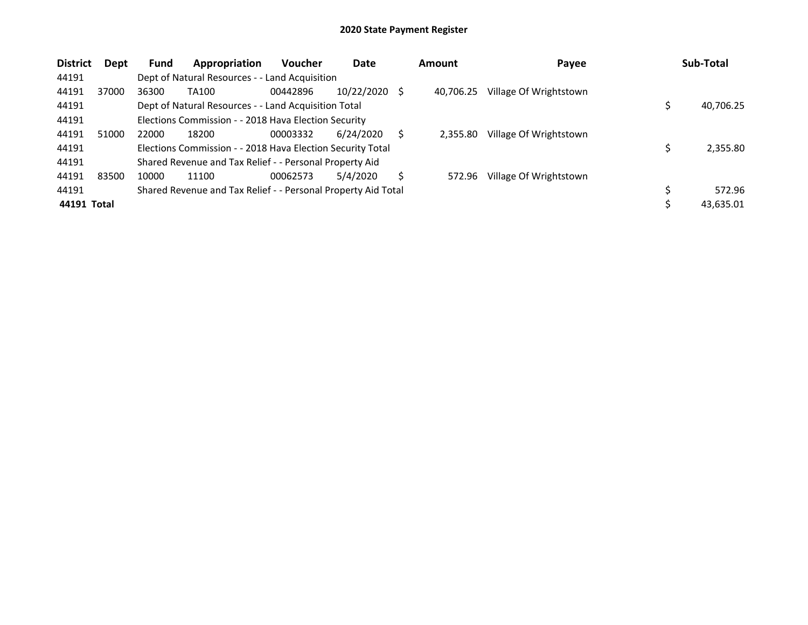| <b>District</b> | Dept  | <b>Fund</b> | Appropriation                                                 | <b>Voucher</b> | Date            |   | <b>Amount</b> | Payee                  |    | Sub-Total |  |
|-----------------|-------|-------------|---------------------------------------------------------------|----------------|-----------------|---|---------------|------------------------|----|-----------|--|
| 44191           |       |             | Dept of Natural Resources - - Land Acquisition                |                |                 |   |               |                        |    |           |  |
| 44191           | 37000 | 36300       | TA100                                                         | 00442896       | $10/22/2020$ \$ |   | 40.706.25     | Village Of Wrightstown |    |           |  |
| 44191           |       |             | Dept of Natural Resources - - Land Acquisition Total          |                |                 |   |               |                        |    |           |  |
| 44191           |       |             | Elections Commission - - 2018 Hava Election Security          |                |                 |   |               |                        |    |           |  |
| 44191           | 51000 | 22000       | 18200                                                         | 00003332       | 6/24/2020       | S | 2,355.80      | Village Of Wrightstown |    |           |  |
| 44191           |       |             | Elections Commission - - 2018 Hava Election Security Total    |                |                 |   |               |                        |    | 2,355.80  |  |
| 44191           |       |             | Shared Revenue and Tax Relief - - Personal Property Aid       |                |                 |   |               |                        |    |           |  |
| 44191           | 83500 | 10000       | 11100                                                         | 00062573       | 5/4/2020        | Ś | 572.96        | Village Of Wrightstown |    |           |  |
| 44191           |       |             | Shared Revenue and Tax Relief - - Personal Property Aid Total |                |                 |   |               |                        | \$ | 572.96    |  |
| 44191 Total     |       |             |                                                               |                |                 |   |               |                        |    | 43,635.01 |  |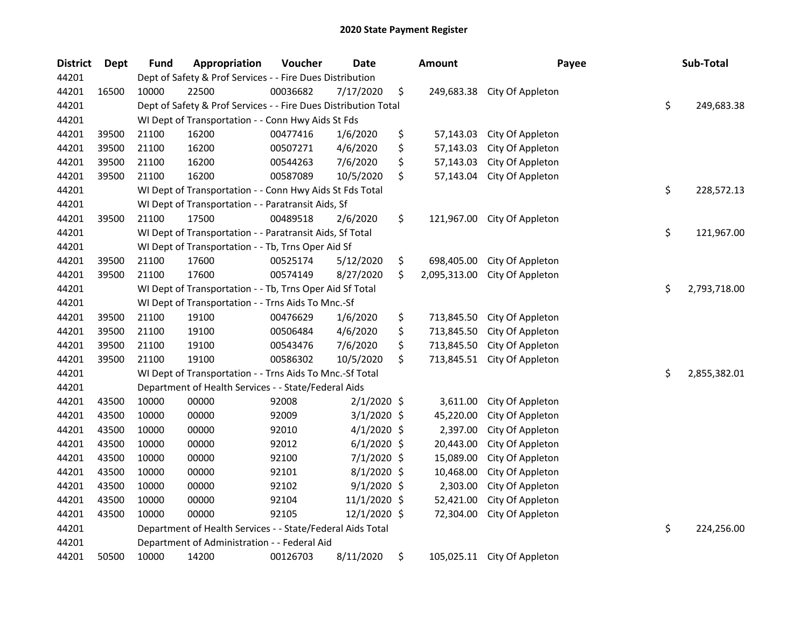| <b>District</b> | <b>Dept</b> | <b>Fund</b> | Appropriation                                                   | Voucher  | <b>Date</b>   |    | <b>Amount</b> | Payee            |    | Sub-Total    |
|-----------------|-------------|-------------|-----------------------------------------------------------------|----------|---------------|----|---------------|------------------|----|--------------|
| 44201           |             |             | Dept of Safety & Prof Services - - Fire Dues Distribution       |          |               |    |               |                  |    |              |
| 44201           | 16500       | 10000       | 22500                                                           | 00036682 | 7/17/2020     | \$ | 249,683.38    | City Of Appleton |    |              |
| 44201           |             |             | Dept of Safety & Prof Services - - Fire Dues Distribution Total |          |               |    |               |                  | \$ | 249,683.38   |
| 44201           |             |             | WI Dept of Transportation - - Conn Hwy Aids St Fds              |          |               |    |               |                  |    |              |
| 44201           | 39500       | 21100       | 16200                                                           | 00477416 | 1/6/2020      | \$ | 57,143.03     | City Of Appleton |    |              |
| 44201           | 39500       | 21100       | 16200                                                           | 00507271 | 4/6/2020      | \$ | 57,143.03     | City Of Appleton |    |              |
| 44201           | 39500       | 21100       | 16200                                                           | 00544263 | 7/6/2020      | \$ | 57,143.03     | City Of Appleton |    |              |
| 44201           | 39500       | 21100       | 16200                                                           | 00587089 | 10/5/2020     | \$ | 57,143.04     | City Of Appleton |    |              |
| 44201           |             |             | WI Dept of Transportation - - Conn Hwy Aids St Fds Total        |          |               |    |               |                  | \$ | 228,572.13   |
| 44201           |             |             | WI Dept of Transportation - - Paratransit Aids, Sf              |          |               |    |               |                  |    |              |
| 44201           | 39500       | 21100       | 17500                                                           | 00489518 | 2/6/2020      | \$ | 121,967.00    | City Of Appleton |    |              |
| 44201           |             |             | WI Dept of Transportation - - Paratransit Aids, Sf Total        |          |               |    |               |                  | \$ | 121,967.00   |
| 44201           |             |             | WI Dept of Transportation - - Tb, Trns Oper Aid Sf              |          |               |    |               |                  |    |              |
| 44201           | 39500       | 21100       | 17600                                                           | 00525174 | 5/12/2020     | \$ | 698,405.00    | City Of Appleton |    |              |
| 44201           | 39500       | 21100       | 17600                                                           | 00574149 | 8/27/2020     | \$ | 2,095,313.00  | City Of Appleton |    |              |
| 44201           |             |             | WI Dept of Transportation - - Tb, Trns Oper Aid Sf Total        |          |               |    |               |                  |    |              |
| 44201           |             |             | WI Dept of Transportation - - Trns Aids To Mnc.-Sf              |          |               |    |               |                  |    |              |
| 44201           | 39500       | 21100       | 19100                                                           | 00476629 | 1/6/2020      | \$ | 713,845.50    | City Of Appleton |    |              |
| 44201           | 39500       | 21100       | 19100                                                           | 00506484 | 4/6/2020      | \$ | 713,845.50    | City Of Appleton |    |              |
| 44201           | 39500       | 21100       | 19100                                                           | 00543476 | 7/6/2020      | \$ | 713,845.50    | City Of Appleton |    |              |
| 44201           | 39500       | 21100       | 19100                                                           | 00586302 | 10/5/2020     | \$ | 713,845.51    | City Of Appleton |    |              |
| 44201           |             |             | WI Dept of Transportation - - Trns Aids To Mnc.-Sf Total        |          |               |    |               |                  | \$ | 2,855,382.01 |
| 44201           |             |             | Department of Health Services - - State/Federal Aids            |          |               |    |               |                  |    |              |
| 44201           | 43500       | 10000       | 00000                                                           | 92008    | $2/1/2020$ \$ |    | 3,611.00      | City Of Appleton |    |              |
| 44201           | 43500       | 10000       | 00000                                                           | 92009    | $3/1/2020$ \$ |    | 45,220.00     | City Of Appleton |    |              |
| 44201           | 43500       | 10000       | 00000                                                           | 92010    | $4/1/2020$ \$ |    | 2,397.00      | City Of Appleton |    |              |
| 44201           | 43500       | 10000       | 00000                                                           | 92012    | $6/1/2020$ \$ |    | 20,443.00     | City Of Appleton |    |              |
| 44201           | 43500       | 10000       | 00000                                                           | 92100    | 7/1/2020 \$   |    | 15,089.00     | City Of Appleton |    |              |
| 44201           | 43500       | 10000       | 00000                                                           | 92101    | 8/1/2020 \$   |    | 10,468.00     | City Of Appleton |    |              |
| 44201           | 43500       | 10000       | 00000                                                           | 92102    | $9/1/2020$ \$ |    | 2,303.00      | City Of Appleton |    |              |
| 44201           | 43500       | 10000       | 00000                                                           | 92104    | 11/1/2020 \$  |    | 52,421.00     | City Of Appleton |    |              |
| 44201           | 43500       | 10000       | 00000                                                           | 92105    | 12/1/2020 \$  |    | 72,304.00     | City Of Appleton |    |              |
| 44201           |             |             | Department of Health Services - - State/Federal Aids Total      |          |               |    |               |                  | \$ | 224,256.00   |
| 44201           |             |             | Department of Administration - - Federal Aid                    |          |               |    |               |                  |    |              |
| 44201           | 50500       | 10000       | 14200                                                           | 00126703 | 8/11/2020     | \$ | 105,025.11    | City Of Appleton |    |              |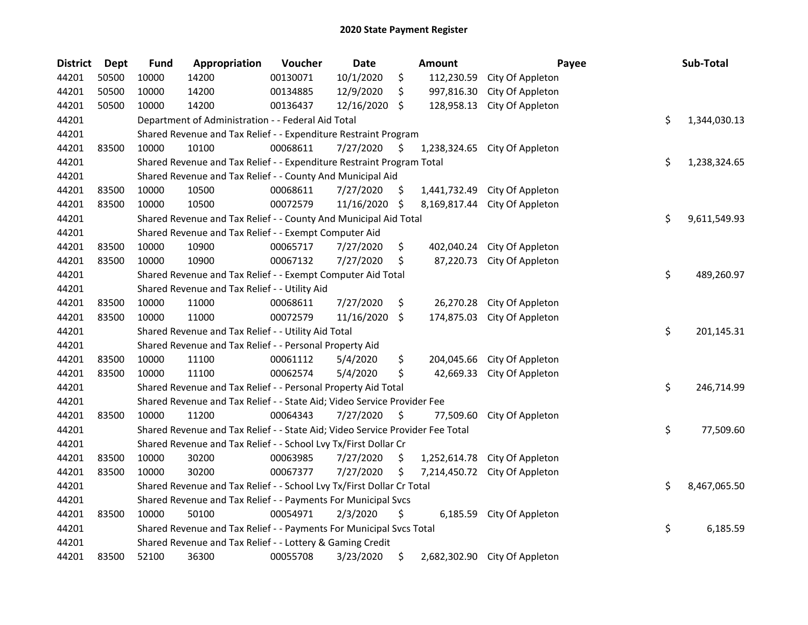| <b>District</b> | <b>Dept</b> | <b>Fund</b> | Appropriation                                                                 | Voucher  | Date       |     | Amount       | Payee                         | Sub-Total          |
|-----------------|-------------|-------------|-------------------------------------------------------------------------------|----------|------------|-----|--------------|-------------------------------|--------------------|
| 44201           | 50500       | 10000       | 14200                                                                         | 00130071 | 10/1/2020  | \$  | 112,230.59   | City Of Appleton              |                    |
| 44201           | 50500       | 10000       | 14200                                                                         | 00134885 | 12/9/2020  | \$  | 997,816.30   | City Of Appleton              |                    |
| 44201           | 50500       | 10000       | 14200                                                                         | 00136437 | 12/16/2020 | \$  | 128,958.13   | City Of Appleton              |                    |
| 44201           |             |             | Department of Administration - - Federal Aid Total                            |          |            |     |              |                               | \$<br>1,344,030.13 |
| 44201           |             |             | Shared Revenue and Tax Relief - - Expenditure Restraint Program               |          |            |     |              |                               |                    |
| 44201           | 83500       | 10000       | 10100                                                                         | 00068611 | 7/27/2020  | \$. | 1,238,324.65 | City Of Appleton              |                    |
| 44201           |             |             | Shared Revenue and Tax Relief - - Expenditure Restraint Program Total         |          |            |     |              |                               | \$<br>1,238,324.65 |
| 44201           |             |             | Shared Revenue and Tax Relief - - County And Municipal Aid                    |          |            |     |              |                               |                    |
| 44201           | 83500       | 10000       | 10500                                                                         | 00068611 | 7/27/2020  | \$  |              | 1,441,732.49 City Of Appleton |                    |
| 44201           | 83500       | 10000       | 10500                                                                         | 00072579 | 11/16/2020 | \$  |              | 8,169,817.44 City Of Appleton |                    |
| 44201           |             |             | Shared Revenue and Tax Relief - - County And Municipal Aid Total              |          |            |     |              |                               | \$<br>9,611,549.93 |
| 44201           |             |             | Shared Revenue and Tax Relief - - Exempt Computer Aid                         |          |            |     |              |                               |                    |
| 44201           | 83500       | 10000       | 10900                                                                         | 00065717 | 7/27/2020  | \$  | 402,040.24   | City Of Appleton              |                    |
| 44201           | 83500       | 10000       | 10900                                                                         | 00067132 | 7/27/2020  | \$  | 87,220.73    | City Of Appleton              |                    |
| 44201           |             |             | Shared Revenue and Tax Relief - - Exempt Computer Aid Total                   |          |            |     |              |                               | \$<br>489,260.97   |
| 44201           |             |             | Shared Revenue and Tax Relief - - Utility Aid                                 |          |            |     |              |                               |                    |
| 44201           | 83500       | 10000       | 11000                                                                         | 00068611 | 7/27/2020  | \$  | 26,270.28    | City Of Appleton              |                    |
| 44201           | 83500       | 10000       | 11000                                                                         | 00072579 | 11/16/2020 | \$  | 174,875.03   | City Of Appleton              |                    |
| 44201           |             |             | Shared Revenue and Tax Relief - - Utility Aid Total                           |          |            |     |              |                               | \$<br>201,145.31   |
| 44201           |             |             | Shared Revenue and Tax Relief - - Personal Property Aid                       |          |            |     |              |                               |                    |
| 44201           | 83500       | 10000       | 11100                                                                         | 00061112 | 5/4/2020   | \$  | 204,045.66   | City Of Appleton              |                    |
| 44201           | 83500       | 10000       | 11100                                                                         | 00062574 | 5/4/2020   | \$  | 42,669.33    | City Of Appleton              |                    |
| 44201           |             |             | Shared Revenue and Tax Relief - - Personal Property Aid Total                 |          |            |     |              |                               | \$<br>246,714.99   |
| 44201           |             |             | Shared Revenue and Tax Relief - - State Aid; Video Service Provider Fee       |          |            |     |              |                               |                    |
| 44201           | 83500       | 10000       | 11200                                                                         | 00064343 | 7/27/2020  | \$  | 77,509.60    | City Of Appleton              |                    |
| 44201           |             |             | Shared Revenue and Tax Relief - - State Aid; Video Service Provider Fee Total |          |            |     |              |                               | \$<br>77,509.60    |
| 44201           |             |             | Shared Revenue and Tax Relief - - School Lvy Tx/First Dollar Cr               |          |            |     |              |                               |                    |
| 44201           | 83500       | 10000       | 30200                                                                         | 00063985 | 7/27/2020  | \$  | 1,252,614.78 | City Of Appleton              |                    |
| 44201           | 83500       | 10000       | 30200                                                                         | 00067377 | 7/27/2020  | \$  | 7,214,450.72 | City Of Appleton              |                    |
| 44201           |             |             | Shared Revenue and Tax Relief - - School Lvy Tx/First Dollar Cr Total         |          |            |     |              |                               | \$<br>8,467,065.50 |
| 44201           |             |             | Shared Revenue and Tax Relief - - Payments For Municipal Svcs                 |          |            |     |              |                               |                    |
| 44201           | 83500       | 10000       | 50100                                                                         | 00054971 | 2/3/2020   | \$  | 6,185.59     | City Of Appleton              |                    |
| 44201           |             |             | Shared Revenue and Tax Relief - - Payments For Municipal Svcs Total           |          |            |     |              |                               | \$<br>6,185.59     |
| 44201           |             |             | Shared Revenue and Tax Relief - - Lottery & Gaming Credit                     |          |            |     |              |                               |                    |
| 44201           | 83500       | 52100       | 36300                                                                         | 00055708 | 3/23/2020  | \$  |              | 2,682,302.90 City Of Appleton |                    |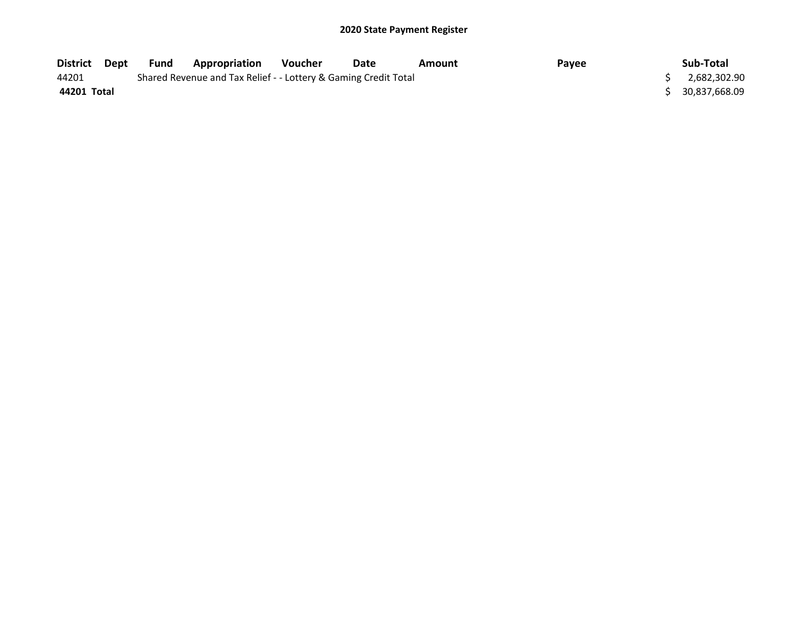| District Dept | Fund | Appropriation                                                   | Voucher | Date | Amount | Payee | Sub-Total        |
|---------------|------|-----------------------------------------------------------------|---------|------|--------|-------|------------------|
| 44201         |      | Shared Revenue and Tax Relief - - Lottery & Gaming Credit Total |         |      |        |       | 2,682,302.90     |
| 44201 Total   |      |                                                                 |         |      |        |       | \$ 30,837,668.09 |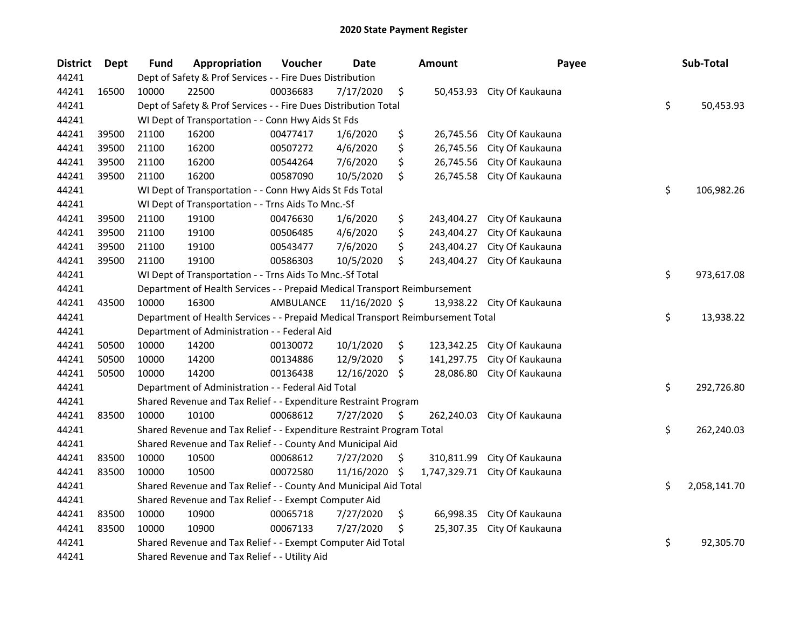| <b>District</b> | Dept  | <b>Fund</b> | Appropriation                                                                   | Voucher   | <b>Date</b>   |    | <b>Amount</b> | Payee                      |    | Sub-Total    |  |
|-----------------|-------|-------------|---------------------------------------------------------------------------------|-----------|---------------|----|---------------|----------------------------|----|--------------|--|
| 44241           |       |             | Dept of Safety & Prof Services - - Fire Dues Distribution                       |           |               |    |               |                            |    |              |  |
| 44241           | 16500 | 10000       | 22500                                                                           | 00036683  | 7/17/2020     | \$ | 50,453.93     | City Of Kaukauna           |    |              |  |
| 44241           |       |             | Dept of Safety & Prof Services - - Fire Dues Distribution Total                 |           |               |    |               |                            | \$ | 50,453.93    |  |
| 44241           |       |             | WI Dept of Transportation - - Conn Hwy Aids St Fds                              |           |               |    |               |                            |    |              |  |
| 44241           | 39500 | 21100       | 16200                                                                           | 00477417  | 1/6/2020      | \$ | 26,745.56     | City Of Kaukauna           |    |              |  |
| 44241           | 39500 | 21100       | 16200                                                                           | 00507272  | 4/6/2020      | \$ | 26,745.56     | City Of Kaukauna           |    |              |  |
| 44241           | 39500 | 21100       | 16200                                                                           | 00544264  | 7/6/2020      | \$ | 26,745.56     | City Of Kaukauna           |    |              |  |
| 44241           | 39500 | 21100       | 16200                                                                           | 00587090  | 10/5/2020     | \$ | 26,745.58     | City Of Kaukauna           |    |              |  |
| 44241           |       |             | WI Dept of Transportation - - Conn Hwy Aids St Fds Total                        |           |               |    |               |                            | \$ | 106,982.26   |  |
| 44241           |       |             | WI Dept of Transportation - - Trns Aids To Mnc.-Sf                              |           |               |    |               |                            |    |              |  |
| 44241           | 39500 | 21100       | 19100                                                                           | 00476630  | 1/6/2020      | \$ | 243,404.27    | City Of Kaukauna           |    |              |  |
| 44241           | 39500 | 21100       | 19100                                                                           | 00506485  | 4/6/2020      | \$ | 243,404.27    | City Of Kaukauna           |    |              |  |
| 44241           | 39500 | 21100       | 19100                                                                           | 00543477  | 7/6/2020      | \$ | 243,404.27    | City Of Kaukauna           |    |              |  |
| 44241           | 39500 | 21100       | 19100                                                                           | 00586303  | 10/5/2020     | \$ | 243,404.27    | City Of Kaukauna           |    |              |  |
| 44241           |       |             | WI Dept of Transportation - - Trns Aids To Mnc.-Sf Total                        |           |               |    |               |                            | \$ | 973,617.08   |  |
| 44241           |       |             | Department of Health Services - - Prepaid Medical Transport Reimbursement       |           |               |    |               |                            |    |              |  |
| 44241           | 43500 | 10000       | 16300                                                                           | AMBULANCE | 11/16/2020 \$ |    |               | 13,938.22 City Of Kaukauna |    |              |  |
| 44241           |       |             | Department of Health Services - - Prepaid Medical Transport Reimbursement Total |           |               |    |               |                            | \$ | 13,938.22    |  |
| 44241           |       |             | Department of Administration - - Federal Aid                                    |           |               |    |               |                            |    |              |  |
| 44241           | 50500 | 10000       | 14200                                                                           | 00130072  | 10/1/2020     | \$ | 123,342.25    | City Of Kaukauna           |    |              |  |
| 44241           | 50500 | 10000       | 14200                                                                           | 00134886  | 12/9/2020     | \$ | 141,297.75    | City Of Kaukauna           |    |              |  |
| 44241           | 50500 | 10000       | 14200                                                                           | 00136438  | 12/16/2020 \$ |    | 28,086.80     | City Of Kaukauna           |    |              |  |
| 44241           |       |             | Department of Administration - - Federal Aid Total                              |           |               |    |               |                            | \$ | 292,726.80   |  |
| 44241           |       |             | Shared Revenue and Tax Relief - - Expenditure Restraint Program                 |           |               |    |               |                            |    |              |  |
| 44241           | 83500 | 10000       | 10100                                                                           | 00068612  | 7/27/2020     | \$ | 262,240.03    | City Of Kaukauna           |    |              |  |
| 44241           |       |             | Shared Revenue and Tax Relief - - Expenditure Restraint Program Total           |           |               |    |               |                            | \$ | 262,240.03   |  |
| 44241           |       |             | Shared Revenue and Tax Relief - - County And Municipal Aid                      |           |               |    |               |                            |    |              |  |
| 44241           | 83500 | 10000       | 10500                                                                           | 00068612  | 7/27/2020     | \$ | 310,811.99    | City Of Kaukauna           |    |              |  |
| 44241           | 83500 | 10000       | 10500                                                                           | 00072580  | 11/16/2020    | \$ | 1,747,329.71  | City Of Kaukauna           |    |              |  |
| 44241           |       |             | Shared Revenue and Tax Relief - - County And Municipal Aid Total                |           |               |    |               |                            | \$ | 2,058,141.70 |  |
| 44241           |       |             | Shared Revenue and Tax Relief - - Exempt Computer Aid                           |           |               |    |               |                            |    |              |  |
| 44241           | 83500 | 10000       | 10900                                                                           | 00065718  | 7/27/2020     | \$ | 66,998.35     | City Of Kaukauna           |    |              |  |
| 44241           | 83500 | 10000       | 10900                                                                           | 00067133  | 7/27/2020     | \$ | 25,307.35     | City Of Kaukauna           |    |              |  |
| 44241           |       |             | Shared Revenue and Tax Relief - - Exempt Computer Aid Total                     |           |               |    |               |                            | \$ | 92,305.70    |  |
| 44241           |       |             | Shared Revenue and Tax Relief - - Utility Aid                                   |           |               |    |               |                            |    |              |  |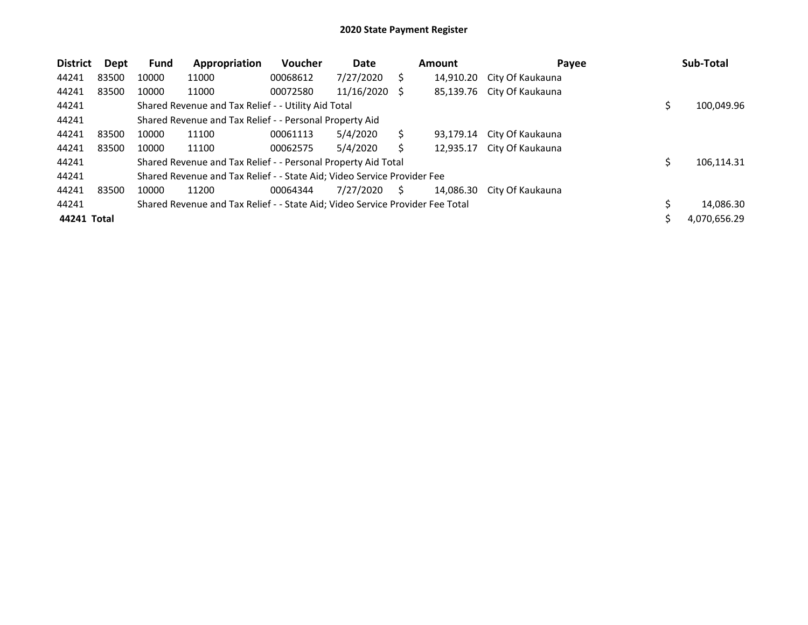| <b>District</b> | Dept  | <b>Fund</b> | Appropriation                                                                 | <b>Voucher</b> | Date       |    | <b>Amount</b> | Payee            | Sub-Total        |
|-----------------|-------|-------------|-------------------------------------------------------------------------------|----------------|------------|----|---------------|------------------|------------------|
| 44241           | 83500 | 10000       | 11000                                                                         | 00068612       | 7/27/2020  | Ś  | 14,910.20     | City Of Kaukauna |                  |
| 44241           | 83500 | 10000       | 11000                                                                         | 00072580       | 11/16/2020 | S  | 85,139.76     | City Of Kaukauna |                  |
| 44241           |       |             | Shared Revenue and Tax Relief - - Utility Aid Total                           |                |            |    |               |                  | \$<br>100,049.96 |
| 44241           |       |             | Shared Revenue and Tax Relief - - Personal Property Aid                       |                |            |    |               |                  |                  |
| 44241           | 83500 | 10000       | 11100                                                                         | 00061113       | 5/4/2020   | S  | 93,179.14     | City Of Kaukauna |                  |
| 44241           | 83500 | 10000       | 11100                                                                         | 00062575       | 5/4/2020   |    | 12.935.17     | City Of Kaukauna |                  |
| 44241           |       |             | Shared Revenue and Tax Relief - - Personal Property Aid Total                 |                |            |    |               |                  | 106,114.31       |
| 44241           |       |             | Shared Revenue and Tax Relief - - State Aid; Video Service Provider Fee       |                |            |    |               |                  |                  |
| 44241           | 83500 | 10000       | 11200                                                                         | 00064344       | 7/27/2020  | S. | 14.086.30     | City Of Kaukauna |                  |
| 44241           |       |             | Shared Revenue and Tax Relief - - State Aid; Video Service Provider Fee Total |                |            |    |               |                  | 14,086.30        |
| 44241 Total     |       |             |                                                                               |                |            |    |               |                  | 4,070,656.29     |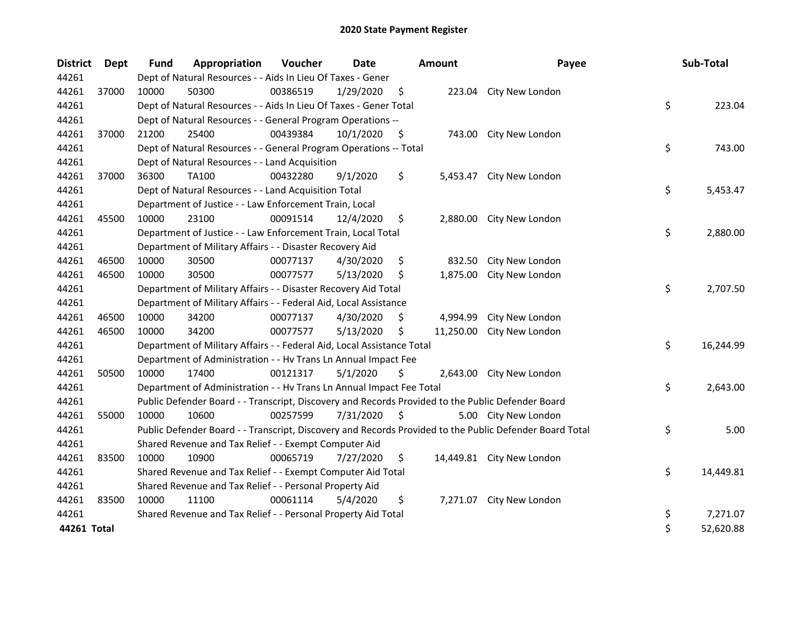| <b>District</b> | Dept  | <b>Fund</b> | Appropriation                                                                                     | Voucher  | <b>Date</b> |    | <b>Amount</b> | Payee                                                                                                   |    | Sub-Total |  |
|-----------------|-------|-------------|---------------------------------------------------------------------------------------------------|----------|-------------|----|---------------|---------------------------------------------------------------------------------------------------------|----|-----------|--|
| 44261           |       |             | Dept of Natural Resources - - Aids In Lieu Of Taxes - Gener                                       |          |             |    |               |                                                                                                         |    |           |  |
| 44261           | 37000 | 10000       | 50300                                                                                             | 00386519 | 1/29/2020   | \$ | 223.04        | City New London                                                                                         |    |           |  |
| 44261           |       |             | Dept of Natural Resources - - Aids In Lieu Of Taxes - Gener Total                                 |          |             |    |               |                                                                                                         | \$ | 223.04    |  |
| 44261           |       |             | Dept of Natural Resources - - General Program Operations --                                       |          |             |    |               |                                                                                                         |    |           |  |
| 44261           | 37000 | 21200       | 25400                                                                                             | 00439384 | 10/1/2020   | \$ | 743.00        | City New London                                                                                         |    |           |  |
| 44261           |       |             | Dept of Natural Resources - - General Program Operations -- Total                                 |          |             |    |               |                                                                                                         | \$ | 743.00    |  |
| 44261           |       |             | Dept of Natural Resources - - Land Acquisition                                                    |          |             |    |               |                                                                                                         |    |           |  |
| 44261           | 37000 | 36300       | TA100                                                                                             | 00432280 | 9/1/2020    | \$ | 5,453.47      | City New London                                                                                         |    |           |  |
| 44261           |       |             | Dept of Natural Resources - - Land Acquisition Total                                              |          |             |    |               |                                                                                                         | \$ | 5,453.47  |  |
| 44261           |       |             | Department of Justice - - Law Enforcement Train, Local                                            |          |             |    |               |                                                                                                         |    |           |  |
| 44261           | 45500 | 10000       | 23100                                                                                             | 00091514 | 12/4/2020   | S. | 2,880.00      | City New London                                                                                         |    |           |  |
| 44261           |       |             | Department of Justice - - Law Enforcement Train, Local Total                                      |          |             |    |               |                                                                                                         | \$ | 2,880.00  |  |
| 44261           |       |             | Department of Military Affairs - - Disaster Recovery Aid                                          |          |             |    |               |                                                                                                         |    |           |  |
| 44261           | 46500 | 10000       | 30500                                                                                             | 00077137 | 4/30/2020   | \$ | 832.50        | City New London                                                                                         |    |           |  |
| 44261           | 46500 | 10000       | 30500                                                                                             | 00077577 | 5/13/2020   | \$ | 1,875.00      | City New London                                                                                         |    |           |  |
| 44261           |       |             | Department of Military Affairs - - Disaster Recovery Aid Total                                    |          |             |    |               |                                                                                                         | \$ | 2,707.50  |  |
| 44261           |       |             | Department of Military Affairs - - Federal Aid, Local Assistance                                  |          |             |    |               |                                                                                                         |    |           |  |
| 44261           | 46500 | 10000       | 34200                                                                                             | 00077137 | 4/30/2020   | S. | 4,994.99      | City New London                                                                                         |    |           |  |
| 44261           | 46500 | 10000       | 34200                                                                                             | 00077577 | 5/13/2020   | \$ | 11,250.00     | City New London                                                                                         |    |           |  |
| 44261           |       |             | Department of Military Affairs - - Federal Aid, Local Assistance Total                            |          |             |    |               |                                                                                                         | \$ | 16,244.99 |  |
| 44261           |       |             | Department of Administration - - Hv Trans Ln Annual Impact Fee                                    |          |             |    |               |                                                                                                         |    |           |  |
| 44261           | 50500 | 10000       | 17400                                                                                             | 00121317 | 5/1/2020    | \$ | 2,643.00      | City New London                                                                                         |    |           |  |
| 44261           |       |             | Department of Administration - - Hv Trans Ln Annual Impact Fee Total                              |          |             |    |               |                                                                                                         | \$ | 2,643.00  |  |
| 44261           |       |             | Public Defender Board - - Transcript, Discovery and Records Provided to the Public Defender Board |          |             |    |               |                                                                                                         |    |           |  |
| 44261           | 55000 | 10000       | 10600                                                                                             | 00257599 | 7/31/2020   | \$ |               | 5.00 City New London                                                                                    |    |           |  |
| 44261           |       |             |                                                                                                   |          |             |    |               | Public Defender Board - - Transcript, Discovery and Records Provided to the Public Defender Board Total | \$ | 5.00      |  |
| 44261           |       |             | Shared Revenue and Tax Relief - - Exempt Computer Aid                                             |          |             |    |               |                                                                                                         |    |           |  |
| 44261           | 83500 | 10000       | 10900                                                                                             | 00065719 | 7/27/2020   | \$ |               | 14,449.81 City New London                                                                               |    |           |  |
| 44261           |       |             | Shared Revenue and Tax Relief - - Exempt Computer Aid Total                                       |          |             |    |               |                                                                                                         | \$ | 14,449.81 |  |
| 44261           |       |             | Shared Revenue and Tax Relief - - Personal Property Aid                                           |          |             |    |               |                                                                                                         |    |           |  |
| 44261           | 83500 | 10000       | 11100                                                                                             | 00061114 | 5/4/2020    | \$ | 7,271.07      | City New London                                                                                         |    |           |  |
| 44261           |       |             | Shared Revenue and Tax Relief - - Personal Property Aid Total                                     |          |             |    |               |                                                                                                         | \$ | 7,271.07  |  |
| 44261 Total     |       |             |                                                                                                   |          |             |    |               |                                                                                                         | \$ | 52,620.88 |  |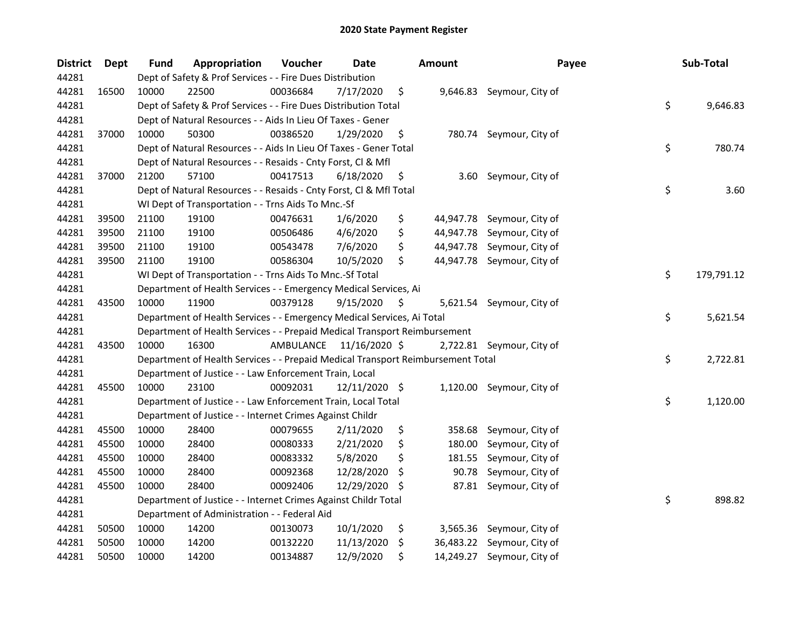| <b>District</b> | <b>Dept</b> | Fund  | Appropriation                                                                   | Voucher  | <b>Date</b>             |    | <b>Amount</b> | Payee                      | Sub-Total        |
|-----------------|-------------|-------|---------------------------------------------------------------------------------|----------|-------------------------|----|---------------|----------------------------|------------------|
| 44281           |             |       | Dept of Safety & Prof Services - - Fire Dues Distribution                       |          |                         |    |               |                            |                  |
| 44281           | 16500       | 10000 | 22500                                                                           | 00036684 | 7/17/2020               | \$ |               | 9,646.83 Seymour, City of  |                  |
| 44281           |             |       | Dept of Safety & Prof Services - - Fire Dues Distribution Total                 |          |                         |    |               |                            | \$<br>9,646.83   |
| 44281           |             |       | Dept of Natural Resources - - Aids In Lieu Of Taxes - Gener                     |          |                         |    |               |                            |                  |
| 44281           | 37000       | 10000 | 50300                                                                           | 00386520 | 1/29/2020               | \$ |               | 780.74 Seymour, City of    |                  |
| 44281           |             |       | Dept of Natural Resources - - Aids In Lieu Of Taxes - Gener Total               |          |                         |    |               |                            | \$<br>780.74     |
| 44281           |             |       | Dept of Natural Resources - - Resaids - Cnty Forst, Cl & Mfl                    |          |                         |    |               |                            |                  |
| 44281           | 37000       | 21200 | 57100                                                                           | 00417513 | 6/18/2020               | \$ | 3.60          | Seymour, City of           |                  |
| 44281           |             |       | Dept of Natural Resources - - Resaids - Cnty Forst, Cl & Mfl Total              |          |                         |    |               |                            | \$<br>3.60       |
| 44281           |             |       | WI Dept of Transportation - - Trns Aids To Mnc.-Sf                              |          |                         |    |               |                            |                  |
| 44281           | 39500       | 21100 | 19100                                                                           | 00476631 | 1/6/2020                | \$ |               | 44,947.78 Seymour, City of |                  |
| 44281           | 39500       | 21100 | 19100                                                                           | 00506486 | 4/6/2020                | \$ |               | 44,947.78 Seymour, City of |                  |
| 44281           | 39500       | 21100 | 19100                                                                           | 00543478 | 7/6/2020                | \$ |               | 44,947.78 Seymour, City of |                  |
| 44281           | 39500       | 21100 | 19100                                                                           | 00586304 | 10/5/2020               | \$ |               | 44,947.78 Seymour, City of |                  |
| 44281           |             |       | WI Dept of Transportation - - Trns Aids To Mnc.-Sf Total                        |          |                         |    |               |                            | \$<br>179,791.12 |
| 44281           |             |       | Department of Health Services - - Emergency Medical Services, Ai                |          |                         |    |               |                            |                  |
| 44281           | 43500       | 10000 | 11900                                                                           | 00379128 | 9/15/2020               | \$ |               | 5,621.54 Seymour, City of  |                  |
| 44281           |             |       | Department of Health Services - - Emergency Medical Services, Ai Total          |          |                         |    |               |                            | \$<br>5,621.54   |
| 44281           |             |       | Department of Health Services - - Prepaid Medical Transport Reimbursement       |          |                         |    |               |                            |                  |
| 44281           | 43500       | 10000 | 16300                                                                           |          | AMBULANCE 11/16/2020 \$ |    |               | 2,722.81 Seymour, City of  |                  |
| 44281           |             |       | Department of Health Services - - Prepaid Medical Transport Reimbursement Total |          |                         |    |               |                            | \$<br>2,722.81   |
| 44281           |             |       | Department of Justice - - Law Enforcement Train, Local                          |          |                         |    |               |                            |                  |
| 44281           | 45500       | 10000 | 23100                                                                           | 00092031 | 12/11/2020 \$           |    |               | 1,120.00 Seymour, City of  |                  |
| 44281           |             |       | Department of Justice - - Law Enforcement Train, Local Total                    |          |                         |    |               |                            | \$<br>1,120.00   |
| 44281           |             |       | Department of Justice - - Internet Crimes Against Childr                        |          |                         |    |               |                            |                  |
| 44281           | 45500       | 10000 | 28400                                                                           | 00079655 | 2/11/2020               | \$ | 358.68        | Seymour, City of           |                  |
| 44281           | 45500       | 10000 | 28400                                                                           | 00080333 | 2/21/2020               | \$ | 180.00        | Seymour, City of           |                  |
| 44281           | 45500       | 10000 | 28400                                                                           | 00083332 | 5/8/2020                | \$ | 181.55        | Seymour, City of           |                  |
| 44281           | 45500       | 10000 | 28400                                                                           | 00092368 | 12/28/2020              | S  | 90.78         | Seymour, City of           |                  |
| 44281           | 45500       | 10000 | 28400                                                                           | 00092406 | 12/29/2020              | -S |               | 87.81 Seymour, City of     |                  |
| 44281           |             |       | Department of Justice - - Internet Crimes Against Childr Total                  |          |                         |    |               |                            | \$<br>898.82     |
| 44281           |             |       | Department of Administration - - Federal Aid                                    |          |                         |    |               |                            |                  |
| 44281           | 50500       | 10000 | 14200                                                                           | 00130073 | 10/1/2020               | \$ |               | 3,565.36 Seymour, City of  |                  |
| 44281           | 50500       | 10000 | 14200                                                                           | 00132220 | 11/13/2020              | \$ | 36,483.22     | Seymour, City of           |                  |
| 44281           | 50500       | 10000 | 14200                                                                           | 00134887 | 12/9/2020               | \$ |               | 14,249.27 Seymour, City of |                  |